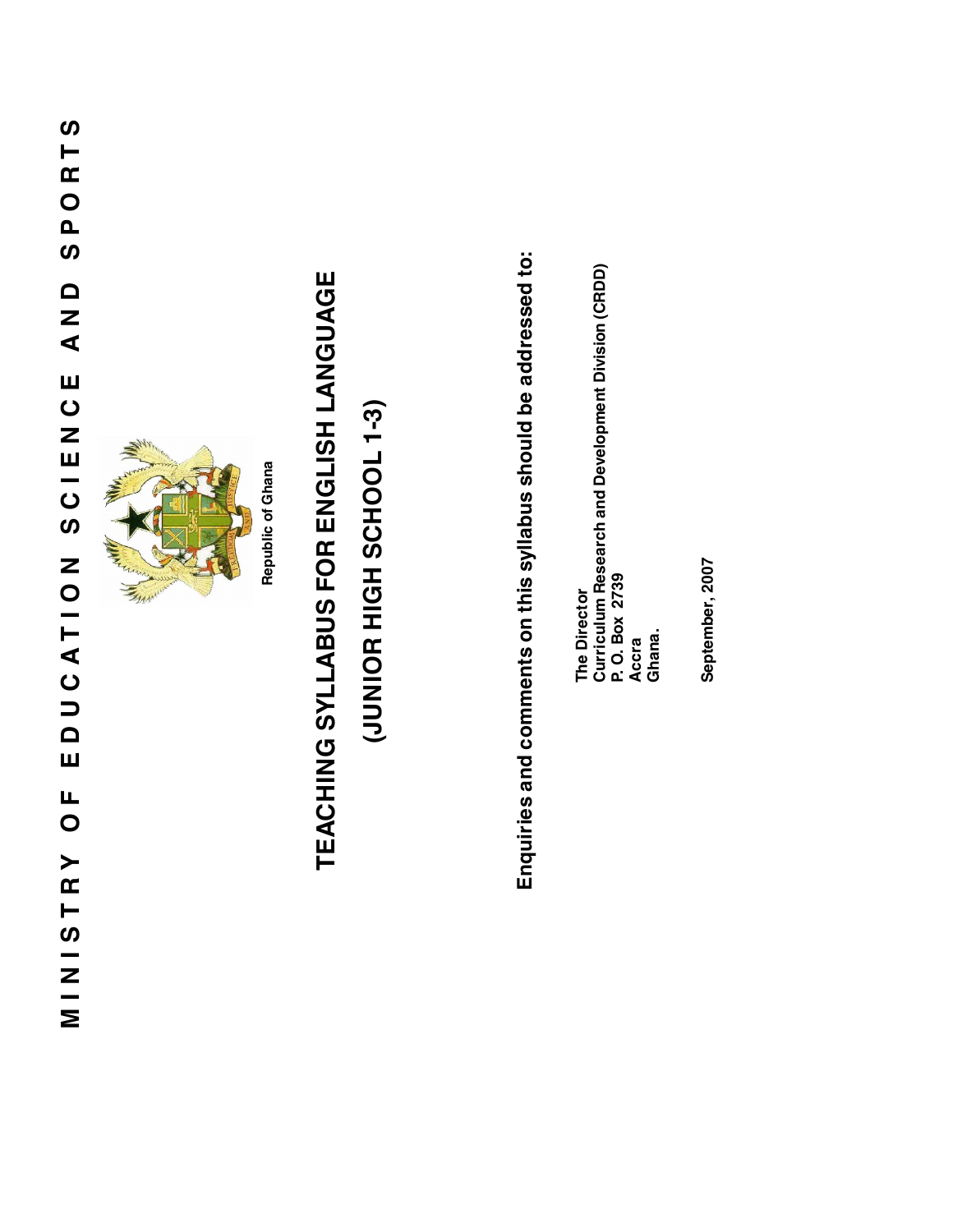## SPORTS **MI NISTRY OF EDUCATI ON SCIENCE AND SPORTS** Q<br>N<br>A EDUCATION SCIENCE  $\overline{C}$ **MINISTRY**



# TEACHING SYLLABUS FOR ENGLISH LANGUAGE **TEACHING SYLLABUS FOR ENGLISH LANGUAGE**

## (JUNIOR HIGH SCHOOL 1-3) **(6-1 100HUS HUIH EOINDI)**

Enquiries and comments on this syllabus should be addressed to: **Enquiries and comments on this syllabus should be addressed to:**

**Curriculum Research and Development Division (CRDD) P. O. Box 2739** The Director **The Director Accra Ghana.**

September, 2007 **September, 2007**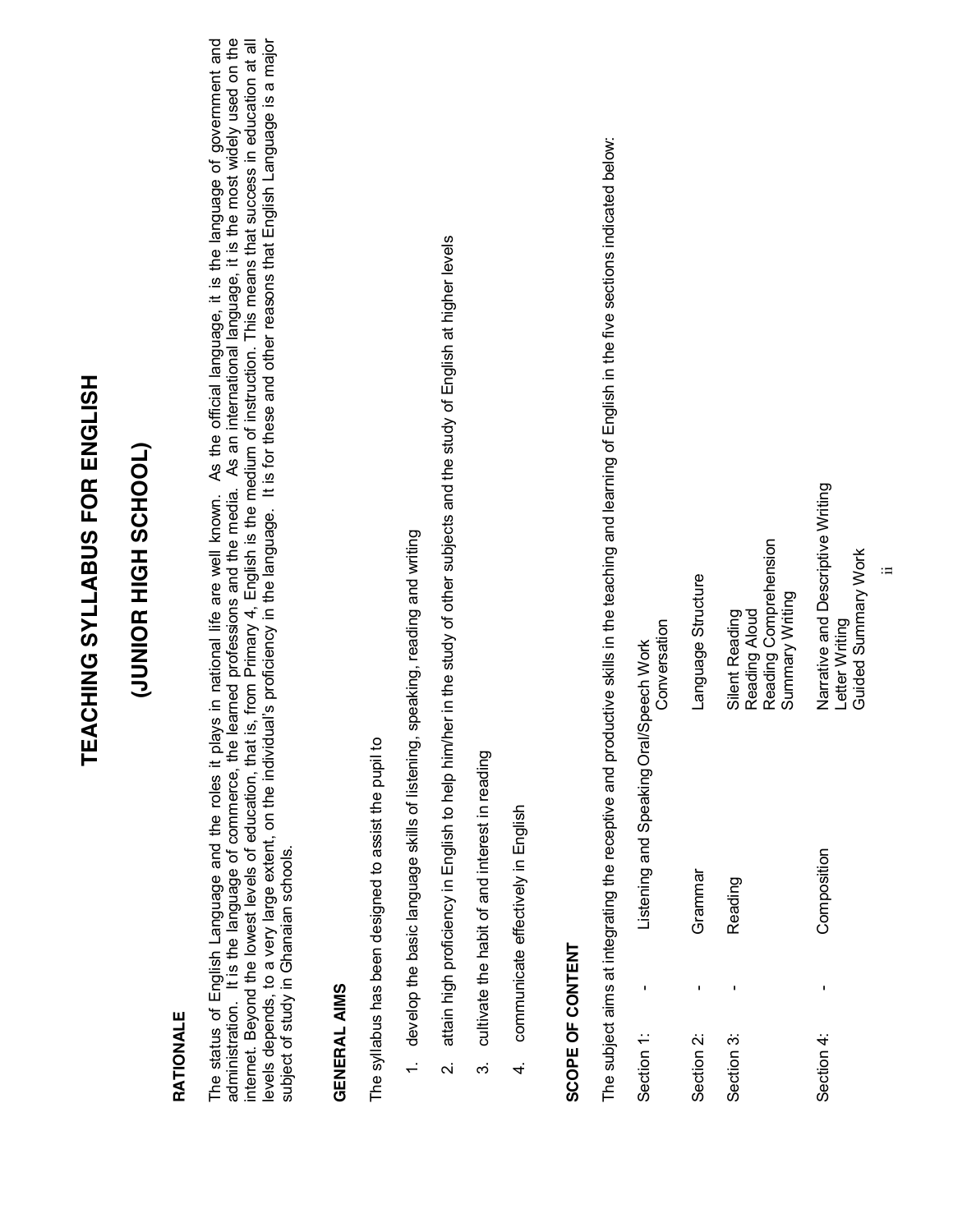# TEACHING SYLLABUS FOR ENGLISH **TEACHING SYLLABUS FOR ENGLISH**

## (JOOHOOR HIGH SCHOOL) **(JUNIOR HIGH SCHOOL)**

#### RATIONALE **RATIONALE**

The status of English Language and the roles it plays in national life are well known. As the official language, it is the language of government and<br>administration. It is the language of commerce, the learned professions internet. Beyond the lowest levels of education, that is, from Primary 4, English is the medium of instruction. This means that success in education at all<br>levels depends, to a very large extent, on the individual's profic The status of English Language and the roles it plays in national life are well known. As the official language, it is the language of government and administration. It is the language of commerce, the learned professions and the media. As an international language, it is the most widely used on the levels depends, to a very large extent, on the individuali's proficiency in the language. It is for these and other reasons that English Language is a major internet. Beyond the lowest levels of education, that is, from Primary 4, English is the medium of instruction. This means that success in education at all subject of study in Ghanaian schools. subject of study in Ghanaian schools.

#### **GENERAL AIMS GENERAL AIMS**

The syllabus has been designed to assist the pupil to The syllabus has been designed to assist the pupil to

- 1. develop the basic language skills of listening, speaking, reading and writing 1. develop the basic language skills of listening, speaking, reading and writing
- attain high proficiency in English to help him/her in the study of other subjects and the study of English at higher levels 2. attain high proficiency in English to help him/her in the study of other subjects and the study of English at higher levels  $\overline{a}$
- cultivate the habit of and interest in reading 3. cultivate the habit of and interest in reading  $\tilde{\mathfrak{S}}$
- communicate effectively in English 4. communicate effectively in English  $\vec{r}$

### SCOPE OF CONTENT **SCOPE OF CONTENT**

The subject aims at integrating the receptive and productive skills in the teaching and learning of English in the five sections indicated below: The subject aims at integrating the receptive and productive skills in the teaching and learning of English in the five sections indicated below: Listening and Speaking Oral/Speech Work Section 1: - Listening and Speaking Oral/Speech Work Section 1:

| Conversation | Language Structure | Reading Comprehension<br>Summary Writing<br>Reading Aloud<br>Silent Reading | Narrative and Descriptive Writing<br>Guided Summary Work<br>Letter Writing |
|--------------|--------------------|-----------------------------------------------------------------------------|----------------------------------------------------------------------------|
|              | Grammar            | Reading                                                                     | Composition                                                                |
|              |                    |                                                                             |                                                                            |
|              | Section 2:         | Section 3:                                                                  | Section 4:                                                                 |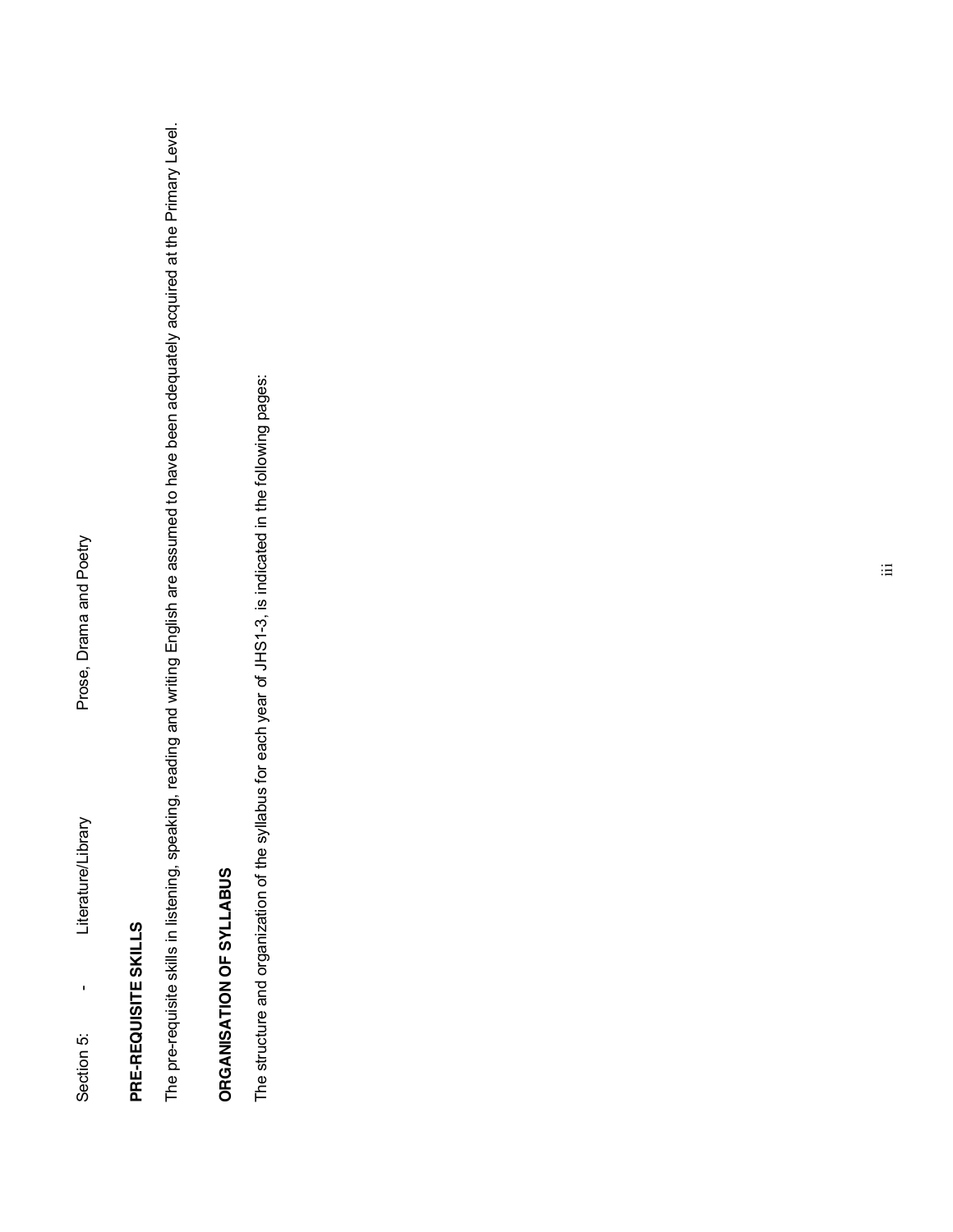### PRE-REQUISITE SKILLS **PRE-REQUISITE SKILLS**

The pre-requisite skills in listening, speaking, reading and writing English are assumed to have been adequately acquired at the Primary Level. The pre-requisite skills in listening, speaking, reading and writing English are assumed to have been adequately acquired at the Primary Level.

## ORGANISATION OF SYLLABUS **ORGANISATION OF SYLLABUS**

The structure and organization of the syllabus for each year of JHS1-3, is indicated in the following pages: The structure and organization of the syllabus for each year of JHS1-3, is indicated in the following pages: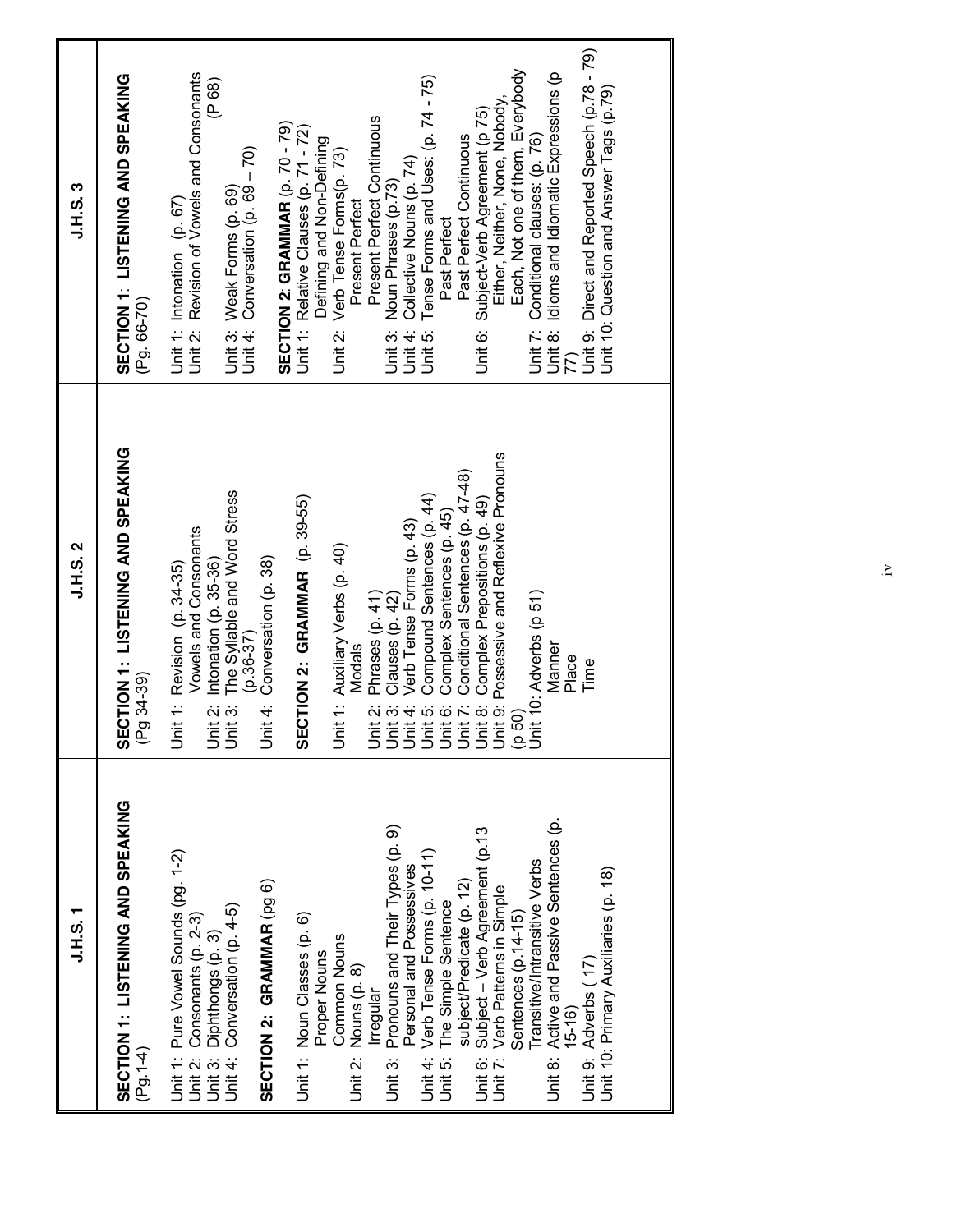| T.S. T.S.                                                                                                                                                                                                                                                                                                                                                                                                                                                                                                                                            | <b>J.H.S. 2</b>                                                                                                                                                                                                                                                                                                                                          | J.H.S. 3                                                                                                                                                                                                                                                                                                                                                                                                                                                                                                                                                                                                                                                                |
|------------------------------------------------------------------------------------------------------------------------------------------------------------------------------------------------------------------------------------------------------------------------------------------------------------------------------------------------------------------------------------------------------------------------------------------------------------------------------------------------------------------------------------------------------|----------------------------------------------------------------------------------------------------------------------------------------------------------------------------------------------------------------------------------------------------------------------------------------------------------------------------------------------------------|-------------------------------------------------------------------------------------------------------------------------------------------------------------------------------------------------------------------------------------------------------------------------------------------------------------------------------------------------------------------------------------------------------------------------------------------------------------------------------------------------------------------------------------------------------------------------------------------------------------------------------------------------------------------------|
| SECTION 1: LISTENING AND SPEAKING<br>$(Pg.1-4)$                                                                                                                                                                                                                                                                                                                                                                                                                                                                                                      | SECTION 1: LISTENING AND SPEAKING<br>(Pg 34-39)                                                                                                                                                                                                                                                                                                          | SECTION 1: LISTENING AND SPEAKING<br>(Pg. 66-70)                                                                                                                                                                                                                                                                                                                                                                                                                                                                                                                                                                                                                        |
| Unit 1: Pure Vowel Sounds (pg. 1-2)<br>SECTION 2: GRAMMAR (pg 6)<br>Unit 4: Conversation (p. 4-5)<br>Unit 2: Consonants (p. 2-3)<br>Unit 3: Diphthongs (p. 3)                                                                                                                                                                                                                                                                                                                                                                                        | The Syllable and Word Stress<br>Vowels and Consonants<br>Conversation (p. 38)<br>Intonation (p. 35-36)<br>Unit 1: Revision (p. 34-35)<br>$(p.36-37)$<br>Unit 3:<br>Unit 3:<br>Unit 4:                                                                                                                                                                    | Unit 2: Revision of Vowels and Consonants<br>(P 68)<br>Unit 4: Conversation (p. 69 - 70)<br>Unit 3: Weak Forms (p. 69)<br>Unit 1: Intonation (p. 67)                                                                                                                                                                                                                                                                                                                                                                                                                                                                                                                    |
| Active and Passive Sentences (p.<br>Pronouns and Their Types (p. 9)<br>Subject - Verb Agreement (p.13<br>Verb Tense Forms (p. 10-11)<br>ransitive/Intransitive Verbs<br>Personal and Possessives<br>Unit 10: Primary Auxiliaries (p. 18)<br>subject/Predicate (p. 12)<br>Unit 7: Verb Patterns in Simple<br>The Simple Sentence<br>Sentences (p.14-15)<br>Unit 1: Noun Classes (p. 6)<br>Common Nouns<br>Proper Nouns<br>Unit 9: Adverbs (17)<br>Unit 2: Nouns (p. 8)<br>Irregular<br>$15-16$<br>Unit 6:<br>Unit 8:<br>Unit 4:<br>Unit 3:<br>Unit 5: | Unit 2: Phrases (p. 41)<br>Unit 3: Clauses (p. 42)<br>Unit 4: Verb Tense Forms (p. 43)<br>Unit 4: Verb Tense Forms (p. 44)<br>Unit 5: Compound Sentences (p. 44)<br>Unit 6: Conditional Sentences (p. 47-48)<br>Unit 8: Complex Prepositions (p<br>SECTION 2: GRAMMAR (p. 39-55)<br>Unit 1: Auxiliary Verbs (p. 40)<br>Manner<br>Modals<br>Place<br>Time | Unit 9: Direct and Reported Speech (p.78 - 79)<br>Each, Not one of them, Everybody<br>Idioms and Idiomatic Expressions (p<br>Tense Forms and Uses: (p. 74 - 75)<br>Unit 10: Question and Answer Tags (p.79)<br>Either, Neither, None, Nobody<br>Unit 6: Subject-Verb Agreement (p 75)<br>Present Perfect Continuous<br>SECTION 2: GRAMMAR (p. 70 - 79)<br>Unit 1: Relative Clauses (p. 71 - 72)<br>Conditional clauses: (p. 76)<br>Past Perfect Continuous<br>Defining and Non-Defining<br>Unit 2: Verb Tense Forms(p. 73)<br>Collective Nouns (p. 74)<br>Noun Phrases (p.73)<br>Present Perfect<br>Past Perfect<br>Unit 4:<br>Unit 8:<br>Unit 7:<br>Unit 3:<br>Unit 5: |
|                                                                                                                                                                                                                                                                                                                                                                                                                                                                                                                                                      |                                                                                                                                                                                                                                                                                                                                                          |                                                                                                                                                                                                                                                                                                                                                                                                                                                                                                                                                                                                                                                                         |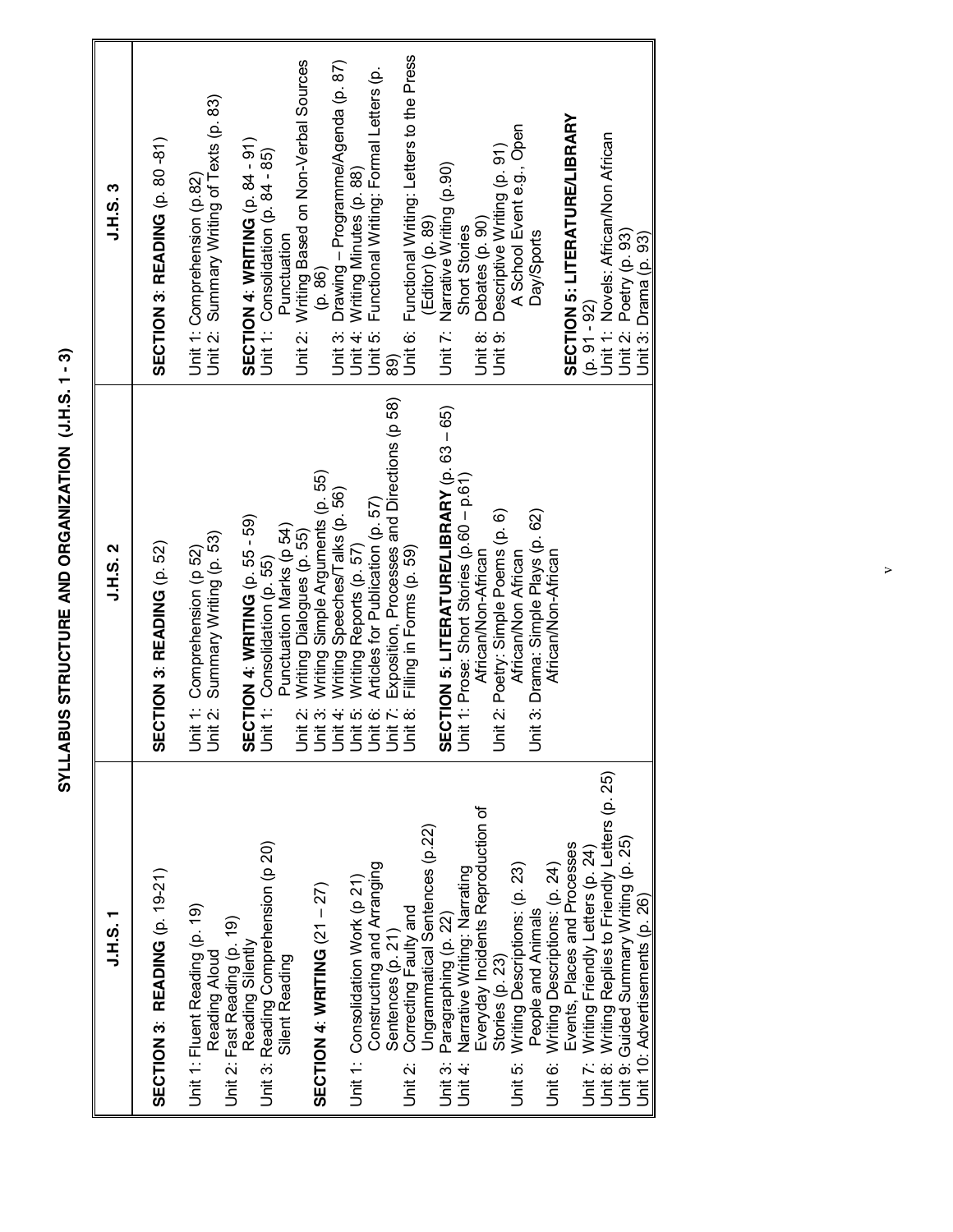SYLLABUS STRUCTURE AND ORGANIZATION (J.H.S. 1-3) **SYLLABUS STRUCTURE AND ORGANIZATION (J.H.S. 1 - 3)**

| いエラ                                                                                                                                                                                                                                                   | <b>J.H.S. 2</b>                                                                                                                                                                                                          | <b>J.H.S.3</b>                                                                                                                            |
|-------------------------------------------------------------------------------------------------------------------------------------------------------------------------------------------------------------------------------------------------------|--------------------------------------------------------------------------------------------------------------------------------------------------------------------------------------------------------------------------|-------------------------------------------------------------------------------------------------------------------------------------------|
| SECTION 3: READING (p. 19-21)                                                                                                                                                                                                                         | SECTION 3: READING (p. 52)                                                                                                                                                                                               | <b>SECTION 3: READING (p. 80-81)</b>                                                                                                      |
| Unit 1: Fluent Reading (p. 19)<br>Reading Aloud                                                                                                                                                                                                       | Unit 2: Summary Writing (p. 53)<br>Unit 1: Comprehension (p 52)                                                                                                                                                          | Unit 2: Summary Writing of Texts (p. 83)<br>Unit 1: Comprehension (p.82)                                                                  |
| Unit 3: Reading Comprehension (p 20)<br>Unit 2: Fast Reading (p. 19)<br>Reading Silently<br>Silent Reading                                                                                                                                            | SECTION 4: WRITING (p. 55 - 59)<br>Punctuation Marks (p 54)<br>Unit 1: Consolidation (p. 55)                                                                                                                             | SECTION 4: WRITING (p. 84 - 91)<br>Unit 1: Consolidation (p. 84 - 85)<br>Punctuation                                                      |
| <b>SECTION 4: WRITING (21 - 27)</b>                                                                                                                                                                                                                   | Writing Dialogues (p. 55)<br>Unit 2:                                                                                                                                                                                     | Unit 2: Writing Based on Non-Verbal Sources<br>(p. 86)<br>Unit 3:                                                                         |
| Constructing and Arranging<br>Unit 1: Consolidation Work (p 21)                                                                                                                                                                                       | Unit 3: Writing Simple Arguments (p. 55)<br>Unit 4: Writing Speeches/Talks (p. 56)<br>Unit 5: Writing Reports (p. 57)<br>Unit 6: Articles for Publication (p. 57)<br>Unit 7: Exposition, Processes and Directions (p 58) | Drawing - Programme/Agenda (p. 87)<br>Functional Writing: Formal Letters (p.<br>Unit 4: Writing Minutes (p. 88)<br>Unit 5:                |
| Ungrammatical Sentences (p.22)<br>Correcting Faulty and<br>Sentences (p. 21)<br>Unit 2:                                                                                                                                                               | Filling in Forms (p. 59)<br>Unit 8:                                                                                                                                                                                      | Functional Writing: Letters to the Press<br>Unit 6:<br>89)                                                                                |
| Everyday Incidents Reproduction of<br>Narrative Writing: Narrating<br>Paragraphing (p. 22)<br>Unit 4:<br>Unit 3:                                                                                                                                      | SECTION 5: LITERATURE/LIBRARY (p. 63 - 65)<br>Unit 1: Prose: Short Stories (p.60 - p.61)<br>African/Non-African                                                                                                          | Unit 7: Narrative Writing (p.90)<br>(Editor) (p. 89)<br>Short Stories<br>Unit 8:                                                          |
| Writing Descriptions: (p. 23)<br>People and Animals<br>Stories (p. 23)<br>Unit 5:                                                                                                                                                                     | Unit 2: Poetry: Simple Poems (p. 6)<br>Unit 3: Drama: Simple Plays (p. 62)<br>African/Non African                                                                                                                        | A School Event e.g., Open<br>Descriptive Writing (p. 91)<br>Debates (p. 90)<br>Day/Sports<br>Unit 9:                                      |
| Unit 8: Writing Replies to Friendly Letters (p. 25)<br>Unit 9: Guided Summary Writing (p. 25)<br>Events, Places and Processes<br>Unit 7: Writing Friendly Letters (p. 24)<br>Unit 6: Writing Descriptions: (p. 24)<br>Unit 10: Advertisements (p. 26) | African/Non-African                                                                                                                                                                                                      | SECTION 5: LITERATURE/LIBRARY<br>Unit 1: Novels: African/Non African<br>Unit 2: Poetry (p. 93)<br>Jnit 3: Drama (p. 93)<br>$(p. 91 - 92)$ |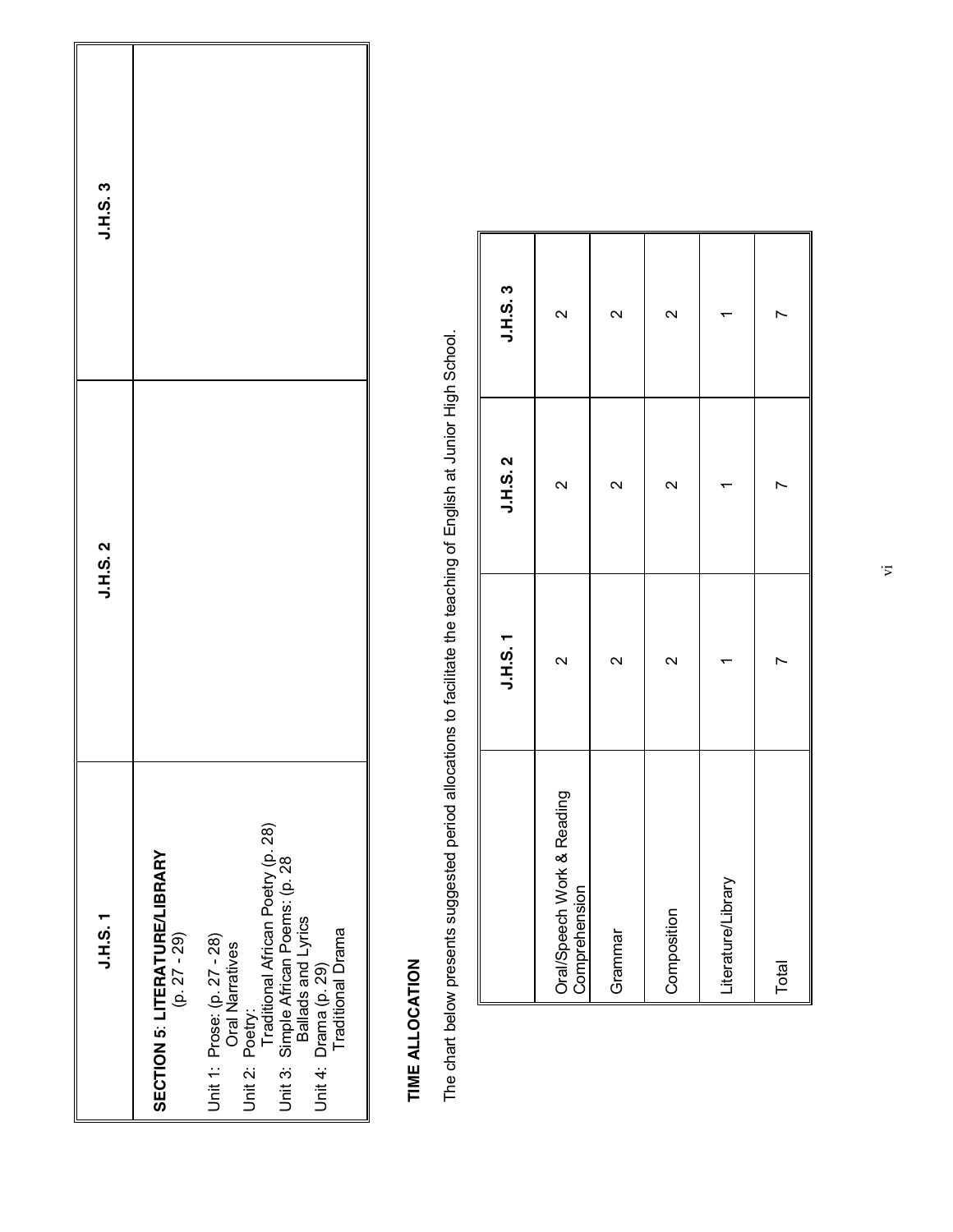| $J.H.S.$ 1                                                                                                                                                                                    | <b>J.H.S. 2</b> | J.H.S. 3 |
|-----------------------------------------------------------------------------------------------------------------------------------------------------------------------------------------------|-----------------|----------|
| SECTION 5: LITERATURE/LIBRARY<br>$(p. 27 - 29)$                                                                                                                                               |                 |          |
| Traditional African Poetry (p. 28)<br>Unit 3: Simple African Poems: (p. 28<br>Traditional Drama<br>Unit 1: Prose: (p. 27 - 28)<br>Oral Narratives<br>Unit 4: Drama (p. 29)<br>Unit 2: Poetry: |                 |          |

### TIME ALLOCATION **TIME ALLOCATION**

The chart below presents suggested period allocations to facilitate the teaching of English at Junior High School. The chart below presents suggested period allocations to facilitate the teaching of English at Junior High School.

|                                             | <b>J.H.S. 1</b>   | <b>J.H.S. 2</b> | J.H.S. 3                |
|---------------------------------------------|-------------------|-----------------|-------------------------|
| Oral/Speech Work & Reading<br>Comprehension | $\sim$            | $\sim$          | $\mathbf{\Omega}$       |
| Grammar                                     | $\mathbf{\Omega}$ | $\sim$          | $\overline{\mathsf{C}}$ |
| Composition                                 | $\sim$            | $\sim$          | $\mathsf{N}$            |
| Literature/Library                          |                   |                 |                         |
| Total                                       |                   |                 |                         |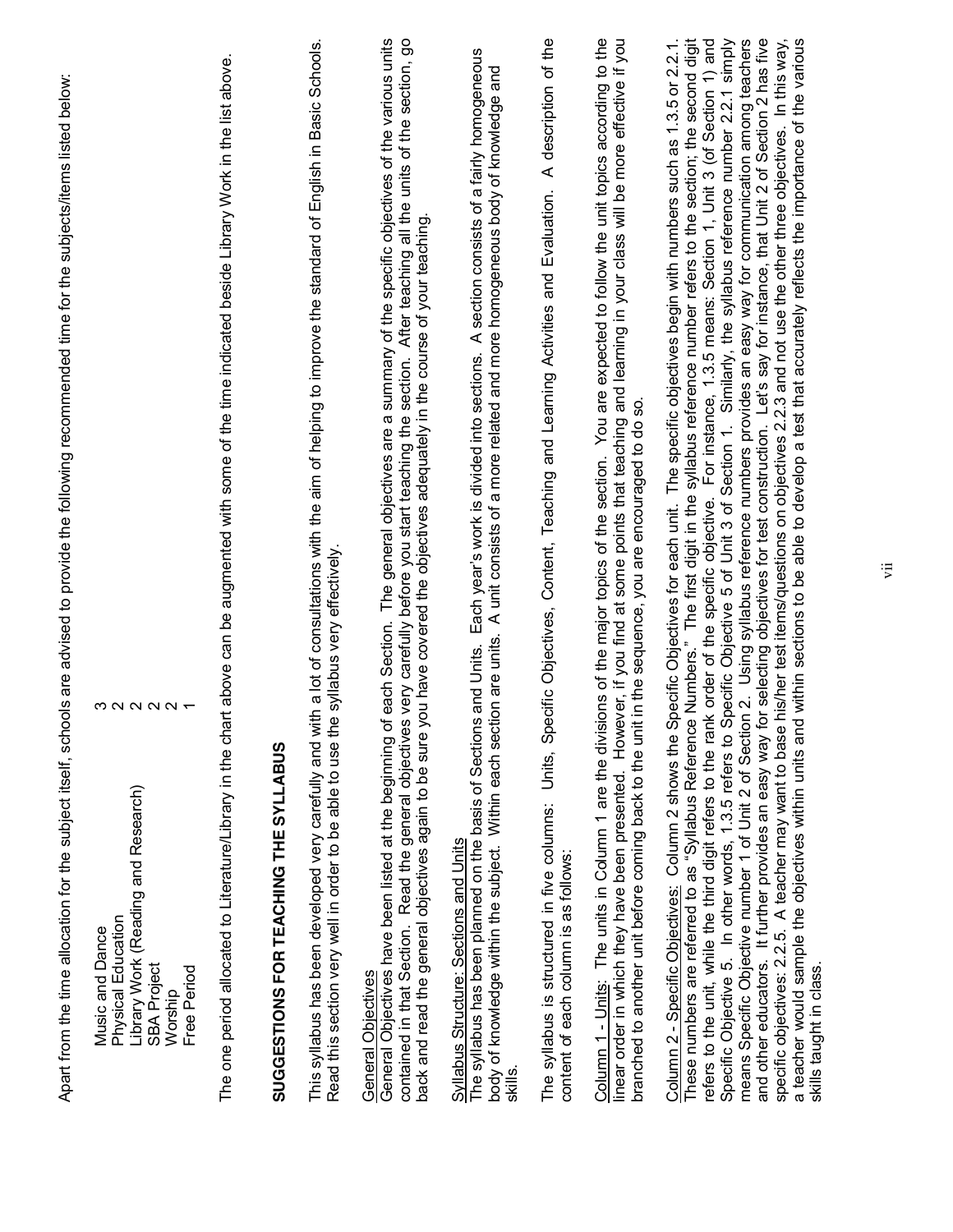| $\begin{array}{c}\n\infty & \infty & \infty & \infty & \leftarrow\n\end{array}$<br>Library Work (Reading and Research)<br>Physical Education<br>Music and Dance<br><b>SBA Project</b><br>Free Period<br>Worship | The one period allocated to Literature/Library in the chart above can be augmented with some of the time indicated beside Library Work in the list above.<br>SUGGESTIONS FOR TEACHING THE SYLLABUS | This syllabus has been developed very carefully and with a lot of consultations with the aim of helping to improve the standard of English in Basic Schools<br>Read this section very well in order to be able to use the syllabus very effectively. | General Objectives have been listed at the beginning of each Section. The general objectives are a summary of the specific objectives of the various units<br>contained in that Section. Read the general objectives very carefully before you start teaching the section. After teaching all the units of the section, go<br>you have covered the objectives adequately in the course of your teaching.<br>back and read the general objectives again to be sure<br>General Objectives | Each year's work is divided into sections. A section consists of a fairly homogeneous<br>body of knowledge within the subject. Within each section are units. A unit consists of a more related and more homogeneous body of knowledge and<br>The syllabus has been planned on the basis of Sections and Units.<br>Syllabus Structure: Sections and Units<br>skills. | A description of the<br>ecific Objectives, Content, Teaching and Learning Activities and Evaluation.<br>The syllabus is structured in five columns: Units, Sp<br>content of each column is as follows: | Column 1 - Units: The units in Column 1 are the divisions of the major topics of the section. You are expected to follow the unit topics according to the<br>linear order in which they have been presented. However, if you find at some points that teaching and learning in your class will be more effective if you<br>branched to another unit before coming back to the unit in the sequence, you are encouraged to do so. | for selecting objectives for test construction. Let's say for instance, that Unit 2 of Section 2 has five<br>Column 2 - Specific Objectives: Column 2 shows the Specific Objectives for each unit. The specific objectives begin with numbers such as 1.3.5 or 2.2.1.<br>These numbers are referred to as "Syllabus Reference Numbers." The fi<br>refers to the unit, while the third digit refers to the rank order of the specific objective. For instance, 1.3.5 means: Section 1, Unit 3 (of Section 1) and<br>means Specific Objective number 1 of Unit 2 of Section 2. Using syllabus reference numbers provides an easy way for communication among teachers<br>specific objectives: 2.2.5. A teacher may want to base his/her test items/questions on objectives 2.2.3 and not use the other three objectives. In this way,<br>a teacher would sample the objectives within units and within sections to be able to develop a test that accurately reflects the importance of the various<br>Specific Objective 5 of Unit 3 of Section 1. Similarly, the syllabus reference number 2.2.1 simply<br>Specific Objective 5. In other words, 1.3.5 refers to<br>and other educators. It further provides an easy way<br>skills taught in class. |
|-----------------------------------------------------------------------------------------------------------------------------------------------------------------------------------------------------------------|----------------------------------------------------------------------------------------------------------------------------------------------------------------------------------------------------|------------------------------------------------------------------------------------------------------------------------------------------------------------------------------------------------------------------------------------------------------|-----------------------------------------------------------------------------------------------------------------------------------------------------------------------------------------------------------------------------------------------------------------------------------------------------------------------------------------------------------------------------------------------------------------------------------------------------------------------------------------|----------------------------------------------------------------------------------------------------------------------------------------------------------------------------------------------------------------------------------------------------------------------------------------------------------------------------------------------------------------------|--------------------------------------------------------------------------------------------------------------------------------------------------------------------------------------------------------|----------------------------------------------------------------------------------------------------------------------------------------------------------------------------------------------------------------------------------------------------------------------------------------------------------------------------------------------------------------------------------------------------------------------------------|-----------------------------------------------------------------------------------------------------------------------------------------------------------------------------------------------------------------------------------------------------------------------------------------------------------------------------------------------------------------------------------------------------------------------------------------------------------------------------------------------------------------------------------------------------------------------------------------------------------------------------------------------------------------------------------------------------------------------------------------------------------------------------------------------------------------------------------------------------------------------------------------------------------------------------------------------------------------------------------------------------------------------------------------------------------------------------------------------------------------------------------------------------------------------------------------------------------------------------------------------------|
|-----------------------------------------------------------------------------------------------------------------------------------------------------------------------------------------------------------------|----------------------------------------------------------------------------------------------------------------------------------------------------------------------------------------------------|------------------------------------------------------------------------------------------------------------------------------------------------------------------------------------------------------------------------------------------------------|-----------------------------------------------------------------------------------------------------------------------------------------------------------------------------------------------------------------------------------------------------------------------------------------------------------------------------------------------------------------------------------------------------------------------------------------------------------------------------------------|----------------------------------------------------------------------------------------------------------------------------------------------------------------------------------------------------------------------------------------------------------------------------------------------------------------------------------------------------------------------|--------------------------------------------------------------------------------------------------------------------------------------------------------------------------------------------------------|----------------------------------------------------------------------------------------------------------------------------------------------------------------------------------------------------------------------------------------------------------------------------------------------------------------------------------------------------------------------------------------------------------------------------------|-----------------------------------------------------------------------------------------------------------------------------------------------------------------------------------------------------------------------------------------------------------------------------------------------------------------------------------------------------------------------------------------------------------------------------------------------------------------------------------------------------------------------------------------------------------------------------------------------------------------------------------------------------------------------------------------------------------------------------------------------------------------------------------------------------------------------------------------------------------------------------------------------------------------------------------------------------------------------------------------------------------------------------------------------------------------------------------------------------------------------------------------------------------------------------------------------------------------------------------------------------|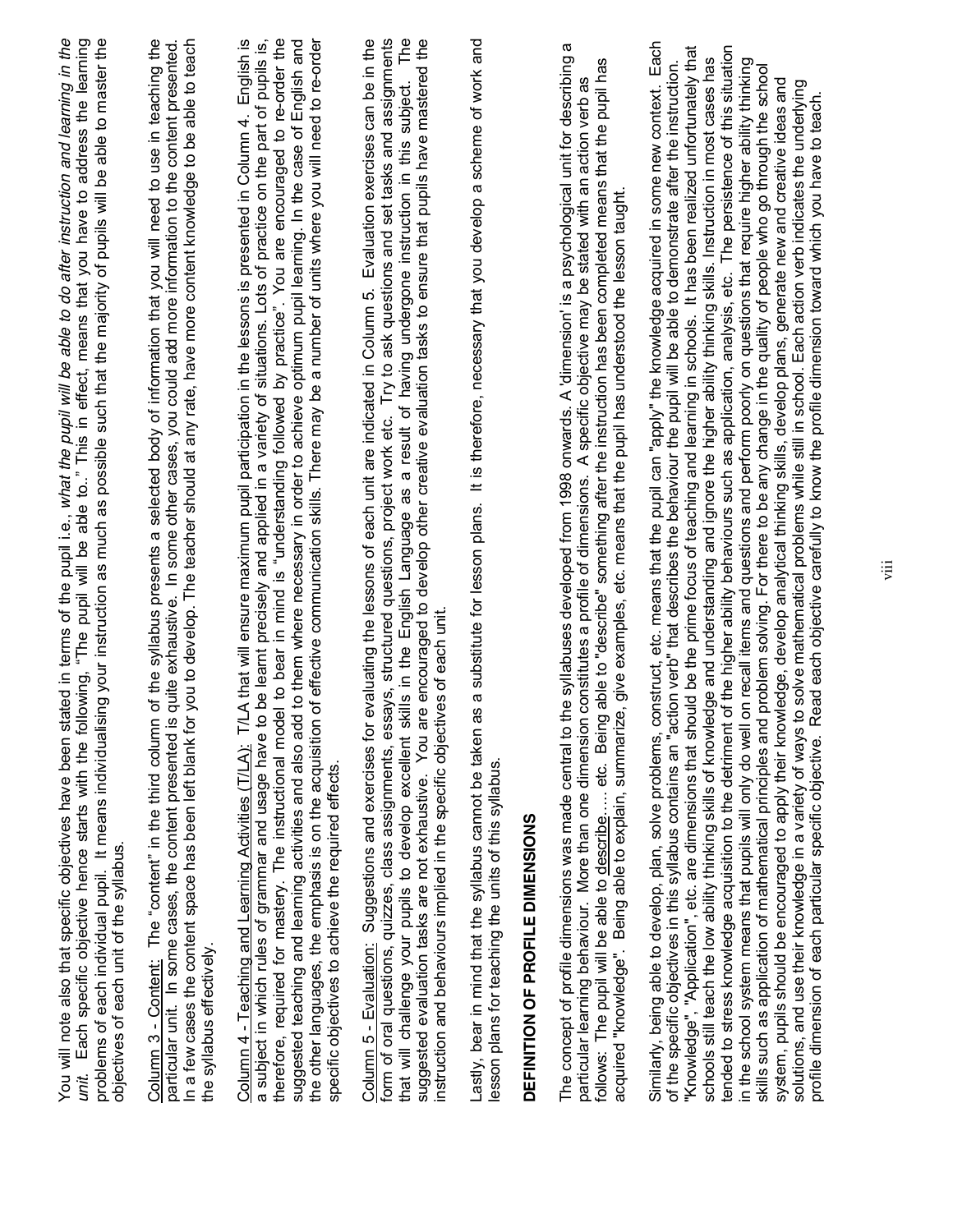| problems of each individual pupil. It means individualising your instruction as much as possible such that the majority of pupils will be able to master the<br>You will note also that specific objectives have been stated in terms of the pupil i.e., what the pupil will be able to do after instruction and learning in the<br>Each specific objective hence starts with the following, "The pupil will be able to" This in effect, means that you have to address the learning<br>objectives of each unit of the syllabus.<br>unit.                                                                                                                                                                                                                                                                                                                                                                                                                                                                                                                                                                                                                                                                                                                                                                                                                                                                                                                                                                                                                      |  |
|----------------------------------------------------------------------------------------------------------------------------------------------------------------------------------------------------------------------------------------------------------------------------------------------------------------------------------------------------------------------------------------------------------------------------------------------------------------------------------------------------------------------------------------------------------------------------------------------------------------------------------------------------------------------------------------------------------------------------------------------------------------------------------------------------------------------------------------------------------------------------------------------------------------------------------------------------------------------------------------------------------------------------------------------------------------------------------------------------------------------------------------------------------------------------------------------------------------------------------------------------------------------------------------------------------------------------------------------------------------------------------------------------------------------------------------------------------------------------------------------------------------------------------------------------------------|--|
| of the syllabus presents a selected body of information that you will need to use in teaching the<br>you to develop. The teacher should at any rate, have more content knowledge to be able to teach<br>quite exhaustive. In some other cases, you could add more information to the content presented.<br>Column 3 - Content: The "content" in the third column<br>particular unit. In some cases, the content presented is<br>In a few cases the content space has been left blank for<br>the syllabus effectively.                                                                                                                                                                                                                                                                                                                                                                                                                                                                                                                                                                                                                                                                                                                                                                                                                                                                                                                                                                                                                                          |  |
| therefore, required for mastery. The instructional model to bear in mind is "understanding followed by practice". You are encouraged to re-order the<br>the other languages, the emphasis is on the acquisition of effective communication skills. There may be a number of units where you will need to re-order<br>English is<br>suggested teaching and learning activities and also add to them where necessary in order to achieve optimum pupil learning. In the case of English and<br>a subject in which rules of grammar and usage have to be learnt precisely and applied in a variety of situations. Lots of practice on the part of pupils is,<br>Column 4 - Teaching and Learning Activities (T/LA): T/LA that will ensure maximum pupil participation in the lessons is presented in Column 4.<br>specific objectives to achieve the required effects.                                                                                                                                                                                                                                                                                                                                                                                                                                                                                                                                                                                                                                                                                            |  |
| form of oral questions, quizzes, class assignments, essays, structured questions, project work etc. Try to ask questions and set tasks and assignments<br>that will challenge your pupils to develop excellent skills in the Engl<br>suggested evaluation tasks are not exhaustive. You are encouraged to develop other creative evaluation tasks to ensure that pupils have mastered the<br>Column 5 - Evaluation: Suggestions and exercises for evaluating the lessons of each unit are indicated in Column 5. Evaluation exercises can be in the<br>instruction and behaviours implied in the specific objectives of each unit                                                                                                                                                                                                                                                                                                                                                                                                                                                                                                                                                                                                                                                                                                                                                                                                                                                                                                                              |  |
| It is therefore, necessary that you develop a scheme of work and<br>a substitute for lesson plans.<br>Lastly, bear in mind that the syllabus cannot be taken as<br>lesson plans for teaching the units of this syllabus.                                                                                                                                                                                                                                                                                                                                                                                                                                                                                                                                                                                                                                                                                                                                                                                                                                                                                                                                                                                                                                                                                                                                                                                                                                                                                                                                       |  |
| DEFINITION OF PROFILE DIMENSIONS                                                                                                                                                                                                                                                                                                                                                                                                                                                                                                                                                                                                                                                                                                                                                                                                                                                                                                                                                                                                                                                                                                                                                                                                                                                                                                                                                                                                                                                                                                                               |  |
| ω<br>e syllabuses developed from 1998 onwards. A 'dimension' is a psychological unit for describing<br>able to "describe" something after the instruction has been completed means that the pupil has<br>particular learning behaviour. More than one dimension constitutes a profile of dimensions. A specific objective may be stated with an action verb as<br>, give examples, etc. means that the pupil has understood the lesson taught.<br>The concept of profile dimensions was made central to th<br>acquired "knowledge". Being able to explain, summarize<br>follows: The pupil will be able to describe etc. Being                                                                                                                                                                                                                                                                                                                                                                                                                                                                                                                                                                                                                                                                                                                                                                                                                                                                                                                                 |  |
| Each<br>"Knowledge", "Application", etc. are dimensions that should be the prime focus of teaching and learning in schools. It has been realized unfortunately that<br>tended to stress knowledge acquisition to the detriment of the higher ability behaviours such as application, analysis, etc. The persistence of this situation<br>schools still teach the low ability thinking skills of knowledge and understanding and ignore the higher ability thinking skills. Instruction in most cases has<br>in the school system means that pupils will only do well on recall items and questions and perform poorly on questions that require higher ability thinking<br>of the specific objectives in this syllabus contains an "action verb" that describes the behaviour the pupil will be able to demonstrate after the instruction.<br>problem solving. For there to be any change in the quality of people who go through the school<br>system, pupils should be encouraged to apply their knowledge, develop analytical thinking skills, develop plans, generate new and creative ideas and<br>solutions, and use their knowledge in a variety of ways to solve mathemat<br>Similarly, being able to develop, plan, solve problems, construct, etc. means that the pupil can "apply" the knowledge acquired in some new context.<br>profile dimension of each particular specific objective. Read each objective carefully to know the profile dimension toward which you have to teach.<br>skills such as application of mathematical principles and |  |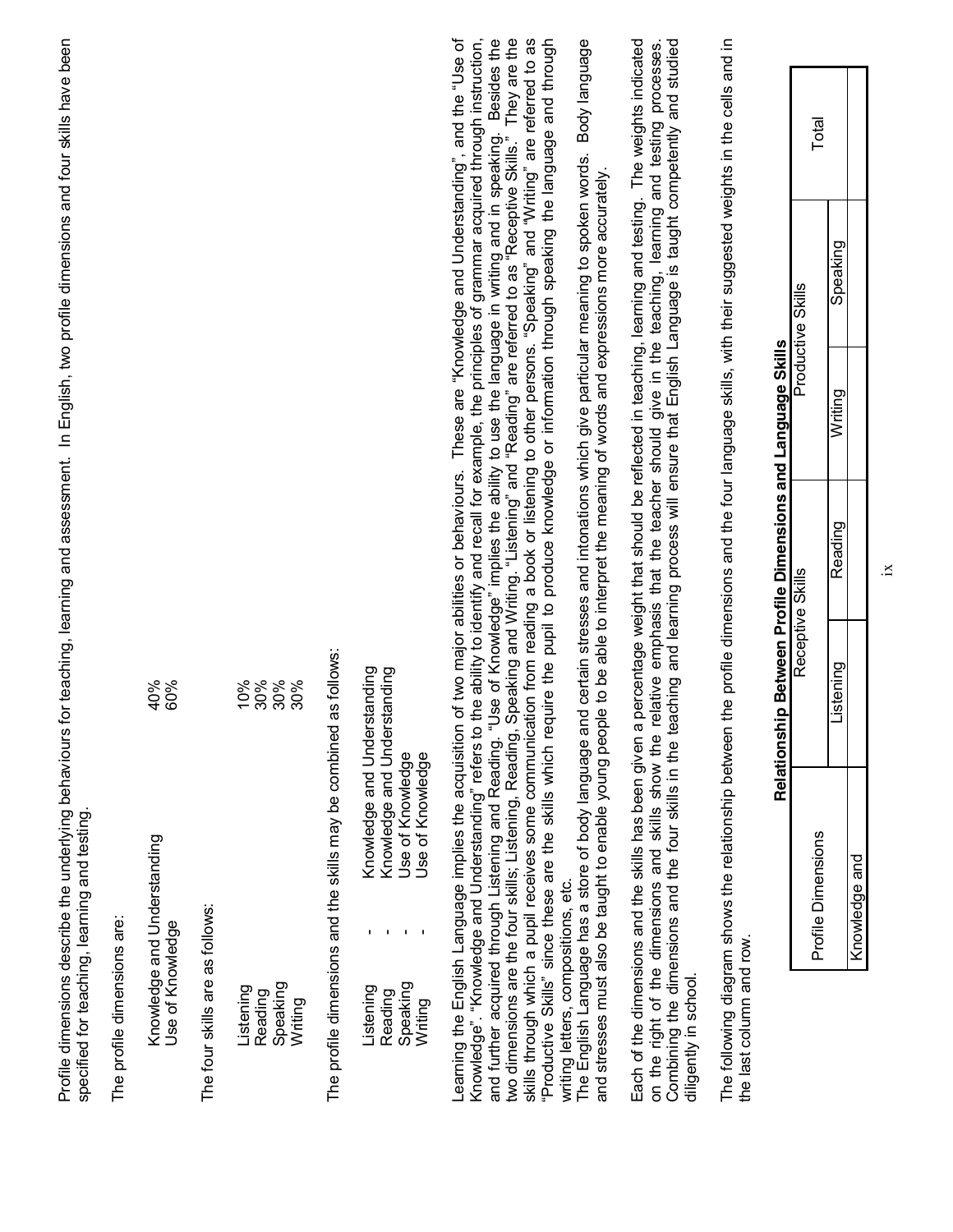Profile dimensions describe the underlying behaviours for teaching, learning and assessment. In English, two profile dimensions and four skills have been Profile dimensions describe the underlying behaviours for teaching, learning and assessment. In English, two profile dimensions and four skills have been specified for teaching, learning and testing. specified for teaching, learning and testing.

The profile dimensions are: The profile dimensions are:

| $\frac{40\%}{60\%}$                             |                                 | ೩<br>೩೩೩೩<br>೧೧೧                            |
|-------------------------------------------------|---------------------------------|---------------------------------------------|
| Knowledge and Understanding<br>Use of Knowledge | The four skills are as follows: | Speaking<br>_istening<br>Reading<br>Writing |

The profile dimensions and the skills may be combined as follows: The profile dimensions and the skills may be combined as follows:

| nowledge and Understandin | e and Understand<br>nowledae | <b>Ise of Knowledat</b> | <b>Knowleda</b><br>se of k |
|---------------------------|------------------------------|-------------------------|----------------------------|
| ı                         |                              |                         |                            |
| stening.                  | eadin                        | neaki.                  |                            |

and further acquired through Listening and Reading. "Use of Knowledge" implies the ability to use the language in writing and in speaking. Besides the<br>two dimensions are the four skills; Listening, Reading, Speaking and Wr writing letters, compositions, etc.<br>The English Language has a store of body language and certain stresses and intonations which give particular meaning to spoken words. Body language earning the English Language implies the acquisition of two major abilities or behaviours. These are "Knowledge and Understanding", and the "Use of Knowledge". "Knowledge and Understanding" refers to the ability to identify and recall for example, the principles of grammar acquired through instruction, "Productive Skills" since these are the skills which require the pupil to produce knowledge or information through speaking the language and through Learning the English Language implies the acquisition of two major abilities or behaviours. These are "Knowledge and Understanding", and the "Use of Knowledge´. ³Knowledge and Understanding´ refers to the ability to identify and recall for example, the principles of grammar acquired through instruction, two dimensions are the four skills; Listening, Reading, Reading, Speaking and Writing, and "Reading" are referred to as "Receptive Skills.'' They are the skills through which a pupil receives some communication from reading a book or listening to other persons. "Speaking" and "Writing" are referred to as and further acquired through Listening and Reading. "Use of Knowledge" implies the ability to use the language in writing and in speaking. Besides the ³Productive Skills´ since these are the skills which require the pupil to produce knowledge or information through speaking the language and through writing letters, compositions, etc.

The English Language has a store of body language and certain stresses and intonations which give particular meaning to spoken words. Body language and stresses must also be taught to enable young people to be able to interpret the meaning of words and expressions more accurately. and stresses must also be taught to enable young people to be able to interpret the meaning of words and expressions more accurately Each of the dimensions and the skills has been given a percentage weight that should be reflected in teaching, learning and testing. The weights indicated<br>on the right of the dimensions and skills show the relative emphasi Combining the dimensions and the four skills in the teaching and learning process will ensure that English Language is taught competently and studied Each of the dimensions and the skills has been given a percentage weight that should be reflected in teaching, learning and testing. The weights indicated on the right of the dimensions and skills show the relative emphasis that the teacher should give in the teaching, learning and testing processes. Combining the dimensions and the four skills in the teaching and learning process will ensure that English Language is taught competently and studied diligently in school. diligently in school.

The following diagram shows the relationship between the profile dimensions and the four language skills, with their suggested weights in the cells and in The following diagram shows the relationship between the profile dimensions and the four language skills, with their suggested weights in the cells and in the last column and row. the last column and row.

| Total             |         |            |
|-------------------|---------|------------|
| Productive Skills | peaking |            |
| J<br>j            | č       |            |
|                   | pulpea  |            |
| Receptive Skills  | stenın  |            |
| rofile Dimension  |         | viedge and |

# Relationship Between Profile Dimensions and Language Skills **Relationship Between Profile Dimensions and Language Skills**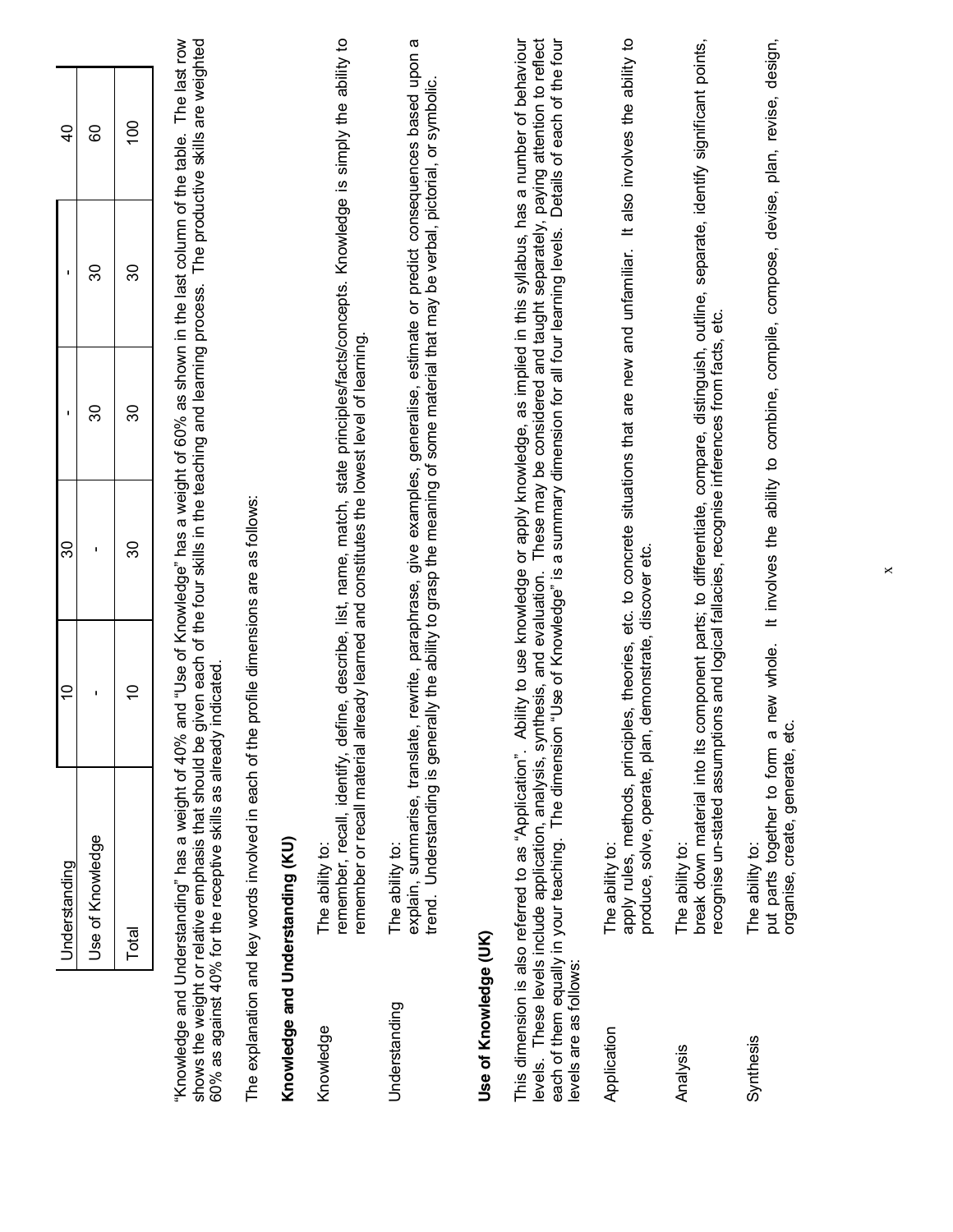|                        | Understanding                                                                                                                                                                                                                                                                                                                                                                                                                                         | $\overline{a}$             | 30                                                       |    | $\blacksquare$                                                                                                                                                                                              | $\overline{40}$                 |
|------------------------|-------------------------------------------------------------------------------------------------------------------------------------------------------------------------------------------------------------------------------------------------------------------------------------------------------------------------------------------------------------------------------------------------------------------------------------------------------|----------------------------|----------------------------------------------------------|----|-------------------------------------------------------------------------------------------------------------------------------------------------------------------------------------------------------------|---------------------------------|
|                        | Use of Knowledge                                                                                                                                                                                                                                                                                                                                                                                                                                      | $\blacksquare$             | $\blacksquare$                                           | 30 | వి                                                                                                                                                                                                          | 80                              |
|                        | Total                                                                                                                                                                                                                                                                                                                                                                                                                                                 | $\overline{C}$             | 80                                                       | 80 | ೫                                                                                                                                                                                                           | $\overline{100}$                |
|                        | "Knowledge and Understanding" has a weight of 40%<br>60% as against 40% for the receptive skills as already<br>shows the weight or relative emphasis that should be                                                                                                                                                                                                                                                                                   | indicated                  |                                                          |    | and "Use of Knowledge" has a weight of 60% as shown in the last column of the table. The last row<br>given each of the four skills in the teaching and learning process. The productive skills are weighted |                                 |
|                        | The explanation and key words involved in each of the                                                                                                                                                                                                                                                                                                                                                                                                 |                            | profile dimensions are as follows:                       |    |                                                                                                                                                                                                             |                                 |
|                        | Knowledge and Understanding (KU)                                                                                                                                                                                                                                                                                                                                                                                                                      |                            |                                                          |    |                                                                                                                                                                                                             |                                 |
| Knowledge              | remember, recall, identify, define, describe, list, name, match, state principles/facts/concepts. Knowledge is simply the ability to<br>remember or recall material already learned and constitutes the lowest level of learning.<br>The ability to:                                                                                                                                                                                                  |                            |                                                          |    |                                                                                                                                                                                                             |                                 |
| Understanding          | explain, summarise, translate, rewrite, paraphrase, give examples, generalise, estimate or predict consequences based upon a<br>trend. Understanding is generally the ability to grasp the meaning of some material that may be verbal, pictorial, or symbolic.<br>The ability to:                                                                                                                                                                    |                            |                                                          |    |                                                                                                                                                                                                             |                                 |
| Use of Knowledge (UK)  |                                                                                                                                                                                                                                                                                                                                                                                                                                                       |                            |                                                          |    |                                                                                                                                                                                                             |                                 |
| levels are as follows: | This dimension is also referred to as "Application". Ability to use knowledge or apply knowledge, as implied in this syllabus, has a number of behaviour<br>levels. These levels include application, analysis, synthesis, and evaluation. These may be considered and taught separately, paying attention to reflect<br>each of them equally in your teaching. The dimension "Use of Knowledge" is a summary dimension for all four learning levels. |                            |                                                          |    |                                                                                                                                                                                                             | Details of each of the four     |
| Application            | apply rules, methods, principles, theories,<br>produce, solve, operate, plan,<br>The ability to:                                                                                                                                                                                                                                                                                                                                                      | demonstrate, discover etc. | etc. to concrete situations that are new and unfamiliar. |    |                                                                                                                                                                                                             | It also involves the ability to |
| Analysis               | recognise un-stated assumptions and logical fallacies, recognise inferences from facts, etc.<br>break down material into its<br>The ability to:                                                                                                                                                                                                                                                                                                       |                            | component parts; to differentiate,                       |    | compare, distinguish, outline, separate, identify significant points,                                                                                                                                       |                                 |
| Synthesis              | organise, create, generate, etc.<br>put parts together to form a<br>The ability to:                                                                                                                                                                                                                                                                                                                                                                   | new whole.                 |                                                          |    | It involves the ability to combine, compile, compose, devise, plan, revise, design,                                                                                                                         |                                 |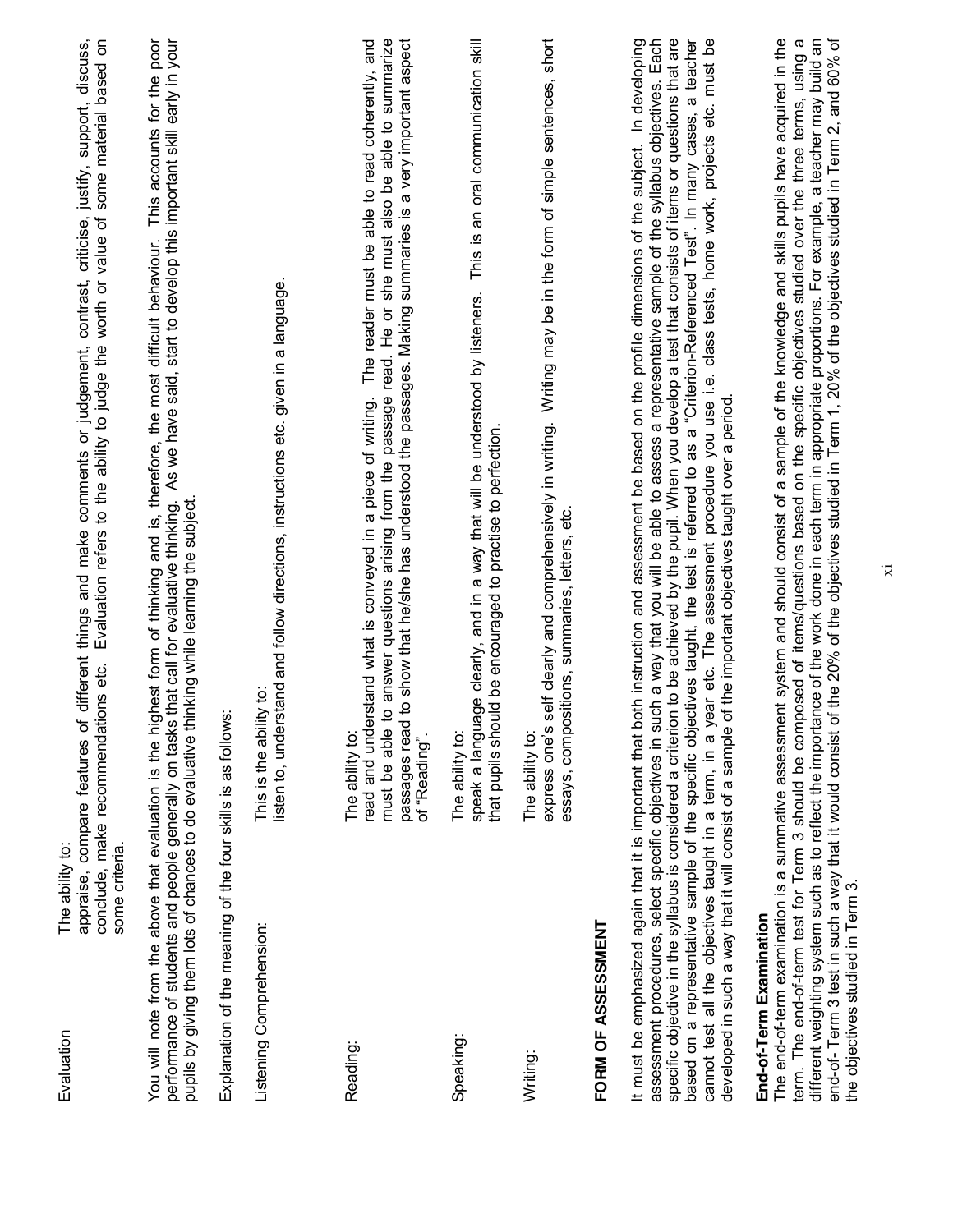| Evaluation                                                   | different things and make comments or judgement, contrast, criticise, justify, support, discuss,<br>some material based on<br>Evaluation refers to the ability to judge the worth or value of<br>ons etc.<br>appraise, compare features of<br>conclude, make recommendati<br>The ability to:<br>some criteria.                                                                                                                                                                                                                                                                                                                                                                                                                                                                                                                                                                                                     |
|--------------------------------------------------------------|--------------------------------------------------------------------------------------------------------------------------------------------------------------------------------------------------------------------------------------------------------------------------------------------------------------------------------------------------------------------------------------------------------------------------------------------------------------------------------------------------------------------------------------------------------------------------------------------------------------------------------------------------------------------------------------------------------------------------------------------------------------------------------------------------------------------------------------------------------------------------------------------------------------------|
|                                                              | This accounts for the poor<br>that call for evaluative thinking. As we have said, start to develop this important skill early in your<br>You will note from the above that evaluation is the highest form of thinking and is, therefore, the most difficult behaviour.<br>pupils by giving them lots of chances to do evaluative thinking while learning the subject.<br>performance of students and people generally on tasks                                                                                                                                                                                                                                                                                                                                                                                                                                                                                     |
|                                                              | Explanation of the meaning of the four skills is as follows:                                                                                                                                                                                                                                                                                                                                                                                                                                                                                                                                                                                                                                                                                                                                                                                                                                                       |
| Listening Comprehension:                                     | listen to, understand and follow directions, instructions etc. given in a language.<br>This is the ability to:                                                                                                                                                                                                                                                                                                                                                                                                                                                                                                                                                                                                                                                                                                                                                                                                     |
|                                                              |                                                                                                                                                                                                                                                                                                                                                                                                                                                                                                                                                                                                                                                                                                                                                                                                                                                                                                                    |
| Reading:                                                     | to answer questions arising from the passage read. He or she must also be able to summarize<br>to show that he/she has understood the passages. Making summaries is a very important aspect<br>The reader must be able to read coherently, and<br>read and understand what is conveyed in a piece of writing.<br>passages read<br>must be able<br>The ability to:<br>of "Reading".                                                                                                                                                                                                                                                                                                                                                                                                                                                                                                                                 |
| Speaking:                                                    | This is an oral communication skill<br>speak a language clearly, and in a way that will be understood by listeners.<br>that pupils should be encouraged to practise to perfection.<br>The ability to:                                                                                                                                                                                                                                                                                                                                                                                                                                                                                                                                                                                                                                                                                                              |
| Writing:                                                     | self dearly and comprehensively in writing. Writing may be in the form of simple sentences, short<br>sitions, summaries, letters, etc.<br>essays, compo<br>express one's<br>The ability to:                                                                                                                                                                                                                                                                                                                                                                                                                                                                                                                                                                                                                                                                                                                        |
| FORM OF ASSESSMENT                                           |                                                                                                                                                                                                                                                                                                                                                                                                                                                                                                                                                                                                                                                                                                                                                                                                                                                                                                                    |
|                                                              | specific objective in the syllabus is considered a criterion to be achieved by the pupil. When you develop a test that consists of items or questions that are<br>cannot test all the objectives taught in a term, in a year etc. The assessment procedure you use i.e. class tests, home work, projects etc. must be<br>It must be emphasized again that it is important that both instruction and assessment be based on the profile dimensions of the subject. In developing<br>assessment procedures, select specific objectives in such a way that you will be able to assess a representative sample of the syllabus objectives. Each<br>based on a representative sample of the specific objectives taught, the test is referred to as a "Criterion-Referenced Test". In many cases, a teacher<br>developed in such a way that it will consist of a sample of the important objectives taught over a period |
| the objectives studied in Term 3.<br>End-of-Term Examination | The end-of-term examination is a summative assessment system and should consist of a sample of the knowledge and skills pupils have acquired in the<br>term. The end-of-term test for Term 3 should be composed of items/questions based on the specific objectives studied over the three terms, using a<br>different weighting system such as to reflect the importance of the work done in each term in appropriate proportions. For example, a teacher may build an<br>end-of- Term 3 test in such a way that it would consist of the 20% of the objectives studied in Term 1, 20% of the objectives studied in Term 2, and 60% of                                                                                                                                                                                                                                                                             |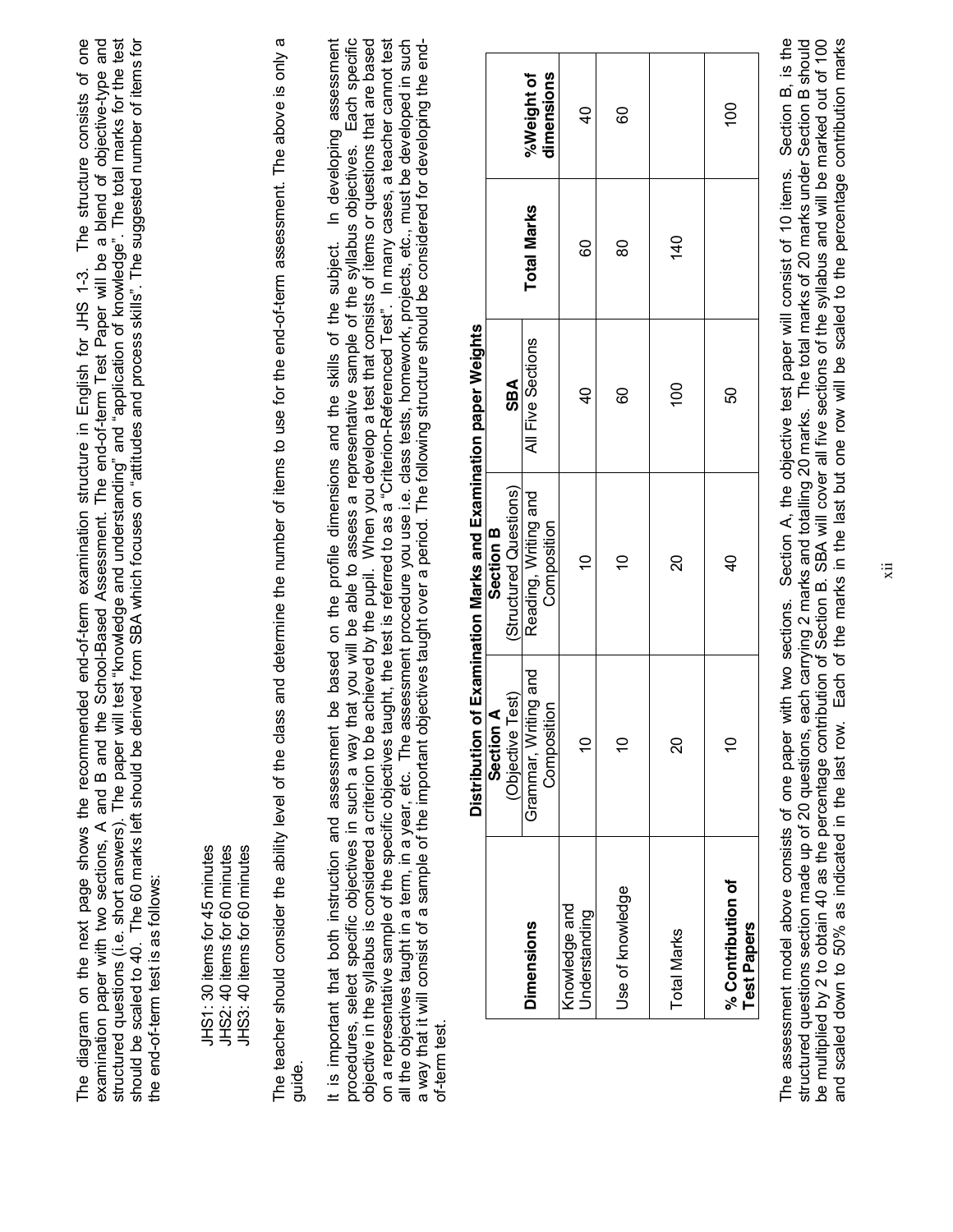should be scaled to 40. The 60 marks left should be derived from SBA which focuses on "attitudes and process skills". The suggested number of items for The structure consists of one examination paper with two sections, A and B and the School-Based Assessment. The end-of-term Test Paper will be a blend of objective-type and structured questions (i.e. short answers). The paper will test "knowledge and understanding" and "application of knowledge". The total marks for the test The diagram on the next page shows the recommended end-of-term examination structure in English for JHS 1-3. The structure consists of one structured questions (i.e. short answers). The paper will test "knowledge and understanding" and "application of knowledge". The total marks for the test should be scaled to 40. The 60 marks left should be derived from SBA which focuses on "attitudes and process skills". The suggested number of items for examination paper with two sections, A and B and the School-Based Assessment. The end-of-term Test Paper will be a blend of objective-type and The diagram on the next page shows the recommended end-of-term examination structure in English for JHS 1-3. the end-of-term test is as follows: the end-of-term test is as follows:

JHS2: 40 items for 60 minutes JHS1: 30 items for 45 minutes JHS3: 40 items for 60 minutes JHS1: 30 items for 45 minutes JHS2: 40 items for 60 minutes JHS3: 40 items for 60 minutes

 $\sigma$ The teacher should consider the ability level of the class and determine the number of items to use for the end-of-term assessment. The above is only a The teacher should consider the ability level of the class and determine the number of items to use for the end-of-term assessment. The above is only guide.

objective in the syllabus is considered a criterion to be achieved by the pupil. When you develop a test that consists of items or questions that are based<br>on a representative sample of the specific objectives taught, the In developing assessment Each specific all the objectives taught in a term, in a year, etc. The assessment procedure you use i.e. class tests, homework, projects, etc., must be developed in such It is important that both instruction and assessment be based on the profile dimensions and the skills of the subject. In developing assessment procedures, select specific objectives in such a way that you will be able to assess a representative sample of the syllabus objectives. Each specific objective in the syllabus is considered a criterion to be achieved by the pupil. When you develop a test that consists of items or questions that are based on a representative sample of the specific objectives taught, the test is referred to as a "Criterion-Referenced Test". In many cases, a teacher cannot test a way that it will consist of a sample of the important objectives taught over a period. The following structure should be considered for developing the enda way that it will consist of a sample of the important objectives taught over a period. The following structure should be considered for developing the endall the objectives taught in a term, in a year, etc. The assessment procedure you use i.e. class tests, homework, projects, etc., must be developed in such procedures, select specific objectives in such a way that you will be able to assess a representative sample of the syllabus objectives. It is important that both instruction and assessment be based on the profile dimensions and the skills of the subject. of-term test. of-term test.

|                                         | Section A                           | ביוונאוויוני בארי בין האווירני האווירני האווירני האווירני האווירני האווירני האווירני האווירני האווירני האווירנ<br>Section <sub>B</sub> |                   |                    |                          |
|-----------------------------------------|-------------------------------------|----------------------------------------------------------------------------------------------------------------------------------------|-------------------|--------------------|--------------------------|
|                                         | (Objective Test)                    | (Structured Questions)                                                                                                                 | SBA               |                    |                          |
| <b>Dimensions</b>                       | Grammar, Writing and<br>Composition | Reading, Writing and<br>Composition                                                                                                    | All Five Sections | <b>Total Marks</b> | %Weight of<br>dimensions |
| Knowledge and<br>Understanding          | $\overline{C}$                      | ₽                                                                                                                                      | $\frac{1}{6}$     | 8                  | $\overline{a}$           |
| Use of knowledge                        | $\tilde{=}$                         | $\tilde{=}$                                                                                                                            | 8                 | 80                 | 8                        |
| <b>Total Marks</b>                      | <u>ន</u>                            | <u>ន</u>                                                                                                                               | 100               | 140                |                          |
| % Contribution of<br><b>Test Papers</b> | $\tilde{=}$                         | d<br>d                                                                                                                                 | SO                |                    | $\overline{00}$          |

Distribution of Examination Marks and Examination paper Weights **Distribution of Examination Marks and Examination paper Weights**

Section B, is the structured questions section made up of 20 questions, each carrying 2 marks and totalling 20 marks. The total marks of 20 marks under Section B should be multiplied by 2 to obtain 40 as the percentage contribution of Section B. SBA will cover all five sections of the syllabus and will be marked out of 100 and scaled down to 50% as indicated in the last row. Each of the marks in the last but one row will be scaled to the percentage contribution marks The assessment model above consists of one paper with two sections. Section A, the objective test paper will consist of 10 items. Section B, is the and scaled down to 50% as indicated in the last row. Each of the marks in the last but one row will be scaled to the percentage contribution marksstructured questions sections, each of 20 questions, each carrying 2 marks and totalling 20 marks. The total marks of 20 marks under Section B should be multiplied by 2 to obtain 40 as the percentage contribution B. SBA will cover all five sections of the syllabus and will be marked out of 100 The assessment model above consists of one paper with two sections. Section A, the objective test paper will consist of 10 items.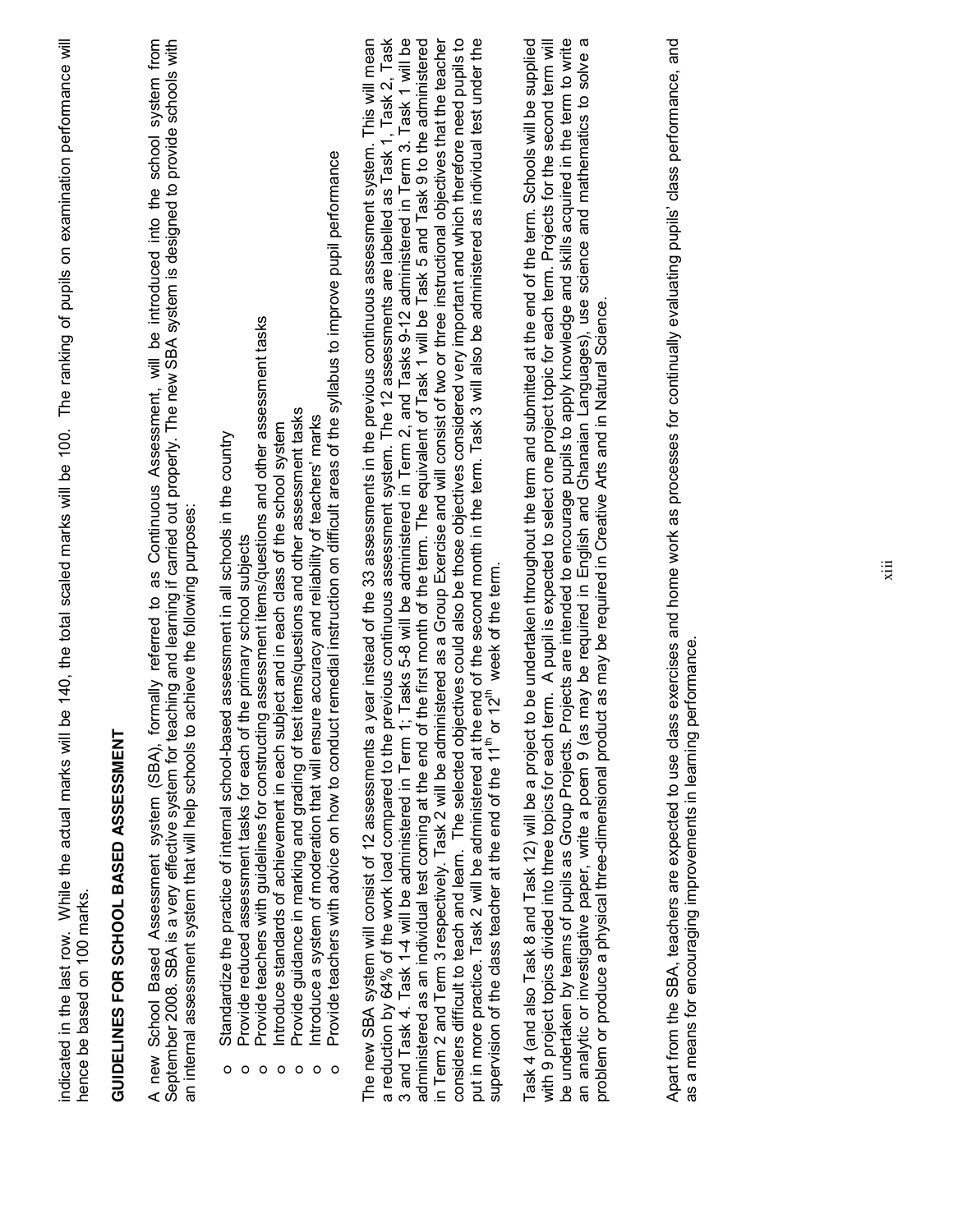| The ranking of pupils on examination performance will<br>be 140, the total scaled marks will be 100.<br>indicated in the last row. While the actual marks will<br>hence be based on 100 marks.                                                                                                                                                                                                                                                                                                                                                                                                                                                                                                                                                                                                                                                                                                                                                                                      |
|-------------------------------------------------------------------------------------------------------------------------------------------------------------------------------------------------------------------------------------------------------------------------------------------------------------------------------------------------------------------------------------------------------------------------------------------------------------------------------------------------------------------------------------------------------------------------------------------------------------------------------------------------------------------------------------------------------------------------------------------------------------------------------------------------------------------------------------------------------------------------------------------------------------------------------------------------------------------------------------|
| GUIDELINES FOR SCHOOL BASED ASSESSMENT                                                                                                                                                                                                                                                                                                                                                                                                                                                                                                                                                                                                                                                                                                                                                                                                                                                                                                                                              |
| September 2008. SBA is a very effective system for teaching and learning if carried out properly. The new SBA system is designed to provide schools with<br>new School Based Assessment system (SBA), formally referred to as Continuous Assessment, will be introduced into the school system from<br>achieve the following purposes:<br>an internal assessment system that will help schools to<br>⋖                                                                                                                                                                                                                                                                                                                                                                                                                                                                                                                                                                              |
| Provide teachers with advice on how to conduct remedial instruction on difficult areas of the syllabus to improve pupil performance<br>Provide teachers with guidelines for constructing assessment items/questions and other assessment tasks<br>Provide guidance in marking and grading of test items/questions and other assessment tasks<br>Introduce a system of moderation that will ensure accuracy and reliability of teachers' marks<br>ntroduce standards of achievement in each subject and in each class of the school system<br>Standardize the practice of internal school-based assessment in all schools in the country<br>Provide reduced assessment tasks for each of the primary school subjects<br>$\circ$<br>$\circ$<br>O<br>O<br>$\circ$<br>$\circ$<br>$\circ$                                                                                                                                                                                                |
| a reduction by 64% of the work load compared to the previous continuous assessment system. The 12 assessments are labelled as Task 1, Task 2, Task<br>3 and Task 4. Task 1-4 will be administered in Term 1; Tasks 5-8 will be ad<br>considers difficult to teach and learn. The selected objectives could also be those objectives considered very important and which therefore need pupils to<br>put in more practice. Task 2 will be administered at the end of the second month in the term. Task 3 will also be administered as individual test under the<br>year instead of the 33 assessments in the previous continuous assessment system. This will mean<br>in Term 2 and Term 3 respectively. Task 2 will be administered as a Group Exercise and will consist of two or three instructional objectives that the teacher<br>supervision of the class teacher at the end of the $11th$ or $12th$ week of the term.<br>The new SBA system will consist of 12 assessments a |
| rojects are intended to encourage pupils to apply knowledge and skills acquired in the term to write<br>may be required in English and Ghanaian Languages), use science and mathematics to solve a<br>erm. A pupil is expected to select one project topic for each term. Projects for the second term will<br>to be undertaken throughout the term and submitted at the end of the term. Schools will be supplied<br>ct as may be required in Creative Arts and in Natural Science.<br>with 9 project topics divided into three topics for each t<br>be undertaken by teams of pupils as Group Projects. P<br>an analytic or investigative paper, write a poem 9 (as<br>problem or produce a physical three-dimensional produ<br>Task 4 (and also Task 8 and Task 12) will be a project                                                                                                                                                                                            |
| Apart from the SBA, teachers are expected to use class exercises and home work as processes for continually evaluating pupils' class performance, and<br>performance.<br>a means for encouraging improvements in learning                                                                                                                                                                                                                                                                                                                                                                                                                                                                                                                                                                                                                                                                                                                                                           |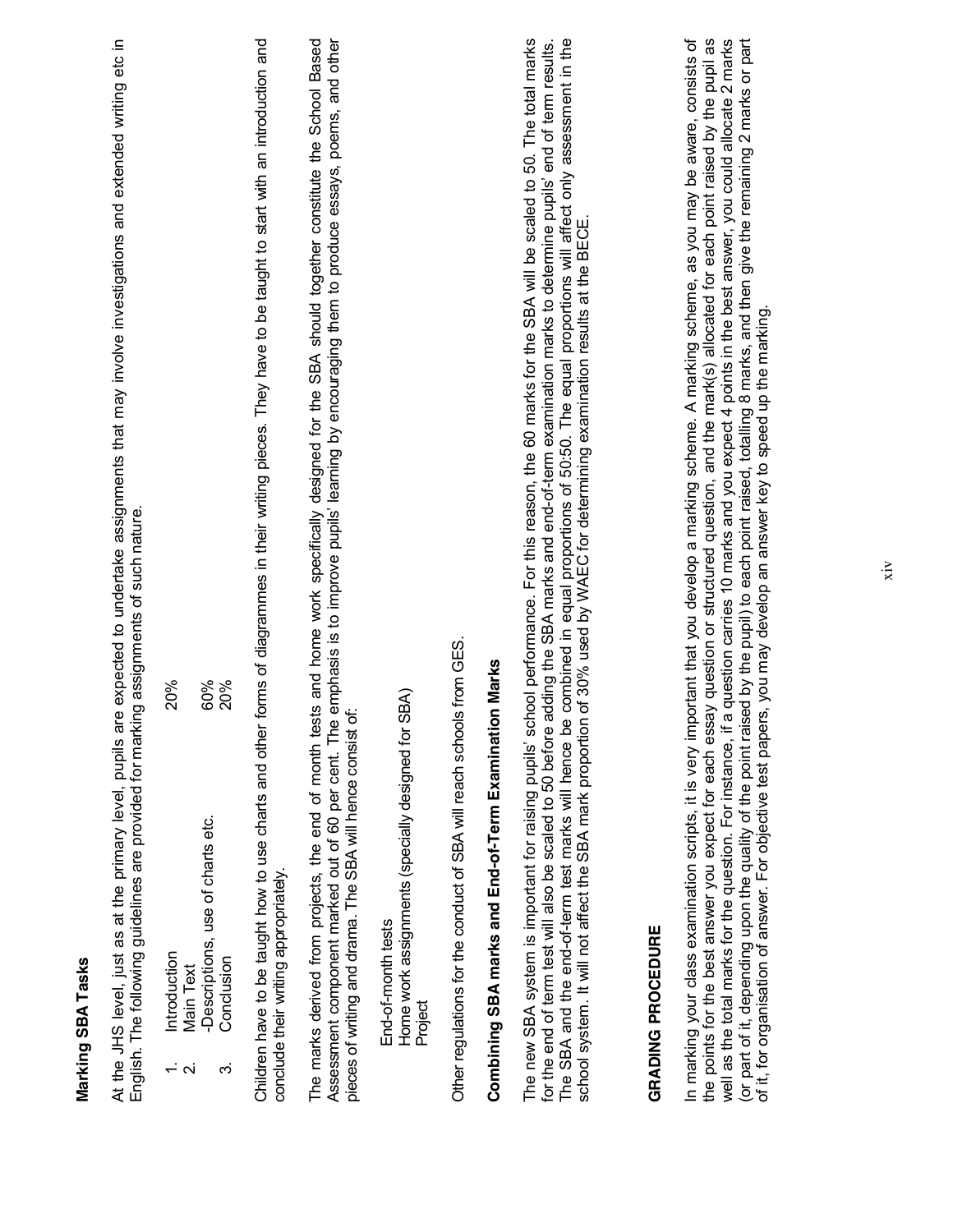| ¢<br>r |
|--------|
|        |
| z      |
| r      |
| ť      |
| t.     |
|        |
|        |
|        |
|        |
|        |

At the JHS level, just as at the primary level, pupils are expected to undertake assignments that may involve investigations and extended writing etc in<br>English. The following guidelines are provided for marking assignment At the JHS level, just as at the primary level, pupils are expected to undertake assignments that may involve investigations and extended writing etc in English. The following guidelines are provided for marking assignments of such nature.

1. Introduction 20% Introduction  $\div$   $\alpha$ 

20%

- Main Text 2. Main Text
- 60% 20% -Descriptions, use of charts etc. 60% 3. Conclusion 20% Descriptions, use of charts etc. Conclusion က်

Children have to be taught how to use charts and other forms of diagrammes in their writing pieces. They have to be taught to start with an introduction and Children have to be taught how to use charts and other forms of diagrammes in their writing pieces. They have to be taught to start with an introduction and conclude their writing appropriately. conclude their writing appropriately.

The marks derived from projects, the end of month tests and home work specifically designed for the SBA should together constitute the School Based Assessment component marked out of 60 per cent. The emphasis is to improve pupils' learning by encouraging them to produce essays, poems, and other The marks derived from projects, the end of month tests and home work specifically designed for the SBA should together constitute the School Based Assessment component marked out of 60 per cent. The emphasis is to improve pupils' learning by encouraging them to produce essays, poems, and other pieces of writing and drama. The SBA will hence consist of: pieces of writing and drama. The SBA will hence consist of:

Home work assignments (specially designed for SBA) Home work assignments (specially designed for SBA) End-of-month tests End-of-month tests Project Other regulations for the conduct of SBA will reach schools from GES. Other regulations for the conduct of SBA will reach schools from GES.

# Combining SBA marks and End-of-Term Examination Marks **Combining SBA marks and End-of-Term Examination Marks**

The SBA and the end-of-term test marks will hence be combined in equal proportions of 50:50. The equal proportions will affect only assessment in the<br>school system. It will not affect the SBA mark proportion of 30% used by The new SBA system is important for raising pupils' school performance. For this reason, the 60 marks for the SBA will be scaled to 50. The total marks The new SBA system is important for raising pupils' school performance. For this reason, the 60 marks for the SBA will be scaled to 50. The total marks for the end of term test will also be scaled to 50 before adding the SBA marks and end-of-term examination marks to determine pupils' end of term results. The SBA and the end-of-term test marks will hence be combined in equal proportions of 50:50. The equal proportions will affect only assessment in the for the end of term test will also be scaled to 50 before adding the SBA marks and end-of-term examination marks to determine pupils' end of term results. school system. It will not affect the SBA mark proportion of 30% used by WAEC for determining examination results at the BECE.

### **GRADING PROCEDURE GRADING PROCEDURE**

well as the total marks for the question. For instance, if a question carries 10 marks and you expect 4 points in the best answer, you could allocate 2 marks In marking your class examination scripts, it is very important that you develop a marking scheme. A marking scheme, as you may be aware, consists of the points for the best answer you expect for each essay question or structured question, and the mark(s) allocated for each point raised by the pupil as (or part of it, depending upon the quality of the point raised by the pupil) to each point raised, totalling 8 marks, and then give the remaining 2 marks or part In marking your class examination scripts, it is very important that you develop a marking scheme. A marking scheme, as you may be aware, consists of the points for the best answer you expect for each essay question or structured question, and the mark(s) allocated for each point raised by the pupil as well as the total marks for the question. For instance, if a question carries 10 marks and you expect 4 points in the best answer, you could allocate 2 marks (or part of it, depending upon the quality of the point raised by the pupil) to each point raised, totalling 8 marks, and then give the remaining 2 marks or part of it, for organisation of answer. For objective test papers, you may develop an answer key to speed up the marking. of it, for organisation of answer. For objective test papers, you may develop an answer key to speed up the marking.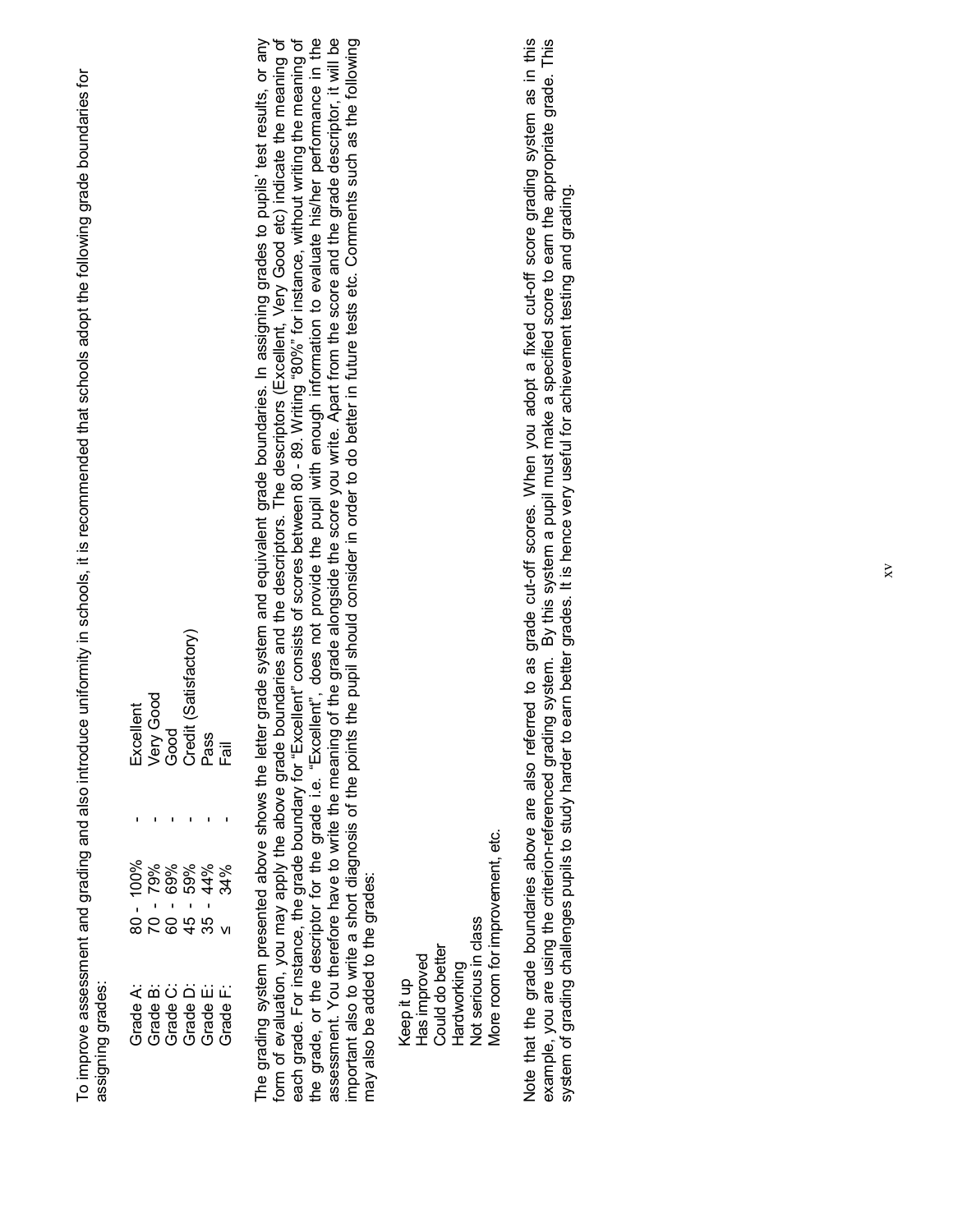To improve assessment and grading and also introduce uniformity in schools, it is recommended that schools adopt the following grade boundaries for To improve assessment and grading and also introduce uniformity in schools, it is recommended that schools adopt the following grade boundaries for assigning grades: assigning grades:

|  | Excellent<br>Very Good<br>Good<br>Credit (Satisfactory)<br>Pass                                                                                                                                                                                                                                      |  |
|--|------------------------------------------------------------------------------------------------------------------------------------------------------------------------------------------------------------------------------------------------------------------------------------------------------|--|
|  |                                                                                                                                                                                                                                                                                                      |  |
|  | $\begin{array}{l} 80 - 100\% \\ 70 - 79\% \\ 70 - 69\% \\ 60\% \\ 45 - 44\% \\ 35 - 44\% \\ 35 - 44\% \\ 46 - 34\% \\ 56 - 36\% \\ 67 - 36\% \\ 76 - 36\% \\ 76 - 36\% \\ 87 - 36\% \\ 100\% \\ 128 - 36\% \\ 132\% \\ 148 - 36\% \\ 152 - 36\% \\ 168 - 36\% \\ 172 - 36\% \\ 182 - 36\% \\ 192 - $ |  |
|  |                                                                                                                                                                                                                                                                                                      |  |
|  | 3<br>1999 - 1999 - 1999 - 1999 - 1999<br>1999 - 1999 - 1999 - 1999 - 1999<br>1999 - 1999 - 1999 - 1999 - 1999 - 1999 - 1999 - 1999 - 1999 - 1999 - 1999 - 1999 - 1999 - 1999 - 1999 - 1999                                                                                                           |  |

assessment. You therefore have to write the meaning of the grade alongside the score you write. Apart from the score and the grade descriptor, it will be<br>important also to write a short diagnosis of the points the pupil sh the grade, or the descriptor for the grade i.e. "Excellent", does not provide the pupil with enough information to evaluate his/her performance in the each grade. For instance, the grade boundary for "Excellent" consists of scores between 80 - 89. Writing "80%" for instance, without writing the meaning of The grading system presented above shows the letter grade system and equivalent grade boundaries. In assigning grades to pupils' test results, or any The grading system presented above shows the letter grade system and equivalent grade boundaries. In assigning grades to pupils¶ test results, or any form of evaluation, you may apply the above grade boundaries and the descriptors. The descriptors (Excellent, Very Good etc) indicate the meaning of form of evaluation, you may apply the above grade boundaries and the descriptors. The descriptors (Excellent, Very Good etc) indicate the meaning of each grade. For instance, the grade boundary for "Excellent" consists of scores between 80 - 89. Writing "for instance, without writing the meaning of the grade, or the descriptor for the grade i.e. "Excellent", does not provide the pupil with enough information to evaluate his/her performance in the assessment. You therefore have to write the meaning of the grade alongside the score you write. Apart from the score and the grade descriptor, it will be important also to write a short diagnosis of the points the pupil should consider in order to do better in future tests etc. Comments such as the following may also be added to the grades: may also be added to the grades:

Vlore room for improvement, etc. More room for improvement, etc. **Vot serious in class**  Not serious in class Could do better Could do better Has improved Has improved Hardworking Hardworking Keep it up Keep it up

example, you are using the criterion-referenced grading system. By this system a pupil must make a specified score to earn the appropriate grade. This<br>system of grading challenges pupils to study harder to earn better grad Note that the grade boundaries above are also referred to as grade cut-off scores. When you adopt a fixed cut-off score grading system as in this Note that the grade boundaries above are also referred to as grade cut-off scores. When you adopt a fixed cut-off score grading system as in this example, you are using the criterion-referenced grading system. By this system a pupil must make a specified score to earn the appropriate grade. This system of grading challenges pupils to study harder to earn better grades. It is hence very useful for achievement testing and grading.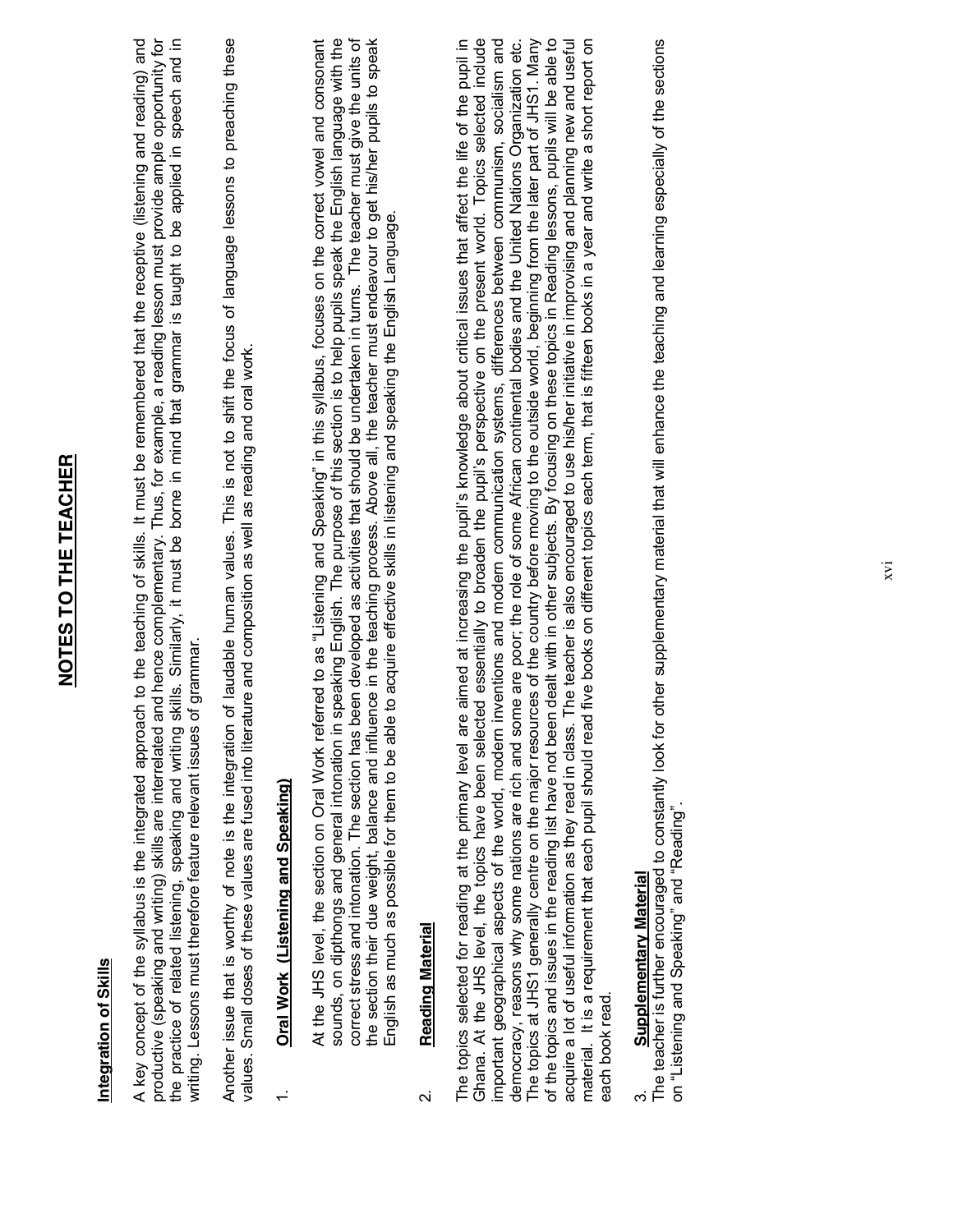| Integration of Skills                                                                                                                                                                                                                                                                                                                                                                                                                                                                                                                                                                                                                                                                                                                                                                                                                                                                                                                                                                                                                                                                                                                                                                                                                                                                                                    |
|--------------------------------------------------------------------------------------------------------------------------------------------------------------------------------------------------------------------------------------------------------------------------------------------------------------------------------------------------------------------------------------------------------------------------------------------------------------------------------------------------------------------------------------------------------------------------------------------------------------------------------------------------------------------------------------------------------------------------------------------------------------------------------------------------------------------------------------------------------------------------------------------------------------------------------------------------------------------------------------------------------------------------------------------------------------------------------------------------------------------------------------------------------------------------------------------------------------------------------------------------------------------------------------------------------------------------|
| productive (speaking and writing) skills are interrelated and hence complementary. Thus, for example, a reading lesson must provide ample opportunity for<br>skills. Similarly, it must be borne in mind that grammar is taught to be applied in speech and in<br>A key concept of the syllabus is the integrated approach to the teaching of skills. It must be remembered that the receptive (listening and reading) and<br>of grammar.<br>writing. Lessons must therefore feature relevant issues<br>the practice of related listening, speaking and writing                                                                                                                                                                                                                                                                                                                                                                                                                                                                                                                                                                                                                                                                                                                                                          |
| of laudable human values. This is not to shift the focus of language lessons to preaching these<br>values. Small doses of these values are fused into literature and composition as well as reading and oral work.<br>Another issue that is worthy of note is the integration                                                                                                                                                                                                                                                                                                                                                                                                                                                                                                                                                                                                                                                                                                                                                                                                                                                                                                                                                                                                                                            |
| Oral Work (Listening and Speaking)                                                                                                                                                                                                                                                                                                                                                                                                                                                                                                                                                                                                                                                                                                                                                                                                                                                                                                                                                                                                                                                                                                                                                                                                                                                                                       |
| correct stress and intonation. The section has been developed as activities that should be undertaken in turns. The teacher must give the units of<br>speaking English. The purpose of this section is to help pupils speak the English language with the<br>the section their due weight, balance and influence in the teaching process. Above all, the teacher must endeavour to get his/her pupils to speak<br>At the JHS level, the section on Oral Work referred to as "Listening and Speaking" in this syllabus, focuses on the correct vowel and consonant<br>to acquire effective skills in listening and speaking the English Language.<br>English as much as possible for them to be able<br>sounds, on dipthongs and general intonation in                                                                                                                                                                                                                                                                                                                                                                                                                                                                                                                                                                    |
| Reading Material<br>$\overline{\mathsf{N}}$                                                                                                                                                                                                                                                                                                                                                                                                                                                                                                                                                                                                                                                                                                                                                                                                                                                                                                                                                                                                                                                                                                                                                                                                                                                                              |
| Ghana. At the JHS level, the topics have been selected essentially to broaden the pupil's perspective on the present world. Topics selected include<br>democracy, reasons why some nations are rich and some are poor; the role of some African continental bodies and the United Nations Organization etc.<br>The topics at JHS1 generally centre on the major resources of the country before moving to the outside world, beginning from the later part of JHS1. Many<br>of the topics and issues in the reading list have not been dealt with in other subjects. By focusing on these topics in Reading lessons, pupils will be able to<br>The teacher is also encouraged to use his/her initiative in improvising and planning new and useful<br>material. It is a requirement that each pupil should read five books on different topics each term, that is fifteen books in a year and write a short report on<br>The topics selected for reading at the primary level are aimed at increasing the pupil's knowledge about critical issues that affect the life of the pupil in<br>important geographical aspects of the world, modern inventions and modern communication systems, differences between communism, socialism and<br>acquire a lot of useful information as they read in class.<br>each book read. |
| other supplementary material that will enhance the teaching and learning especially of the sections<br>The teacher is further encouraged to constantly look for<br>on "Listening and Speaking" and "Reading".<br>Supplementary Material<br>ო                                                                                                                                                                                                                                                                                                                                                                                                                                                                                                                                                                                                                                                                                                                                                                                                                                                                                                                                                                                                                                                                             |
|                                                                                                                                                                                                                                                                                                                                                                                                                                                                                                                                                                                                                                                                                                                                                                                                                                                                                                                                                                                                                                                                                                                                                                                                                                                                                                                          |

**NOTES TO THE TEACHER**

NOTES TO THE TEACHER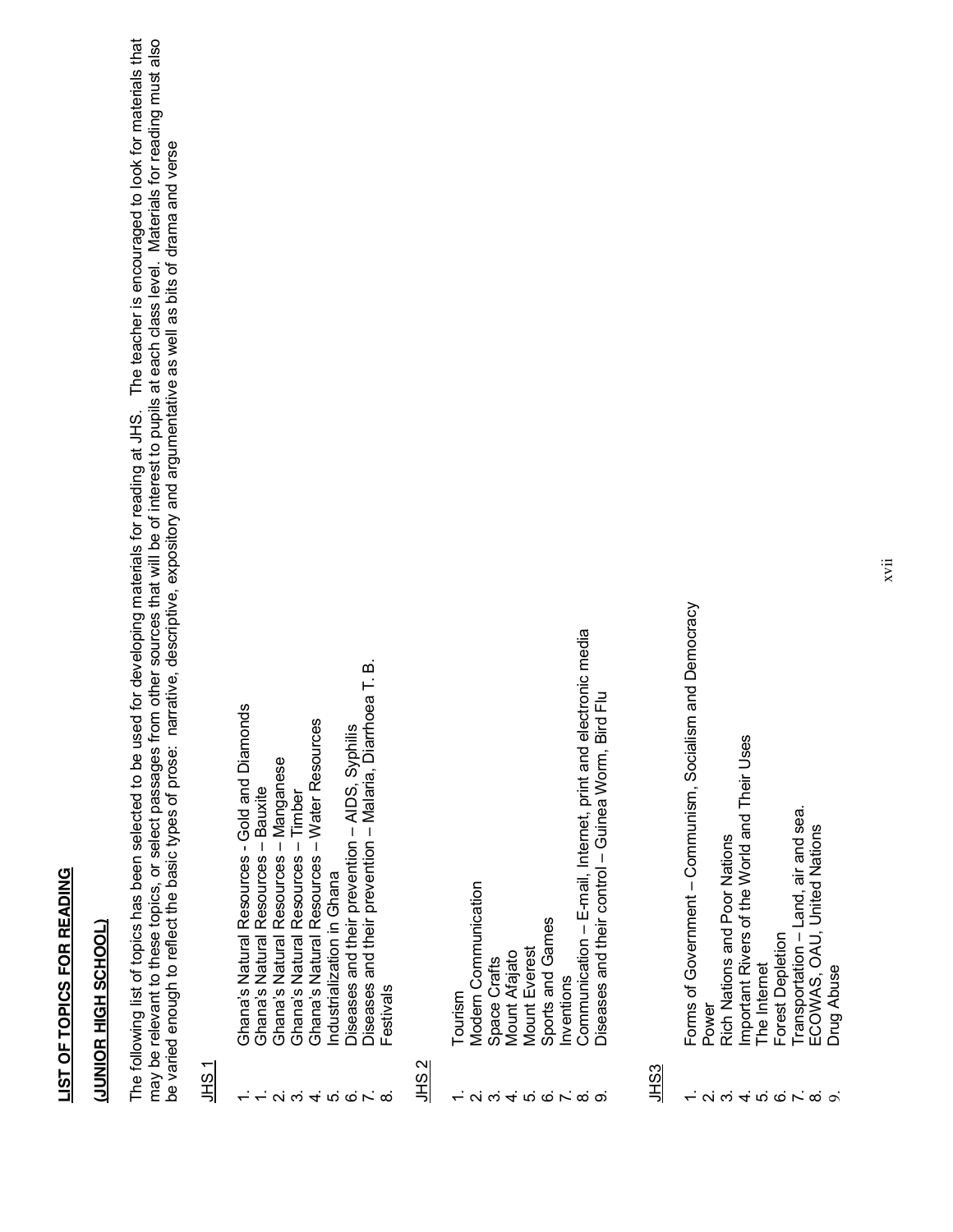## LIST OF TOPICS FOR READING **LIST OF TOPICS FOR READING**

### **(JUNIOR HIGH SCHOOL) UUNIOR HIGH SCHOOL**

The following list of topics has been selected to be used for developing materials for reading at JHS. The teacher is encouraged to look for materials that may be relevant to these topics, or select passages from other sources that will be of interest to pupils at each class level. Materials for reading must also The following list of topics has been selected to be used for developing materials for reading at JHS. The teacher is encouraged to look for materials that may be relevant to these topics, or select passages from other sources that will be of interest to pupils at each class level. Materials for reading must also be varied enough to reflect the basic types of prose: narrative, descriptive, expository and argumentative as well as bits of drama and verse be varied enough to reflect the basic types of prose: narrative, descriptive, expository and argumentative as well as bits of drama and verse

#### JHS 1

- Ghana's Natural Resources Gold and Diamonds 1. Ghana¶s Natural Resources - Gold and Diamonds  $\div$ 
	- Ghana's Natural Resources Bauxite 1. Ghana's Natural Resources – Bauxite
		- Shana's Natural Resources Manganese 2. Ghana's Natural Resources – Manganese
			- Ghana's Natural Resources Timber 3. Ghana's Natural Resources – Timber
- Ghana's Natural Resources Water Resources 4. Ghana's Natural Resources - Water Resources
	- ndustrialization in Ghana 5. Industrialization in Ghana
	- Diseases and their prevention AIDS, Syphilis 6. Diseases and their prevention ± AIDS, Syphilis  $\alpha$   $\alpha$   $+$   $\alpha$   $\alpha$   $\alpha$   $\alpha$
- Diseases and their prevention Malaria, Diarrhoea T. B. 7. Diseases and their prevention - Malaria, Diarrhoea T. B.
- **Festivals** 8. Festivals

#### JHS 2

- Tourism 1. Tourism
- **Modern Communication** 2. Modern Communication
	- Space Crafts 3. Space Crafts
		- **Mount Afajato** 4. Mount Afajato
- **Mount Everest** 5. Mount Everest **- ல் சுக்கு செல்ல**
- Sports and Games 6. Sports and Games
	- nventions 7. Inventions
- Communication E-mail, Internet, print and electronic media 8. Communication ± E-mail, Internet, print and electronic media
	- Diseases and their control Guinea Worm, Bird Flu 9. Diseases and their control ± Guinea Worm, Bird Flu

#### JHS3

- Forms of Government Communism, Socialism and Democracy 1. Forms of Government ± Communism, Socialism and Democracy
	- Power 2. Power
- **Rich Nations and Poor Nations** 3. Rich Nations and Poor Nations
- mportant Rivers of the World and Their Uses 4. Important Rivers of the World and Their Uses <u>– ស្រុង ស្រុកស្រុង</u>
	- The Internet 5. The Internet
		- Forest Depletion 6. Forest Depletion
- Fransportation Land, air and sea.  $7.$  Transportation  $-$  Land, air and sea.
	- ECOWAS, OAU, United Nations 8. ECOWAS, OAU, United Nations
		- **Drug Abuse** 9. Drug Abuse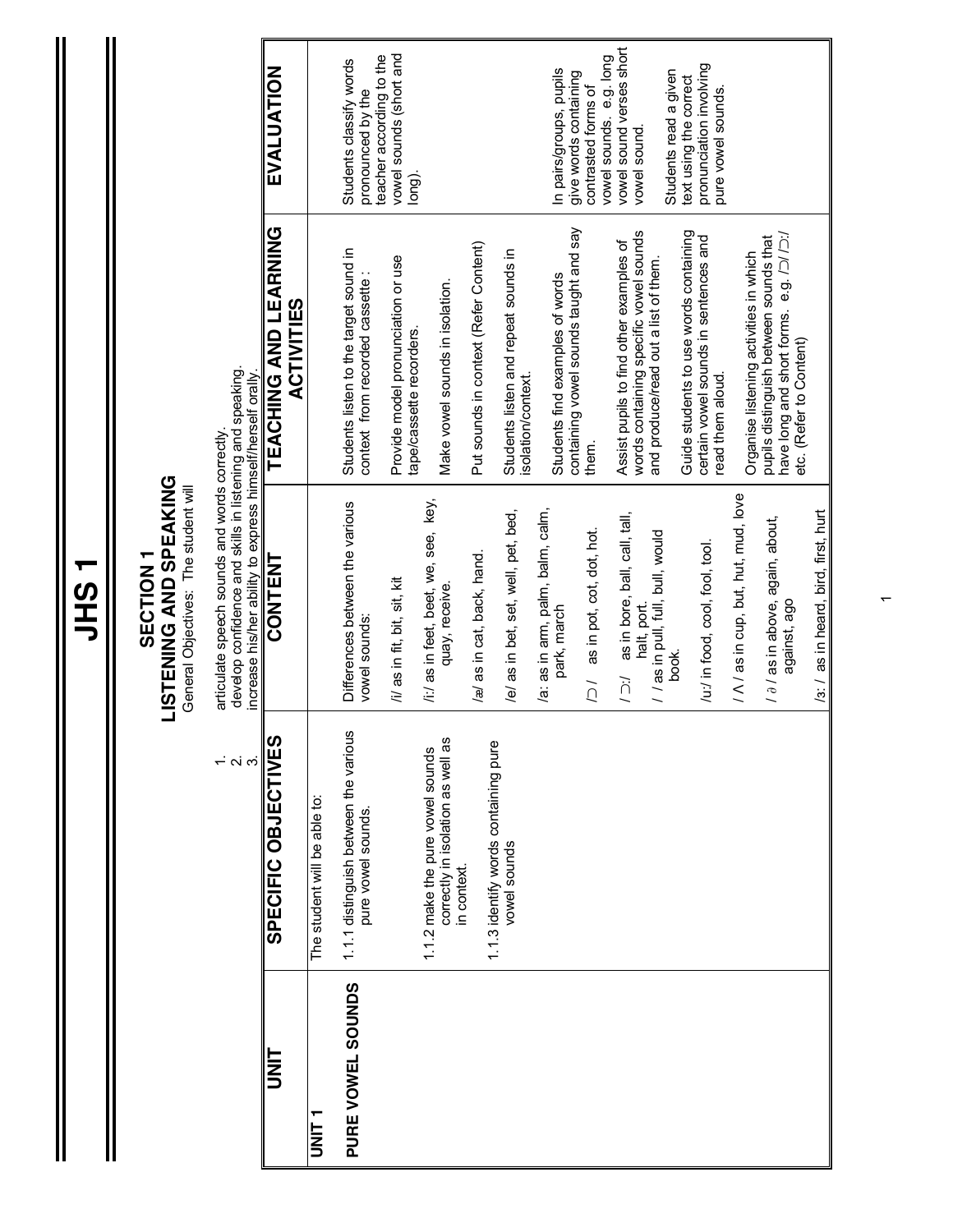**JHS 1**

 $\mathbf{\mathbf{\mathsf{II}}}$ 

### **SECTION 1<br>LISTENING AND SPEAKING LISTENING AND SPEAKING SECTION 1**

General Objectives: The student will General Objectives: The student will

1. articulate speech sounds and words correctly.  $\vec{r}$  or

articulate speech sounds and words correctly.<br>develop confidence and skills in listening and speaking.<br>increase his/her ability to express himself/herself orally 2. develop confidence and skills in listening and speaking.

|                   |                                                                                     | increase his/her ability to express himself/herself orally. |                                                                                                                     |                                                                        |
|-------------------|-------------------------------------------------------------------------------------|-------------------------------------------------------------|---------------------------------------------------------------------------------------------------------------------|------------------------------------------------------------------------|
| I<br>S            | SPECIFIC OBJECTIVES                                                                 | <b>CONTENT</b>                                              | TEACHING AND LEARNING<br><b>ACTIVITIES</b>                                                                          | EVALUATION                                                             |
| ヒ<br>N<br>コ       | The student will be able to:                                                        |                                                             |                                                                                                                     |                                                                        |
| PURE VOWEL SOUNDS | 1.1.1 distinguish between the various<br>pure vowel sounds.                         | Differences between the various<br>vowel sounds:            | Students listen to the target sound in<br>context from recorded cassette:                                           | Students classify words<br>pronounced by the                           |
|                   |                                                                                     | /i/ as in fit, bit, sit, kit                                | Provide model pronunciation or use<br>tape/cassette recorders.                                                      | vowel sounds (short and<br>teacher according to the<br>long).          |
|                   | correctly in isolation as well as<br>1.1.2 make the pure vowel sounds<br>in context | /i:/ as in feet, beet, we, see, key,<br>quay, receive.      | Make vowel sounds in isolation.                                                                                     |                                                                        |
|                   | 1.1.3 identify words containing pure                                                | /æ/ as in cat, back, hand.                                  | Put sounds in context (Refer Content)                                                                               |                                                                        |
|                   | vowel sounds                                                                        | /e/ as in bet, set, well, pet, bed,                         | Students listen and repeat sounds in<br>isolation/context                                                           |                                                                        |
|                   |                                                                                     | /a: as in arm, palm, balm, calm,<br>park, march             | containing vowel sounds taught and say<br>Students find examples of words                                           | In pairs/groups, pupils<br>give words containing                       |
|                   |                                                                                     | /2 / as in pot, cot, dot, hot.                              | them.                                                                                                               | contrasted forms of                                                    |
|                   |                                                                                     | as in bore, ball, call, tall,<br>halt, port.<br>∫ר⊂         | words containing specific vowel sounds<br>Assist pupils to find other examples of                                   | vowel sound verses short<br>vowel sounds. e.g. long<br>vowel sound.    |
|                   |                                                                                     | / / as in pull, full, bull, would<br>book.                  | and produce/read out a list of them.                                                                                | Students read a given                                                  |
|                   |                                                                                     | /u:/ in food, cool, fool, tool.                             | Guide students to use words containing<br>certain vowel sounds in sentences and<br>read them aloud.                 | pronunciation involving<br>text using the correct<br>pure vowel sounds |
|                   |                                                                                     | / A / as in cup, but, hut, mud, love                        | Organise listening activities in which                                                                              |                                                                        |
|                   |                                                                                     | $/ \partial /$ as in above, again, about,<br>against, ago   | have long and short forms. e.g. $/$ 2/ $/$ 2:/<br>pupils distinguish between sounds that<br>etc. (Refer to Content) |                                                                        |
|                   |                                                                                     | /3:/ as in heard, bird, first, hurt                         |                                                                                                                     |                                                                        |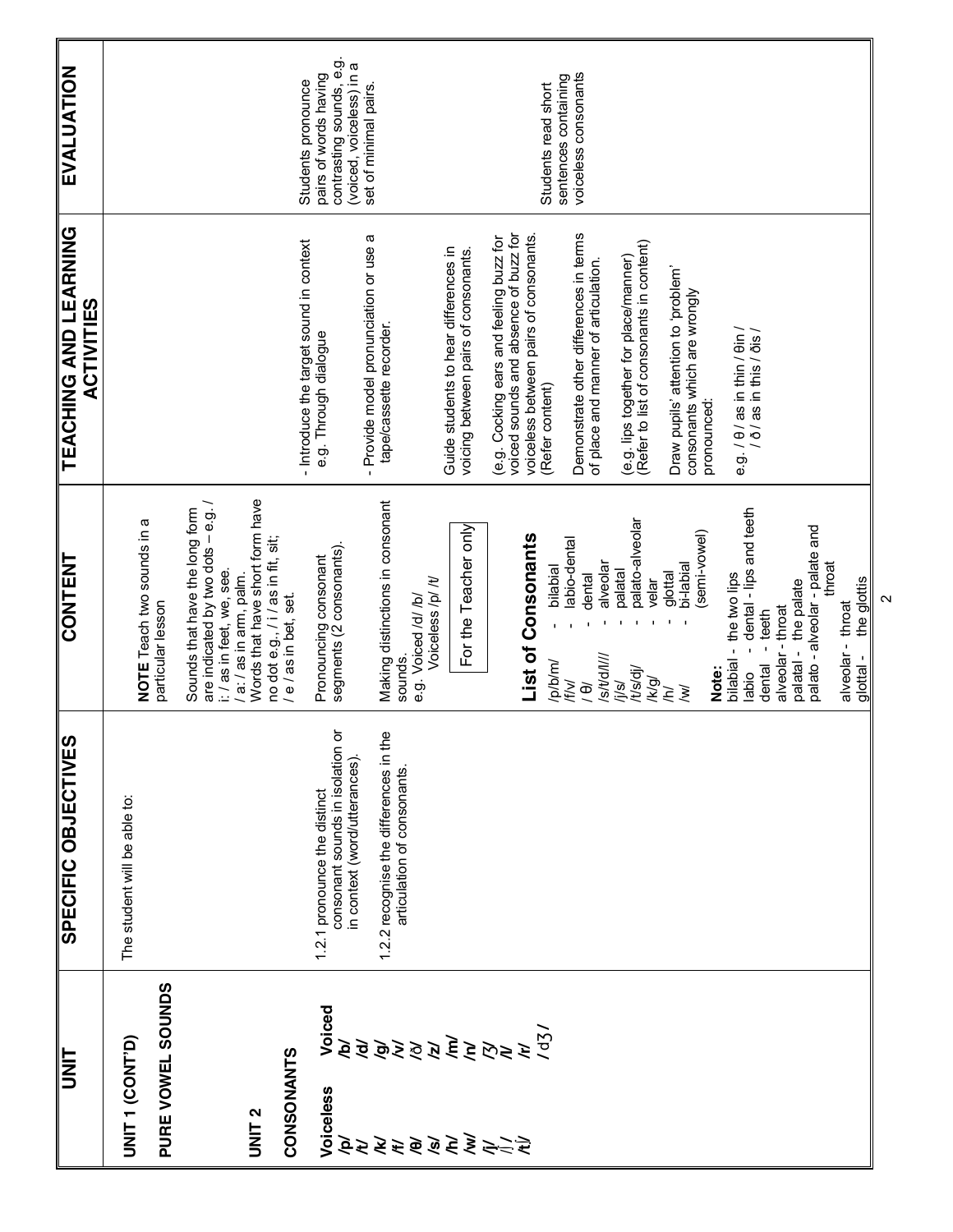| <b>TINU</b>                     |                                                                                                                                                                                                                                                                                                                                                                                                                           | SPECIFIC OBJECTIVES                                                    | <b>CONTENT</b>                                                                                    | <b>TEACHING AND LEARNING</b><br><b>ACTIVITIES</b>                                                                         | <b>EVALUATION</b>                                                       |
|---------------------------------|---------------------------------------------------------------------------------------------------------------------------------------------------------------------------------------------------------------------------------------------------------------------------------------------------------------------------------------------------------------------------------------------------------------------------|------------------------------------------------------------------------|---------------------------------------------------------------------------------------------------|---------------------------------------------------------------------------------------------------------------------------|-------------------------------------------------------------------------|
| UNIT 1 (CONT'D)                 |                                                                                                                                                                                                                                                                                                                                                                                                                           | The student will be able to:                                           | NOTE Teach two sounds in a                                                                        |                                                                                                                           |                                                                         |
| PURE VOWEL SOUNDS               |                                                                                                                                                                                                                                                                                                                                                                                                                           |                                                                        | particular lesson                                                                                 |                                                                                                                           |                                                                         |
|                                 |                                                                                                                                                                                                                                                                                                                                                                                                                           |                                                                        | are indicated by two dots - e.g. /<br>Sounds that have the long form<br>i: / as in feet, we, see. |                                                                                                                           |                                                                         |
| UNIT <sub>2</sub>               |                                                                                                                                                                                                                                                                                                                                                                                                                           |                                                                        | Words that have short form have<br>no dot e.g., / i / as in fit, sit;<br>/ a: / as in arm, palm.  |                                                                                                                           |                                                                         |
| CONSONANTS                      |                                                                                                                                                                                                                                                                                                                                                                                                                           |                                                                        | / e / as in bet, set.                                                                             | - Introduce the target sound in context                                                                                   |                                                                         |
| Voiceless                       | Voiced<br>Ŕ                                                                                                                                                                                                                                                                                                                                                                                                               | consonant sounds in isolation or<br>1.2.1 pronounce the distinct       | Pronouncing consonant<br>segments (2 consonants).                                                 | e.g. Through dialogue                                                                                                     | contrasting sounds, e.g.<br>pairs of words having<br>Students pronounce |
|                                 | <u>ਰੋ</u>                                                                                                                                                                                                                                                                                                                                                                                                                 | 1.2.2 recognise the differences in the<br>in context (word/utterances) | Making distinctions in consonant                                                                  | - Provide model pronunciation or use a<br>tape/cassette recorder.                                                         | (voiced, voiceless) in a<br>set of minimal pairs.                       |
|                                 |                                                                                                                                                                                                                                                                                                                                                                                                                           | articulation of consonants.                                            | Voiceless /p/ /t/<br>e.g. Voiced /d/ /b/<br>sounds.                                               |                                                                                                                           |                                                                         |
|                                 |                                                                                                                                                                                                                                                                                                                                                                                                                           |                                                                        |                                                                                                   | Guide students to hear differences in                                                                                     |                                                                         |
|                                 |                                                                                                                                                                                                                                                                                                                                                                                                                           |                                                                        | For the Teacher only                                                                              | voicing between pairs of consonants.                                                                                      |                                                                         |
| <u>देस्ट से बे बे से स्थिति</u> | $\sum\limits_{i=1}^{n} \sum\limits_{j=1}^{n} \sum\limits_{j=1}^{n} \sum\limits_{j=1}^{n} \sum\limits_{j=1}^{n} \sum\limits_{j=1}^{n} \sum\limits_{j=1}^{n} \sum\limits_{j=1}^{n} \sum\limits_{j=1}^{n} \sum\limits_{j=1}^{n} \sum\limits_{j=1}^{n} \sum\limits_{j=1}^{n} \sum\limits_{j=1}^{n} \sum\limits_{j=1}^{n} \sum\limits_{j=1}^{n} \sum\limits_{j=1}^{n} \sum\limits_{j=1}^{n} \sum\limits_{j=1}^{n} \sum\limits$ |                                                                        | List of Consonants                                                                                | voiced sounds and absence of buzz for<br>(e.g. Cocking ears and feeling buzz for<br>voiceless between pairs of consonants |                                                                         |
|                                 |                                                                                                                                                                                                                                                                                                                                                                                                                           |                                                                        | bilabial<br>/p/b/m/                                                                               | (Refer content)                                                                                                           | sentences containing<br>Students read short                             |
|                                 |                                                                                                                                                                                                                                                                                                                                                                                                                           |                                                                        | labio-dental<br>alveolar<br>dental<br>/s/t/d/l//<br>iFl vl<br>$\Theta$                            | Demonstrate other differences in terms<br>of place and manner of articulation.                                            | voiceless consonants                                                    |
|                                 |                                                                                                                                                                                                                                                                                                                                                                                                                           |                                                                        | palato-alveolar<br>palatal<br>velar<br>/t/s/dj/<br>/k/g/<br>j/s/j                                 | (e.g. lips together for place/manner)<br>(Refer to list of consonants in content)                                         |                                                                         |
|                                 |                                                                                                                                                                                                                                                                                                                                                                                                                           |                                                                        | (semi-vowel)<br>bi-labial<br>glottal<br>$\geqslant$<br>$\geq$                                     | Draw pupils' attention to 'problem'<br>consonants which are wrongly                                                       |                                                                         |
|                                 |                                                                                                                                                                                                                                                                                                                                                                                                                           |                                                                        | Note:                                                                                             | pronounced:                                                                                                               |                                                                         |
|                                 |                                                                                                                                                                                                                                                                                                                                                                                                                           |                                                                        | dental - lips and teeth<br>bilabial - the two lips<br>labio                                       | e.g. / θ / as in thin / θin /<br>/ ð / as in this / ðis /                                                                 |                                                                         |
|                                 |                                                                                                                                                                                                                                                                                                                                                                                                                           |                                                                        | alveolar - throat<br>- teeth<br>dental                                                            |                                                                                                                           |                                                                         |
|                                 |                                                                                                                                                                                                                                                                                                                                                                                                                           |                                                                        | palato - alveolar - palate and<br>palatal - the palate                                            |                                                                                                                           |                                                                         |
|                                 |                                                                                                                                                                                                                                                                                                                                                                                                                           |                                                                        | throat                                                                                            |                                                                                                                           |                                                                         |
|                                 |                                                                                                                                                                                                                                                                                                                                                                                                                           |                                                                        | the glottis<br>alveolar - throat<br>glottal-                                                      |                                                                                                                           |                                                                         |

 $\sim$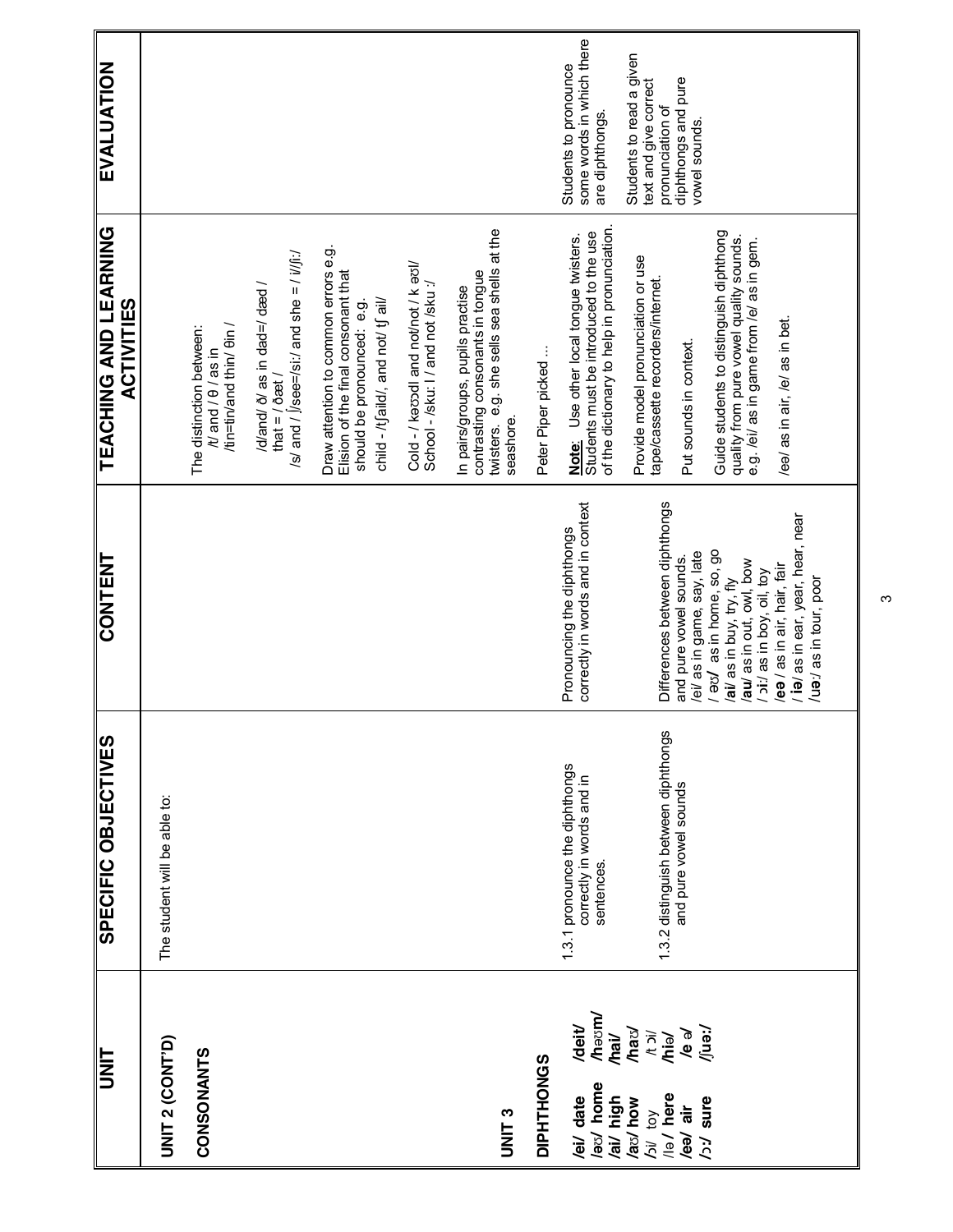| UNIT                                                                         | SPECIFIC OBJECTIVES                                                       | CONTENT                                                                                                       | TEACHING AND LEARNING<br><b>ACTIVITIES</b>                                                                                                      | EVALUATION                                                            |
|------------------------------------------------------------------------------|---------------------------------------------------------------------------|---------------------------------------------------------------------------------------------------------------|-------------------------------------------------------------------------------------------------------------------------------------------------|-----------------------------------------------------------------------|
| <b>UNIT 2 (CONT'D)</b>                                                       | The student will be able to:                                              |                                                                                                               |                                                                                                                                                 |                                                                       |
| CONSONANTS                                                                   |                                                                           |                                                                                                               | /tin=tin/and thin/ $\theta$ in<br>The distinction between:<br>$/10$ and $/10$ as in                                                             |                                                                       |
|                                                                              |                                                                           |                                                                                                               | /s/ and / $ $ /see=/si:/ and she = / $i$ / $j$ :/<br>/d/and/ $\delta$ / as in dad=/ dæd /<br>that = $/$ $\delta$ æt /                           |                                                                       |
|                                                                              |                                                                           |                                                                                                               | Draw attention to common errors e.g.<br>Elision of the final consonant that<br>child - /tʃaild/, and not/ tʃ ail/<br>should be pronounced: e.g. |                                                                       |
|                                                                              |                                                                           |                                                                                                               | Cold - / kaosdi and not/not / k aol/<br>School - /sku: I / and not /sku :/                                                                      |                                                                       |
| UNIT <sub>3</sub>                                                            |                                                                           |                                                                                                               | twisters. e.g. she sells sea shells at the<br>contrasting consonants in tongue<br>In pairs/groups, pupils practise<br>seashore.                 |                                                                       |
| DIPHTHONGS                                                                   |                                                                           |                                                                                                               | Peter Piper picked                                                                                                                              |                                                                       |
| <b>hassm/</b><br>/deit/<br>$\overline{\mathsf{A}}$<br>laty home<br>/ei/ date | 1.3.1 pronounce the diphthongs<br>correctly in words and in<br>sentences. | correctly in words and in context<br>Pronouncing the diphthongs                                               | of the dictionary to help in pronunciation.<br><b>Note:</b> Use other local tongue twisters.<br>Students must be introduced to the use          | some words in which there<br>Students to pronounce<br>are diphthongs. |
| /ha $v$<br>yew<br>Vic<br>V<br>/la/ here<br>/ai/ high<br>/aʊ/ how<br>/bi/ toy | 1.3.2 distinguish between diphthongs                                      | Differences between diphthongs                                                                                | Provide model pronunciation or use<br>tape/cassette recorders/internet.                                                                         | Students to read a given<br>text and give correct<br>pronunciation of |
| le əl<br>/eə/ air<br>ζÇ                                                      | and pure vowel sounds                                                     | /ei/ as in game, say, late<br>and pure vowel sounds.                                                          | Put sounds in context                                                                                                                           | diphthongs and pure<br>vowel sounds.                                  |
| /ren/<br>sure                                                                |                                                                           | / azy as in home, so, go<br>/au/ as in out, owl, bow<br>/ pi:/ as in boy, oil, toy<br>ail as in buy, try, fly | Guide students to distinguish diphthong<br>quality from pure vowel quality sounds.<br>e.g. /ei/ as in game from /e/ as in gem.                  |                                                                       |
|                                                                              |                                                                           | / ia/ as in ear, year, hear, near<br>/eə / as in air, hair, fair<br>/ua:/ as in tour, poor                    | leal as in air, lel as in bet.                                                                                                                  |                                                                       |
|                                                                              |                                                                           |                                                                                                               |                                                                                                                                                 |                                                                       |

ო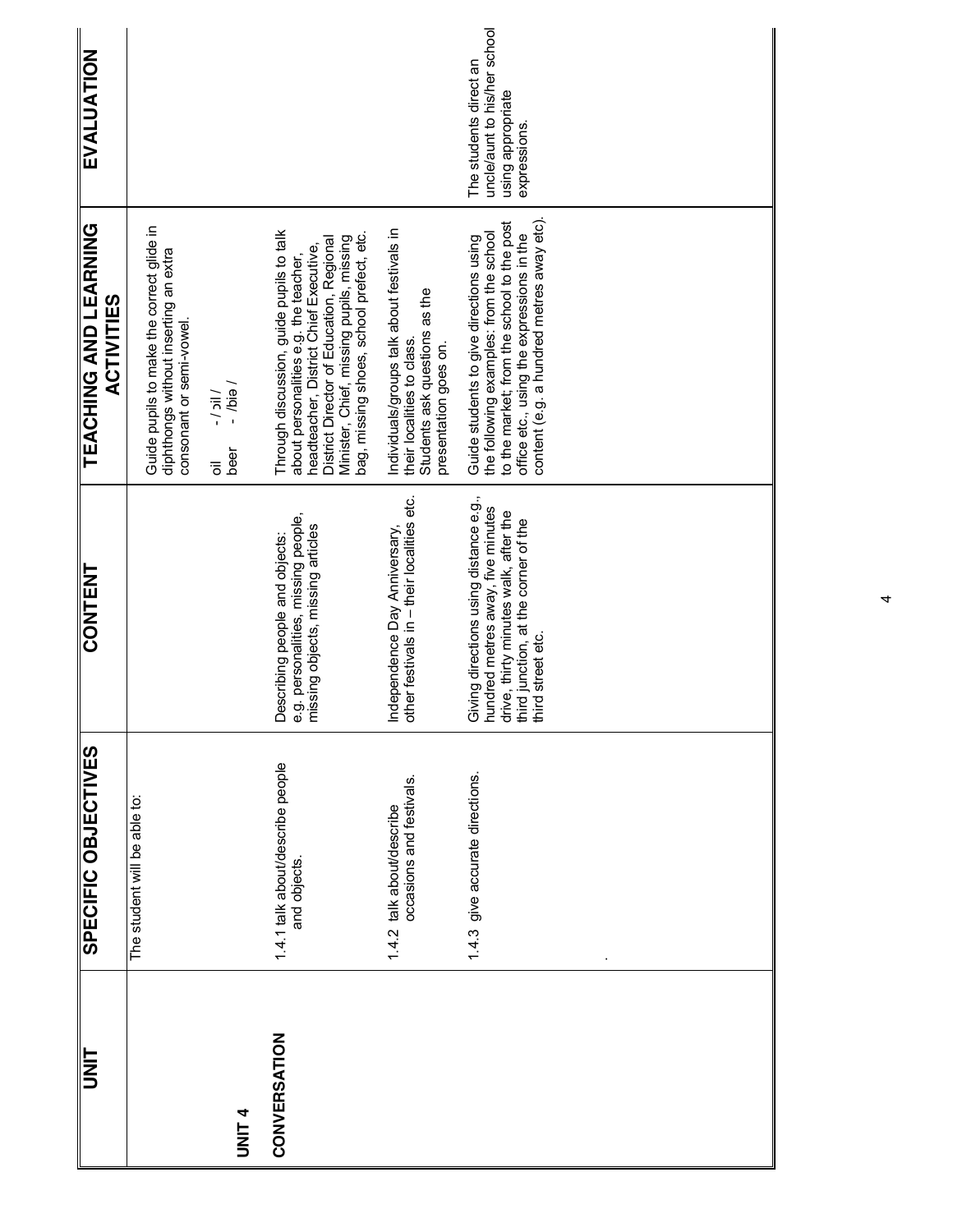| <b>TINU</b>       | <b>SPECIFIC OBJECTIVES</b>                            | CONTENT                                                                                                                                                                           | <b>TEACHING AND LEARNING</b><br><b>ACTIVITIES</b>                                                                                                                                                                                                               | EVALUATION                                                                                  |
|-------------------|-------------------------------------------------------|-----------------------------------------------------------------------------------------------------------------------------------------------------------------------------------|-----------------------------------------------------------------------------------------------------------------------------------------------------------------------------------------------------------------------------------------------------------------|---------------------------------------------------------------------------------------------|
|                   | The student will be able to:                          |                                                                                                                                                                                   | Guide pupils to make the correct glide in<br>diphthongs without inserting an extra<br>consonant or semi-vowel.                                                                                                                                                  |                                                                                             |
| UNIT <sub>4</sub> |                                                       |                                                                                                                                                                                   | $\overline{b}$ eid $\overline{b}$ -<br>$\frac{1}{2}$<br>beer<br>ఀఀ                                                                                                                                                                                              |                                                                                             |
| CONVERSATION      | 1.4.1 talk about/describe people<br>and objects.      | a.g. personalities, missing people,<br>missing objects, missing articles<br>Describing people and objects:                                                                        | Through discussion, guide pupils to talk<br>bag, missing shoes, school prefect, etc.<br>Minister, Chief, missing pupils, missing<br>District Director of Education, Regional<br>about personalities e.g. the teacher,<br>headteacher, District Chief Executive, |                                                                                             |
|                   | occasions and festivals.<br>1.4.2 talk about/describe | other festivals in - their localities etc.<br>Independence Day Anniversary,                                                                                                       | Individuals/groups talk about festivals in<br>Students ask questions as the<br>their localities to class.<br>presentation goes on.                                                                                                                              |                                                                                             |
|                   | 1.4.3 give accurate directions.                       | Giving directions using distance e.g.,<br>nundred metres away, five minutes<br>drive, thirty minutes walk, after the<br>third junction, at the corner of the<br>third street etc. | content (e.g. a hundred metres away etc).<br>to the market; from the school to the post<br>the following examples: from the school<br>office etc., using the expressions in the<br>Guide students to give directions using                                      | uncle/aunt to his/her school<br>The students direct an<br>using appropriate<br>expressions. |
|                   |                                                       |                                                                                                                                                                                   |                                                                                                                                                                                                                                                                 |                                                                                             |
|                   |                                                       |                                                                                                                                                                                   |                                                                                                                                                                                                                                                                 |                                                                                             |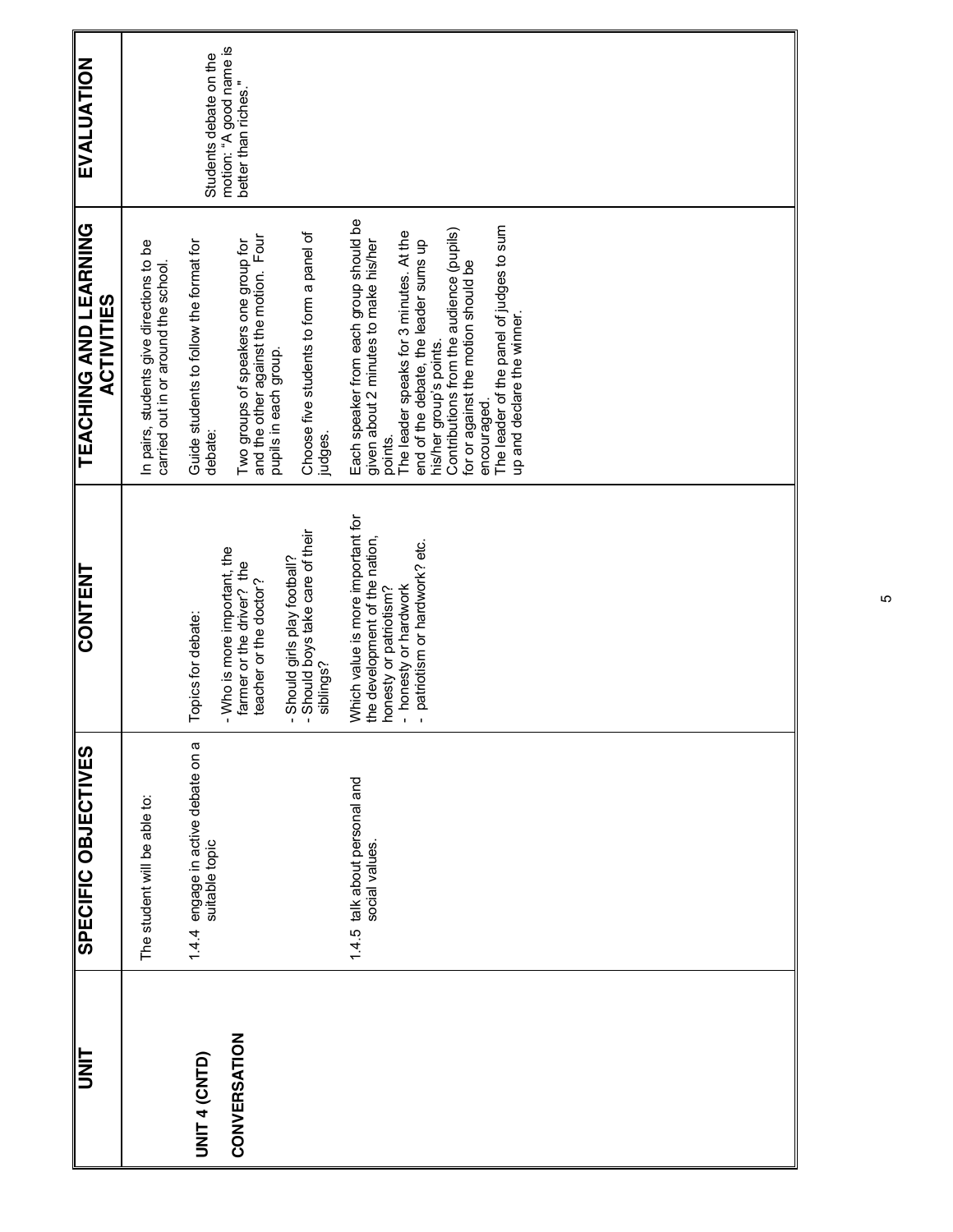ю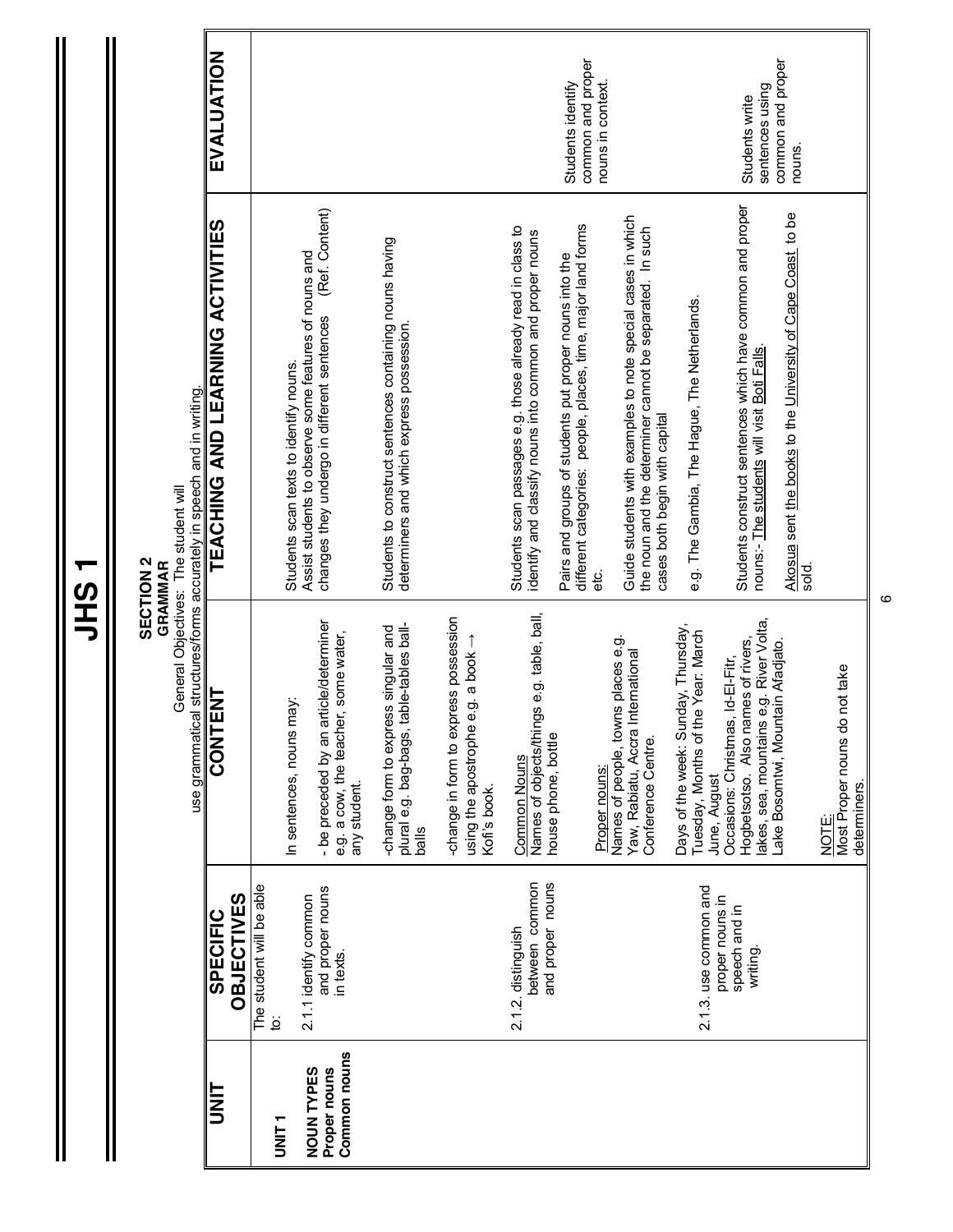| Γ.<br>in 1<br>ŧ |
|-----------------|
|                 |
|                 |

Ш

### **SECTION 2**

**GRAMMAR** General Objectives: The student will

**SECTION 2**<br>General Objectives: The student will<br>use grammatical structures/forms accurately in speech and in writing. use grammatical structures/forms accurately in speech and in writing.

| EVALUATION                       |                   |                          |                                        |                                                       |                                                                                                   |                                                         |                                                   |                                       |                                                      |                                                            |                                                                  | common and proper<br>Students identify                                                                                 | nouns in context. |                                                                                                                                                          |                                     |                                                       |                                   | sentences using<br>Students write                                                                        | common and proper<br>nouns.                                 |       |                                                           |
|----------------------------------|-------------------|--------------------------|----------------------------------------|-------------------------------------------------------|---------------------------------------------------------------------------------------------------|---------------------------------------------------------|---------------------------------------------------|---------------------------------------|------------------------------------------------------|------------------------------------------------------------|------------------------------------------------------------------|------------------------------------------------------------------------------------------------------------------------|-------------------|----------------------------------------------------------------------------------------------------------------------------------------------------------|-------------------------------------|-------------------------------------------------------|-----------------------------------|----------------------------------------------------------------------------------------------------------|-------------------------------------------------------------|-------|-----------------------------------------------------------|
| TEACHING AND LEARNING ACTIVITIES |                   |                          | Students scan texts to identify nouns. | Assist students to observe some features of nouns and | (Ref. Content)<br>changes they undergo in different sentences                                     | Students to construct sentences containing nouns having | determiners and which express possession.         |                                       |                                                      | Students scan passages e.g. those already read in class to | identify and classify nouns into common and proper nouns         | different categories: people, places, time, major land forms<br>Pairs and groups of students put proper nouns into the | ن<br>ما           | Guide students with examples to note special cases in which<br>the noun and the determiner cannot be separated. In such<br>cases both begin with capital |                                     | e.g. The Gambia, The Hague, The Netherlands.          |                                   | Students construct sentences which have common and proper<br>nouns:- The students will visit Boti Falls. | Akosua sent the books to the University of Cape Coast to be | sold. |                                                           |
| <b>CONTENT</b>                   |                   |                          | In sentences, nouns may:               |                                                       | article/determiner<br>e.g. a cow, the teacher, some water,<br>- be preceded by an<br>any student. | -change form to express singular and                    | plural e.g. bag-bags, table-tables ball-<br>balls | -change in form to express possession | e e.g. a book<br>using the apostroph<br>Kofi's book. | <b>Common Nouns</b>                                        | Names of objects/things e.g. table, ball,<br>house phone, bottle |                                                                                                                        | Proper nouns:     | Names of people, towns places e.g.<br>Yaw, Rabiatu, Accra International<br>Conference Centre.                                                            | Days of the week: Sunday, Thursday, | the Year: March<br>Tuesday, Months of<br>June, August | Occasions: Christmas, Id-El-Fitr, | akes, sea, mountains e.g. River Volta,<br>names of rivers,<br>Hogbetsotso. Also                          | Lake Bosomtwi, Mountain Afadjato.                           |       | do not take<br>Most Proper nouns<br>determiners.<br>NOTE: |
| <b>SPECIFIC</b>                  | <b>OBJECTIVES</b> | The student will be able | ġ                                      | 2.1.1 identify common                                 | and proper nouns<br>in texts.                                                                     |                                                         |                                                   |                                       |                                                      | 2.1.2. distinguish                                         | between common<br>and proper nouns                               |                                                                                                                        |                   |                                                                                                                                                          |                                     | 2.1.3. use common and                                 | proper nouns in<br>speech and in  | writing.                                                                                                 |                                                             |       |                                                           |
| <b>UNL</b>                       |                   |                          | T<br>NH<br>D                           | <b>NOUN TYPES</b>                                     | Common nouns<br>Proper nouns                                                                      |                                                         |                                                   |                                       |                                                      |                                                            |                                                                  |                                                                                                                        |                   |                                                                                                                                                          |                                     |                                                       |                                   |                                                                                                          |                                                             |       |                                                           |

ဖ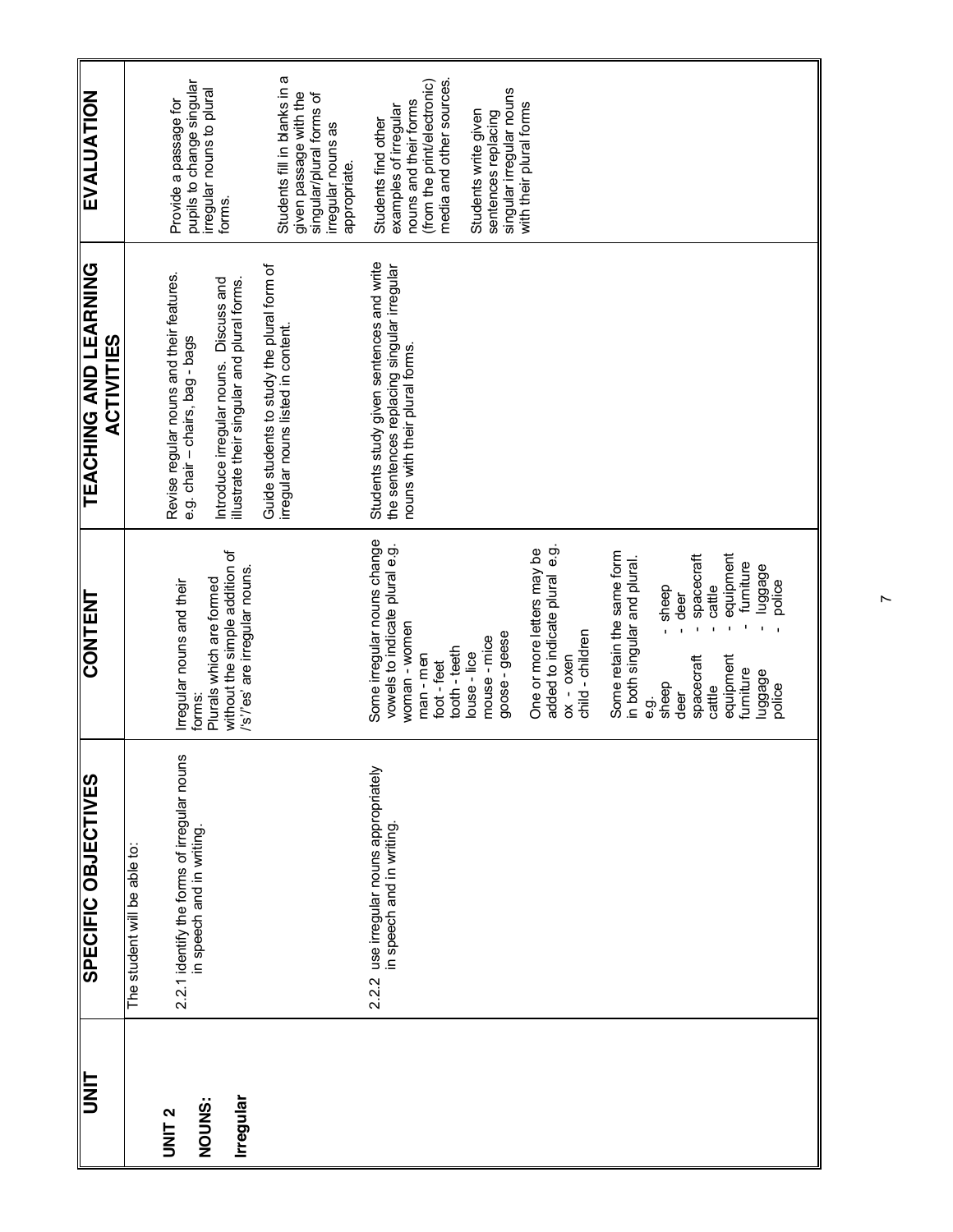| <b>EVALUATION</b>                                 | Students fill in blanks in a<br>pupils to change singular<br>irregular nouns to plural<br>given passage with the<br>singular/plural forms of<br>Provide a passage for<br>irregular nouns as<br>appropriate.<br>forms.                                    | media and other sources.<br>(from the print/electronic)<br>singular irregular nouns<br>nouns and their forms<br>with their plural forms<br>examples of irregular<br>Students write given<br>sentences replacing<br>Students find other                                                                                                                                                                                                                                                                                               |
|---------------------------------------------------|----------------------------------------------------------------------------------------------------------------------------------------------------------------------------------------------------------------------------------------------------------|--------------------------------------------------------------------------------------------------------------------------------------------------------------------------------------------------------------------------------------------------------------------------------------------------------------------------------------------------------------------------------------------------------------------------------------------------------------------------------------------------------------------------------------|
| <b>TEACHING AND LEARNING</b><br><b>ACTIVITIES</b> | Guide students to study the plural form of<br>Revise regular nouns and their features.<br>Introduce irregular nouns. Discuss and<br>illustrate their singular and plural forms.<br>irregular nouns listed in content.<br>e.g. chair - chairs, bag - bags | Students study given sentences and write<br>the sentences replacing singular irregular<br>nouns with their plural forms.                                                                                                                                                                                                                                                                                                                                                                                                             |
| <b>CONTENT</b>                                    | without the simple addition of<br>'s'/'es' are irregular nouns<br>Plurals which are formed<br>Irregular nouns and their<br>forms:                                                                                                                        | Some irregular nouns change<br>vowels to indicate plural e.g.<br>င်္ဘ<br>One or more letters may be<br>Some retain the same form<br>equipment<br>spacecraft<br>in both singular and plural.<br>furniture<br>luggage<br>added to indicate plural<br>police<br>cattle<br>sheep<br>deer<br>woman - women<br>child - children<br>goose - geese<br>mouse-mice<br>tooth - teeth<br>louse - lice<br>man-men<br>$0x - 0x$ en<br>equipment<br>spacecraft<br>foot-feet<br>furniture<br>luggage<br>sheep<br>police<br>cattle<br>deer<br>တ်<br>ၿ |
| SPECIFIC OBJECTIVES                               | 2.2.1 identify the forms of irregular nouns<br>in speech and in writing.<br>The student will be able to:                                                                                                                                                 | 2.2.2 use irregular nouns appropriately<br>in speech and in writing.                                                                                                                                                                                                                                                                                                                                                                                                                                                                 |
| <b>UNIT</b>                                       | Irregular<br>NOUNS:<br>UNIT <sub>2</sub>                                                                                                                                                                                                                 |                                                                                                                                                                                                                                                                                                                                                                                                                                                                                                                                      |

 $\check{ }$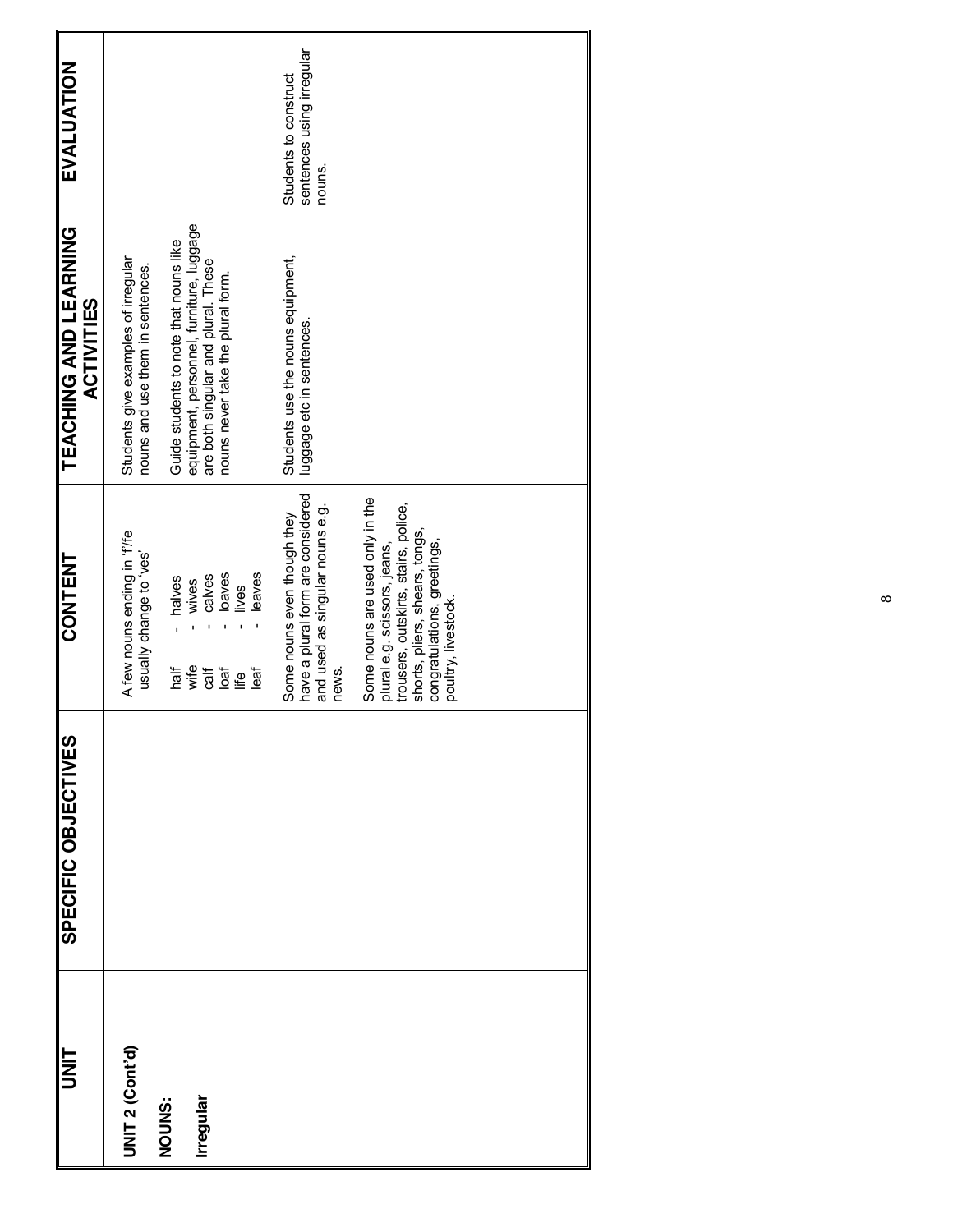| <b>TINIT</b> | SPECIFIC OBJECTIVES | <b>CONTENT</b>                                                                                                                                                                                  | <b>TEACHING AND LEARNING</b><br><b>ACTIVITIES</b>                                                                                                                                                                                         | EVALUATION                                                   |
|--------------|---------------------|-------------------------------------------------------------------------------------------------------------------------------------------------------------------------------------------------|-------------------------------------------------------------------------------------------------------------------------------------------------------------------------------------------------------------------------------------------|--------------------------------------------------------------|
|              |                     | A few nouns ending in 'f/fe<br>sav, o <sub>i</sub> abueyo <i>k</i> llensn<br>leaves<br>calves<br>loaves<br>- halves<br>wives<br>iives<br>wife<br>haif<br>$\frac{1}{16}$<br>10a<br>leaf<br>life  | equipment, personnel, furniture, luggage<br>Guide students to note that nouns like<br>Students give examples of irregular<br>are both singular and plural. These<br>nouns and use them in sentences.<br>nouns never take the plural form. |                                                              |
|              |                     | have a plural form are considered<br>and used as singular nouns e.g.<br>Some nouns even though they<br>news.                                                                                    | Students use the nouns equipment,<br>luggage etc in sentences.                                                                                                                                                                            | sentences using irregular<br>Students to construct<br>nouns. |
|              |                     | Some nouns are used only in the<br>trousers, outskirts, stairs, police,<br>shorts, pliers, shears, tongs,<br>congratulations, greetings,<br>plural e.g. scissors, jeans,<br>poultry, livestock. |                                                                                                                                                                                                                                           |                                                              |
|              |                     |                                                                                                                                                                                                 |                                                                                                                                                                                                                                           |                                                              |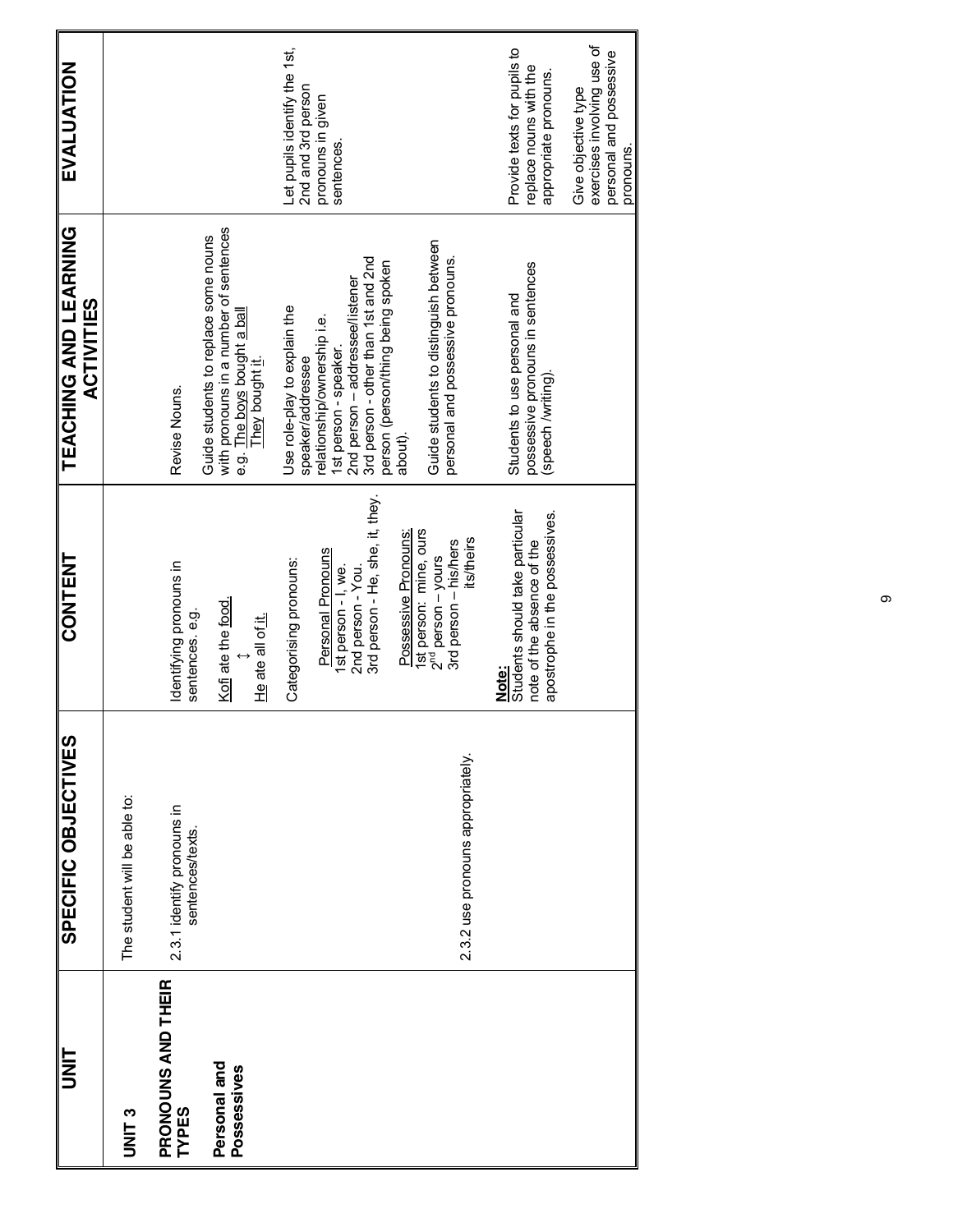| <b>IIM</b>                         | SPECIFIC OBJECTIVES                           | <b>CONTENT</b>                                                                                           | TEACHING AND LEARNING<br><b>ACTIVITIES</b>                                                                                                                          | EVALUATION                                                                                |
|------------------------------------|-----------------------------------------------|----------------------------------------------------------------------------------------------------------|---------------------------------------------------------------------------------------------------------------------------------------------------------------------|-------------------------------------------------------------------------------------------|
| <b>UNIT3</b>                       | The student will be able to:                  |                                                                                                          |                                                                                                                                                                     |                                                                                           |
| PRONOUNS AND THEIR<br><b>TYPES</b> | 2.3.1 identify pronouns in<br>sentences/texts | Identifying pronouns in<br>sentences. e.g.                                                               | Revise Nouns.                                                                                                                                                       |                                                                                           |
| Personal and<br>Possessives        |                                               | Kofi ate the food.<br>He ate all of it.                                                                  | with pronouns in a number of sentences<br>Guide students to replace some nouns<br>e.g. The boys bought a ball<br>They bought it.                                    |                                                                                           |
|                                    |                                               | Categorising pronouns:                                                                                   | Use role-play to explain the<br>speaker/addressee                                                                                                                   | Let pupils identify the 1st,<br>2nd and 3rd person                                        |
|                                    |                                               | 3rd person - He, she, it, they.<br>Personal Pronouns<br>1st person - I, we.<br>2nd person - You.         | 3rd person - other than 1st and 2nd<br>person (person/thing being spoken<br>2nd person - addressee/listener<br>relationship/ownership i.e.<br>1st person - speaker. | pronouns in given<br>sentences.                                                           |
|                                    |                                               | Possessive Pronouns:                                                                                     | about).                                                                                                                                                             |                                                                                           |
|                                    | 2.3.2 use pronouns appropriately.             | 1st person: mine, ours<br><b>its/theirs</b><br>3rd person - his/hers<br>$2nd$ person – yours             | Guide students to distinguish between<br>personal and possessive pronouns.                                                                                          |                                                                                           |
|                                    |                                               | Students should take particular<br>apostrophe in the possessives.<br>note of the absence of the<br>Note: | possessive pronouns in sentences<br>Students to use personal and<br>(speech /writing)                                                                               | Provide texts for pupils to<br>replace nouns with the<br>appropriate pronouns.            |
|                                    |                                               |                                                                                                          |                                                                                                                                                                     | exercises involving use of<br>personal and possessive<br>Give objective type<br>pronouns. |

თ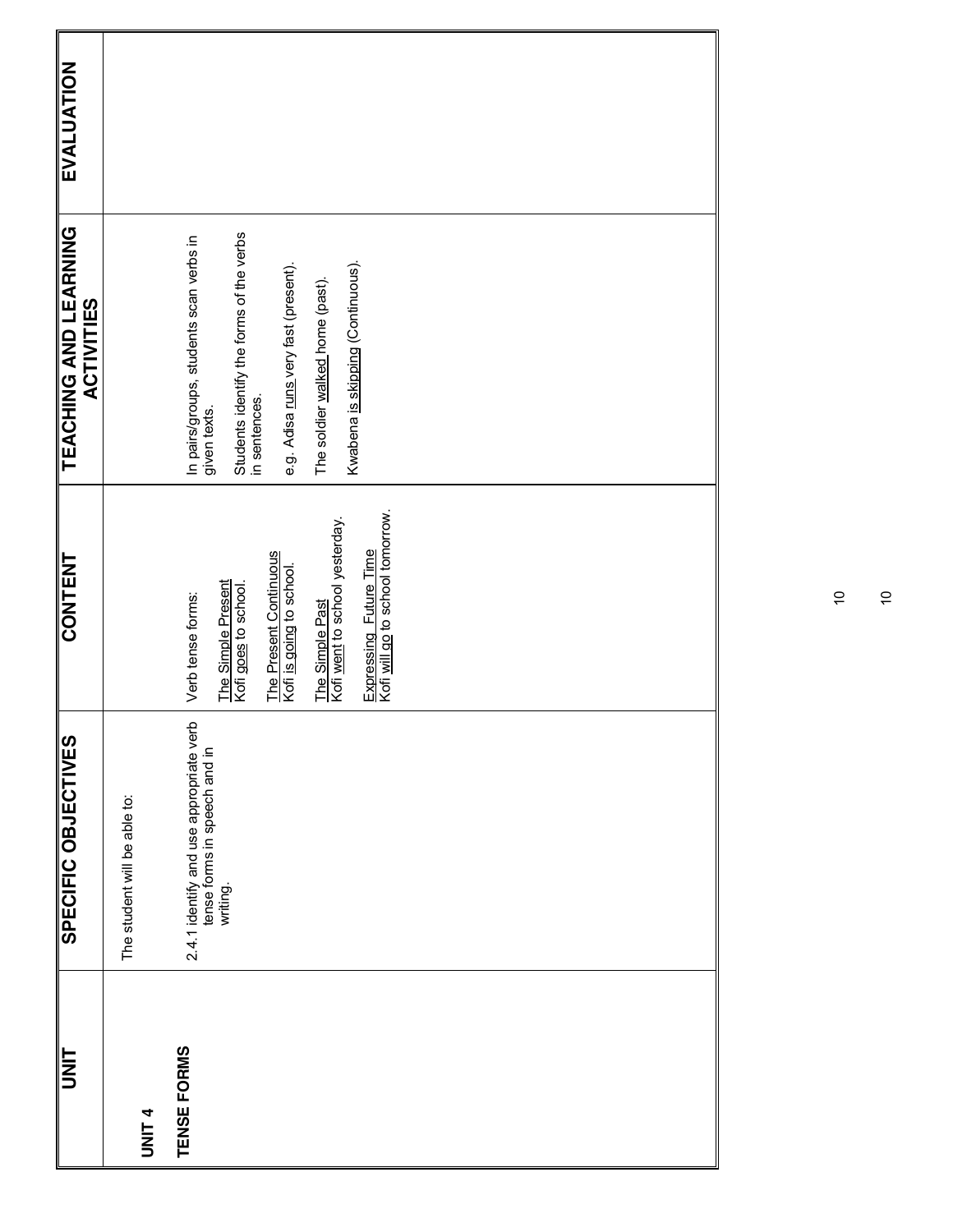| <b>TINL</b>       | <b>SPECIFIC OBJECTIVES</b>                                                          | <b>CONTENT</b>                                                    | <b>TEACHING AND LEARNING</b><br><b>ACTIVITIES</b>                                                                    | <b>EVALUATION</b> |  |
|-------------------|-------------------------------------------------------------------------------------|-------------------------------------------------------------------|----------------------------------------------------------------------------------------------------------------------|-------------------|--|
| UNIT <sub>4</sub> | The student will be able to:                                                        |                                                                   |                                                                                                                      |                   |  |
| TENSE FORMS       | 2.4.1 identify and use appropriate verb<br>tense forms in speech and in<br>writing. | The Simple Present<br>Kofi goes to school.<br>Verb tense forms:   | Students identify the forms of the verbs<br>in sentences.<br>In pairs/groups, students scan verbs in<br>given texts. |                   |  |
|                   |                                                                                     | The Present Continuous<br>Kofi i <u>s going</u> to school.        | e.g. Adisa runs very fast (present).                                                                                 |                   |  |
|                   |                                                                                     | Kofi went to school yesterday.<br>The Simple Past                 | The soldier walked home (past).                                                                                      |                   |  |
|                   |                                                                                     | Expressing Future Time<br>Kofi <u>will go</u> to school tomorrow. | Kwabena is skipping (Continuous).                                                                                    |                   |  |
|                   |                                                                                     |                                                                   |                                                                                                                      |                   |  |
|                   |                                                                                     |                                                                   |                                                                                                                      |                   |  |
|                   |                                                                                     |                                                                   |                                                                                                                      |                   |  |
|                   |                                                                                     |                                                                   |                                                                                                                      |                   |  |
|                   |                                                                                     |                                                                   |                                                                                                                      |                   |  |
|                   |                                                                                     |                                                                   |                                                                                                                      |                   |  |

10  $\Rightarrow$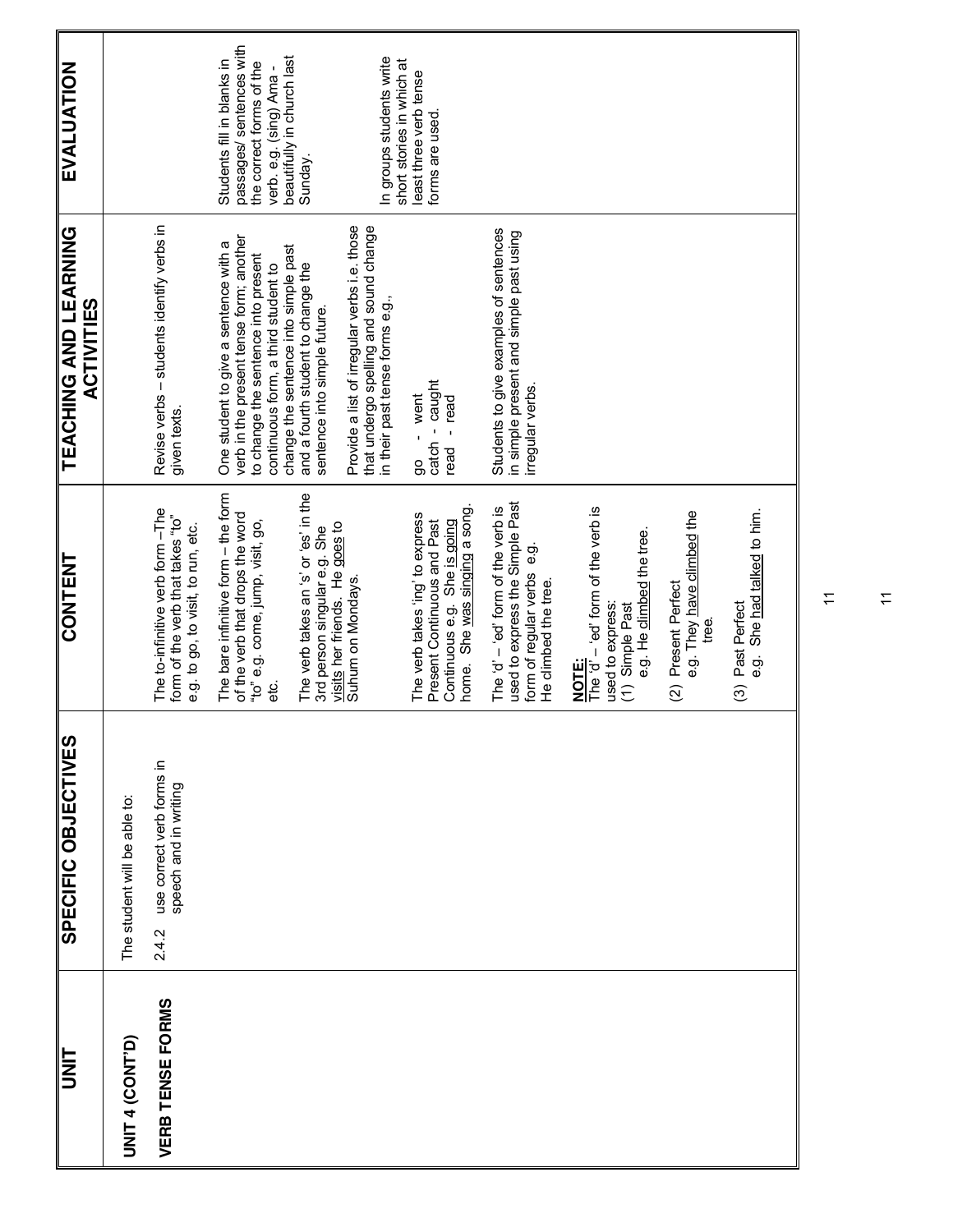| I<br>N<br>D             | SPECIFIC OBJECTIVES                                         | <b>CONTENT</b>                                                                                                                 | TEACHING AND LEARNING<br><b>ACTIVITIES</b>                                                                                                                                                             | EVALUATION                                                                                                                                  |
|-------------------------|-------------------------------------------------------------|--------------------------------------------------------------------------------------------------------------------------------|--------------------------------------------------------------------------------------------------------------------------------------------------------------------------------------------------------|---------------------------------------------------------------------------------------------------------------------------------------------|
| UNIT 4 (CONT'D)         | The student will be able to:                                |                                                                                                                                |                                                                                                                                                                                                        |                                                                                                                                             |
| <b>VERB TENSE FORMS</b> | use correct verb forms in<br>speech and in writing<br>2.4.2 | The to-infinitive verb form -The<br>form of the verb that takes "to"<br>e.g. to go, to visit, to run, etc.                     | Revise verbs - students identify verbs in<br>given texts.                                                                                                                                              |                                                                                                                                             |
|                         |                                                             | The bare infinitive form - the form<br>of the verb that drops the word<br>"to" e.g. come, jump, visit, go,<br>ಕ್ಷ              | verb in the present tense form; another<br>One student to give a sentence with a<br>change the sentence into simple past<br>to change the sentence into present<br>continuous form, a third student to | passages/ sentences with<br>beautifully in church last<br>Students fill in blanks in<br>the correct forms of the<br>verb. e.g. (sing) Ama - |
|                         |                                                             | The verb takes an 's' or 'es' in the<br>3rd person singular e.g. She                                                           | and a fourth student to change the<br>sentence into simple future.                                                                                                                                     | Sunday.                                                                                                                                     |
|                         |                                                             | visits her friends. He goes to<br>Suhum on Mondays.                                                                            | Provide a list of irregular verbs i.e. those<br>that undergo spelling and sound change<br>in their past tense forms e.g.,                                                                              | In groups students write<br>short stories in which at                                                                                       |
|                         |                                                             | home. She was singing a song<br>The verb takes 'ing' to express<br>Present Continuous and Past<br>Continuous e.g. She is going | catch - caught<br>- went<br>- read<br>read<br>မ္တ                                                                                                                                                      | least three verb tense<br>forms are used.                                                                                                   |
|                         |                                                             | used to express the Simple Past<br>The 'd' $-$ 'ed' form of the verb is<br>form of regular verbs e.g.<br>He climbed the tree.  | Students to give examples of sentences<br>in simple present and simple past using<br>irregular verbs                                                                                                   |                                                                                                                                             |
|                         |                                                             | The 'd' $-$ 'ed' form of the verb is<br>e.g. He climbed the tree.<br>used to express:<br>(1) Simple Past<br><b>NOTE:</b>       |                                                                                                                                                                                                        |                                                                                                                                             |
|                         |                                                             | e.g. They have dimbed the<br>Present Perfect<br>tree.<br>$\widehat{\mathfrak{D}}$                                              |                                                                                                                                                                                                        |                                                                                                                                             |
|                         |                                                             | e.g. She had talked to him.<br>Past Perfect<br>$\widehat{\mathcal{O}}$                                                         |                                                                                                                                                                                                        |                                                                                                                                             |

 $\overline{1}$ 

 $\overline{1}$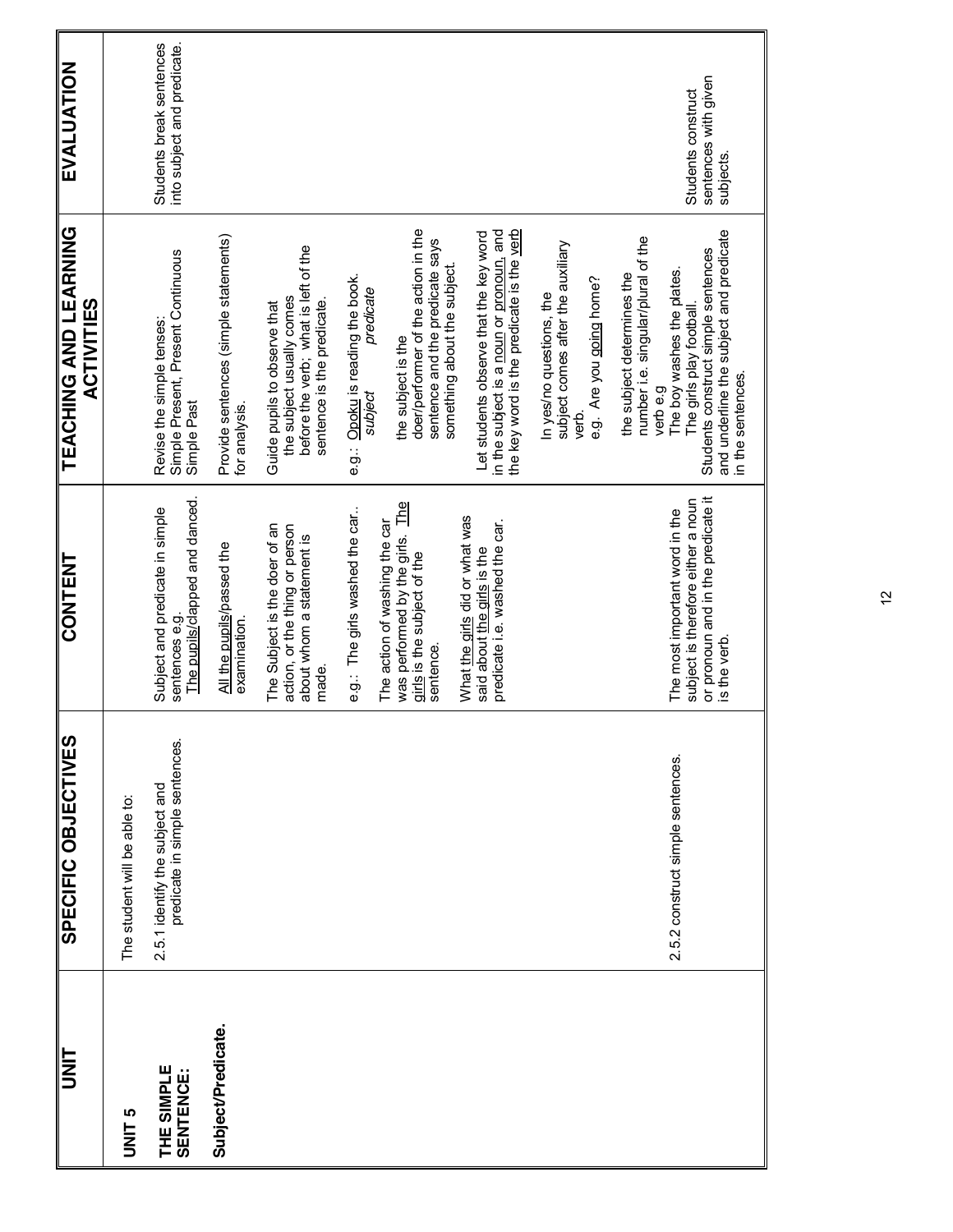| predicate in simple sentences.<br>2.5.1 identify the subject and<br>The student will be able to:<br>Subject/Predicate.<br>THE SIMPLE<br><b>SENTENCE:</b><br><b>UNIT 5</b> |                                                                                                                            |                                                                                                                                                                                                                                             |                                                         |
|---------------------------------------------------------------------------------------------------------------------------------------------------------------------------|----------------------------------------------------------------------------------------------------------------------------|---------------------------------------------------------------------------------------------------------------------------------------------------------------------------------------------------------------------------------------------|---------------------------------------------------------|
|                                                                                                                                                                           |                                                                                                                            |                                                                                                                                                                                                                                             |                                                         |
|                                                                                                                                                                           | The pupils/clapped and danced.<br>Subject and predicate in simple<br>sentences e.g.                                        | Simple Present, Present Continuous<br>Simple Past<br>Revise the simple tenses:                                                                                                                                                              | Students break sentences<br>into subject and predicate. |
|                                                                                                                                                                           | All the pupils/passed the<br>examination.                                                                                  | Provide sentences (simple statements)<br>for analysis.                                                                                                                                                                                      |                                                         |
|                                                                                                                                                                           | The Subject is the doer of an<br>action, or the thing or person<br>about whom a statement is<br>made.                      | before the verb; what is left of the<br>the subject usually comes<br>sentence is the predicate.<br>Guide pupils to observe that                                                                                                             |                                                         |
|                                                                                                                                                                           | e.g.: The girls washed the car.                                                                                            | Opoku is reading the book.<br>predicate<br>subject<br>e.g.:                                                                                                                                                                                 |                                                         |
|                                                                                                                                                                           | was performed by the girls. The<br>The action of washing the car<br>girls is the subject of the<br>sentence.               | doer/performer of the action in the<br>sentence and the predicate says<br>something about the subject.<br>the subject is the                                                                                                                |                                                         |
|                                                                                                                                                                           | What the girls did or what was<br>predicate i.e. washed the car.<br>said about the girls is the                            | in the subject is a noun or pronoun, and<br>the key word is the predicate is the verb<br>Let students observe that the key word                                                                                                             |                                                         |
|                                                                                                                                                                           |                                                                                                                            | subject comes after the auxiliary<br>e.g. Are you going home?<br>In yes/no questions, the<br>yerb.                                                                                                                                          |                                                         |
| 2.5.2 construct simple sentences.                                                                                                                                         | or pronoun and in the predicate it<br>subject is therefore either a noun<br>The most important word in the<br>is the verb. | and underline the subject and predicate<br>number i.e. singular/plural of the<br>Students construct simple sentences<br>The boy washes the plates.<br>the subject determines the<br>The girls play football<br>in the sentences.<br>verbe.g | sentences with given<br>Students construct<br>subjects. |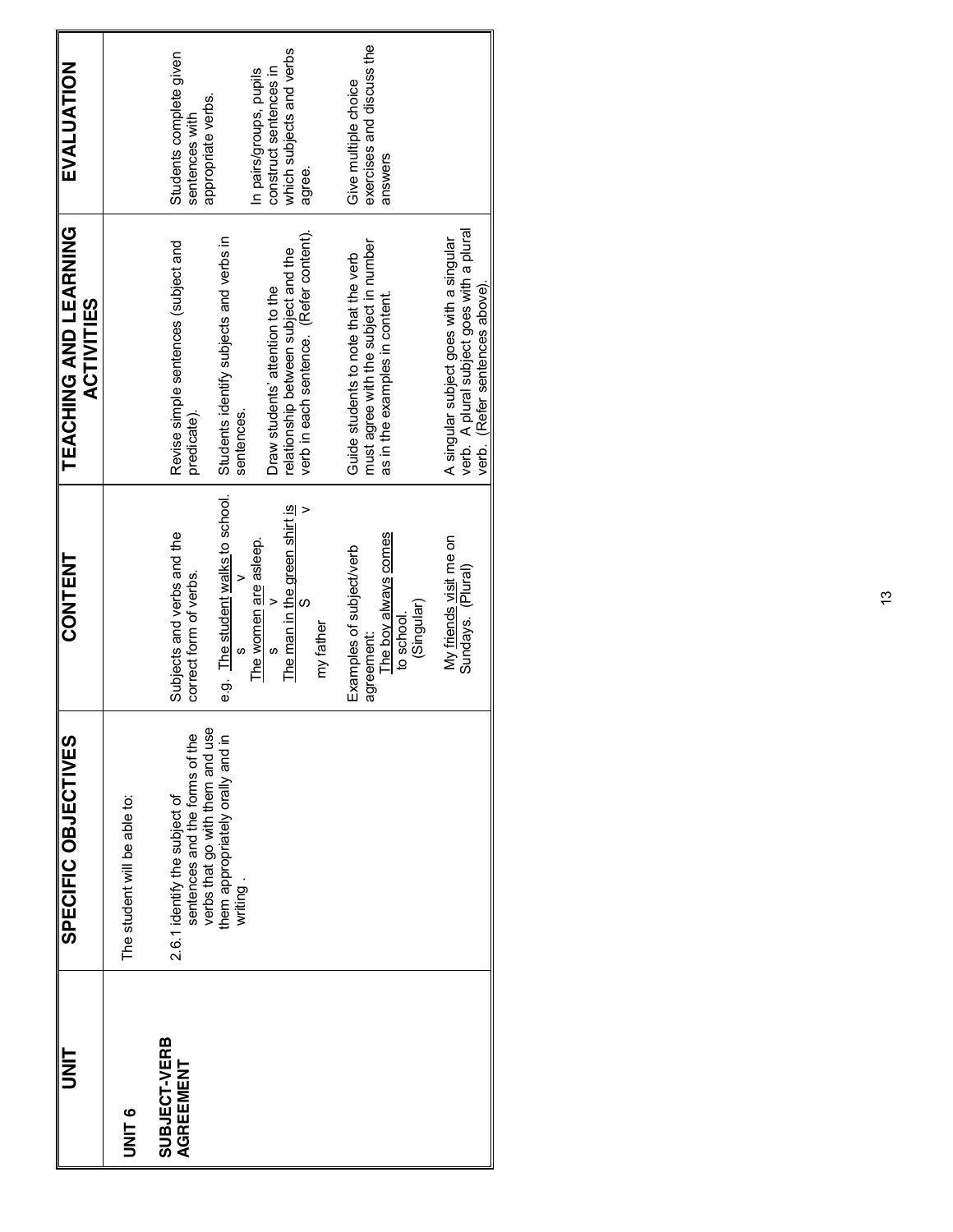| t<br>3<br>5               | SPECIFIC<br>OBJECTIVES                                                                             | <b>CONTENT</b>                                       | TEACHING AND LEARNING<br><b>ACTIVITIES</b>                                                                             | EVALUATION                                                      |
|---------------------------|----------------------------------------------------------------------------------------------------|------------------------------------------------------|------------------------------------------------------------------------------------------------------------------------|-----------------------------------------------------------------|
| <b>UNIT 6</b>             | The student will be able to:                                                                       |                                                      |                                                                                                                        |                                                                 |
| SUBJECT-VERB<br>AGREEMENT | verbs that go with them and use<br>sentences and the forms of the<br>2.6.1 identify the subject of | Subjects and verbs and the<br>correct form of verbs. | Revise simple sentences (subject and<br>predicate).                                                                    | Students complete given<br>appropriate verbs.<br>sentences with |
|                           | them appropriately orally and in<br>writing.                                                       | e.g. The student walks to school.                    | Students identify subjects and verbs in<br>sentences.                                                                  |                                                                 |
|                           |                                                                                                    | The women are asleep.                                | Draw students' attention to the                                                                                        | construct sentences in<br>In pairs/groups, pupils               |
|                           |                                                                                                    | The man in the green shirt is<br>S<br>my father      | verb in each sentence. (Refer content).<br>relationship between subject and the                                        | which subjects and verbs<br>agree.                              |
|                           |                                                                                                    | Examples of subject/verb                             | Guide students to note that the verb                                                                                   | Give multiple choice                                            |
|                           |                                                                                                    | The boy always comes<br>to school.<br>agreement:     | must agree with the subject in number<br>as in the examples in content.                                                | exercises and discuss the<br>answers                            |
|                           |                                                                                                    | (Singular)                                           |                                                                                                                        |                                                                 |
|                           |                                                                                                    | My friends visit me on<br>Sundays. (Plural)          | verb. A plural subject goes with a plural<br>A singular subject goes with a singular<br>verb. (Refer sentences above). |                                                                 |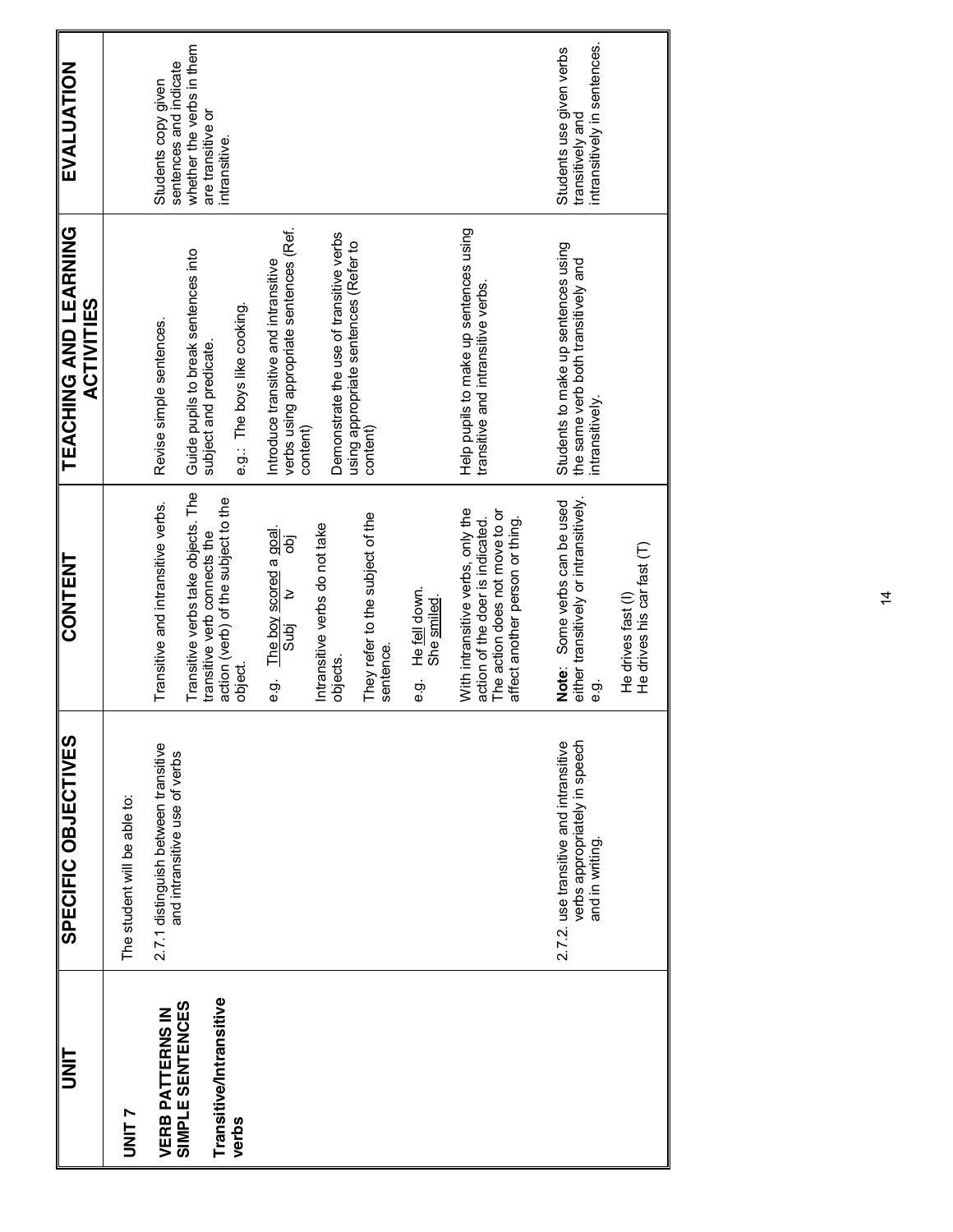| UNIT                             | SPECIFIC OBJECTIVES                                                                        | <b>CONTENT</b>                                                                                                                             | TEACHING AND LEARNING<br><b>ACTIVITIES</b>                                                    | EVALUATION                                                                   |
|----------------------------------|--------------------------------------------------------------------------------------------|--------------------------------------------------------------------------------------------------------------------------------------------|-----------------------------------------------------------------------------------------------|------------------------------------------------------------------------------|
| <b>UNIT 7</b>                    | The student will be able to:                                                               |                                                                                                                                            |                                                                                               |                                                                              |
| <b>VERB PATTERNS IN</b>          | 2.7.1 distinguish between transitive                                                       | Transitive and intransitive verbs.                                                                                                         | Revise simple sentences.                                                                      | Students copy given                                                          |
| SIMPLE SENTENCES                 | and intransitive use of verbs                                                              | Transitive verbs take objects. The                                                                                                         | Guide pupils to break sentences into                                                          | whether the verbs in them<br>sentences and indicate                          |
| Transitive/Intransitive<br>verbs |                                                                                            | action (verb) of the subject to the<br>transitive verb connects the<br>object<br>O                                                         | e.g.: The boys like cooking.<br>subject and predicate.                                        | are transitive or<br>intransitive.                                           |
|                                  |                                                                                            | e.g. The boy scored a goal.<br>Subj tv                                                                                                     | verbs using appropriate sentences (Ref.<br>Introduce transitive and intransitive              |                                                                              |
|                                  |                                                                                            | Intransitive verbs do not take<br>objects.                                                                                                 | Demonstrate the use of transitive verbs<br>content)                                           |                                                                              |
|                                  |                                                                                            | They refer to the subject of the<br>sentence.                                                                                              | using appropriate sentences (Refer to<br>content)                                             |                                                                              |
|                                  |                                                                                            | He fell down.<br>She smiled<br>ငှာ်                                                                                                        |                                                                                               |                                                                              |
|                                  |                                                                                            | With intransitive verbs, only the<br>The action does not move to or<br>action of the doer is indicated.<br>affect another person or thing. | Help pupils to make up sentences using<br>transitive and intransitive verbs.                  |                                                                              |
|                                  | verbs appropriately in speech<br>2.7.2. use transitive and intransitive<br>and in writing. | either transitively or intransitively.<br>Some verbs can be used<br>Note:<br>င့်<br>မ                                                      | Students to make up sentences using<br>the same verb both transitively and<br>intransitively. | intransitively in sentences.<br>Students use given verbs<br>transitively and |
|                                  |                                                                                            | He drives his car fast (T)<br>He drives fast (I)                                                                                           |                                                                                               |                                                                              |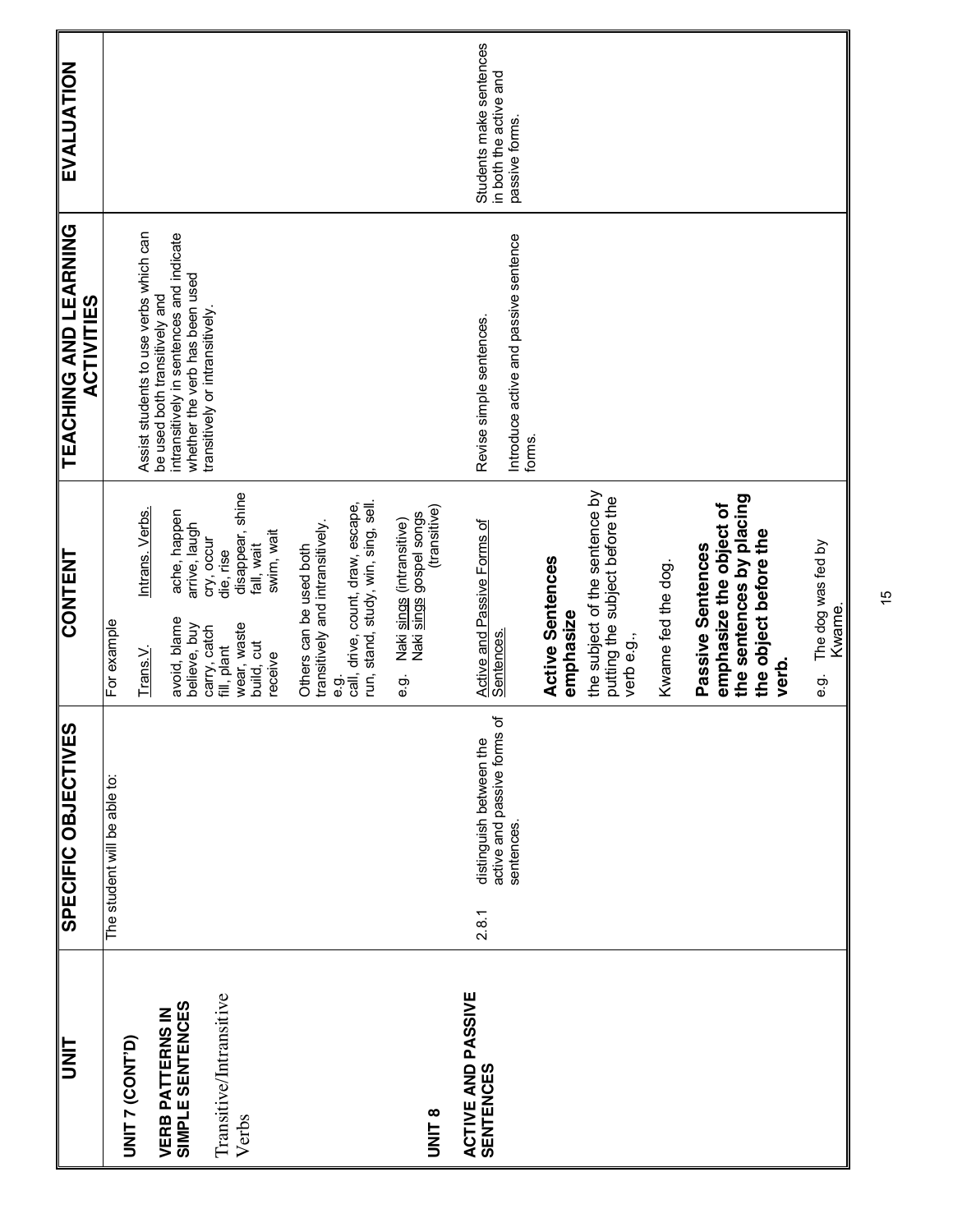| <b>UNIT</b>                                   | SPECIFIC OBJECTIVES                         | <b>CONTENT</b>                                                                               | <b>TEACHING AND LEARNING</b><br><b>ACTIVITIES</b>                                                           | <b>EVALUATION</b>                        |
|-----------------------------------------------|---------------------------------------------|----------------------------------------------------------------------------------------------|-------------------------------------------------------------------------------------------------------------|------------------------------------------|
| UNIT 7 (CONT'D)                               | The student will be able to:                | For example                                                                                  |                                                                                                             |                                          |
|                                               |                                             | Intrans. Verbs.<br>Trans. $\vee$                                                             | Assist students to use verbs which can                                                                      |                                          |
| SIMPLE SENTENCES<br><b>VERB PATTERNS IN</b>   |                                             | ache, happen<br>arrive, laugh<br>avoid, blame<br>believe, buy                                | intransitively in sentences and indicate<br>whether the verb has been used<br>be used both transitively and |                                          |
| Transitive/Intransitive                       |                                             | cry, occur<br>die, rise<br>carry, catch<br>fill, plant                                       | transitively or intransitively.                                                                             |                                          |
| Verbs                                         |                                             | disappear, shine<br>swim, wait<br>fall, wait<br>wear, waste<br>build, cut<br>receive         |                                                                                                             |                                          |
|                                               |                                             | transitively and intransitively.<br>Others can be used both                                  |                                                                                                             |                                          |
|                                               |                                             | run, stand, study, win, sing, sell.<br>call, drive, count, draw, escape,<br>ဝ့်<br>မ         |                                                                                                             |                                          |
| UNIT 8                                        |                                             | (transitive)<br>Naki <u>sings</u> (intransitive)<br>Naki <u>sings</u> gospel songs<br>ဝ<br>ပ |                                                                                                             |                                          |
| <b>ACTIVE AND PASSIVE</b><br><b>SENTENCES</b> | distinguish between the<br>2.8.1            | Active and Passive Forms of<br>Sentences.                                                    | Revise simple sentences.                                                                                    | Students make sentences                  |
|                                               | ৳<br>active and passive forms<br>sentences. |                                                                                              | Introduce active and passive sentence<br>forms.                                                             | in both the active and<br>passive forms. |
|                                               |                                             | <b>Active Sentences</b><br>emphasize                                                         |                                                                                                             |                                          |
|                                               |                                             | the subject of the sentence by<br>putting the subject before the<br>verb e.g.,               |                                                                                                             |                                          |
|                                               |                                             | Kwame fed the dog.                                                                           |                                                                                                             |                                          |
|                                               |                                             | emphasize the object of<br>Passive Sentences                                                 |                                                                                                             |                                          |
|                                               |                                             | the sentences by placing<br>the object before the                                            |                                                                                                             |                                          |
|                                               |                                             | verb.                                                                                        |                                                                                                             |                                          |
|                                               |                                             | The dog was fed by<br>Kwame.<br>တ်<br>စ                                                      |                                                                                                             |                                          |

15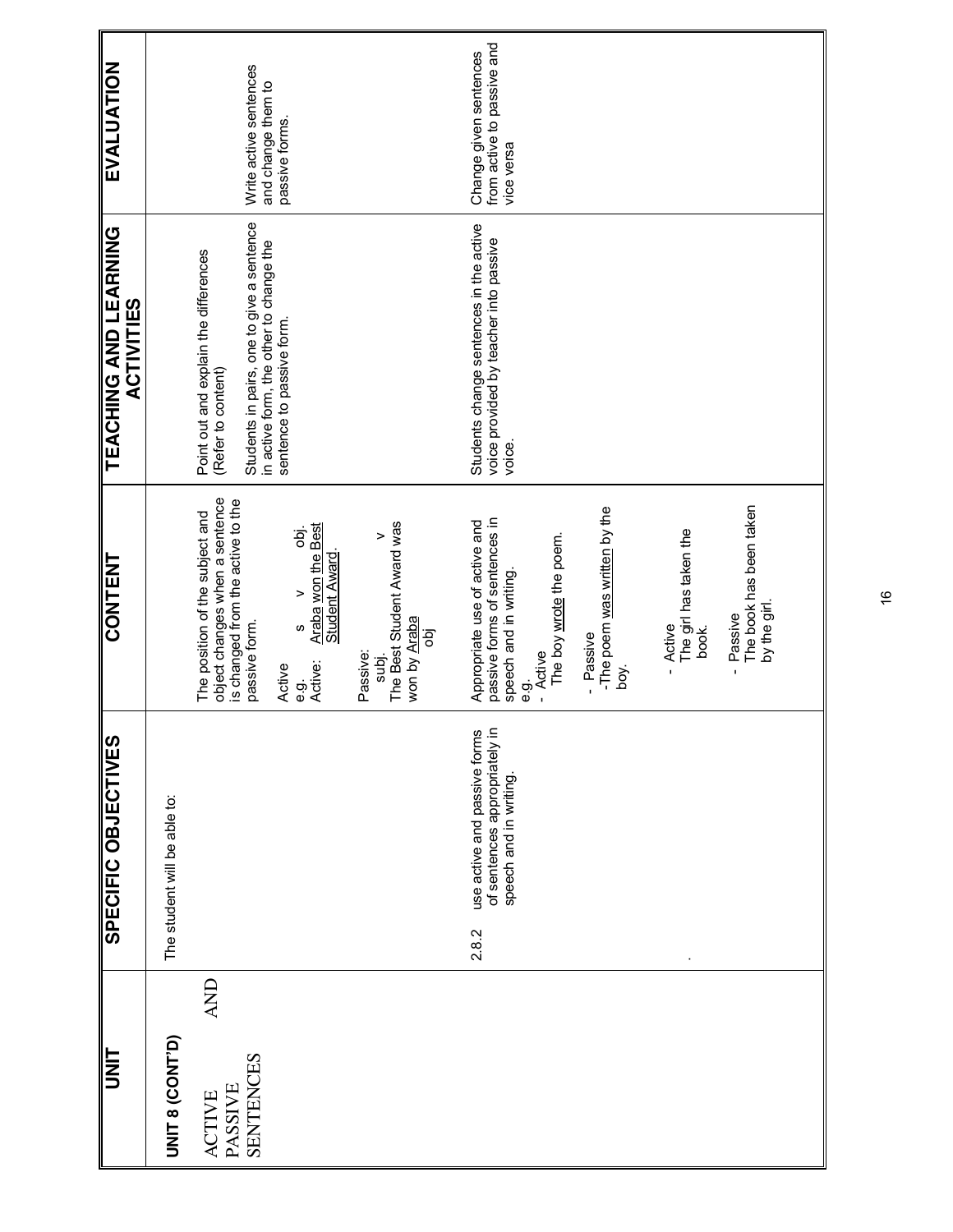| <b>TINU</b>                                                |       | SPECIFIC OBJECTIVES                                                                     | CONTENT                                                                                                                                                                                                                                                                                                 | TEACHING AND LEARNING<br><b>ACTIVITIES</b>                                                                                                                                       | EVALUATION                                                         |
|------------------------------------------------------------|-------|-----------------------------------------------------------------------------------------|---------------------------------------------------------------------------------------------------------------------------------------------------------------------------------------------------------------------------------------------------------------------------------------------------------|----------------------------------------------------------------------------------------------------------------------------------------------------------------------------------|--------------------------------------------------------------------|
| UNIT 8 (CONT'D)                                            |       | The student will be able to:                                                            |                                                                                                                                                                                                                                                                                                         |                                                                                                                                                                                  |                                                                    |
| <b>AND</b><br>SENTENCES<br><b>PASSIVE</b><br><b>ACTIVE</b> |       |                                                                                         | object changes when a sentence<br>is changed from the active to the<br>The position of the subject and<br>The Best Student Award was<br><b>Araba won the Best</b><br>Student Award.<br>Б.<br>Б<br>$\geq$<br>won by Araba<br>passive form.<br>S<br>оþј<br>Passive:<br>subj.<br>Active:<br>Active<br>ငှာ် | Students in pairs, one to give a sentence<br>in active form, the other to change the<br>Point out and explain the differences<br>sentence to passive form.<br>(Refer to content) | Write active sentences<br>and change them to<br>passive forms.     |
|                                                            | 2.8.2 | use active and passive forms<br>of sentences appropriately in<br>speech and in writing. | -The poem was written by the<br>passive forms of sentences in<br>Appropriate use of active and<br>The girl has taken the<br>The boy wrote the poem.<br>speech and in writing.<br>Active<br>- Passive<br>- Active<br>boy.<br>$\mathbf{I}$<br>စ္ပဲ                                                        | Students change sentences in the active<br>voice provided by teacher into passive<br>voice.                                                                                      | from active to passive and<br>Change given sentences<br>vice versa |
|                                                            |       |                                                                                         | The book has been taken<br>by the girl.<br>Passive<br>book.<br>$\mathbf{I}$                                                                                                                                                                                                                             |                                                                                                                                                                                  |                                                                    |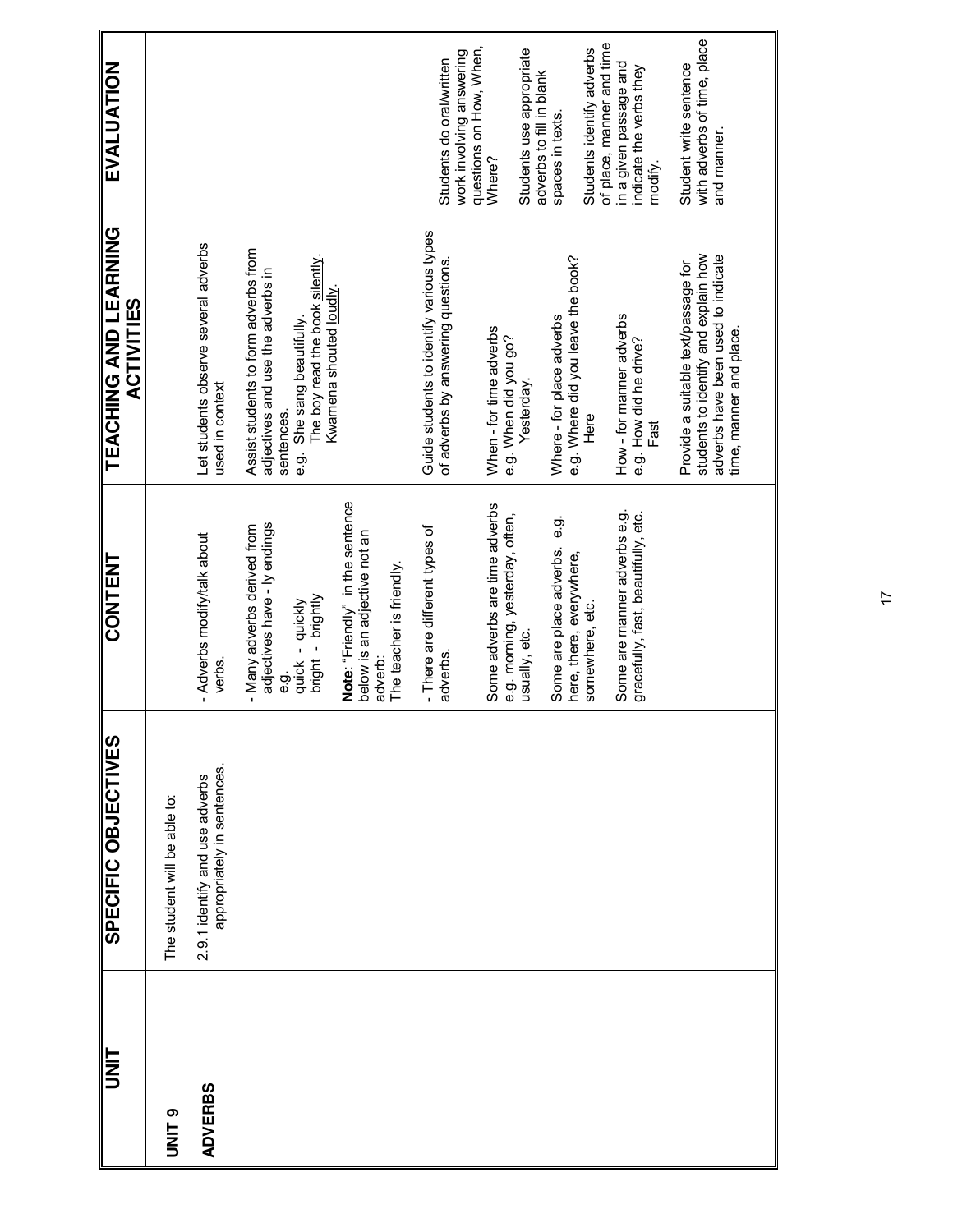| <b>UNT</b>     | <b>SPECIFIC OBJECTIVES</b>                                    | <b>CONTENT</b>                                                                                              | <b>TEACHING AND LEARNING</b><br><b>ACTIVITIES</b>                                                                                                           | EVALUATION                                                                      |
|----------------|---------------------------------------------------------------|-------------------------------------------------------------------------------------------------------------|-------------------------------------------------------------------------------------------------------------------------------------------------------------|---------------------------------------------------------------------------------|
| <b>ONITS</b>   | The student will be able to:                                  |                                                                                                             |                                                                                                                                                             |                                                                                 |
| <b>ADVERBS</b> | appropriately in sentences.<br>2.9.1 identify and use adverbs | - Adverbs modify/talk about<br>verbs.                                                                       | Let students observe several adverbs<br>used in context                                                                                                     |                                                                                 |
|                |                                                               | adjectives have - ly endings<br>- Many adverbs derived from<br>bright - brightly<br>quick - quickly<br>င်္ဘ | Assist students to form adverbs from<br>The boy read the book silently.<br>adjectives and use the adverbs in<br>She sang beautifully.<br>sentences.<br>ငှာ် |                                                                                 |
|                |                                                               | Note: "Friendly" in the sentence<br>below is an adjective not an<br>The teacher is friendly.<br>adverb:     | Kwamena shouted loudly                                                                                                                                      |                                                                                 |
|                |                                                               | - There are different types of<br>adverbs.                                                                  | Guide students to identify various types<br>of adverbs by answering questions.                                                                              | questions on How, When,<br>work involving answering<br>Students do oral/written |
|                |                                                               | Some adverbs are time adverbs<br>e.g. morning, yesterday, often,                                            | When - for time adverbs<br>e.g. When did you go?                                                                                                            | Where?                                                                          |
|                |                                                               | usually, etc.                                                                                               | Yesterday.                                                                                                                                                  | Students use appropriate<br>adverbs to fill in blank                            |
|                |                                                               | တ်<br>စ<br>Some are place adverbs.<br>here, there, everywhere,                                              | e.g. Where did you leave the book?<br>Where - for place adverbs                                                                                             | spaces in texts.                                                                |
|                |                                                               | somewhere, etc.                                                                                             | Here                                                                                                                                                        | of place, manner and time<br>Students identify adverbs                          |
|                |                                                               | Some are manner adverbs e.g.<br>gracefully, fast, beautifully, etc.                                         | How - for manner adverbs<br>e.g. How did he drive?<br>Fast                                                                                                  | in a given passage and<br>indicate the verbs they<br>modify.                    |
|                |                                                               |                                                                                                             | students to identify and explain how<br>adverbs have been used to indicate<br>Provide a suitable text/passage for<br>time, manner and place.                | with adverbs of time, place<br>Student write sentence<br>and manner.            |
|                |                                                               |                                                                                                             |                                                                                                                                                             |                                                                                 |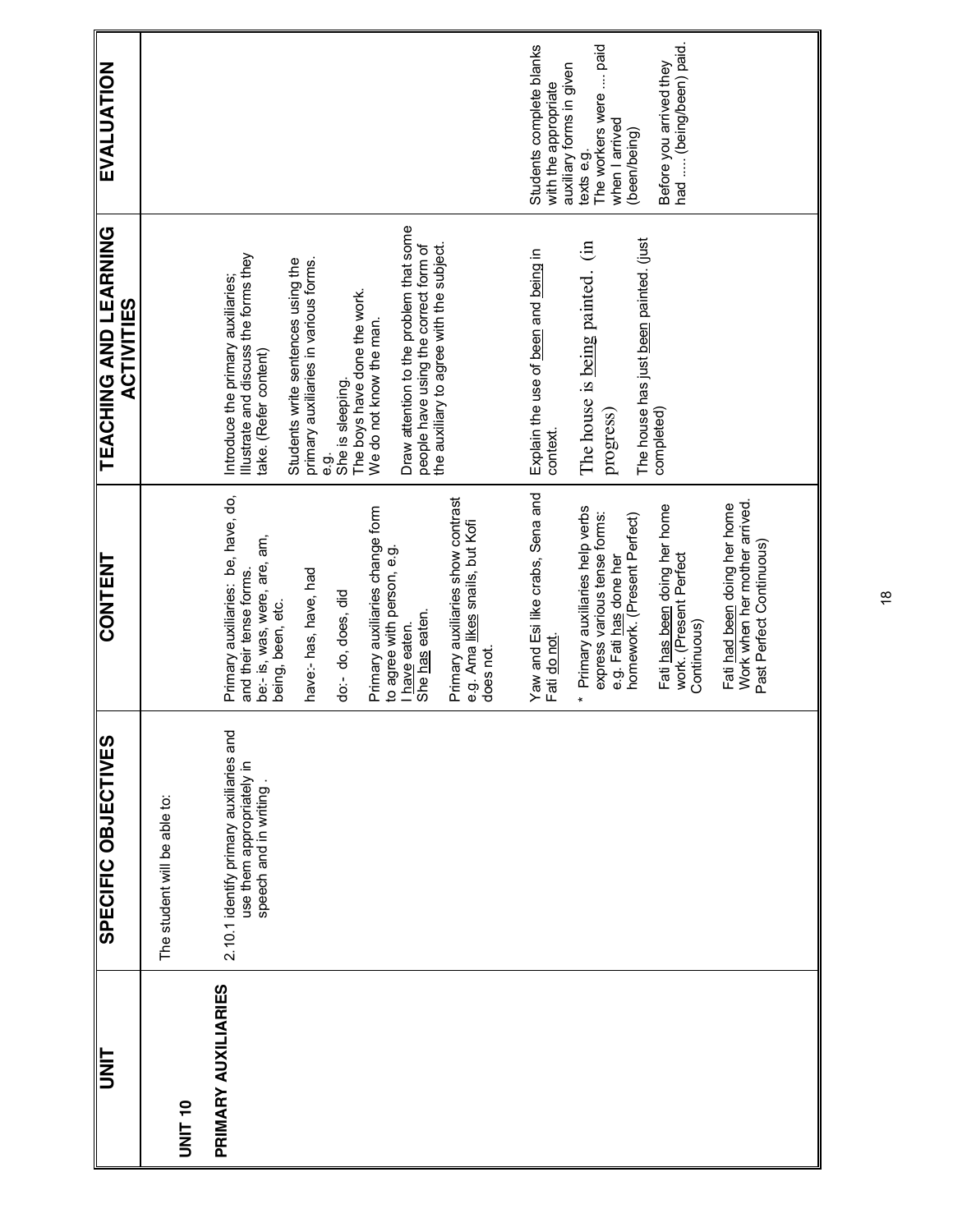| EVALUATION                                 |                              |                                                                                                                                                                                                                                                                                                                                                                                                               | had  (being/been) paid.<br>Students complete blanks<br>The workers were  paid<br>Before you arrived they<br>auxiliary forms in given<br>with the appropriate<br>when I arrived<br>(been/being)<br>texts e.g.                                                                                                                                       |
|--------------------------------------------|------------------------------|---------------------------------------------------------------------------------------------------------------------------------------------------------------------------------------------------------------------------------------------------------------------------------------------------------------------------------------------------------------------------------------------------------------|----------------------------------------------------------------------------------------------------------------------------------------------------------------------------------------------------------------------------------------------------------------------------------------------------------------------------------------------------|
| TEACHING AND LEARNING<br><b>ACTIVITIES</b> |                              | Draw attention to the problem that some<br>the auxiliary to agree with the subject.<br>people have using the correct form of<br>Illustrate and discuss the forms they<br>take. (Refer content)<br>primary auxiliaries in various forms.<br>Students write sentences using the<br>Introduce the primary auxiliaries;<br>The boys have done the work.<br>We do not know the man.<br>She is sleeping.<br>တ်<br>ၿ | The house has just been painted. (just<br>The house is being painted. (in<br>Explain the use of been and being in<br>completed)<br>progress)<br>context.                                                                                                                                                                                           |
| CONTENT                                    |                              | Primary auxiliaries: be, have, do,<br>Primary auxiliaries show contrast<br>Primary auxiliaries change form<br>e.g. Ama likes snails, but Kofi<br>be:- is, was, were, are, am,<br>to agree with person, e.g.<br>have:- has, have, had<br>and their tense forms.<br>do:- do, does, did<br>being, been, etc.<br>She has eaten.<br>I have eaten.<br>does not.                                                     | Yaw and Esi like crabs, Sena and<br>Work when her mother arrived.<br>Fati had been doing her home<br>Fati has been doing her home<br>* Primary auxiliaries help verbs<br>express various tense forms:<br>homework. (Present Perfect)<br>Past Perfect Continuous)<br>work. (Present Perfect<br>e.g. Fati has done her<br>Continuous)<br>Fati do not |
| SPECIFIC OBJECTIVES                        | The student will be able to: | 2.10.1 identify primary auxiliaries and<br>use them appropriately in<br>speech and in writing                                                                                                                                                                                                                                                                                                                 |                                                                                                                                                                                                                                                                                                                                                    |
| UNIT                                       | <b>UNIT 10</b>               | PRIMARY AUXILIARIES                                                                                                                                                                                                                                                                                                                                                                                           |                                                                                                                                                                                                                                                                                                                                                    |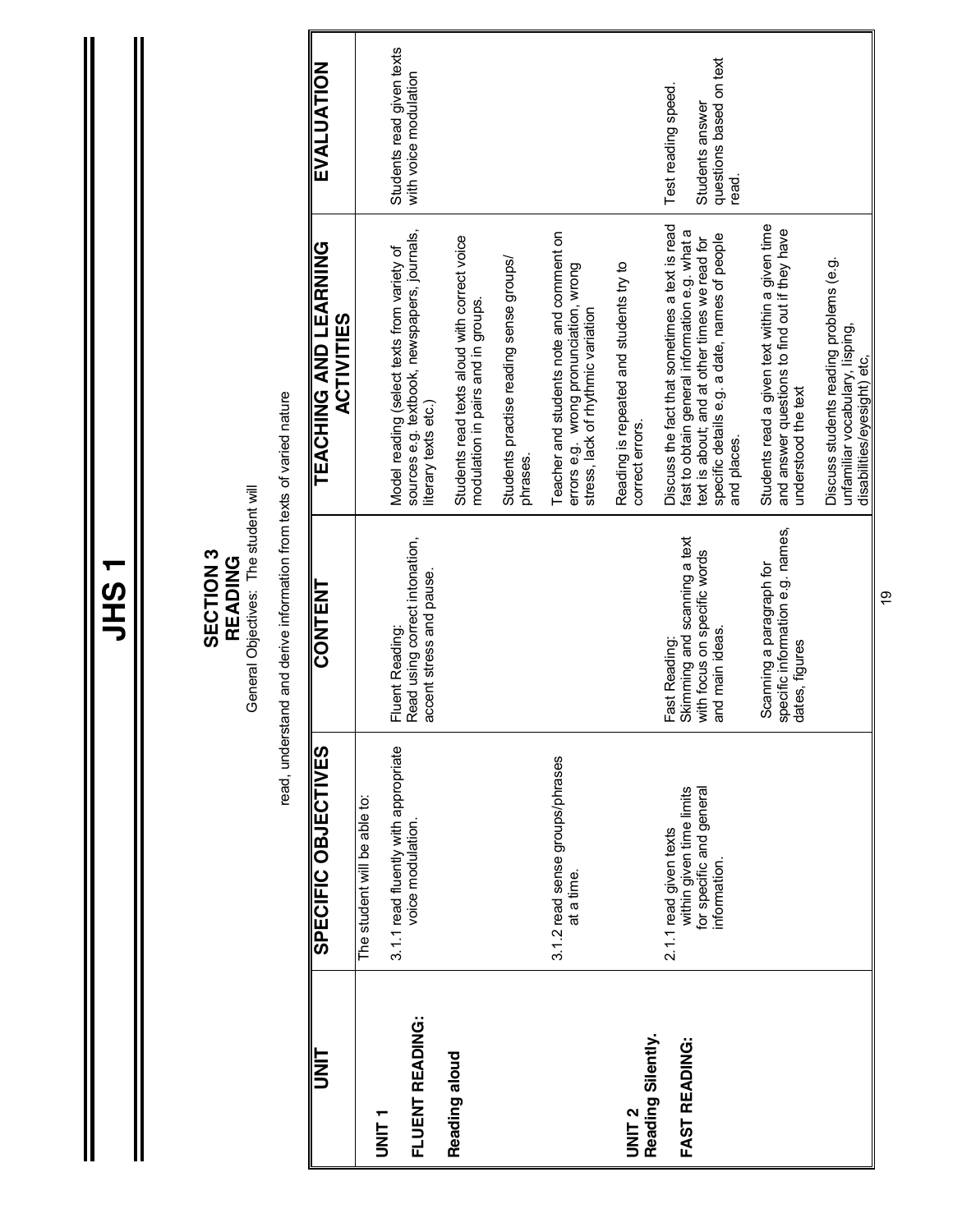|                                        |                                                                                               | General Objectives: The student will<br><b>SECTION 3</b><br>READING                              |                                                                                                                                                                                                                   |                                                                            |
|----------------------------------------|-----------------------------------------------------------------------------------------------|--------------------------------------------------------------------------------------------------|-------------------------------------------------------------------------------------------------------------------------------------------------------------------------------------------------------------------|----------------------------------------------------------------------------|
|                                        |                                                                                               | read, understand and derive information from texts of varied nature                              |                                                                                                                                                                                                                   |                                                                            |
| <b>LINN</b>                            | SPECIFIC OBJECTIVES                                                                           | CONTENT                                                                                          | TEACHING AND LEARNING<br><b>ACTIVITIES</b>                                                                                                                                                                        | EVALUATION                                                                 |
| T<br>NH<br>T                           | The student will be able to:                                                                  |                                                                                                  |                                                                                                                                                                                                                   |                                                                            |
| FLUENT READING:                        | 3.1.1 read fluently with appropriate<br>voice modulation.                                     | Fluent Reading:<br>Read using correct intonation,<br>accent stress and pause.                    | sources e.g. textbook, newspapers, journals,<br>Model reading (select texts from variety of<br>literary texts etc.)                                                                                               | Students read given texts<br>with voice modulation                         |
| Reading aloud                          |                                                                                               |                                                                                                  | Students read texts aloud with correct voice<br>modulation in pairs and in groups.                                                                                                                                |                                                                            |
|                                        |                                                                                               |                                                                                                  | Students practise reading sense groups/<br>phrases.                                                                                                                                                               |                                                                            |
|                                        | 3.1.2 read sense groups/phrases<br>at a time.                                                 |                                                                                                  | Teacher and students note and comment on<br>errors e.g. wrong pronunciation, wrong<br>stress, lack of rhythmic variation                                                                                          |                                                                            |
| Reading Silently.<br>UNIT <sub>2</sub> |                                                                                               |                                                                                                  | Reading is repeated and students try to<br>correct errors.                                                                                                                                                        |                                                                            |
| FAST READING:                          | within given time limits<br>for specific and general<br>2.1.1 read given texts<br>information | Fast Reading:<br>Skimming and scanning a text<br>with focus on specific words<br>and main ideas. | Discuss the fact that sometimes a text is read<br>fast to obtain general information e.g. what a<br>specific details e.g. a date, names of people<br>text is about; and at other times we read for<br>and places. | questions based on text<br>Test reading speed.<br>Students answer<br>read. |
|                                        |                                                                                               | specific information e.g. names,<br>dates, figures<br>Scanning a paragraph for                   | Students read a given text within a given time<br>and answer questions to find out if they have<br>understood the text                                                                                            |                                                                            |
|                                        |                                                                                               |                                                                                                  | Discuss students reading problems (e.g.<br>unfamiliar vocabulary, lisping,<br>disabilities/eyesight) etc,                                                                                                         |                                                                            |

**JHS 1**

 $\mathsf{l}$ 

19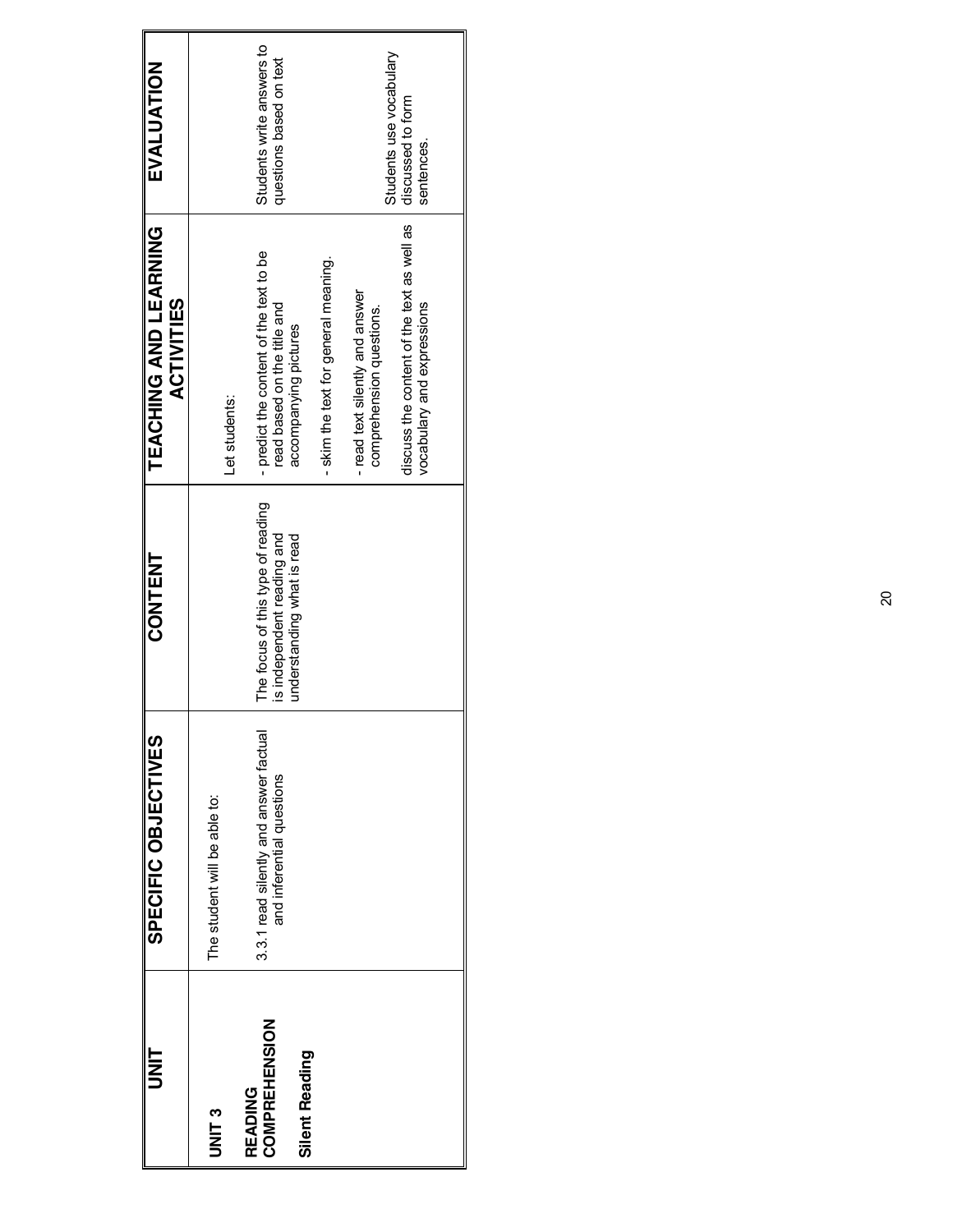| ヒミっ                                               | <b>SPECIFIC OBJECTIVES</b>                                          | <b>CONTENT</b>                                                                                | TEACHING AND LEARNING<br><b>ACTIVITIES</b>                                                     | EVALUATION                                           |
|---------------------------------------------------|---------------------------------------------------------------------|-----------------------------------------------------------------------------------------------|------------------------------------------------------------------------------------------------|------------------------------------------------------|
| UNIT <sub>3</sub>                                 | The student will be able to:                                        |                                                                                               | Let students:                                                                                  |                                                      |
| COMPREHENSION<br><b>Silent Reading</b><br>READING | 3.3.1 read silently and answer factual<br>and inferential questions | The focus of this type of reading<br>is independent reading and<br>understanding what is read | - predict the content of the text to be<br>ead based on the title and<br>accompanying pictures | Students write answers to<br>questions based on text |
|                                                   |                                                                     |                                                                                               | skim the text for general meaning.                                                             |                                                      |
|                                                   |                                                                     |                                                                                               | -read text silently and answer<br>comprehension questions.                                     | Students use vocabulary                              |
|                                                   |                                                                     |                                                                                               | discuss the content of the text as well as<br>vocabulary and expressions                       | discussed to form<br>sentences.                      |
|                                                   |                                                                     |                                                                                               |                                                                                                |                                                      |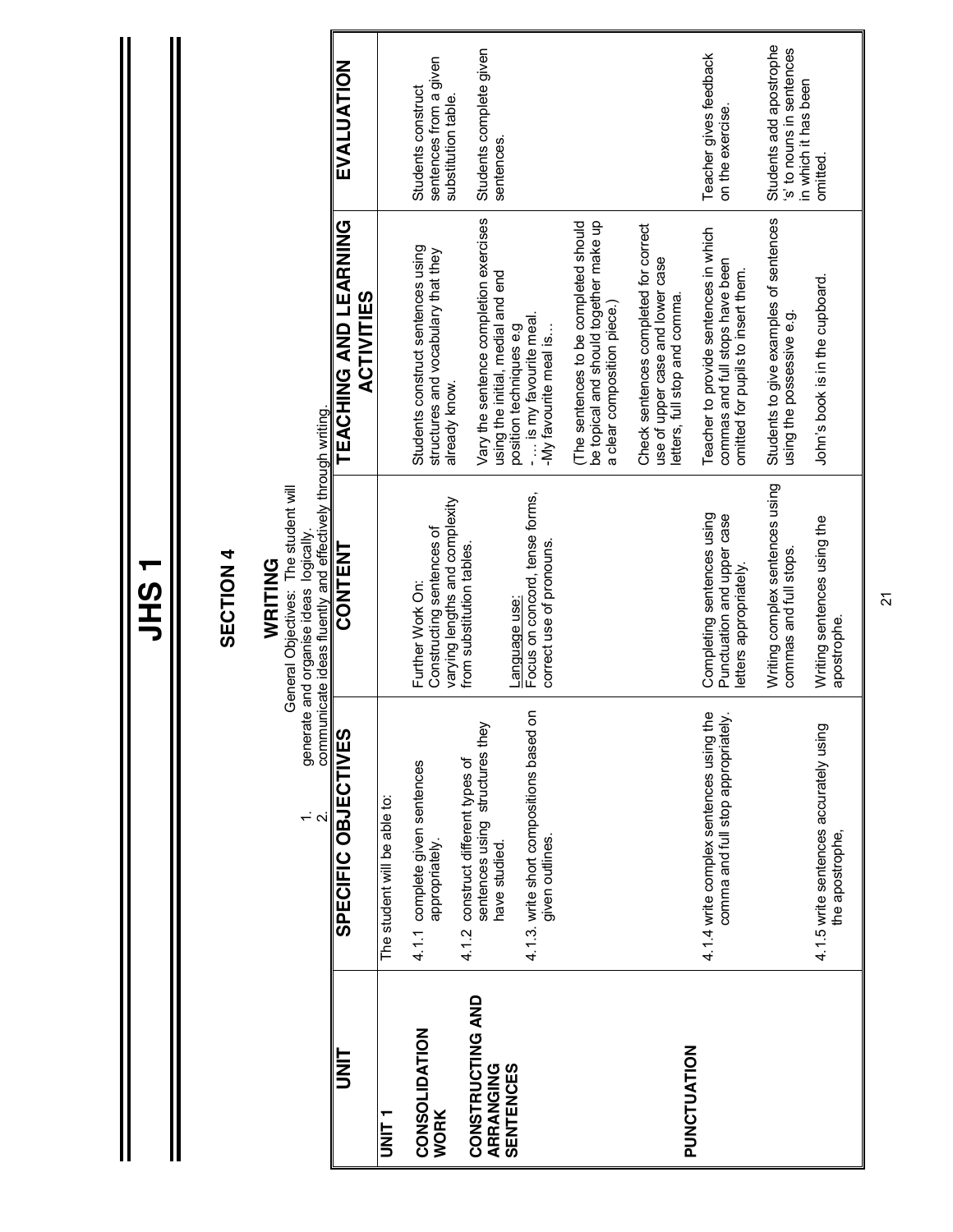|                               |                                                                                             | 一の工                                                                                                                                                       |                                                                                                                  |                                                                             |
|-------------------------------|---------------------------------------------------------------------------------------------|-----------------------------------------------------------------------------------------------------------------------------------------------------------|------------------------------------------------------------------------------------------------------------------|-----------------------------------------------------------------------------|
|                               |                                                                                             | <b>SECTION 4</b>                                                                                                                                          |                                                                                                                  |                                                                             |
|                               | $\div \alpha$                                                                               | generate and organise ideas  logically.<br>communicate ideas fluently and effectively through writing.<br>General Objectives: The student will<br>WRITING |                                                                                                                  |                                                                             |
| I<br>N<br>D                   | SPECIFIC OBJECTIVES                                                                         | CONTENT                                                                                                                                                   | TEACHING AND LEARNING<br><b>ACTIVITIES</b>                                                                       | EVALUATION                                                                  |
|                               | The student will be able to:                                                                |                                                                                                                                                           |                                                                                                                  |                                                                             |
| CONSOLIDATION<br><b>WORK</b>  | 4.1.1 complete given sentences<br>appropriately.                                            | varying lengths and complexity<br>Constructing sentences of<br>Further Work On:                                                                           | Students construct sentences using<br>structures and vocabulary that they<br>already know.                       | sentences from a given<br>Students construct<br>substitution table.         |
| CONSTRUCTING AND<br>ARRANGING | sentences using structures they<br>construct different types of<br>4.12                     | from substitution tables.                                                                                                                                 | Vary the sentence completion exercises                                                                           | Students complete given                                                     |
| <b>SENTENCES</b>              | $\overline{5}$<br>4.1.3. write short compositions based<br>given outlines.<br>have studied. | Focus on concord, tense forms,<br>correct use of pronouns.<br>Language use:                                                                               | using the initial, medial and end<br>-  is my favourite meal<br>position techniques e.g<br>-My favourite meal is | sentences.                                                                  |
|                               |                                                                                             |                                                                                                                                                           | be topical and should together make up<br>The sentences to be completed should<br>a clear composition piece.)    |                                                                             |
| PUNCTUATION                   |                                                                                             |                                                                                                                                                           | Check sentences completed for correct<br>use of upper case and lower case<br>letters, full stop and comma        |                                                                             |
|                               | 4.1.4 write complex sentences using the<br>comma and full stop appropriately.               | Completing sentences using<br>Punctuation and upper case<br>letters appropriately                                                                         | Teacher to provide sentences in which<br>commas and full stops have been<br>omitted for pupils to insert them.   | Teacher gives feedback<br>on the exercise.                                  |
|                               |                                                                                             | Writing complex sentences using<br>commas and full stops.                                                                                                 | Students to give examples of sentences<br>using the possessive e.g.                                              | Students add apostrophe<br>s' to nouns in sentences<br>in which it has been |
|                               | 4.1.5 write sentences accurately using<br>the apostrophe,                                   | Writing sentences using the<br>apostrophe.                                                                                                                | John's book is in the cupboard.                                                                                  | omitted.                                                                    |

I

 $\overline{2}$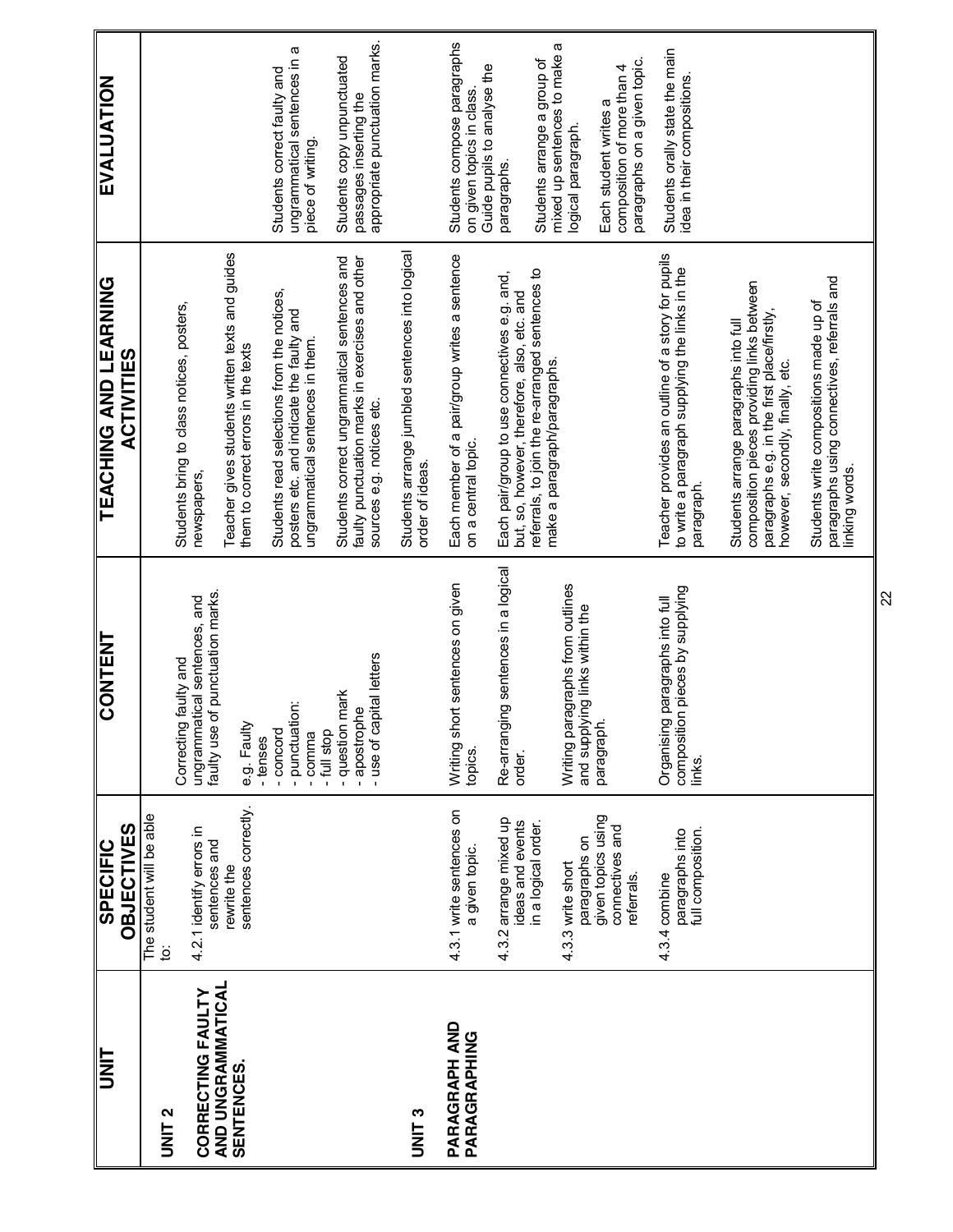| ヒミコ                                           | <b>OBJECTIVES</b><br><b>SPECIFIC</b>                      | <b>CONTENT</b>                                                               | TEACHING AND LEARNING<br><b>ACTIVITIES</b>                                                                                                                             | EVALUATION                                                                              |
|-----------------------------------------------|-----------------------------------------------------------|------------------------------------------------------------------------------|------------------------------------------------------------------------------------------------------------------------------------------------------------------------|-----------------------------------------------------------------------------------------|
| <b>UNIT 2</b>                                 | The student will be able<br>ġ                             | Correcting faulty and                                                        | Students bring to class notices, posters,                                                                                                                              |                                                                                         |
| AND UNGRAMMATICAL<br><b>CORRECTING FAULTY</b> | 4.2.1 identify errors in<br>sentences and<br>rewrite the  | faulty use of punctuation marks.<br>ungrammatical sentences, and             | Teacher gives students written texts and guides<br>newspapers.                                                                                                         |                                                                                         |
| SENTENCES.                                    | sentences correctly.                                      | e.g. Faulty<br>- tenses                                                      | them to correct errors in the texts                                                                                                                                    |                                                                                         |
|                                               |                                                           | - punctuation:<br>- concord<br>- full stop<br>- comma                        | Students read selections from the notices,<br>posters etc. and indicate the faulty and<br>ungrammatical sentences in them.                                             | ungrammatical sentences in a<br>Students correct faulty and<br>piece of writing.        |
|                                               |                                                           | - use of capital letters<br><b>I</b> mark<br>- apostrophe<br>question        | Students correct ungrammatical sentences and<br>faulty punctuation marks in exercises and other<br>sources e.g. notices etc.                                           | passages inserting the<br>appropriate punctuation marks.<br>Students copy unpunctuated  |
| UNIT <sub>3</sub>                             |                                                           |                                                                              | Students arrange jumbled sentences into logical<br>order of ideas.                                                                                                     |                                                                                         |
| <b>PARAGRAPH AND</b><br>PARAGRAPHING          | 4.3.1 write sentences on<br>a given topic.                | Writing short sentences on given<br>topics.                                  | Each member of a pair/group writes a sentence<br>on a central topic.                                                                                                   | Students compose paragraphs<br>Guide pupils to analyse the<br>on given topics in class. |
|                                               | 4.3.2 arrange mixed up<br>ideas and events                | Re-arranging sentences in a logical<br>order.                                | Each pair/group to use connectives e.g. and,<br>but, so, however, therefore, also, etc. and                                                                            | paragraphs.                                                                             |
|                                               | in a logical order.<br>paragraphs on<br>4.3.3 write short | Writing paragraphs from outlines<br>and supplying links within the           | referrals, to join the re-arranged sentences to<br>make a paragraph/paragraphs.                                                                                        | mixed up sentences to make a<br>Students arrange a group of<br>logical paragraph.       |
|                                               | given topics using<br>connectives and<br>referrals.       | paragraph.                                                                   |                                                                                                                                                                        | paragraphs on a given topic.<br>composition of more than 4<br>Each student writes a     |
|                                               | full composition.<br>paragraphs into<br>4.3.4 combine     | composition pieces by supplying<br>Organising paragraphs into full<br>links. | Teacher provides an outline of a story for pupils<br>to write a paragraph supplying the links in the<br>paragraph.                                                     | Students orally state the main<br>idea in their compositions.                           |
|                                               |                                                           |                                                                              | composition pieces providing links between<br>paragraphs e.g. in the first place/firstly,<br>Students arrange paragraphs into full<br>however, secondly, finally, etc. |                                                                                         |
|                                               |                                                           |                                                                              | paragraphs using connectives, referrals and<br>Students write compositions made up of<br>linking words.                                                                |                                                                                         |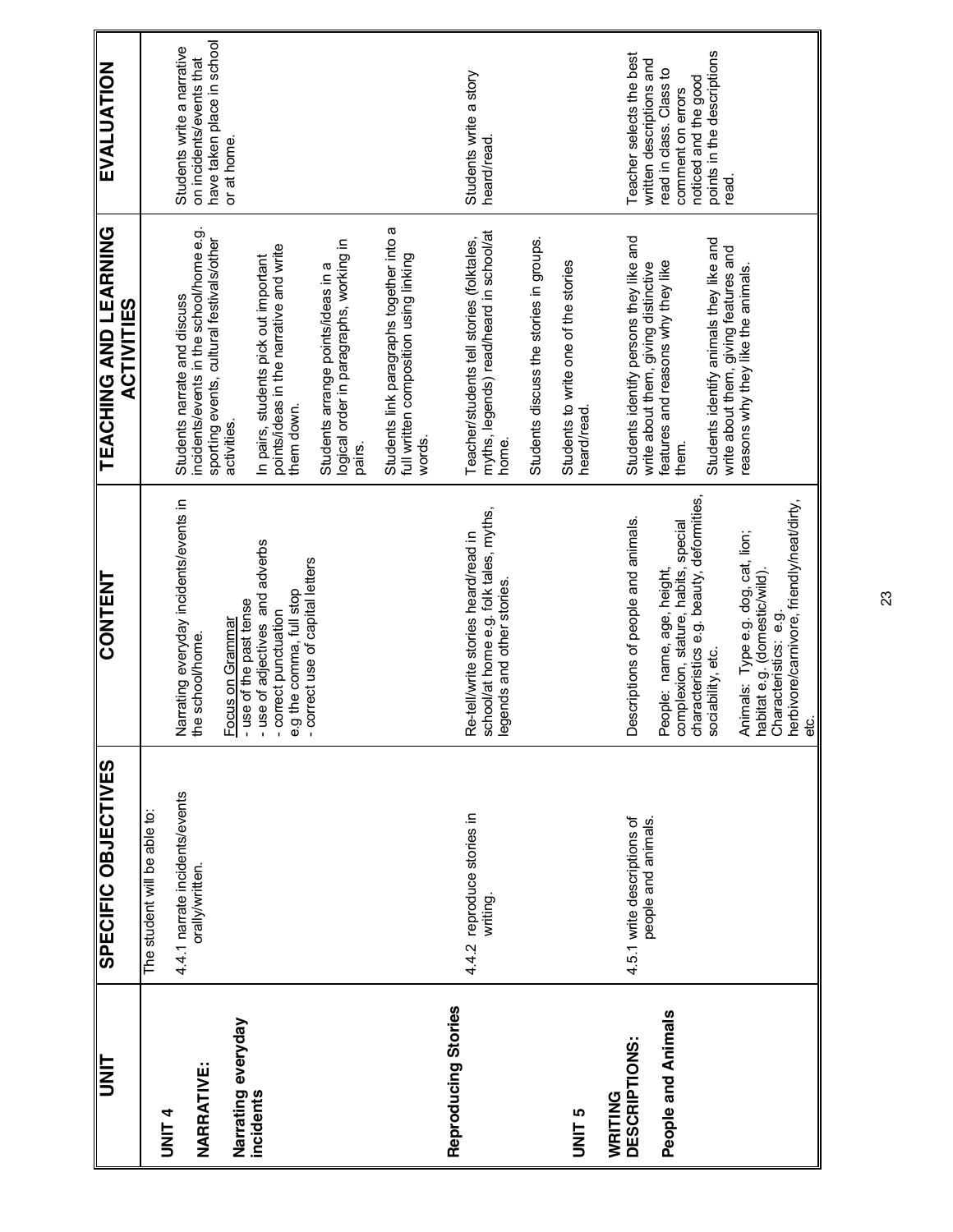| <b>TINU</b>             | SPECIFIC OBJECTIVES                                | <b>CONTENT</b>                                                                                                                                    | TEACHING AND LEARNING<br><b>ACTIVITIES</b>                                                     | EVALUATION                                             |
|-------------------------|----------------------------------------------------|---------------------------------------------------------------------------------------------------------------------------------------------------|------------------------------------------------------------------------------------------------|--------------------------------------------------------|
| UNIT <sub>4</sub>       | The student will be able to:                       |                                                                                                                                                   |                                                                                                |                                                        |
|                         | 4.4.1 narrate incidents/events<br>orally/written.  | Narrating everyday incidents/events in<br>the school/home.                                                                                        | incidents/events in the school/home e.g<br>Students narrate and discuss                        | Students write a narrative<br>on incidents/events that |
| <b>NARRATIVE:</b>       |                                                    |                                                                                                                                                   | sporting events, cultural festivals/other<br>activities.                                       | have taken place in school<br>or at home.              |
| Narrating everyday      |                                                    | - use of the past tense<br>Focus on Grammar                                                                                                       |                                                                                                |                                                        |
| incidents               |                                                    | - use of adjectives and adverbs<br>- correct punctuation                                                                                          | points/ideas in the narrative and write<br>In pairs, students pick out important<br>them down. |                                                        |
|                         |                                                    | e.g the comma, full stop<br>- correct use of capital letters                                                                                      | logical order in paragraphs, working in<br>Students arrange points/ideas in a<br>pairs.        |                                                        |
|                         |                                                    |                                                                                                                                                   | Students link paragraphs together into a<br>full written composition using linking<br>words.   |                                                        |
| Reproducing Stories     |                                                    |                                                                                                                                                   |                                                                                                |                                                        |
|                         | 4.4.2 reproduce stories in<br>writing.             | Re-tell/write stories heard/read in<br>school/at home e.g. folk tales, myths,<br>legends and other stories.                                       | myths, legends) read/heard in school/at<br>Teacher/students tell stories (folktales,<br>home.  | Students write a story<br>heard/read.                  |
|                         |                                                    |                                                                                                                                                   | Students discuss the stories in groups.                                                        |                                                        |
| <b>UNIT<sub>5</sub></b> |                                                    |                                                                                                                                                   | Students to write one of the stories<br>heard/read.                                            |                                                        |
| WRITING                 |                                                    |                                                                                                                                                   |                                                                                                |                                                        |
| DESCRIPTIONS:           | 4.5.1 write descriptions of<br>people and animals. | Descriptions of people and animals.                                                                                                               | Students identify persons they like and<br>write about them, giving distinctive                | Teacher selects the best<br>written descriptions and   |
| People and Animals      |                                                    | People: name, age, height,<br>complexion, stature, habits, special<br>characteristics e.g. beauty, deformities,<br>sociability, etc.              | features and reasons why they like<br>them.                                                    | read in class. Class to<br>comment on errors           |
|                         |                                                    |                                                                                                                                                   |                                                                                                | noticed and the good                                   |
|                         |                                                    |                                                                                                                                                   | Students identify animals they like and<br>write about them, giving features and               | points in the descriptions<br>read.                    |
|                         |                                                    |                                                                                                                                                   | reasons why they like the animals.                                                             |                                                        |
|                         |                                                    |                                                                                                                                                   |                                                                                                |                                                        |
|                         |                                                    | Animals: Type e.g. dog, cat, lion;<br>habitat e.g. (domestic/wild).<br>Characteristics: e.g.<br>herbivore/carnivore, friendly/neat/dirty,<br>etc. |                                                                                                |                                                        |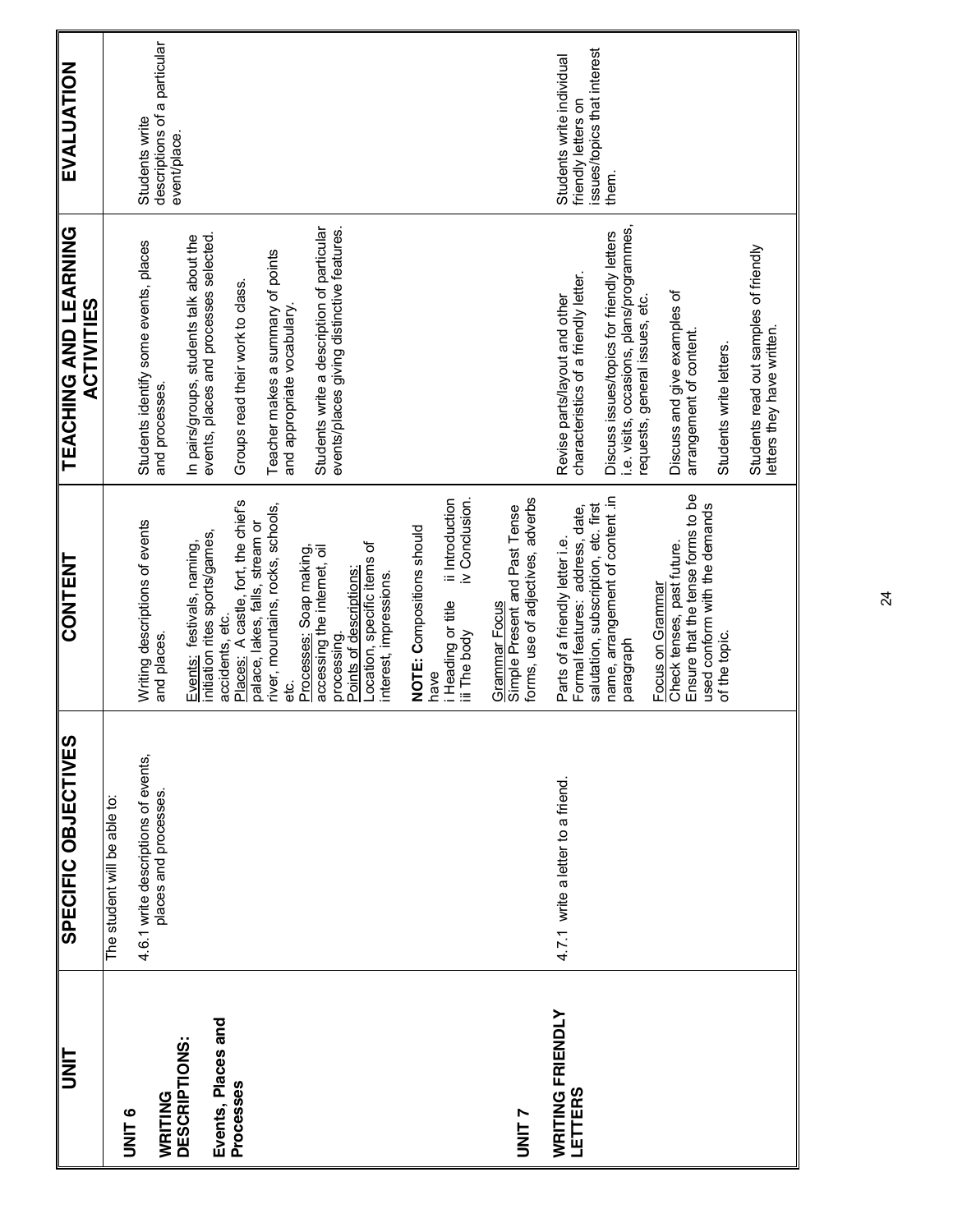| <b>TINU</b>                                | SPECIFIC OBJECTIVES                                          | <b>CONTENT</b>                                                                                               | <b>TEACHING AND LEARNING</b><br><b>ACTIVITIES</b>                                                                         | <b>EVALUATION</b>                                                               |
|--------------------------------------------|--------------------------------------------------------------|--------------------------------------------------------------------------------------------------------------|---------------------------------------------------------------------------------------------------------------------------|---------------------------------------------------------------------------------|
| <b>UNIT</b>                                | The student will be able to:                                 |                                                                                                              |                                                                                                                           |                                                                                 |
| WRITING                                    | 4.6.1 write descriptions of events,<br>places and processes. | Writing descriptions of events<br>and places.                                                                | Students identify some events, places<br>and processes.                                                                   | descriptions of a particular<br>Students write<br>event/place.                  |
| Events, Places and<br><b>DESCRIPTIONS:</b> |                                                              | initiation rites sports/games,<br>Events: festivals, naming,<br>accidents, etc.                              | In pairs/groups, students talk about the<br>events, places and processes selected                                         |                                                                                 |
| Processes                                  |                                                              | Places: A castle, fort, the chief's<br>palace, lakes, falls, stream or                                       | Groups read their work to class                                                                                           |                                                                                 |
|                                            |                                                              | river, mountains, rocks, schools,<br>ಕ್ಷ                                                                     | Teacher makes a summary of points<br>and appropriate vocabulary.                                                          |                                                                                 |
|                                            |                                                              | Processes: Soap making,<br>accessing the internet, oil<br>Points of descriptions:<br>processing.             | Students write a description of particular<br>events/places giving distinctive features                                   |                                                                                 |
|                                            |                                                              | Location, specific items of<br>interest, impressions.                                                        |                                                                                                                           |                                                                                 |
|                                            |                                                              | ii Introduction<br>iv Conclusion.<br>NOTE: Compositions should<br>i Heading or title<br>iii The body<br>have |                                                                                                                           |                                                                                 |
|                                            |                                                              | Grammar Focus<br>Simple Present and Past Tense                                                               |                                                                                                                           |                                                                                 |
| <b>NINLY</b>                               |                                                              | forms, use of adjectives, adverbs                                                                            |                                                                                                                           |                                                                                 |
| <b>WRITING FRIENDLY</b><br>LETTERS         | 4.7.1 write a letter to a friend.                            | salutation, subscription, etc. first<br>Formal features: address, date,<br>Parts of a friendly letter i.e.   | characteristics of a friendly letter.<br>Revise parts/layout and other                                                    | issues/topics that interest<br>Students write individual<br>friendly letters on |
|                                            |                                                              | name, arrangement of content .in<br>paragraph                                                                | i.e. visits, occasions, plans/programmes,<br>Discuss issues/topics for friendly letters<br>requests, general issues, etc. | them.                                                                           |
|                                            |                                                              | Ensure that the tense forms to be<br>Check tenses, past future.<br>Focus on Grammar                          | Discuss and give examples of<br>arrangement of content.                                                                   |                                                                                 |
|                                            |                                                              | used conform with the demands<br>of the topic                                                                | Students write letters.                                                                                                   |                                                                                 |
|                                            |                                                              |                                                                                                              | Students read out samples of friendly<br>letters they have written.                                                       |                                                                                 |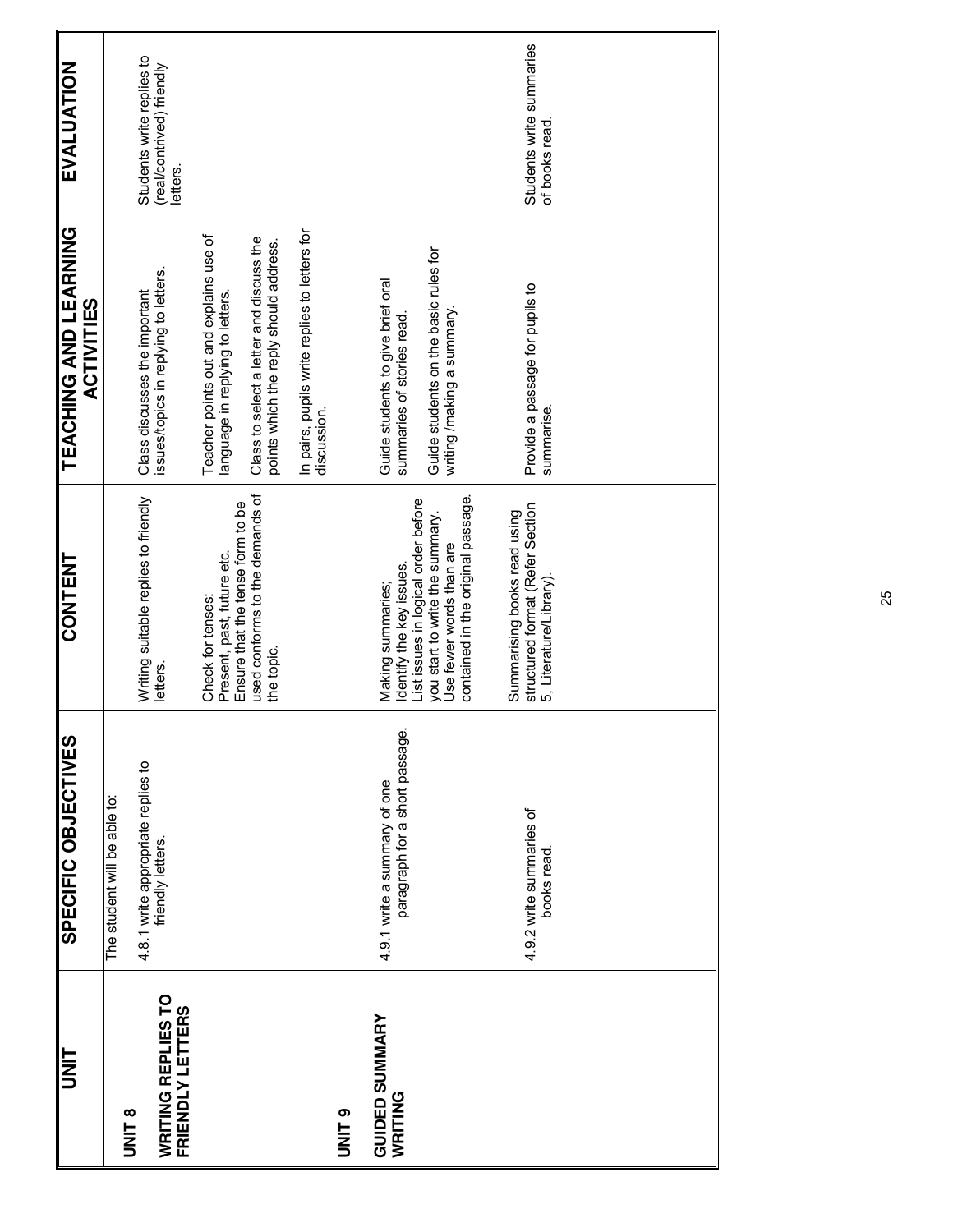| <b>TINL</b>                                          | SPECIFIC OBJECTIVES                                            | <b>CONTENT</b>                                                                                                                                                                           | <b>TEACHING AND LEARNING</b><br><b>ACTIVITIES</b>                                                                                                                | <b>EVALUATION</b>                                                  |
|------------------------------------------------------|----------------------------------------------------------------|------------------------------------------------------------------------------------------------------------------------------------------------------------------------------------------|------------------------------------------------------------------------------------------------------------------------------------------------------------------|--------------------------------------------------------------------|
| <b>B</b><br>DNIT                                     | The student will be able to:                                   |                                                                                                                                                                                          |                                                                                                                                                                  |                                                                    |
| <b>WRITING REPLIES TO</b><br><b>FRIENDLY LETTERS</b> | 4.8.1 write appropriate replies to<br>friendly letters.        | Writing suitable replies to friendly<br>letters.                                                                                                                                         | issues/topics in replying to letters.<br>Class discusses the important                                                                                           | Students write replies to<br>(real/contrived) friendly<br>letters. |
|                                                      |                                                                | used conforms to the demands of<br>Ensure that the tense form to be<br>Present, past, future etc.<br>Check for tenses:<br>the topic.                                                     | Teacher points out and explains use of<br>Class to select a letter and discuss the<br>points which the reply should address.<br>language in replying to letters. |                                                                    |
| O<br>NNU                                             |                                                                |                                                                                                                                                                                          | In pairs, pupils write replies to letters for<br>discussion.                                                                                                     |                                                                    |
| <b>GUIDED SUMMARY</b><br>WRITING                     | paragraph for a short passage.<br>4.9.1 write a summary of one | contained in the original passage.<br>List issues in logical order before<br>you start to write the summary.<br>Use fewer words than are<br>dentify the key issues.<br>Making summaries; | Guide students on the basic rules for<br>Guide students to give brief oral<br>writing /making a summary.<br>summaries of stories read.                           |                                                                    |
|                                                      | 4.9.2 write summaries of<br>books read.                        | structured format (Refer Section<br>Summarising books read using<br>5, Literature/Library)                                                                                               | Provide a passage for pupils to<br>summarise.                                                                                                                    | Students write summaries<br>of books read.                         |
|                                                      |                                                                |                                                                                                                                                                                          |                                                                                                                                                                  |                                                                    |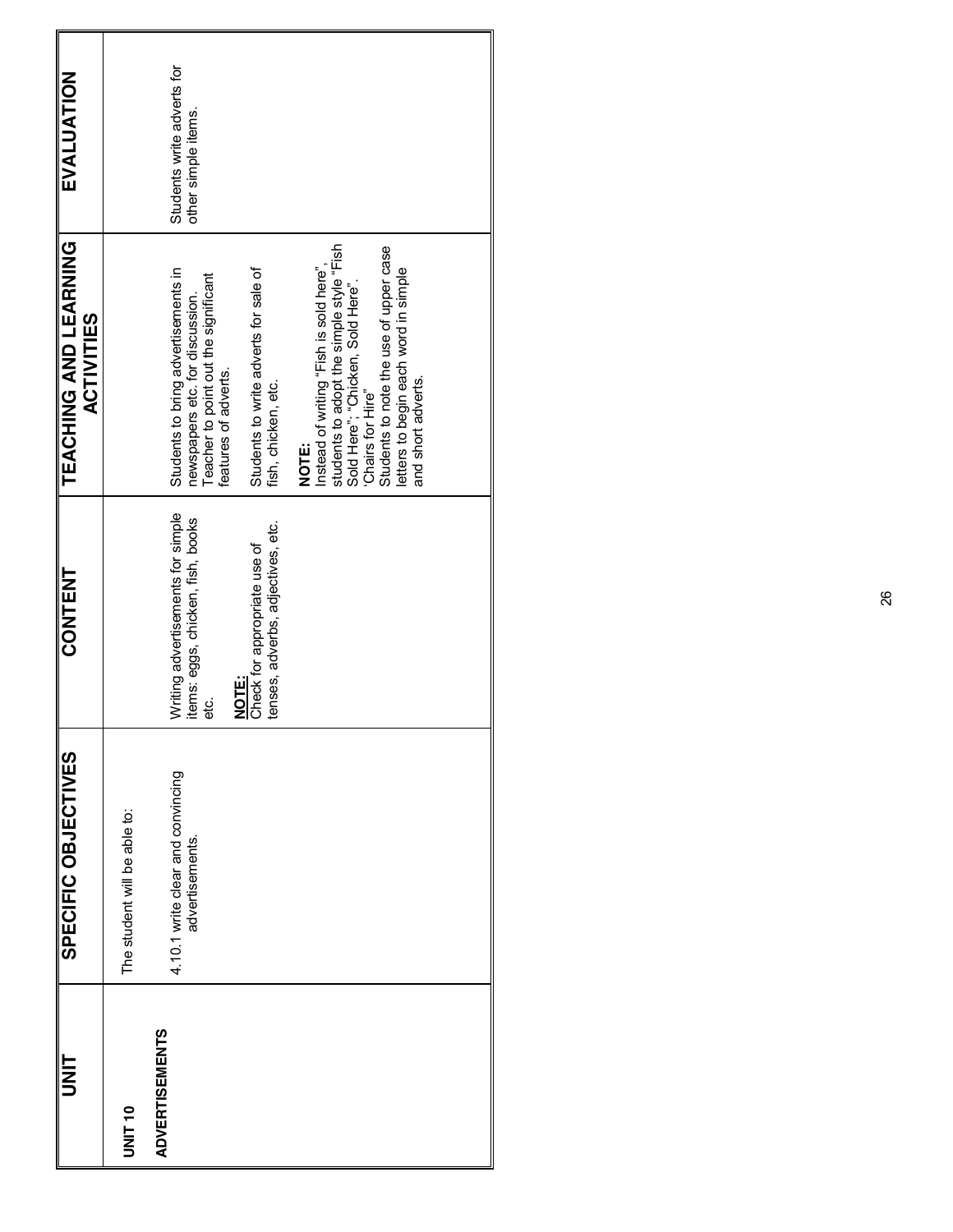| <b>IIM</b>            | SPECIFIC OBJECTIVES                                  | CONTENT                                                                           | TEACHING AND LEARNING<br><b>ACTIVITIES</b>                                                                                                                                                                                                                     | EVALUATION                                        |
|-----------------------|------------------------------------------------------|-----------------------------------------------------------------------------------|----------------------------------------------------------------------------------------------------------------------------------------------------------------------------------------------------------------------------------------------------------------|---------------------------------------------------|
| UNIT 10               | The student will be able to:                         |                                                                                   |                                                                                                                                                                                                                                                                |                                                   |
| <b>ADVERTISEMENTS</b> | 4.10.1 write clear and convincing<br>advertisements. | Writing advertisements for simple<br>items: eggs, chicken, fish, books<br>မ္မ     | Students to bring advertisements in<br>Teacher to point out the significant<br>features of adverts.<br>newspapers etc. for discussion.                                                                                                                         | Students write adverts for<br>other simple items. |
|                       |                                                      | tenses, adverbs, adjectives, etc.<br>Check for appropriate use of<br><b>NOTE:</b> | Students to write adverts for sale of<br>fish, chicken, etc.                                                                                                                                                                                                   |                                                   |
|                       |                                                      |                                                                                   | students to adopt the simple style "Fish<br>Sold Here"; "Chicken, Sold Here".<br>Students to note the use of upper case<br>Instead of writing "Fish is sold here",<br>letters to begin each word in simple<br>and short adverts.<br>'Chairs for Hire"<br>NOTE: |                                                   |
|                       |                                                      |                                                                                   |                                                                                                                                                                                                                                                                |                                                   |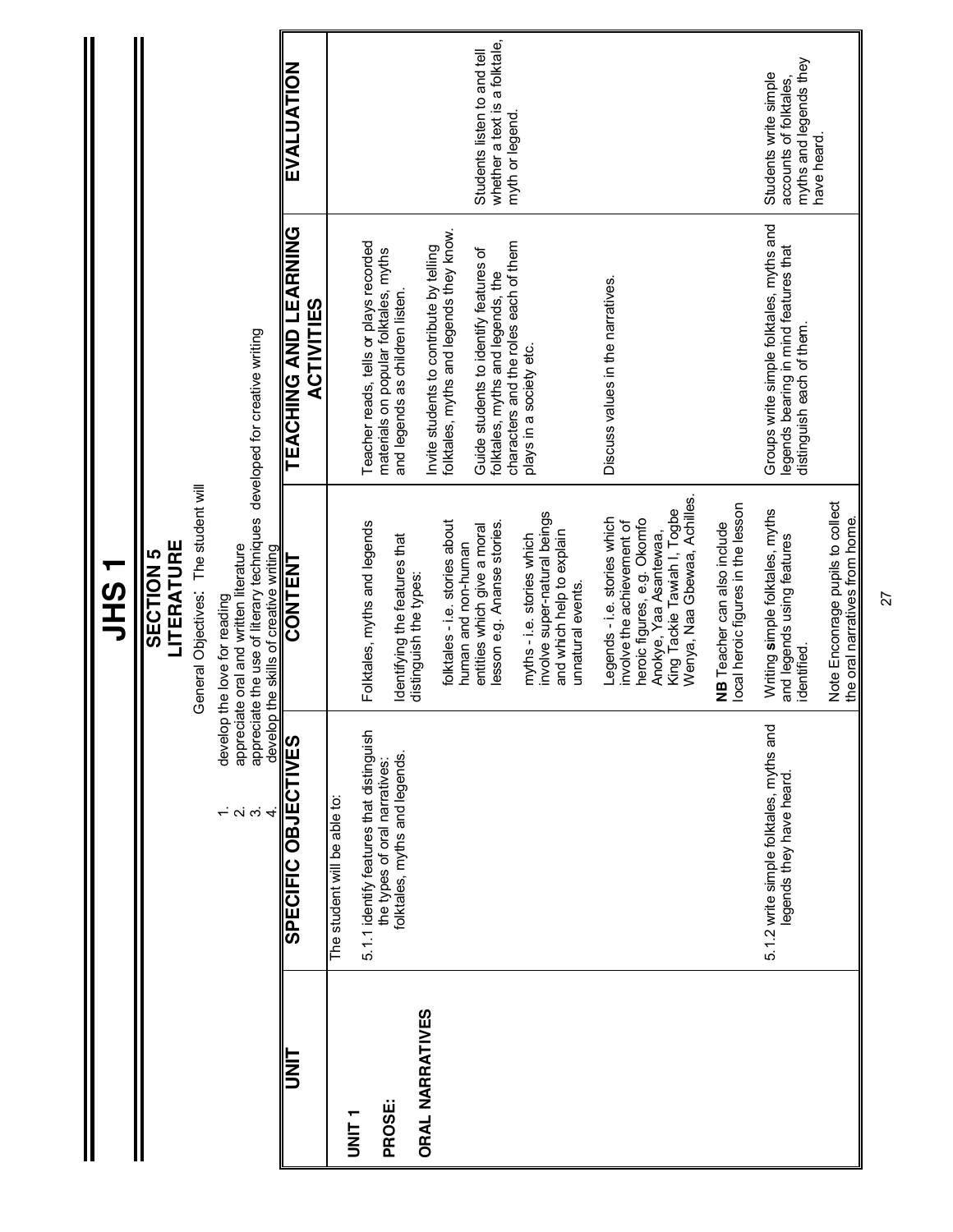|                        |                                                                           | ーりこう                                                                                                                                                                                         |                                                                                                                |                                                                                          |
|------------------------|---------------------------------------------------------------------------|----------------------------------------------------------------------------------------------------------------------------------------------------------------------------------------------|----------------------------------------------------------------------------------------------------------------|------------------------------------------------------------------------------------------|
|                        |                                                                           | LITERATURE<br>SECTION <sub>5</sub>                                                                                                                                                           |                                                                                                                |                                                                                          |
|                        |                                                                           | General Objectives: The student will                                                                                                                                                         |                                                                                                                |                                                                                          |
|                        | $\frac{1}{2}$ oi oi $\frac{1}{4}$                                         | appreciate the use of literary techniques developed for creative writing<br>appreciate oral and written literature<br>develop the skills of creative writing<br>develop the love for reading |                                                                                                                |                                                                                          |
| <b>TINT</b>            | SPECIFIC OBJECTIVES                                                       | CONTENT                                                                                                                                                                                      | TEACHING AND LEARNING<br><b>ACTIVITIES</b>                                                                     | EVALUATION                                                                               |
| T<br>N<br>N<br>N<br>N  | The student will be able to:                                              |                                                                                                                                                                                              |                                                                                                                |                                                                                          |
|                        | 5.1.1 identify features that distinguish<br>the types of oral narratives: | Folktales, myths and legends                                                                                                                                                                 | Teacher reads, tells or plays recorded<br>materials on popular folktales, myths                                |                                                                                          |
| PROSE:                 | folktales, myths and legends.                                             | Identifying the features that<br>distinguish the types:                                                                                                                                      | and legends as children listen.                                                                                |                                                                                          |
| <b>ORAL NARRATIVES</b> |                                                                           |                                                                                                                                                                                              | Invite students to contribute by telling                                                                       |                                                                                          |
|                        |                                                                           | folktales - i.e. stories about<br>human and non-human                                                                                                                                        | folktales, myths and legends they know.                                                                        |                                                                                          |
|                        |                                                                           | esson e.g. Ananse stories.<br>entities which give a moral                                                                                                                                    | Guide students to identify features of<br>folktales, myths and legends, the                                    | whether a text is a folktale,<br>Students listen to and tell                             |
|                        |                                                                           | involve super-natural beings<br>and which help to explain<br>myths - i.e. stories which                                                                                                      | characters and the roles each of them<br>plays in a society etc.                                               | myth or legend.                                                                          |
|                        |                                                                           | unnatural events.                                                                                                                                                                            |                                                                                                                |                                                                                          |
|                        |                                                                           | Wenya, Naa Gbewaa, Achilles.<br>King Tackie Tawiah I, Togbe<br>Legends - i.e. stories which<br>heroic figures, e.g. Okomfo<br>involve the achievement of<br>Anokye, Yaa Asantewaa,           | Discuss values in the narratives.                                                                              |                                                                                          |
|                        |                                                                           | local heroic figures in the lesson<br>NB Teacher can also include                                                                                                                            |                                                                                                                |                                                                                          |
|                        | 5.1.2 write simple folktales, myths and<br>legends they have heard.       | Writing simple folktales, myths<br>and legends using features<br>identified.                                                                                                                 | Groups write simple folktales, myths and<br>legends bearing in mind features that<br>distinguish each of them. | myths and legends they<br>Students write simple<br>accounts of folktales,<br>have heard. |
|                        |                                                                           | Note Enconrage pupils to collect<br>the oral narratives from home.                                                                                                                           |                                                                                                                |                                                                                          |

**JHS 1**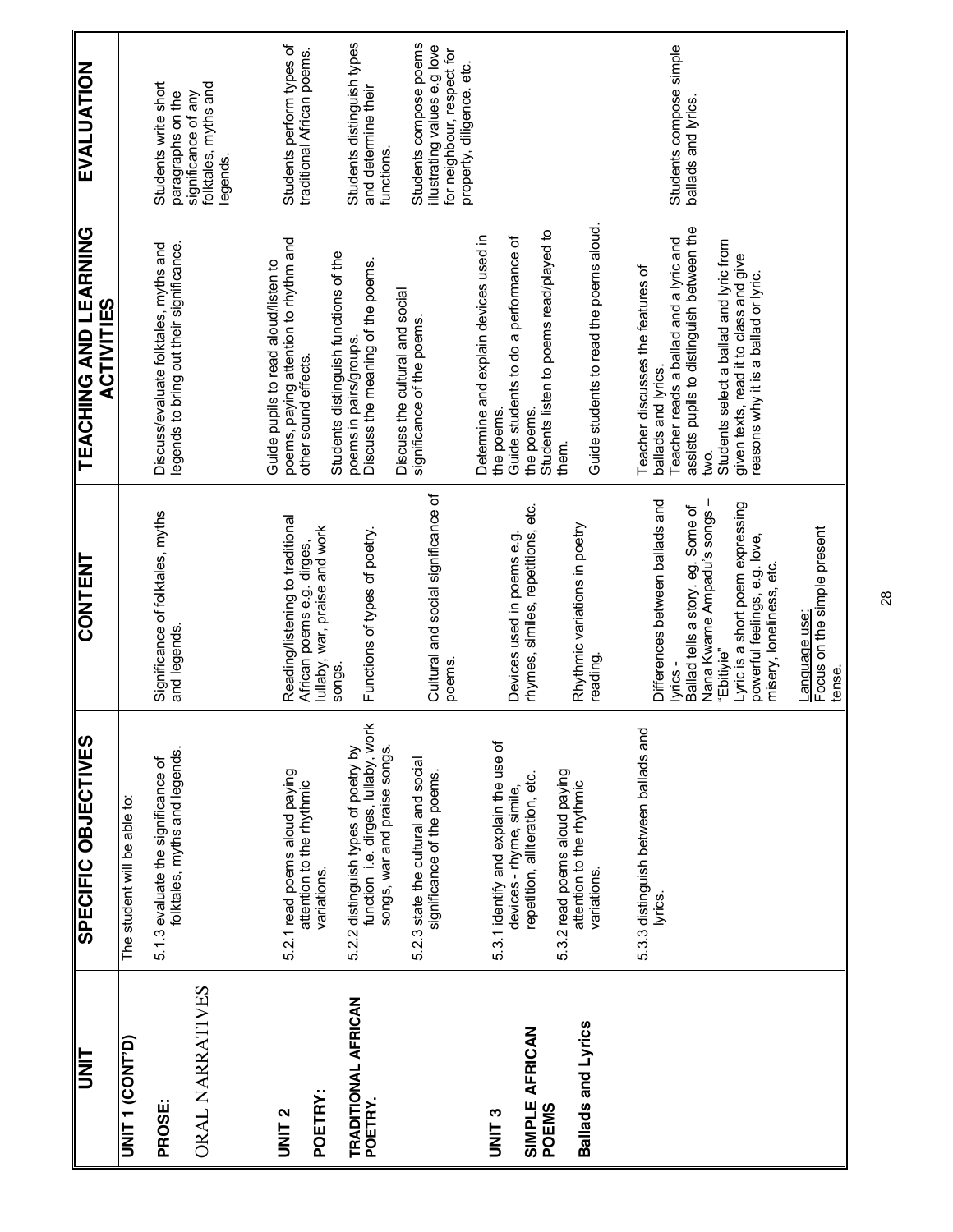| <b>UNIT</b>                     | SPECIFIC OBJECTIVES                                                         | CONTENT                                                           | <b>LEVCHING AND LEVANING</b><br><b>ACTIVITIES</b>                                 | EVALUATION                                              |
|---------------------------------|-----------------------------------------------------------------------------|-------------------------------------------------------------------|-----------------------------------------------------------------------------------|---------------------------------------------------------|
| <b>UNIT 1 (CONT'D)</b>          | The student will be able to:                                                |                                                                   |                                                                                   |                                                         |
| <b>PROSE:</b>                   | folktales, myths and legends.<br>5.1.3 evaluate the significance of         | Significance of folktales, myths<br>and legends.                  | Discuss/evaluate folktales, myths and<br>legends to bring out their significance. | Students write short<br>paragraphs on the               |
| ORAL NARRATIVES                 |                                                                             |                                                                   |                                                                                   | folktales, myths and<br>significance of any<br>legends. |
|                                 |                                                                             |                                                                   |                                                                                   |                                                         |
| UNIT <sub>2</sub>               | 5.2.1 read poems aloud paying                                               | Reading/listening to traditional                                  | poems, paying attention to rhythm and<br>Guide pupils to read aloud/listen to     | Students perform types of                               |
| POETRY:                         | attention to the rhythmic<br>variations.                                    | lullaby, war, praise and work<br>African poems e.g. dirges,       | other sound effects.                                                              | traditional African poems.                              |
|                                 |                                                                             | songs.                                                            | Students distinguish functions of the                                             |                                                         |
| TRADITIONAL AFRICAN<br>POETRY.  | function i.e. dirges, lullaby, work<br>5.2.2 distinguish types of poetry by | Functions of types of poetry.                                     | Discuss the meaning of the poems.<br>poems in pairs/groups.                       | Students distinguish types<br>and determine their       |
|                                 | songs, war and praise songs.                                                |                                                                   | Discuss the cultural and social                                                   | functions.                                              |
|                                 | 5.2.3 state the cultural and social<br>significance of the poems.           | Cultural and social significance of                               | significance of the poems.                                                        | Students compose poems<br>illustrating values e.g love  |
|                                 |                                                                             | poems.                                                            |                                                                                   | for neighbour, respect for<br>property, diligence. etc. |
| <b>UNIT3</b>                    |                                                                             |                                                                   | Determine and explain devices used in                                             |                                                         |
|                                 | 5.3.1 identify and explain the use of<br>devices - rhyme, simile,           | Devices used in poems e.g.                                        | Guide students to do a performance of<br>the poems                                |                                                         |
| <b>SIMPLE AFRICAN<br/>POEMS</b> | repetition, alliteration, etc.                                              | rhymes, similes, repetitions, etc.                                | the poems.                                                                        |                                                         |
|                                 |                                                                             |                                                                   | Students listen to poems read/played to                                           |                                                         |
|                                 | 5.3.2 read poems aloud paying<br>attention to the rhythmic                  | Rhythmic variations in poetry                                     | them.                                                                             |                                                         |
| <b>Ballads and Lyrics</b>       | variations.                                                                 | reading.                                                          | Guide students to read the poems aloud.                                           |                                                         |
|                                 |                                                                             |                                                                   |                                                                                   |                                                         |
|                                 | 5.3.3 distinguish between ballads and<br>lyrics.                            | Differences between ballads and                                   | Teacher discusses the features of<br>ballads and lyrics.                          |                                                         |
|                                 |                                                                             | lyrics -                                                          | Teacher reads a ballad and a lyric and                                            | Students compose simple                                 |
|                                 |                                                                             | Ballad tells a story. eg. Some of<br>Nana Kwame Ampadu's songs    | assists pupils to distinguish between the<br>Š.                                   | ballads and lyrics                                      |
|                                 |                                                                             | "Ebitiyie"                                                        | Students select a ballad and lyric from                                           |                                                         |
|                                 |                                                                             | Lyric is a short poem expressing<br>powerful feelings, e.g. love, | given texts, read it to class and give<br>reasons why it is a ballad or lyric.    |                                                         |
|                                 |                                                                             | misery, loneliness, etc.                                          |                                                                                   |                                                         |
|                                 |                                                                             | Focus on the simple present<br>Language use:                      |                                                                                   |                                                         |
|                                 |                                                                             | tense.                                                            |                                                                                   |                                                         |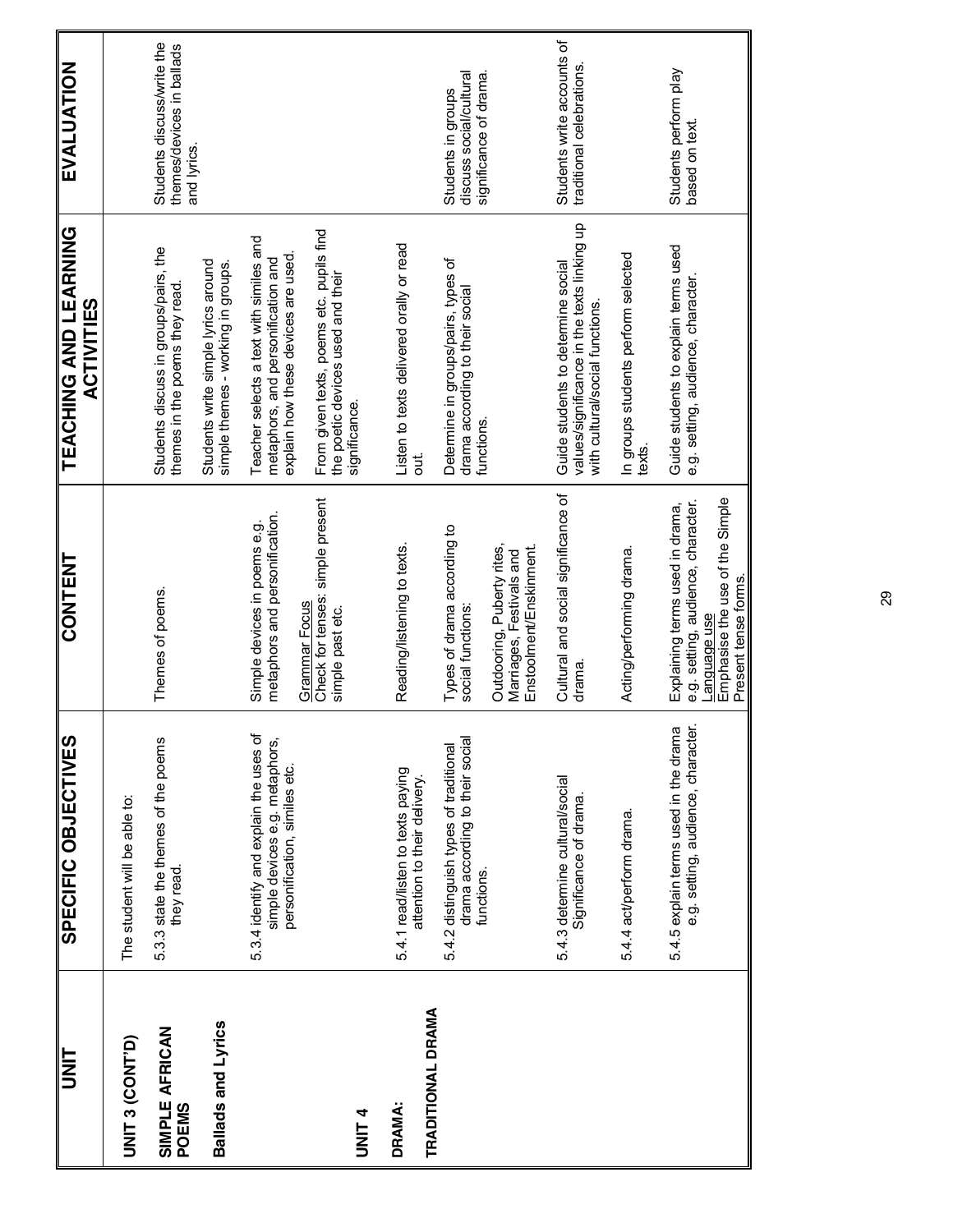| <b>UNIT</b>                               | SPECIFIC OBJECTIVES                                                                                       | CONTENT                                                                                                                                          | TEACHING AND LEARNING<br><b>ACTIVITIES</b>                                                                           | EVALUATION                                                              |
|-------------------------------------------|-----------------------------------------------------------------------------------------------------------|--------------------------------------------------------------------------------------------------------------------------------------------------|----------------------------------------------------------------------------------------------------------------------|-------------------------------------------------------------------------|
| UNIT 3 (CONT'D)                           | The student will be able to:                                                                              |                                                                                                                                                  |                                                                                                                      |                                                                         |
| SIMPLE AFRICAN<br><b>POEMS</b>            | 5.3.3 state the themes of the poems<br>they read.                                                         | Themes of poems.                                                                                                                                 | Students discuss in groups/pairs, the<br>themes in the poems they read.                                              | Students discuss/write the<br>themes/devices in ballads<br>and lyrics.  |
| Ballads and Lyrics                        |                                                                                                           |                                                                                                                                                  | Students write simple lyrics around<br>simple themes - working in groups.                                            |                                                                         |
|                                           | 5.3.4 identify and explain the uses of<br>simple devices e.g. metaphors,<br>personification, similes etc. | metaphors and personification.<br>Simple devices in poems e.g.<br><b>Grammar</b> Focus                                                           | Teacher selects a text with similes and<br>explain how these devices are used.<br>metaphors, and personification and |                                                                         |
| <b>UNIT4</b>                              |                                                                                                           | Check for tenses: simple present<br>simple past etc.                                                                                             | From given texts, poems etc. pupils find<br>the poetic devices used and their<br>significance.                       |                                                                         |
| <b>TRADITIONAL DRAMA</b><br><b>DRAMA:</b> | 5.4.1 read/listen to texts paying<br>attention to their delivery.                                         | Reading/listening to texts.                                                                                                                      | Listen to texts delivered orally or read<br>out.                                                                     |                                                                         |
|                                           | drama according to their social<br>5.4.2 distinguish types of traditional<br>functions.                   | Types of drama according to<br>social functions:                                                                                                 | Determine in groups/pairs, types of<br>drama according to their social<br>functions.                                 | significance of drama.<br>discuss social/cultural<br>Students in groups |
|                                           |                                                                                                           | Outdooring, Puberty rites,<br>Enstoolment/Enskinment.<br>Marriages, Festivals and                                                                |                                                                                                                      |                                                                         |
|                                           | 5.4.3 determine cultural/social<br>Significance of drama                                                  | Cultural and social significance of<br>drama                                                                                                     | values/significance in the texts linking up<br>Guide students to determine social<br>with cultural/social functions. | Students write accounts of<br>traditional celebrations.                 |
|                                           | 5.4.4 act/perform drama.                                                                                  | Acting/performing drama.                                                                                                                         | In groups students perform selected<br>texts.                                                                        |                                                                         |
|                                           | e.g. setting, audience, character.<br>5.4.5 explain terms used in the drama                               | Emphasise the use of the Simple<br>e.g. setting, audience, character.<br>Explaining terms used in drama,<br>Present tense forms.<br>Language use | Guide students to explain terms used<br>e.g. setting, audience, character                                            | Students perform play<br>based on text.                                 |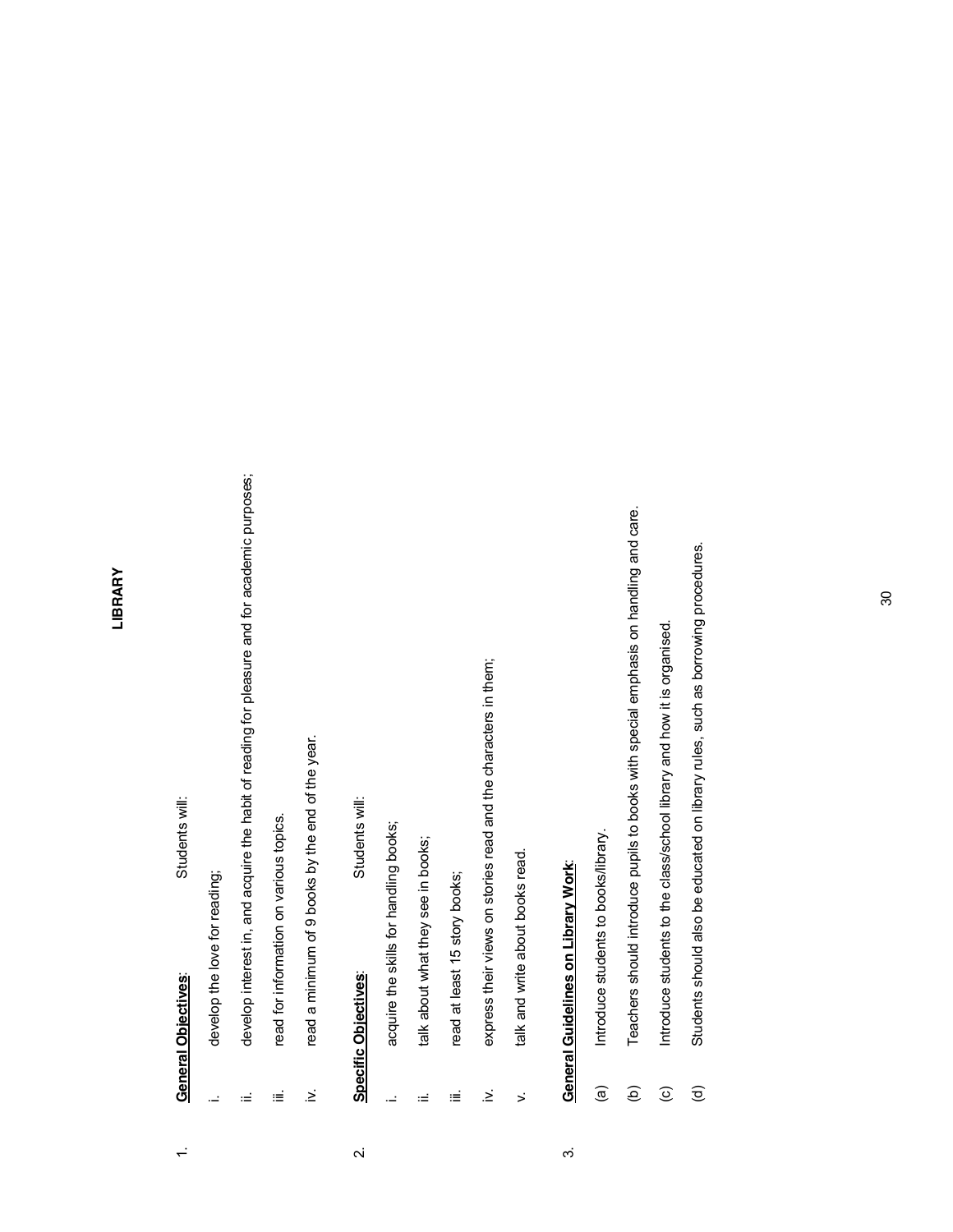#### LIBRARY **LIBRARY**

### 1. **General Objectives**: Students will: **General Objectives:**  $\div$

Students will:

- develop the love for reading; i. develop the love for reading;  $\mathbb{R}^2$
- develop interest in, and acquire the habit of reading for pleasure and for academic purposes; ii. develop interest in, and acquire the habit of reading for pleasure and for academic purposes; Ξ
- read for information on various topics. iii. read for information on various topics. iΞ
- read a minimum of 9 books by the end of the year. iv. read a minimum of 9 books by the end of the year.  $\geq$

## 2. **Specific Objectives**: Students will: Specific Objectives:  $\overline{\mathbf{v}}$

- Students will:
- acquire the skills for handling books; i. acquire the skills for handling books; L.
- talk about what they see in books; ii. talk about what they see in books; Ξ
- read at least 15 story books; iii. read at least 15 story books; iέ
- express their views on stories read and the characters in them; iv. express their views on stories read and the characters in them;  $\geq$
- talk and write about books read. v. talk and write about books read.  $\ddot{\phantom{1}}$

# **General Guidelines on Library Work:** 3. **General Guidelines on Library Work**:

 $\dot{\infty}$ 

- Introduce students to books/library. (a) Introduce students to books/library.  $\widehat{a}$
- Teachers should introduce pupils to books with special emphasis on handling and care. (b) Teachers should introduce pupils to books with special emphasis on handling and care.  $\widehat{e}$
- Introduce students to the class/school library and how it is organised. (c) Introduce students to the class/school library and how it is organised.  $\widehat{c}$
- Students should also be educated on library rules, such as borrowing procedures. (d) Students should also be educated on library rules. Such as borrowing provided uses.  $\widehat{\sigma}$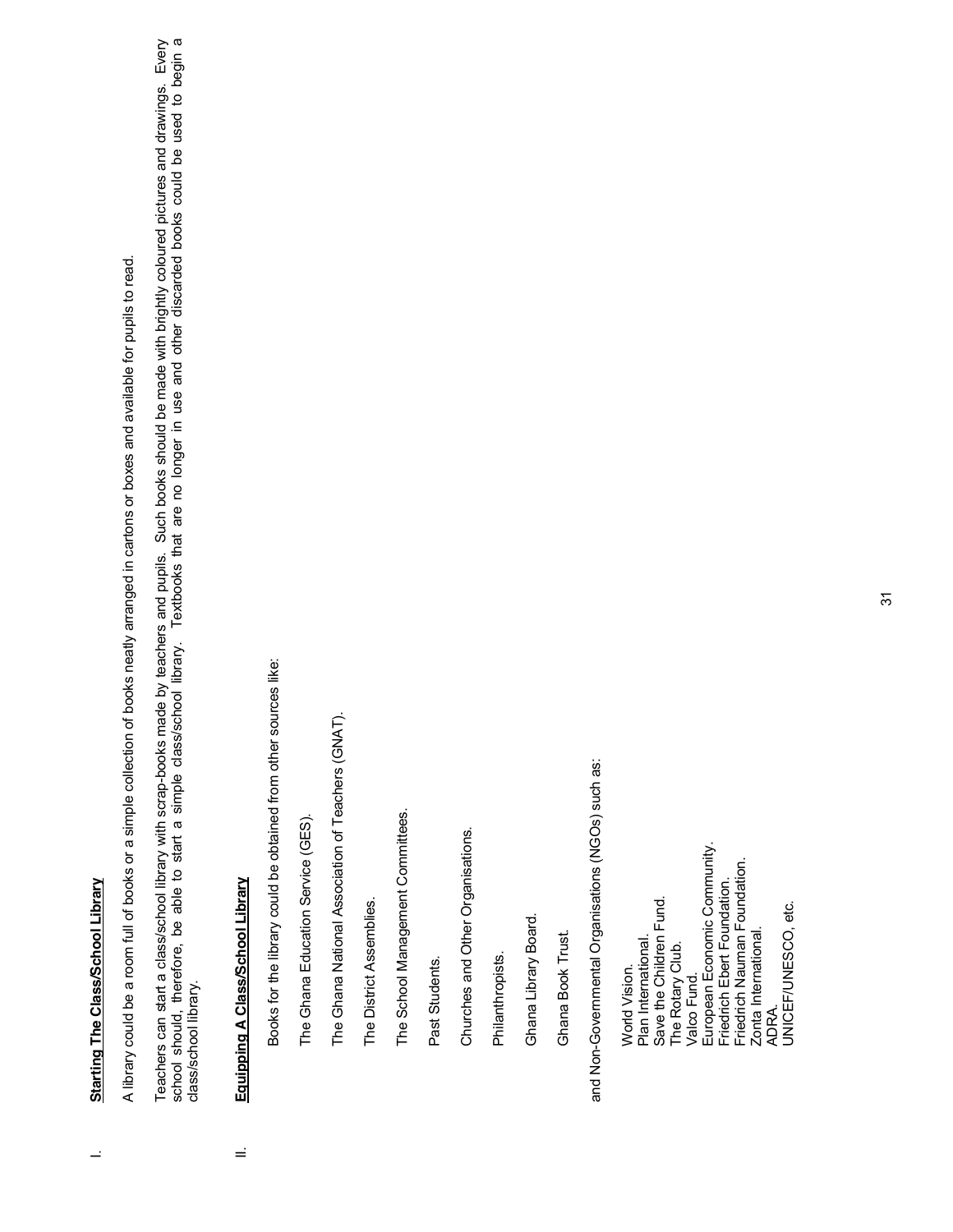# **Starting The Class/School Library** I. **Starting The Class/School Library**

 $\overline{a}$ 

A library could be a room full of books or a simple collection of books neatly arranged in cartons or boxes and available for pupils to read. A library could be a room full of books or a simple collection of books neatly arranged in cartons or boxes and available for pupils to read. Teachers can start a class/school library with scrap-books made by teachers and pupils. Such books should be made with brightly coloured pictures and drawings. Every<br>school should, therefore, be able to start a simple clas Teachers can start a class/school library with scrap-books made by teachers and pupils. Such books should be made with brightly coloured pictures and drawings. Every school should, therefore, be able to start a simple class/school library. Textbooks that are no longer in use and other discarded books could be used to begin a class/school library. class/school library.

## Equipping A Class/School Library II. **Equipping A Class/School Library**

 $\equiv$ 

Books for the library could be obtained from other sources like: Books for the library could be obtained from other sources like:

The Ghana Education Service (GES). The Ghana Education Service (GES). The Ghana National Association of Teachers (GNAT). The Ghana National Association of Teachers (GNAT).

The District Assemblies. The District Assemblies.

The School Management Committees. The School Management Committees.

Past Students. Past Students.

Churches and Other Organisations. Churches and Other Organisations.

Philanthropists. Philanthropists. Ghana Library Board. Ghana Library Board.

Ghana Book Trust. Ghana Book Trust.

and Non-Governmental Organisations (NGOs) such as: and Non-Governmental Organisations (NGOs) such as:

European Economic Community. European Economic Community. Friedrich Nauman Foundation. Friedrich Nauman Foundation. Friedrich Ebert Foundation. Friedrich Ebert Foundation. Save the Children Fund. Save the Children Fund. JNICEF/UNESCO, etc. UNICEF/UNESCO, etc.Zonta International. Zonta International. Plan International. Plan International. The Rotary Club. The Rotary Club. World Vision. World Vision. Valco Fund. Valco Fund. ADRA.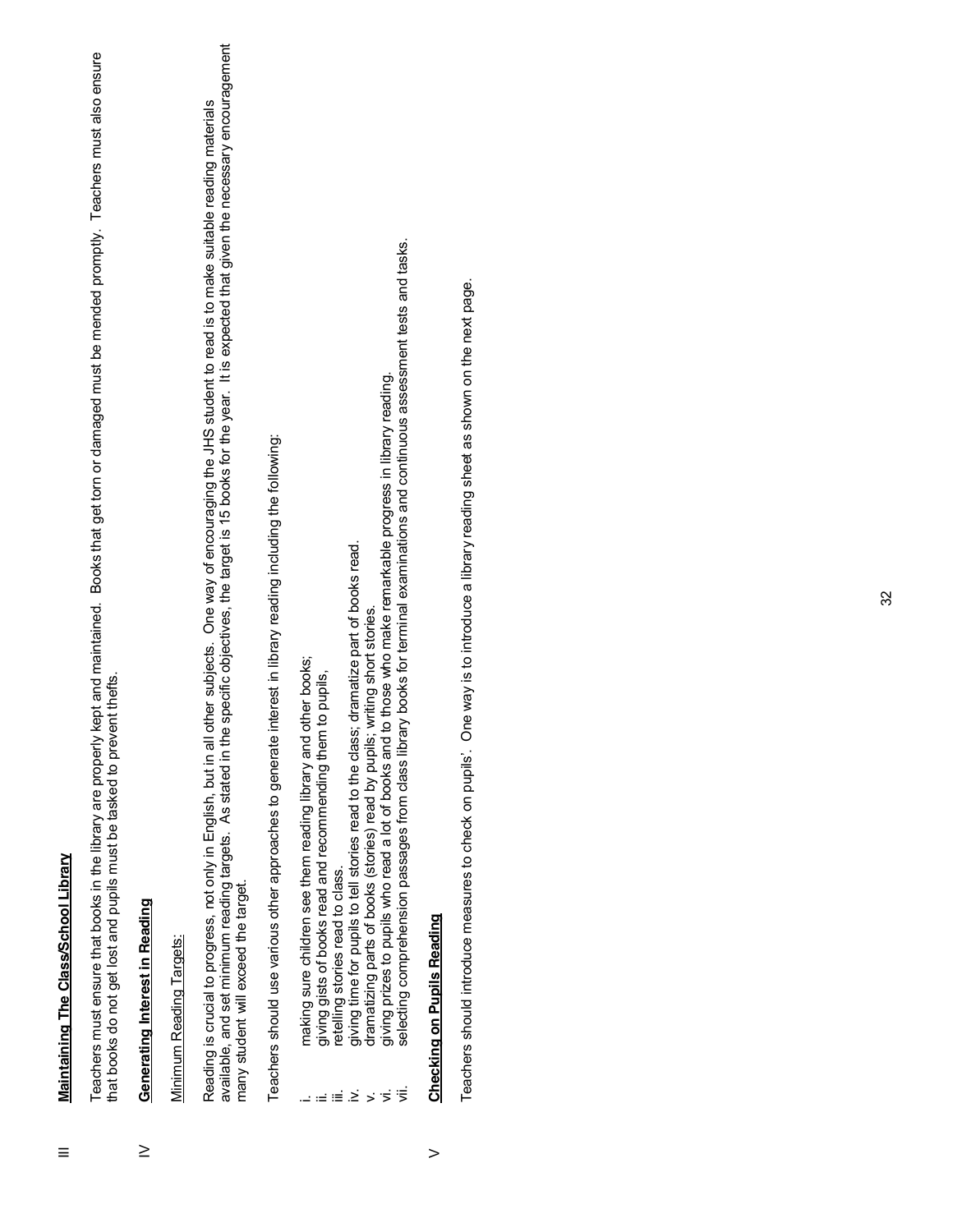### Maintaining The Class/School Library III **Maintaining The Class/School Library** Ξ

Teachers must ensure that books in the library are properly kept and maintained. Books that get torn or damaged must be mended promptly. Teachers must also ensure Teachers must ensure that books in the library are properly kept and maintained. Books that get torn or damaged must be mended promptly. Teachers must also ensure that books do not get lost and pupils must be tasked to prevent thefts. that books do not get lost and pupils must be tasked to prevent thefts.

### **Generating Interest in Reading** IV **Generating Interest in Reading**  $\geq$

### Minimum Reading Targets: Minimum Reading Targets:

Reading is crucial to progress, not only in English, but in all other subjects. One way of encouraging the JHS student to read is to make suitable reading materials<br>available, and set minimum reading targets. As stated in available, and set minimum reading targets. As stated in the specific objectives, the target is 15 books for the year. It is expected that given the necessary encouragement Reading is crucial to progress, not only in English, but in all other subjects. One way of encouraging the JHS student to read is to make suitable reading materials many student will exceed the target. many student will exceed the target.

Teachers should use various other approaches to generate interest in library reading including the following: Teachers should use various other approaches to generate interest in library reading including the following:

- making sure children see them reading library and other books; i. making sure children see them reading library and other books;
	- giving gists of books read and recommending them to pupils, ii. giving gists of books read and recommending them to pupils,
		- retelling stories read to class. iii. retelling stories read to class.
- giving time for pupils to tell stories read to the class; dramatize part of books read. iv. giving time for pupils to tell stories read to the class; dramatize part of books read.
	- dramatizing parts of books (stories) read by pupils; writing short stories. v. dramatizing parts of books (stories) read by pupils; writing short stories.
- giving prizes to pupils who read a lot of books and to those who make remarkable progress in library reading. vi. giving prizes to pupils who read a lot of books and to those who make remarkable progress in library reading.
- selecting comprehension passages from class library books for terminal examinations and continuous assessment tests and tasks. vii. selecting comprehension passages from class library books for terminal examinations and continuous assessment tests and tasks. ⇒∈≣≥⇒≶<sup>1</sup>

## **Checking on Pupils Reading Checking on Pupils Reading**

 $\geq$ 

Teachers should introduce measures to check on pupils'. One way is to introduce a library reading sheet as shown on the next page. Teachers should introduce measures to check on pupils¶. One way is to introduce a library reading sheet as shown on the next page.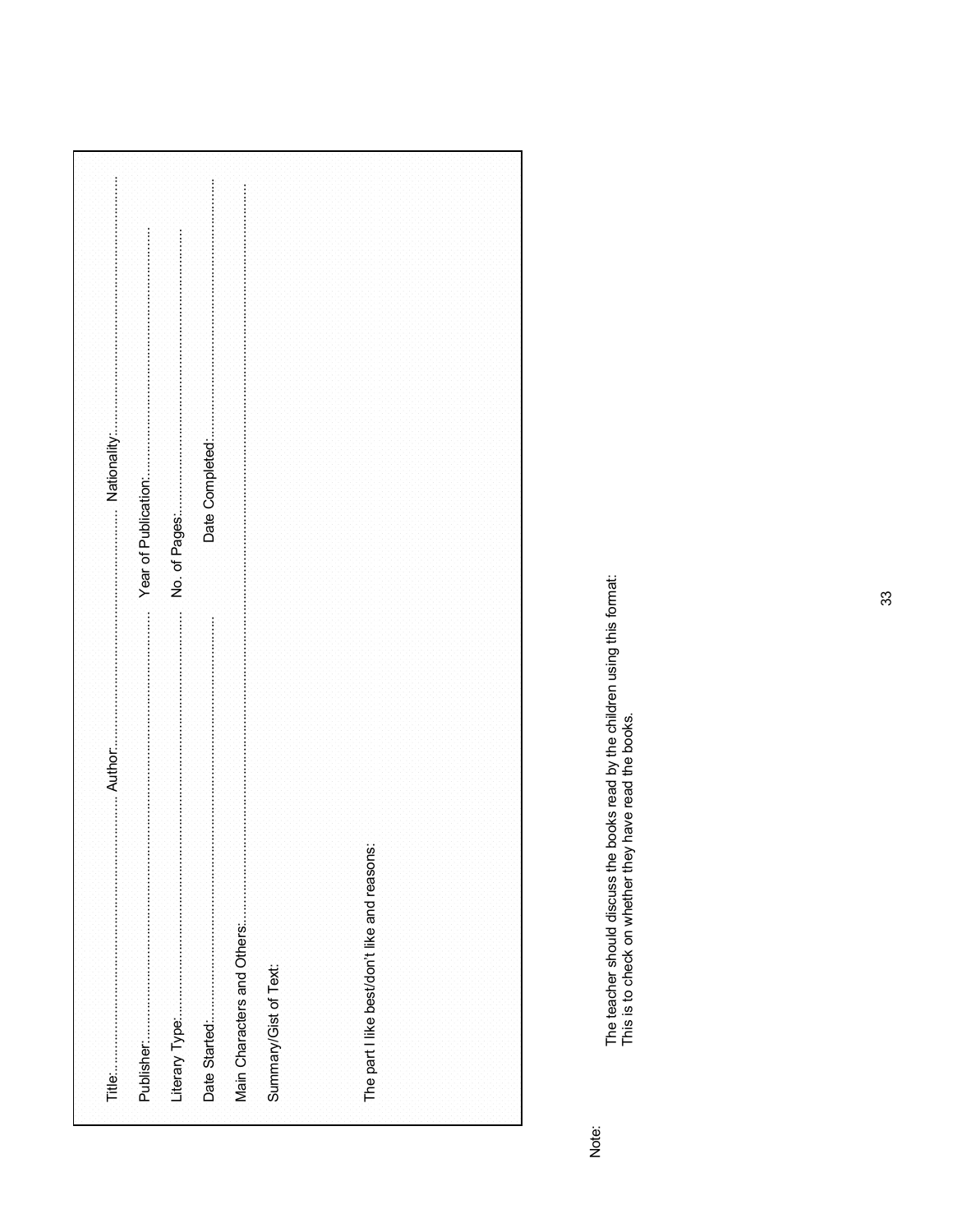|  |  | Summary/Gist of Text: |  | The part I like best/don't like and reasons: |  |  |
|--|--|-----------------------|--|----------------------------------------------|--|--|

Note:

The teacher should discuss the books read by the children using this format:<br>This is to check on whether they have read the books.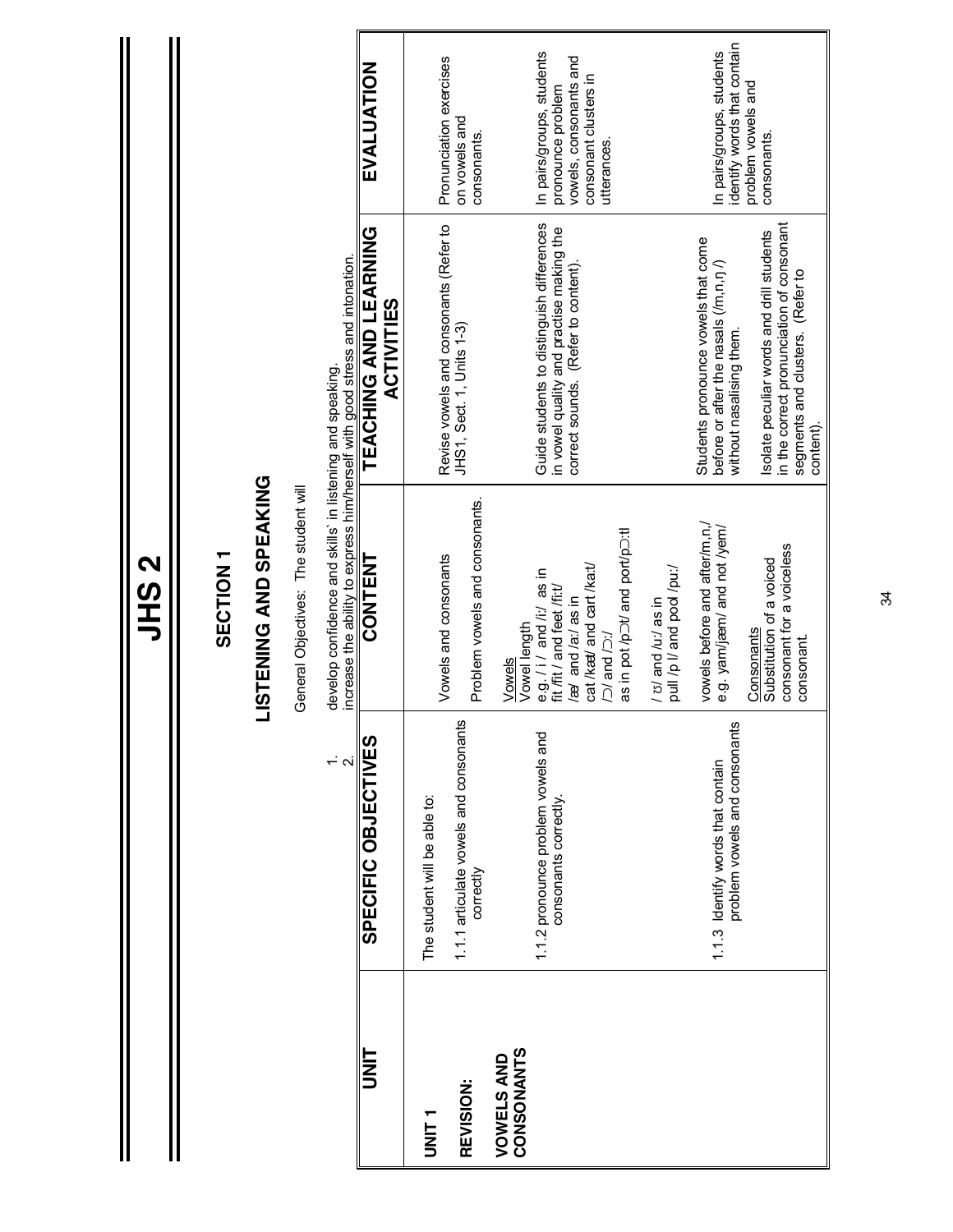| <b>LISTENING AND SPEAKING</b>                                                                                                                                                                                             |
|---------------------------------------------------------------------------------------------------------------------------------------------------------------------------------------------------------------------------|
|                                                                                                                                                                                                                           |
| General Objectives: The student will                                                                                                                                                                                      |
| increase the ability to express him/herself with good stress and intonation.<br>develop confidence and skills' in listening and speaking.                                                                                 |
| CONTENT                                                                                                                                                                                                                   |
| Vowels and consonants                                                                                                                                                                                                     |
| Problem vowels and consonants.                                                                                                                                                                                            |
| as in pot /p <sup>ot</sup> / and port/po:tl<br>cat <i>Iked</i> and cart /ka:t/<br>e.g. / i/ and /i:/ as in<br>fit /fit / and feet /fi:t/<br>las in and la:/ as in<br>Vowel length<br>$\overline{C}$ and $\overline{C}$ :/ |
| pull /p I/ and pool /pu:/<br>$1 v$ and $1 u$ :/ as in                                                                                                                                                                     |
| vowels before and after/m, n,<br>e.g. yam/jæm/ and not /yem/                                                                                                                                                              |
| consonant for a voiceless<br>Substitution of a voiced<br>Consonants<br>consonant.                                                                                                                                         |

**JHS 2**

I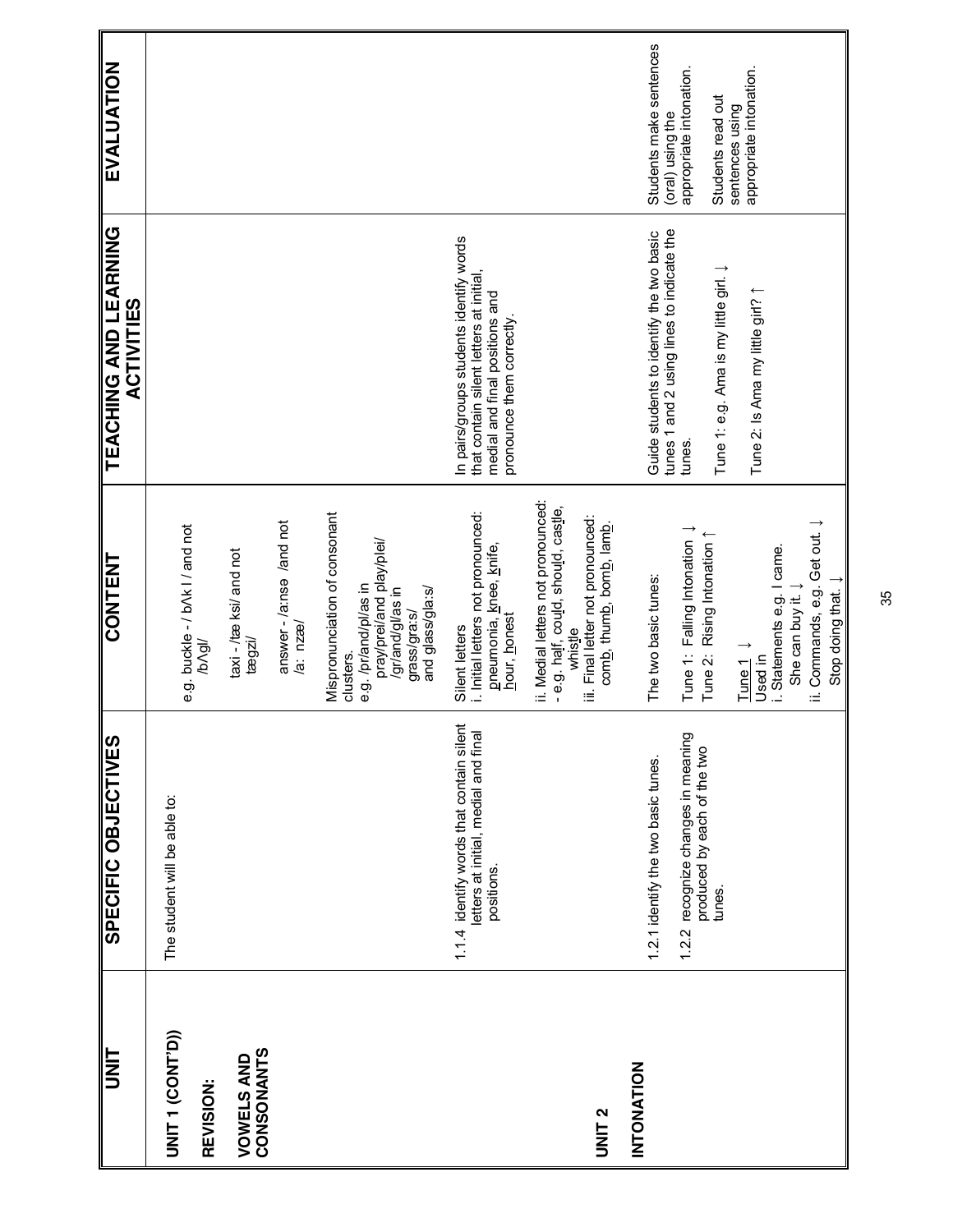| UNIT                            | SPECIFIC OBJECTIVES                                                                            | CONTENT                                                                                                                                                  | TEACHING AND LEARNING<br><b>ACTIVITIES</b>                                                                                                        | EVALUATION                                                       |
|---------------------------------|------------------------------------------------------------------------------------------------|----------------------------------------------------------------------------------------------------------------------------------------------------------|---------------------------------------------------------------------------------------------------------------------------------------------------|------------------------------------------------------------------|
| UNIT 1 (CONT'D))<br>REVISION:   | The student will be able to:                                                                   | e.g. buckle - / b/k   / and not<br>/b/gl                                                                                                                 |                                                                                                                                                   |                                                                  |
| CONSONANTS<br><b>VOWELS AND</b> |                                                                                                | taxi-/tæ ksi/ and not<br>$t$ ægzi $t$                                                                                                                    |                                                                                                                                                   |                                                                  |
|                                 |                                                                                                | answer-/ainse /and not<br>a: nzæ/                                                                                                                        |                                                                                                                                                   |                                                                  |
|                                 |                                                                                                | Mispronunciation of consonant<br>pray/prei/and play/plei/<br>e.g. /pr/and/pl/as in<br>lassing/brassing/<br>and glass/gla:s/<br>grass/gra:s/<br>clusters. |                                                                                                                                                   |                                                                  |
|                                 | 1.1.4 identify words that contain silent<br>letters at initial, medial and final<br>positions. | i. Initial letters not pronounced:<br>pneumonia, knee, knife,<br>hour, honest<br>Silent letters                                                          | In pairs/groups students identify words<br>that contain silent letters at initial,<br>medial and final positions and<br>pronounce them correctly. |                                                                  |
| <b>UNIT 2</b>                   |                                                                                                | ii. Medial letters not pronounced:<br>- e.g. half, could, should, castle,<br>iii. Final letter not pronounced:<br>comb, thumb, bomb, lamb.<br>whistle    |                                                                                                                                                   |                                                                  |
| INTONATION                      | 1.2.1 identify the two basic tunes.                                                            | The two basic tunes:                                                                                                                                     | Guide students to identify the two basic                                                                                                          | Students make sentences                                          |
|                                 | 1.2.2 recognize changes in meaning<br>produced by each of the two<br>tunes.                    | Tune 1: Falling Intonation 1<br>Tune 2: Rising Intonation 1                                                                                              | tunes 1 and 2 using lines to indicate the<br>Tune 1: e.g. Ama is my little girl. J<br>tunes.                                                      | (oral) using the<br>appropriate intonation.<br>Students read out |
|                                 |                                                                                                | i. Statements e.g. I came.<br>She can buy it.<br>Tune <sub>1</sub><br>Used in                                                                            | Tune 2: Is Ama my little girl?                                                                                                                    | appropriate intonation.<br>sentences using                       |
|                                 |                                                                                                | ii. Commands, e.g. Get out. J<br>Stop doing that. $\downarrow$                                                                                           |                                                                                                                                                   |                                                                  |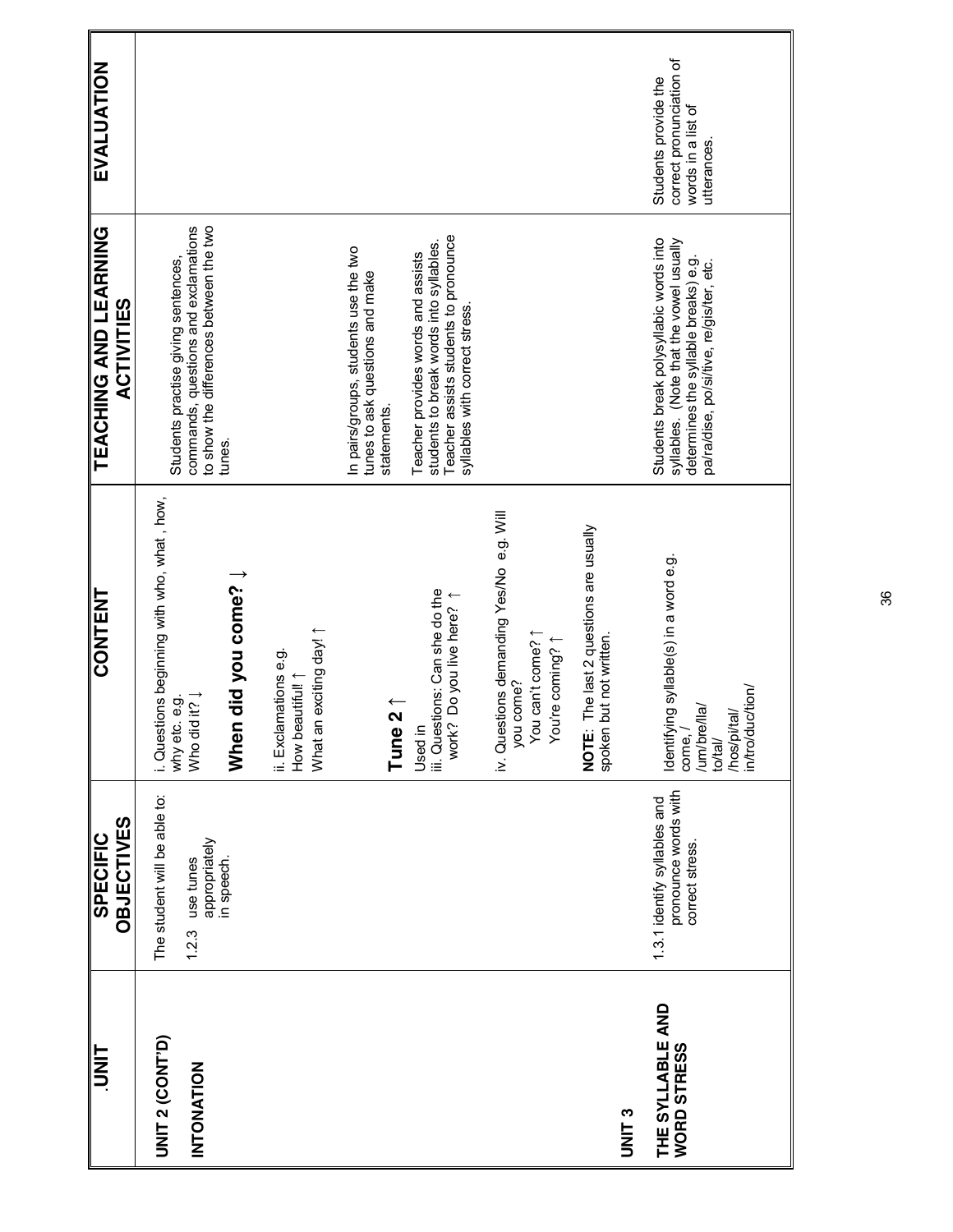| $\frac{1}{\sqrt{1}}$                   | <b>OBJECTIVES</b><br><b>SPECIFIC</b>                                    | <b>CONTENT</b>                                                                                                   | <b>TEACHING AND LEARNING</b><br><b>ACTIVITIES</b>                                                                                                                     | EVALUATION                                                                            |
|----------------------------------------|-------------------------------------------------------------------------|------------------------------------------------------------------------------------------------------------------|-----------------------------------------------------------------------------------------------------------------------------------------------------------------------|---------------------------------------------------------------------------------------|
| <b>UNIT 2 (CONT'D)</b>                 | The student will be able to:                                            | i. Questions beginning with who, what, how,<br>why etc. e.g.                                                     | Students practise giving sentences,                                                                                                                                   |                                                                                       |
| INTONATION                             | appropriately<br>use tunes<br>1.2.3                                     | Who did it? Į                                                                                                    | to show the differences between the two<br>commands, questions and exclamations                                                                                       |                                                                                       |
|                                        | in speech.                                                              | When did you come? $\downarrow$                                                                                  | tunes.                                                                                                                                                                |                                                                                       |
|                                        |                                                                         | What an exciting day!<br>ii. Exclamations e.g.<br>How beautiful! 1                                               |                                                                                                                                                                       |                                                                                       |
|                                        |                                                                         | $\overline{\mathbf{S}}$<br>Tune                                                                                  | In pairs/groups, students use the two<br>tunes to ask questions and make<br>statements                                                                                |                                                                                       |
|                                        |                                                                         | iii. Questions: Can she do the<br>work? Do you live here? 1<br>Used in                                           | Teacher assists students to pronounce<br>students to break words into syllables.<br>Teacher provides words and assists<br>syllables with correct stress.              |                                                                                       |
|                                        |                                                                         | iv. Questions demanding Yes/No e.g. Will<br>You can't come? 1<br>You're coming? 1<br>come?<br>you                |                                                                                                                                                                       |                                                                                       |
| <b>UNIT3</b>                           |                                                                         | The last 2 questions are usually<br>but not written.<br>NOTE:<br>spoken                                          |                                                                                                                                                                       |                                                                                       |
| THE SYLLABLE AND<br><b>WORD STRESS</b> | pronounce words with<br>1.3.1 identify syllables and<br>correct stress. | Identifying syllable(s) in a word e.g.<br>in/tro/duc/tion/<br>/um/bre/lla/<br>/hos/pi/tal/<br>come, /<br>to/tal/ | Students break polysyllabic words into<br>syllables. (Note that the vowel usually<br>determines the syllable breaks) e.g.<br>pa/ra/dise, po/si/tive, re/gis/ter, etc. | correct pronunciation of<br>Students provide the<br>words in a list of<br>utterances. |
|                                        |                                                                         |                                                                                                                  |                                                                                                                                                                       |                                                                                       |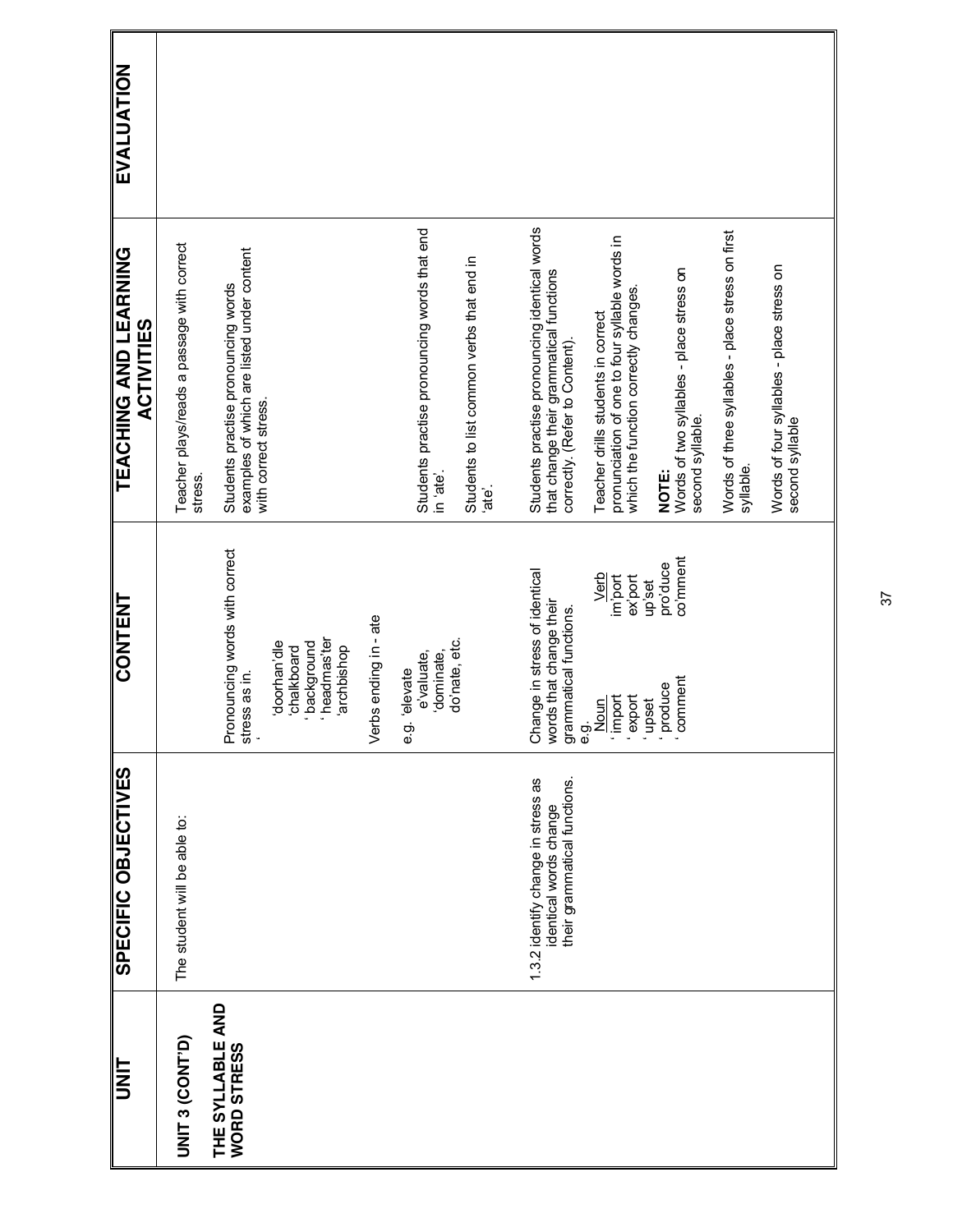| <b>TINU</b>                            | SPECIFIC OBJECTIVES                                                                          | CONTENT                                                                                    | <b>TEACHING AND LEARNING</b><br><b>ACTIVITIES</b>                                                                            | EVALUATION |
|----------------------------------------|----------------------------------------------------------------------------------------------|--------------------------------------------------------------------------------------------|------------------------------------------------------------------------------------------------------------------------------|------------|
| UNIT 3 (CONT'D)                        | The student will be able to:                                                                 |                                                                                            | Teacher plays/reads a passage with correct<br>stress.                                                                        |            |
| THE SYLLABLE AND<br><b>WORD STRESS</b> |                                                                                              | Pronouncing words with correct<br>stress as in.                                            | examples of which are listed under content<br>Students practise pronouncing words                                            |            |
|                                        |                                                                                              | headmas'ter<br>doorhan'dle<br>packground<br>archbishop<br>chalkboard                       | with correct stress.                                                                                                         |            |
|                                        |                                                                                              | Verbs ending in - ate                                                                      |                                                                                                                              |            |
|                                        |                                                                                              | 'dominate,<br>e'valuate,<br>elevate<br>တဲ့<br>စ                                            | Students practise pronouncing words that end<br>in 'ate'.                                                                    |            |
|                                        |                                                                                              | do'nate, etc.                                                                              | Students to list common verbs that end in<br>je.                                                                             |            |
|                                        | 1.3.2 identify change in stress as<br>their grammatical functions.<br>identical words change | Change in stress of identical<br>words that change their<br>grammatical functions.<br>e.g. | Students practise pronouncing identical words<br>that change their grammatical functions<br>correctly. (Refer to Content).   |            |
|                                        |                                                                                              | Verb<br>im'port<br>ex'port<br>import<br>export<br>Noun                                     | pronunciation of one to four syllable words in<br>which the function correctly changes<br>Teacher drills students in correct |            |
|                                        |                                                                                              | co'mment<br>pro'duce<br>up'set<br>produce<br>comment<br>upset                              | Words of two syllables - place stress on<br>second syllable.<br>NOTE:                                                        |            |
|                                        |                                                                                              |                                                                                            | Words of three syllables - place stress on first<br>syllable.                                                                |            |
|                                        |                                                                                              |                                                                                            | Words of four syllables - place stress on<br>second syllable                                                                 |            |
|                                        |                                                                                              |                                                                                            |                                                                                                                              |            |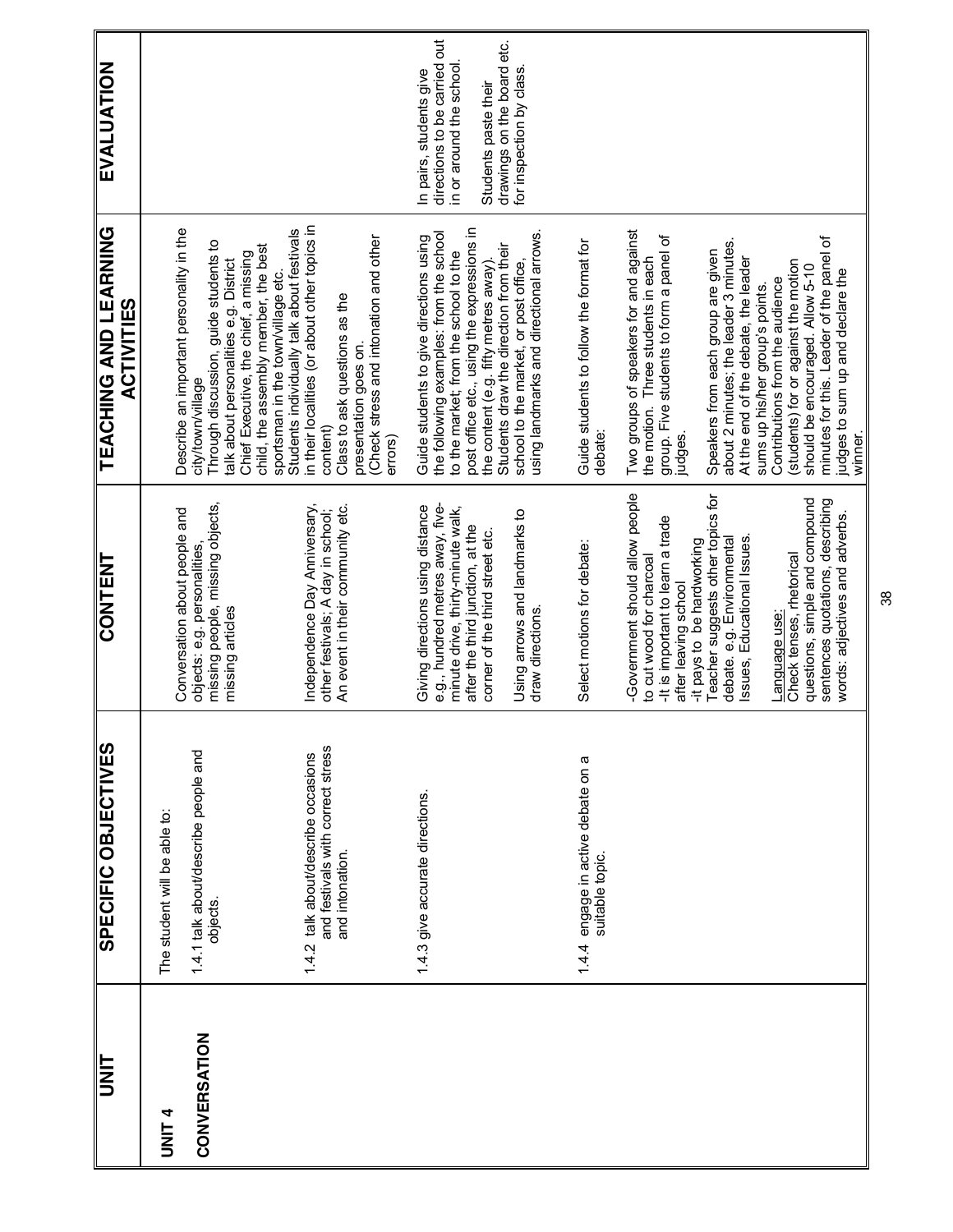| EVALUATION                                 |                                                                                                                                                                                                                                                                         |                                                                                                                                                                                                                       | directions to be carried out<br>drawings on the board etc.<br>in or around the school<br>In pairs, students give<br>Students paste their                                                                                                                     | for inspection by class.                                                         |                                                          |                                                                                                                                                        |                                                                                                                      |                                                                                                                                               |                                                                                         |
|--------------------------------------------|-------------------------------------------------------------------------------------------------------------------------------------------------------------------------------------------------------------------------------------------------------------------------|-----------------------------------------------------------------------------------------------------------------------------------------------------------------------------------------------------------------------|--------------------------------------------------------------------------------------------------------------------------------------------------------------------------------------------------------------------------------------------------------------|----------------------------------------------------------------------------------|----------------------------------------------------------|--------------------------------------------------------------------------------------------------------------------------------------------------------|----------------------------------------------------------------------------------------------------------------------|-----------------------------------------------------------------------------------------------------------------------------------------------|-----------------------------------------------------------------------------------------|
| TEACHING AND LEARNING<br><b>ACTIVITIES</b> | Describe an important personality in the<br>Through discussion, guide students to<br>child, the assembly member, the best<br>Chief Executive, the chief, a missing<br>talk about personalities e.g. District<br>sportsman in the town/village etc.<br>city/town/village | in their localities (or about other topics in<br>Students individually talk about festivals<br>Check stress and intonation and other<br>Class to ask questions as the<br>presentation goes on.<br>content)<br>errors) | post office etc., using the expressions in<br>the following examples: from the school<br>Guide students to give directions using<br>Students draw the direction from their<br>to the market; from the school to the<br>the content (e.g. fifty metres away). | using landmarks and directional arrows.<br>school to the market, or post office, | Guide students to follow the format for<br>debate:       | Two groups of speakers for and against<br>group. Five students to form a panel of<br>the motion. Three students in each<br>judges.                     | about 2 minutes; the leader 3 minutes.<br>Speakers from each group are given<br>At the end of the debate, the leader | (students) for or against the motion<br>should be encouraged. Allow 5-10<br>Contributions from the audience<br>sums up his/her group's points | minutes for this. Leader of the panel of<br>judges to sum up and declare the<br>winner. |
| CONTENT                                    | missing people, missing objects,<br>Conversation about people and<br>objects: e.g. personalities,<br>missing articles                                                                                                                                                   | Independence Day Anniversary,<br>An event in their community etc.<br>other festivals; A day in school;                                                                                                                | e.g., hundred metres away, five-<br>Giving directions using distance<br>minute drive, thirty-minute walk,<br>after the third junction, at the<br>corner of the third street etc.                                                                             | Using arrows and landmarks to<br>draw directions.                                | Select motions for debate:                               | -Government should allow people<br>-It is important to learn a trade<br>-it pays to be hardworking<br>to cut wood for charcoal<br>after leaving school | Teacher suggests other topics for<br>debate. e.g. Environmental<br>Issues, Educational Issues.                       | questions, simple and compound<br>Check tenses, rhetorical<br><b>Fanguage use</b>                                                             | sentences quotations, describing<br>words: adjectives and adverbs.                      |
| SPECIFIC OBJECTIVES                        | 1.4.1 talk about/describe people and<br>The student will be able to:<br>objects.                                                                                                                                                                                        | and festivals with correct stress<br>1.4.2 talk about/describe occasions<br>and intonation.                                                                                                                           | 1.4.3 give accurate directions.                                                                                                                                                                                                                              |                                                                                  | engage in active debate on a<br>suitable topic.<br>1.4.4 |                                                                                                                                                        |                                                                                                                      |                                                                                                                                               |                                                                                         |
| UNIT                                       | CONVERSATION<br><b>UNLA</b>                                                                                                                                                                                                                                             |                                                                                                                                                                                                                       |                                                                                                                                                                                                                                                              |                                                                                  |                                                          |                                                                                                                                                        |                                                                                                                      |                                                                                                                                               |                                                                                         |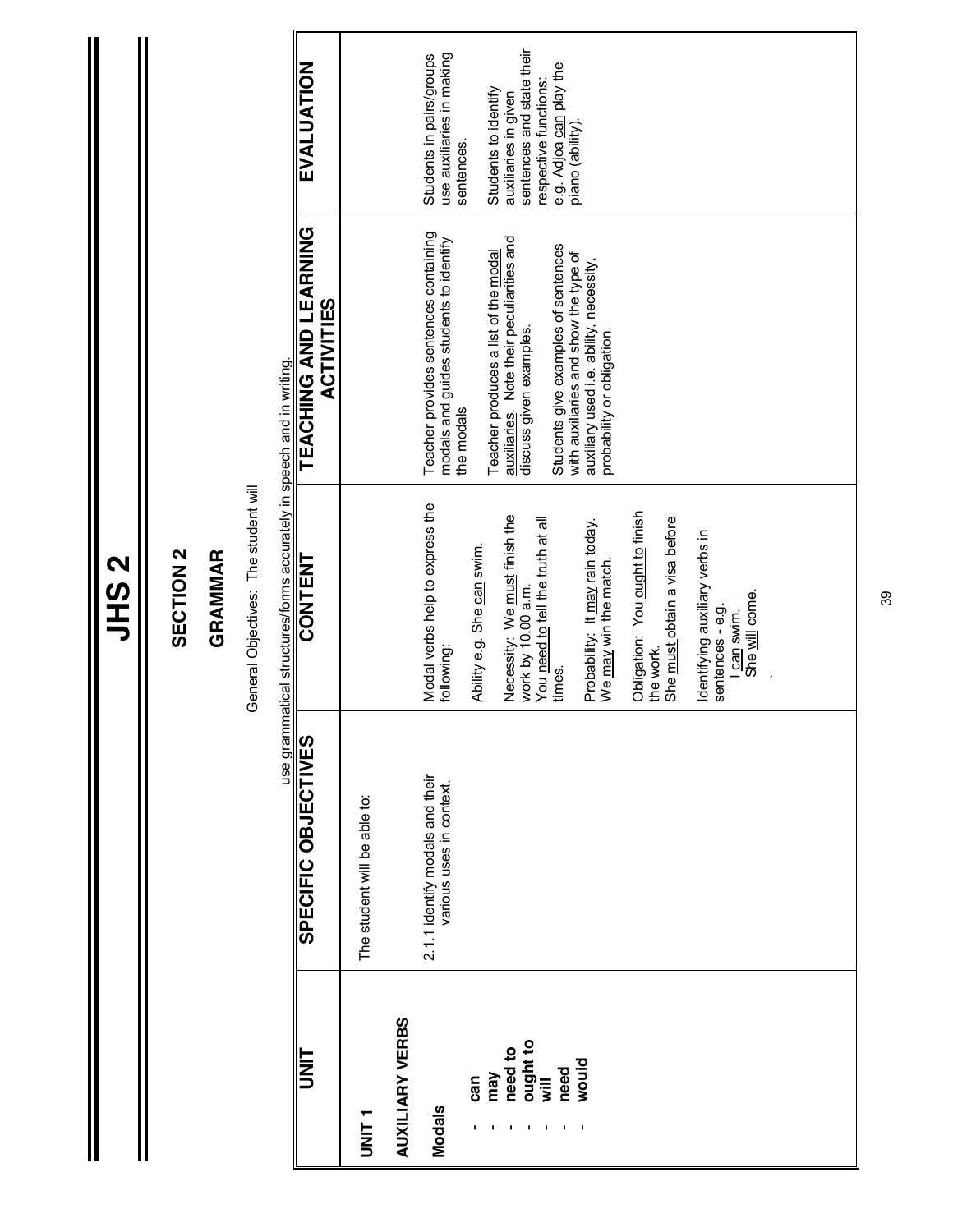| ł<br>r<br>ŗ. |
|--------------|
|              |
|              |

 $\mathbb I$ 

Ш

#### SECTION 2 **SECTION 2**

#### **GRAMMAR GRAMMAR**

General Objectives: The student will General Objectives: The student will

|                        |                                                             | use grammatical structures/forms accurately in speech and in writing.               |                                                                                                                |                                                                             |
|------------------------|-------------------------------------------------------------|-------------------------------------------------------------------------------------|----------------------------------------------------------------------------------------------------------------|-----------------------------------------------------------------------------|
| <b>IIKI</b>            | <b>SPECIFIC OBJECTIVES</b>                                  | CONTENT                                                                             | TEACHING AND LEARNING<br><b>ACTIVITIES</b>                                                                     | EVALUATION                                                                  |
| T<br>INIT<br>I         | The student will be able to:                                |                                                                                     |                                                                                                                |                                                                             |
| <b>AUXILIARY VERBS</b> |                                                             |                                                                                     |                                                                                                                |                                                                             |
| Modals                 | 2.1.1 identify modals and their<br>various uses in context. | Modal verbs help to express the<br>following:                                       | Teacher provides sentences containing<br>modals and guides students to identify<br>the modals                  | use auxiliaries in making<br>Students in pairs/groups                       |
| can                    |                                                             | Ability e.g. She can swim.                                                          |                                                                                                                | sentences.                                                                  |
| need to<br>may         |                                                             | Necessity: We must finish the                                                       | Teacher produces a list of the modal                                                                           | Students to identify<br>auxiliaries in given                                |
| ought to<br>will       |                                                             | work by 10.00 a.m.                                                                  | auxiliaries. Note their peculiarities and<br>discuss given examples.                                           | sentences and state their                                                   |
| need                   |                                                             | You need to tell the truth at all<br>times.                                         | Students give examples of sentences                                                                            | e.g. Adjoa <u>can</u> play the<br>piano (ability).<br>respective functions: |
| moniq                  |                                                             | Probability: It may rain today.<br>We may win the match.                            | with auxiliaries and show the type of<br>auxiliary used i.e. ability, necessity,<br>probability or obligation. |                                                                             |
|                        |                                                             |                                                                                     |                                                                                                                |                                                                             |
|                        |                                                             | Obligation: You ought to finish<br>She must obtain a visa before<br>the work.       |                                                                                                                |                                                                             |
|                        |                                                             | Identifying auxiliary verbs in<br>She will come.<br>sentences - e.g.<br>I can swim. |                                                                                                                |                                                                             |
|                        |                                                             |                                                                                     |                                                                                                                |                                                                             |
|                        |                                                             |                                                                                     |                                                                                                                |                                                                             |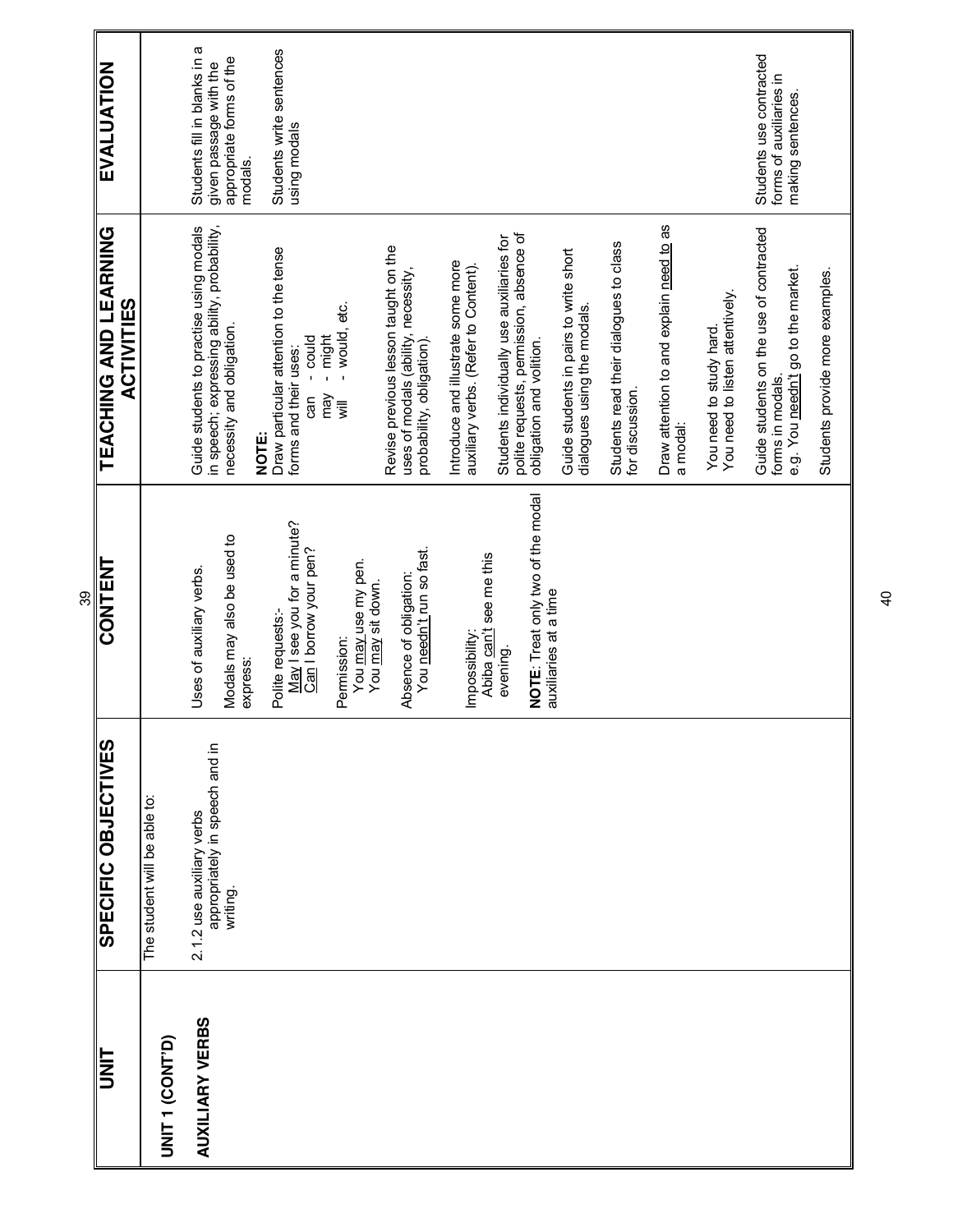|    | EVALUATION                                 |                              | Students fill in blanks in a<br>appropriate forms of the<br>given passage with the<br>modals.                                | Students write sentences<br>using modals                                                                                              |                                                                                                         |                                                                            |                                                                                                                  |                                                                       |                                                          |                                                      |                                                           | Students use contracted<br>forms of auxiliaries in<br>making sentences.                           |                                 |
|----|--------------------------------------------|------------------------------|------------------------------------------------------------------------------------------------------------------------------|---------------------------------------------------------------------------------------------------------------------------------------|---------------------------------------------------------------------------------------------------------|----------------------------------------------------------------------------|------------------------------------------------------------------------------------------------------------------|-----------------------------------------------------------------------|----------------------------------------------------------|------------------------------------------------------|-----------------------------------------------------------|---------------------------------------------------------------------------------------------------|---------------------------------|
|    | TEACHING AND LEARNING<br><b>ACTIVITIES</b> |                              | Guide students to practise using modals<br>in speech; expressing ability, probability,<br>necessity and obligation.<br>NOTE: | Draw particular attention to the tense<br>- would, etc.<br>- might<br>- could<br>forms and their uses:<br>New<br>can<br>$\bar{m}$     | Revise previous lesson taught on the<br>uses of modals (ability, necessity,<br>probability, obligation) | Introduce and illustrate some more<br>auxiliary verbs. (Refer to Content). | polite requests, permission, absence of<br>Students individually use auxiliaries for<br>obligation and volition. | Guide students in pairs to write short<br>dialogues using the modals. | Students read their dialogues to class<br>for discussion | Draw attention to and explain need to as<br>a modal: | You need to listen attentively.<br>You need to study hard | Guide students on the use of contracted<br>e.g. You needn't go to the market.<br>forms in modals. | Students provide more examples. |
| 89 | CONTENT                                    |                              | Modals may also be used to<br>Uses of auxiliary verbs.<br>express:                                                           | May I see you for a minute?<br>Can I borrow your pen?<br>You may use my pen.<br>You may sit down.<br>Polite requests:-<br>Permission: | You needn't run so fast.<br>Absence of obligation:                                                      | Abiba can't see me this<br>Impossibility:                                  | NOTE: Treat only two of the modal<br>auxiliaries at a time<br>evening.                                           |                                                                       |                                                          |                                                      |                                                           |                                                                                                   |                                 |
|    | SPECIFIC OBJECTIVES                        | The student will be able to: | appropriately in speech and in<br>2.1.2 use auxiliary verbs<br>writing.                                                      |                                                                                                                                       |                                                                                                         |                                                                            |                                                                                                                  |                                                                       |                                                          |                                                      |                                                           |                                                                                                   |                                 |
|    | I<br>N<br>D                                | UNIT 1 (CONT'D)              | <b>AUXILIARY VERBS</b>                                                                                                       |                                                                                                                                       |                                                                                                         |                                                                            |                                                                                                                  |                                                                       |                                                          |                                                      |                                                           |                                                                                                   |                                 |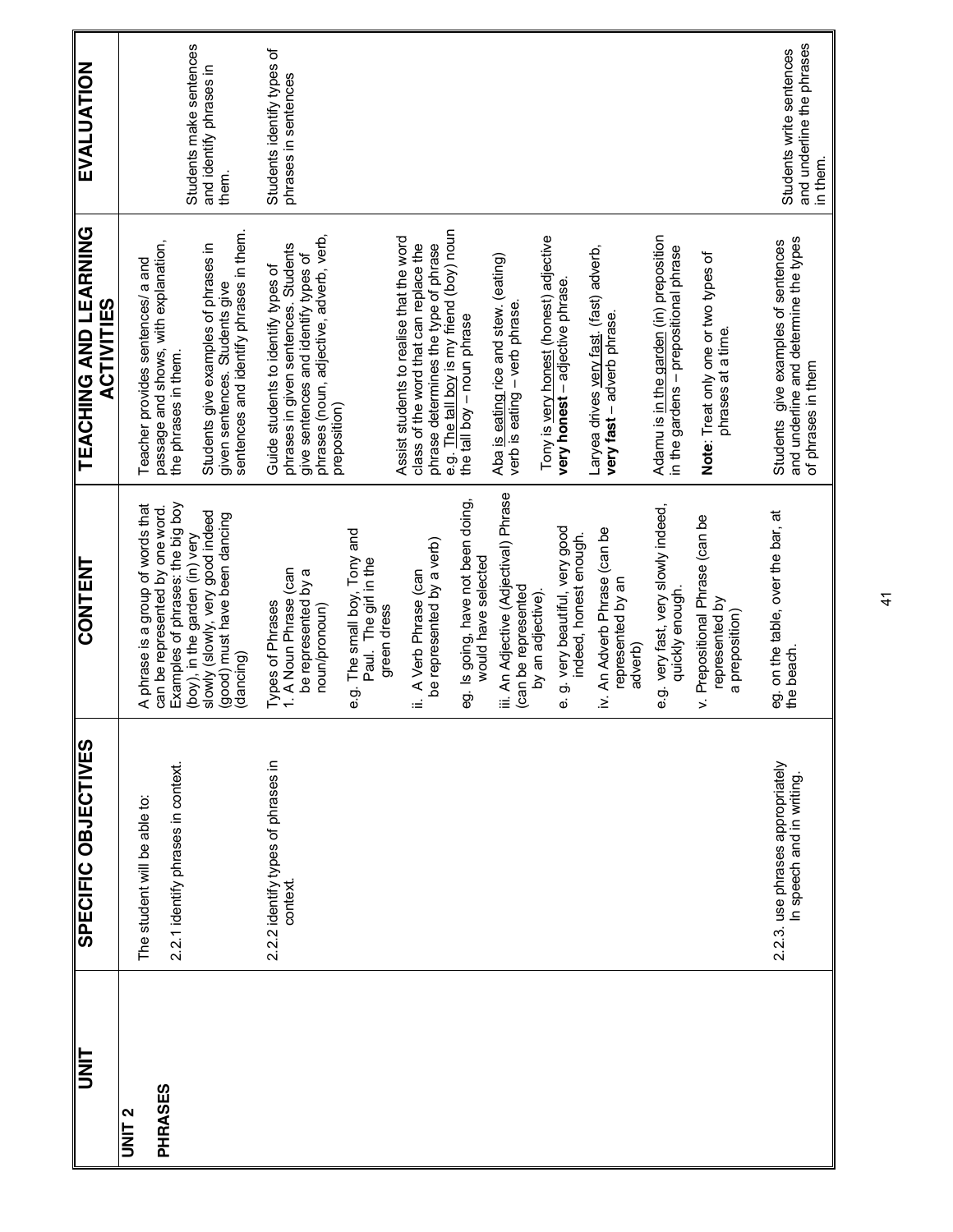| <b>TINL</b>       | <b>SPECIFIC OBJECTIVES</b>                                   | <b>CONTENT</b>                                                                 | <b>TEACHING AND LEARNING</b><br><b>ACTIVITIES</b>                                                                 | <b>EVALUATION</b>                                                 |
|-------------------|--------------------------------------------------------------|--------------------------------------------------------------------------------|-------------------------------------------------------------------------------------------------------------------|-------------------------------------------------------------------|
| UNIT <sub>2</sub> | The student will be able to:                                 | A phrase is a group of words that                                              | Teacher provides sentences/ a and                                                                                 |                                                                   |
| PHRASES           |                                                              | can be represented by one word.                                                | passage and shows, with explanation,                                                                              |                                                                   |
|                   | 2.2.1 identify phrases in context                            | Examples of phrases: the big boy<br>(boy), in the garden (in) very             | the phrases in them.                                                                                              | Students make sentences                                           |
|                   |                                                              | slowly (slowly, very good indeed<br>(good) must have been dancing<br>(dancing) | sentences and identify phrases in them.<br>Students give examples of phrases in<br>given sentences. Students give | and identify phrases in<br>them.                                  |
|                   | 2.2.2 identify types of phrases in<br>context                | 1. A Noun Phrase (can<br>Types of Phrases                                      | phrases in given sentences. Students<br>Guide students to identify types of                                       | Students identify types of<br>phrases in sentences                |
|                   |                                                              | be represented by a<br>noun/pronoun)                                           | phrases (noun, adjective, adverb, verb,<br>give sentences and identify types of                                   |                                                                   |
|                   |                                                              | e.g. The small boy, Tony and<br>Paul. The girl in the                          | preposition)                                                                                                      |                                                                   |
|                   |                                                              | green dress                                                                    | Assist students to realise that the word                                                                          |                                                                   |
|                   |                                                              | be represented by a verb)<br>A Verb Phrase (can<br>Ξ                           | class of the word that can replace the<br>phrase determines the type of phrase                                    |                                                                   |
|                   |                                                              |                                                                                | e.g. The tall boy is my friend (boy) noun                                                                         |                                                                   |
|                   |                                                              | eg. Is going, have not been doing,<br>would have selected                      | the tall boy - noun phrase                                                                                        |                                                                   |
|                   |                                                              | iii. An Adjective (Adjectival) Phrase<br>(can be represented                   | Aba is eating rice and stew. (eating)<br>verb is eating - verb phrase                                             |                                                                   |
|                   |                                                              | by an adjective)                                                               | Tony is very honest (honest) adjective                                                                            |                                                                   |
|                   |                                                              | e. g. very beautiful, very good                                                | very honest - adjective phrase                                                                                    |                                                                   |
|                   |                                                              | indeed, honest enough.                                                         |                                                                                                                   |                                                                   |
|                   |                                                              | iv. An Adverb Phrase (can be<br>represented by an<br>adverb)                   | Laryea drives very fast. (fast) adverb,<br>very fast - adverb phrase.                                             |                                                                   |
|                   |                                                              | e.g. very fast, very slowly indeed,<br>quickly enough.                         | Adamu is in the garden (in) preposition<br>in the gardens - prepositional phrase                                  |                                                                   |
|                   |                                                              | v. Prepositional Phrase (can be<br>represented by<br>a preposition)            | Note: Treat only one or two types of<br>phrases at a time.                                                        |                                                                   |
|                   | 2.2.3. use phrases appropriately<br>In speech and in writing | eg. on the table, over the bar, at<br>the beach.                               | and underline and determine the types<br>Students give examples of sentences<br>of phrases in them                | and underline the phrases<br>Students write sentences<br>in them. |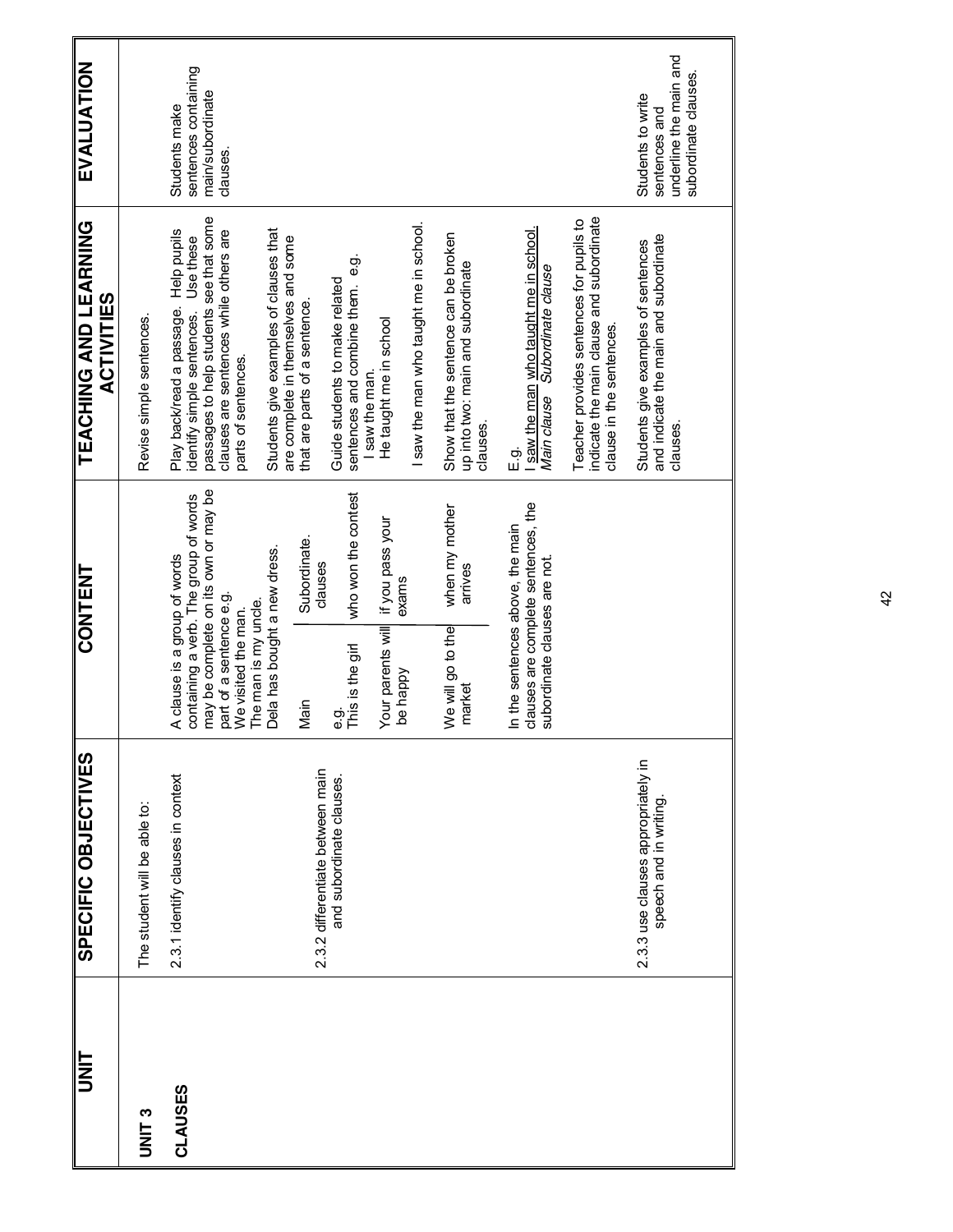| ll<br>3      | SPECIFIC OBJECTIVES                                          | CONTENT                                                                                                                                                         | <b>TEACHING AND LEARNING</b><br><b>ACTIVITIES</b>                                                                                                                                               | EVALUATION                                                                           |
|--------------|--------------------------------------------------------------|-----------------------------------------------------------------------------------------------------------------------------------------------------------------|-------------------------------------------------------------------------------------------------------------------------------------------------------------------------------------------------|--------------------------------------------------------------------------------------|
| <b>DNIT3</b> | The student will be able to:                                 |                                                                                                                                                                 | Revise simple sentences.                                                                                                                                                                        |                                                                                      |
| CLAUSES      | 2.3.1 identify clauses in context                            | may be complete on its own or may be<br>containing a verb. The group of words<br>A clause is a group of words<br>part of a sentence e.g.<br>We visited the man. | passages to help students see that some<br>clauses are sentences while others are<br>Help pupils<br>Use these<br>Play back/read a passage.<br>identify simple sentences.<br>parts of sentences. | sentences containing<br>main/subordinate<br>Students make<br>clauses.                |
|              |                                                              | Dela has bought a new dress.<br>The man is my uncle.                                                                                                            | Students give examples of clauses that<br>are complete in themselves and some                                                                                                                   |                                                                                      |
|              | 2.3.2 differentiate between main                             | Subordinate.<br>clauses<br>Main                                                                                                                                 | that are parts of a sentence.                                                                                                                                                                   |                                                                                      |
|              | and subordinate clauses.                                     | who won the contest<br>This is the girl<br>တဲ့<br>စ                                                                                                             | တ်<br>စ<br>Guide students to make related<br>sentences and combine them.<br>I saw the man                                                                                                       |                                                                                      |
|              |                                                              | if you pass your<br>exams<br>Your parents will<br>be happy                                                                                                      | He taught me in school                                                                                                                                                                          |                                                                                      |
|              |                                                              |                                                                                                                                                                 | I saw the man who taught me in school.                                                                                                                                                          |                                                                                      |
|              |                                                              | when my mother<br>arrives<br>We will go to the<br>market                                                                                                        | Show that the sentence can be broken<br>up into two: main and subordinate<br>clauses.                                                                                                           |                                                                                      |
|              |                                                              | clauses are complete sentences, the<br>In the sentences above, the main<br>subordinate clauses are not                                                          | saw the man who taught me in school.<br>Main clause<br>Subordinate clause<br>க்<br>ப                                                                                                            |                                                                                      |
|              |                                                              |                                                                                                                                                                 | indicate the main clause and subordinate<br>Teacher provides sentences for pupils to<br>clause in the sentences.                                                                                |                                                                                      |
|              | 2.3.3 use clauses appropriately in<br>speech and in writing. |                                                                                                                                                                 | and indicate the main and subordinate<br>Students give examples of sentences<br>clauses.                                                                                                        | underline the main and<br>subordinate clauses.<br>Students to write<br>sentences and |
|              |                                                              |                                                                                                                                                                 |                                                                                                                                                                                                 |                                                                                      |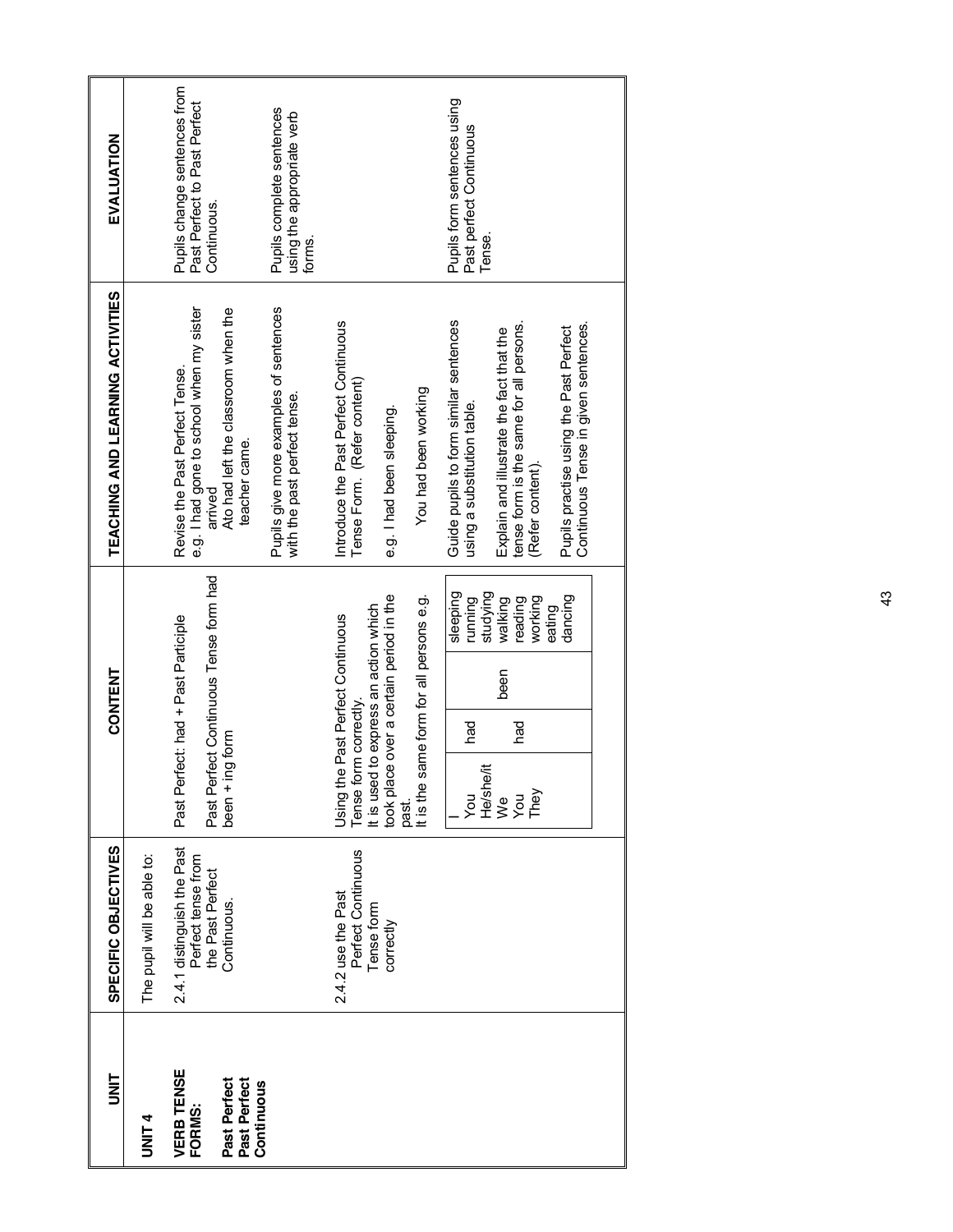| t<br>S                                      | SPECIFIC OBJECTIVES                                                                 | <b>CONTENT</b>                                                                                                     |                                           | TEACHING AND LEARNING ACTIVITIES                                                                                             | EVALUATION                                                                  |
|---------------------------------------------|-------------------------------------------------------------------------------------|--------------------------------------------------------------------------------------------------------------------|-------------------------------------------|------------------------------------------------------------------------------------------------------------------------------|-----------------------------------------------------------------------------|
| <b>UNIT4</b>                                | The pupil will be able to:                                                          |                                                                                                                    |                                           |                                                                                                                              |                                                                             |
| <b>VERB TENSE</b><br>Past Perfect<br>FORMS: | 2.4.1 distinguish the Past<br>Perfect tense from<br>the Past Perfect<br>Continuous. | Past Perfect Continuous Tense form had<br>Past Perfect: had + Past Participle<br>$been + ing form$                 |                                           | e.g. I had gone to school when my sister<br>Ato had left the classroom when the<br>Revise the Past Perfect Tense.<br>arrived | Pupils change sentences from<br>Past Perfect to Past Perfect<br>Continuous. |
| Past Perfect<br>Continuous                  |                                                                                     |                                                                                                                    |                                           | Pupils give more examples of sentences<br>with the past perfect tense.<br>teacher came.                                      | Pupils complete sentences<br>using the appropriate verb<br>forms.           |
|                                             | Perfect Continuous<br>2.4.2 use the Past                                            | Using the Past Perfect Continuous<br>Tense form correctly.                                                         |                                           | Introduce the Past Perfect Continuous<br>Tense Form. (Refer content)                                                         |                                                                             |
|                                             | Tense form<br>correctly                                                             | be over a certain period in the<br>It is used to express an action which<br>took place over a certain period in th |                                           | e.g. I had been sleeping.                                                                                                    |                                                                             |
|                                             |                                                                                     | It is the same form for all persons e.g.<br>past.                                                                  |                                           | You had been working                                                                                                         |                                                                             |
|                                             |                                                                                     | had<br>you                                                                                                         | sleeping<br>running                       | Guide pupils to form similar sentences<br>using a substitution table.                                                        | Pupils form sentences using<br>Past perfect Continuous                      |
|                                             |                                                                                     | been<br>had<br>He/she/it<br>We<br>You<br>They                                                                      | studying<br>working<br>walking<br>reading | tense form is the same for all persons.<br>Explain and illustrate the fact that the<br>(Refer content).                      | Tense.                                                                      |
|                                             |                                                                                     |                                                                                                                    | dancing<br>eating                         | Continuous Tense in given sentences.<br>Pupils practise using the Past Perfect                                               |                                                                             |
|                                             |                                                                                     |                                                                                                                    |                                           |                                                                                                                              |                                                                             |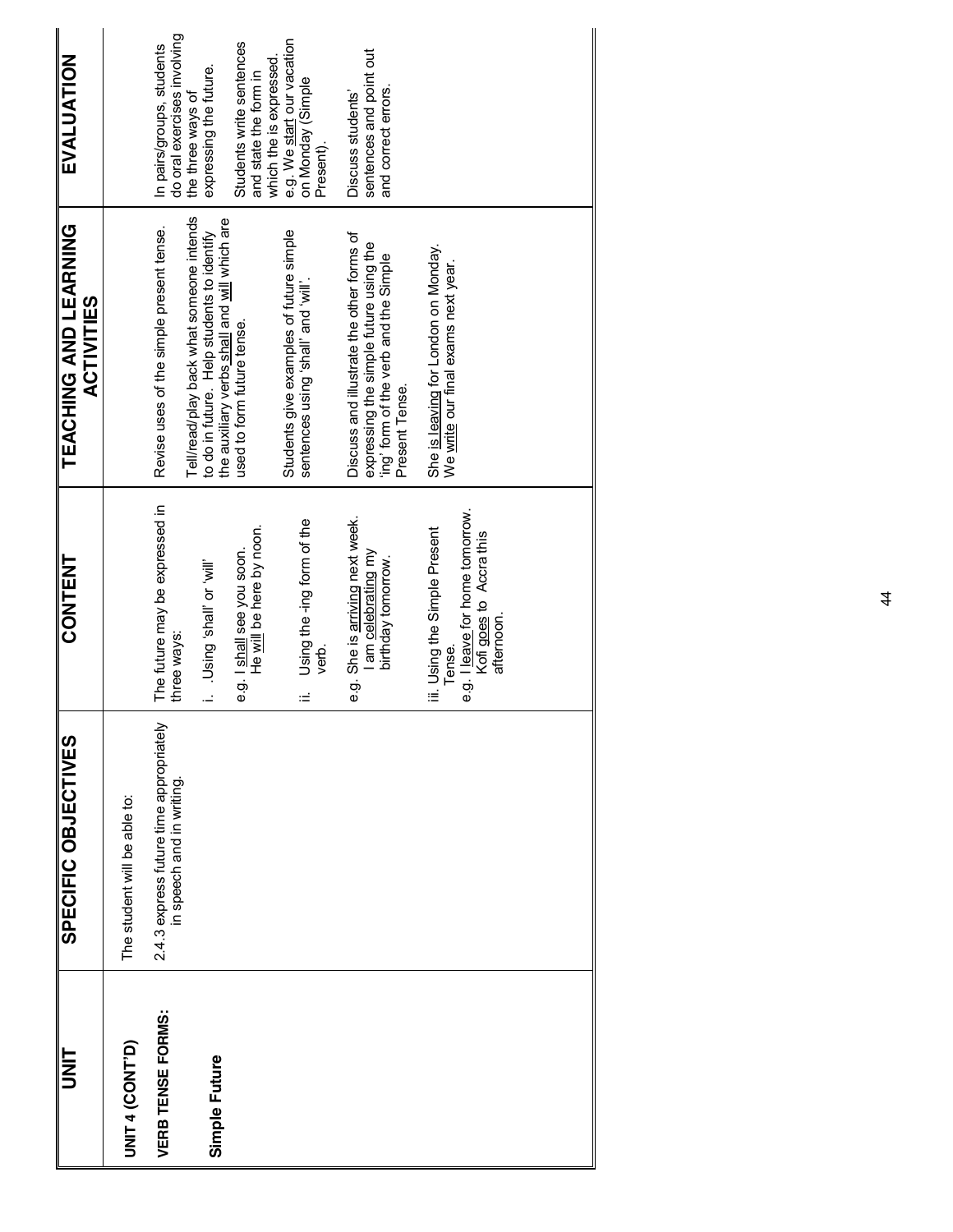| SPECIFIC OBJECTIVES                                                  | <b>CONTENT</b>                                                                                                      | TEACHING AND LEARNING<br><b>ACTIVITIES</b>                                                                                                     | EVALUATION                                                                             |
|----------------------------------------------------------------------|---------------------------------------------------------------------------------------------------------------------|------------------------------------------------------------------------------------------------------------------------------------------------|----------------------------------------------------------------------------------------|
| The student will be able to:                                         |                                                                                                                     |                                                                                                                                                |                                                                                        |
| 2.4.3 express future time appropriately<br>in speech and in writing. | The future may be expressed in<br>three ways:                                                                       | Revise uses of the simple present tense.                                                                                                       | do oral exercises involving<br>In pairs/groups, students                               |
|                                                                      | lliw, Jo lleus, buisn i                                                                                             | Tell/read/play back what someone intends<br>the auxiliary verbs shall and will which are<br>to do in future. Help students to identify         | expressing the future.<br>the three ways of                                            |
|                                                                      | He will be here by noon.<br>e.g. I shall see you soon.                                                              | used to form future tense.                                                                                                                     | Students write sentences<br>and state the form in                                      |
|                                                                      | Using the -ing form of the<br>verb.<br>≔                                                                            | Students give examples of future simple<br>will, bus lists, guisu sepanes                                                                      | e.g. We start our vacation<br>which the is expressed<br>on Monday (Simple<br>Present). |
|                                                                      | e.g. She is arriving next week.<br>I am celebrating my<br>birthday tomorrow.                                        | Discuss and illustrate the other forms of<br>expressing the simple future using the<br>'ing' form of the verb and the Simple<br>Present Tense. | sentences and point out<br>and correct errors.<br>Discuss students'                    |
|                                                                      | e.g. I leave for home tomorrow.<br>iii. Using the Simple Present<br>Kofi goes to Accra this<br>afternoon.<br>Tense. | She is leaving for London on Monday.<br>We write our final exams next year.                                                                    |                                                                                        |
|                                                                      |                                                                                                                     |                                                                                                                                                |                                                                                        |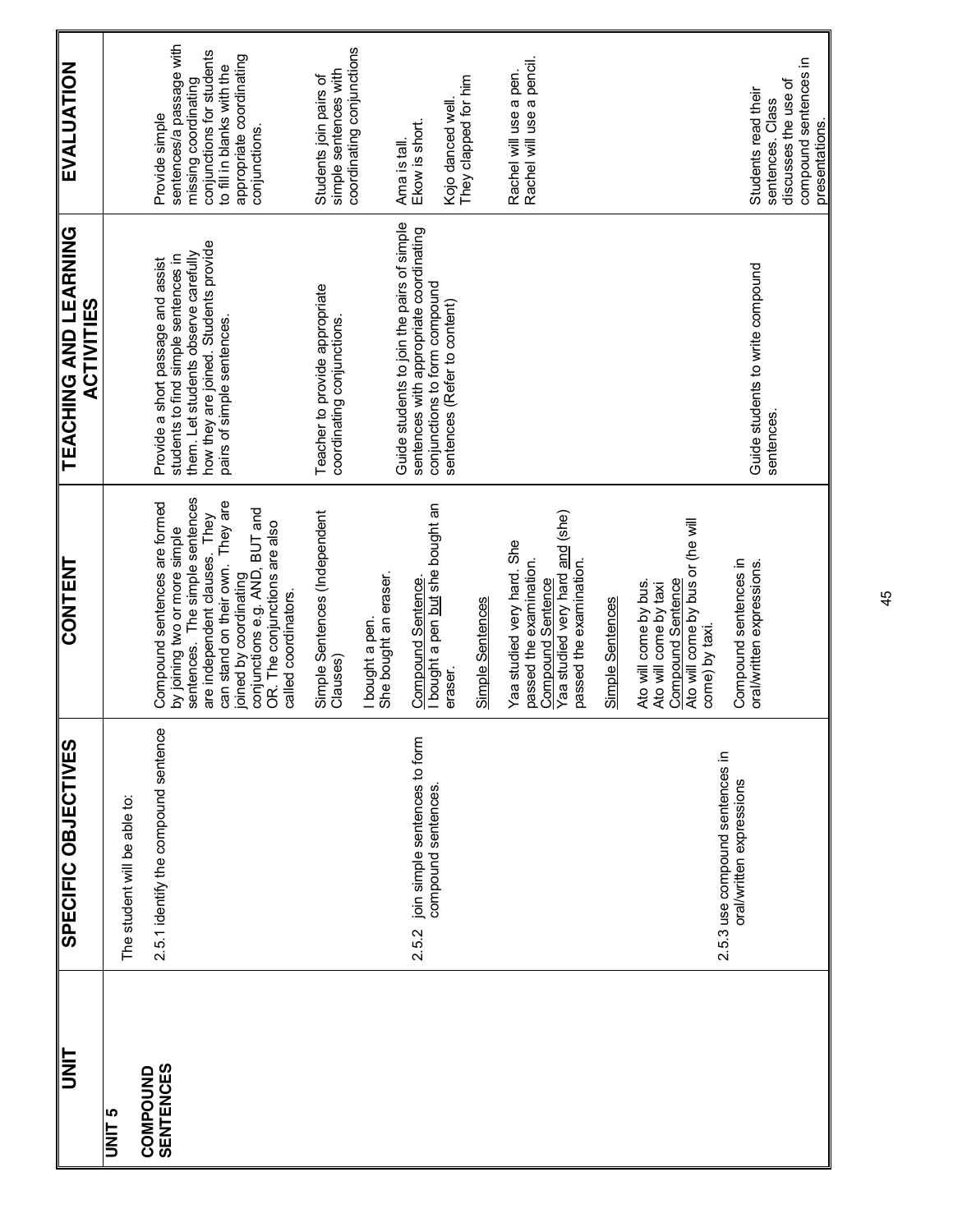| <b>UNIT</b>                  | SPECIFIC OBJECTIVES                                          | CONTENT                                                                                                                                                                                                                             | TEACHING AND LEARNING<br><b>ACTIVITIES</b>                                                                             | EVALUATION                                                                                                                   |
|------------------------------|--------------------------------------------------------------|-------------------------------------------------------------------------------------------------------------------------------------------------------------------------------------------------------------------------------------|------------------------------------------------------------------------------------------------------------------------|------------------------------------------------------------------------------------------------------------------------------|
| <b>UNIT 5</b>                | The student will be able to:                                 |                                                                                                                                                                                                                                     |                                                                                                                        |                                                                                                                              |
| <b>SENTENCES</b><br>COMPOUND | 2.5.1 identify the compound sentence                         | Compound sentences are formed<br>by joining two or more simple                                                                                                                                                                      | students to find simple sentences in<br>Provide a short passage and assist                                             | sentences/a passage with<br>Provide simple                                                                                   |
|                              |                                                              | sentences. The simple sentences<br>can stand on their own. They are<br><b>BUT</b> and<br>are independent clauses. They<br>OR. The conjunctions are also<br>joined by coordinating<br>conjunctions e.g. AND,<br>called coordinators. | how they are joined. Students provide<br>them. Let students observe carefully<br>pairs of simple sentences.            | conjunctions for students<br>appropriate coordinating<br>to fill in blanks with the<br>missing coordinating<br>conjunctions. |
|                              |                                                              | Simple Sentences (Independent<br>Clauses)                                                                                                                                                                                           | Teacher to provide appropriate<br>coordinating conjunctions.                                                           | coordinating conjunctions<br>simple sentences with<br>Students join pairs of                                                 |
|                              |                                                              | She bought an eraser.<br>I bought a pen.                                                                                                                                                                                            |                                                                                                                        |                                                                                                                              |
|                              | join simple sentences to form<br>compound sentences<br>2.5.2 | I bought a pen but she bought an<br>Compound Sentence.                                                                                                                                                                              | Guide students to join the pairs of simple<br>sentences with appropriate coordinating<br>conjunctions to form compound | Ekow is short.<br>Ama is tall.                                                                                               |
|                              |                                                              | eraser.                                                                                                                                                                                                                             | sentences (Refer to content)                                                                                           | They clapped for him<br>Kojo danced well                                                                                     |
|                              |                                                              | Simple Sentences                                                                                                                                                                                                                    |                                                                                                                        |                                                                                                                              |
|                              |                                                              | Yaa studied very hard and (she)<br>Yaa studied very hard. She<br>passed the examination.<br>passed the examination.<br>Compound Sentence                                                                                            |                                                                                                                        | Rachel will use a pencil.<br>Rachel will use a pen.                                                                          |
|                              |                                                              | Simple Sentences                                                                                                                                                                                                                    |                                                                                                                        |                                                                                                                              |
|                              | 2.5.3 use compound sentences in                              | Ato will come by bus or (he will<br><b>Compound Sentence</b><br>Ato will come by bus.<br>Ato will come by taxi<br>come) by taxi.                                                                                                    |                                                                                                                        |                                                                                                                              |
|                              | oral/written expressions                                     | Compound sentences in<br>oral/written expressions.                                                                                                                                                                                  | Guide students to write compound<br>sentences.                                                                         | compound sentences in<br>discusses the use of<br>Students read their<br>sentences. Class<br>presentations.                   |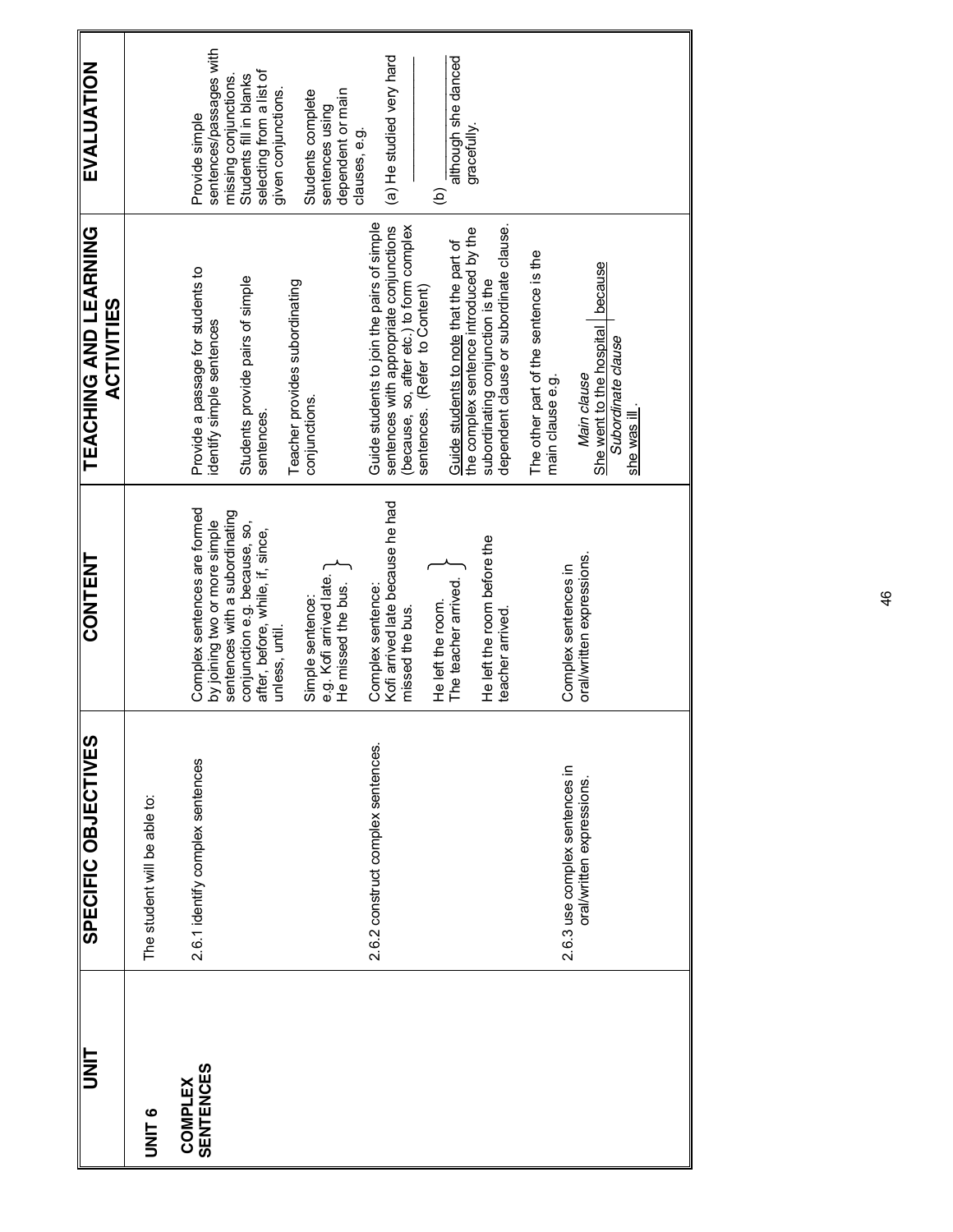| <b>TIXL</b>                        | SPECIFIC OBJECTIVES                                        | <b>CONTENT</b>                                                                                                                                                       | TEACHING AND LEARNING<br><b>ACTIVITIES</b>                                                                                                                          | EVALUATION                                                                                                                |
|------------------------------------|------------------------------------------------------------|----------------------------------------------------------------------------------------------------------------------------------------------------------------------|---------------------------------------------------------------------------------------------------------------------------------------------------------------------|---------------------------------------------------------------------------------------------------------------------------|
| <b>UNIT6</b>                       | The student will be able to:                               |                                                                                                                                                                      |                                                                                                                                                                     |                                                                                                                           |
| <b>SENTENCES</b><br><b>COMPLEX</b> | 2.6.1 identify complex sentences                           | Complex sentences are formed<br>sentences with a subordinating<br>by joining two or more simple<br>conjunction e.g. because, so,<br>after, before, while, if, since, | Provide a passage for students to<br>Students provide pairs of simple<br>identify simple sentences<br>sentences.                                                    | sentences/passages with<br>selecting from a list of<br>Students fill in blanks<br>missing conjunctions.<br>Provide simple |
|                                    |                                                            | e.g. Kofi arrived late.<br>He missed the bus.<br>Simple sentence:<br>unless, until.                                                                                  | Teacher provides subordinating<br>conjunctions.                                                                                                                     | given conjunctions.<br>dependent or main<br>Students complete<br>sentences using                                          |
|                                    | 2.6.2 construct complex sentences.                         | Kofi arrived late because he had<br>Complex sentence:<br>He left the room.<br>missed the bus.                                                                        | Guide students to join the pairs of simple<br>sentences with appropriate conjunctions<br>(because, so, after etc.) to form complex<br>sentences. (Refer to Content) | (a) He studied very hard<br>clauses, e.g.<br>ව                                                                            |
|                                    |                                                            | He left the room before the<br>The teacher arrived.<br>teacher arrived                                                                                               | dependent clause or subordinate clause.<br>the complex sentence introduced by the<br>Guide students to note that the part of<br>subordinating conjunction is the    | although she danced<br>gracefully.                                                                                        |
|                                    | 2.6.3 use complex sentences in<br>oral/written expressions | oral/written expressions.<br>Complex sentences in                                                                                                                    | The other part of the sentence is the<br>because<br>She went to the hospital<br>Subordinate clause<br>Main clause<br>main clause e.g.<br>she was ill                |                                                                                                                           |
|                                    |                                                            |                                                                                                                                                                      |                                                                                                                                                                     |                                                                                                                           |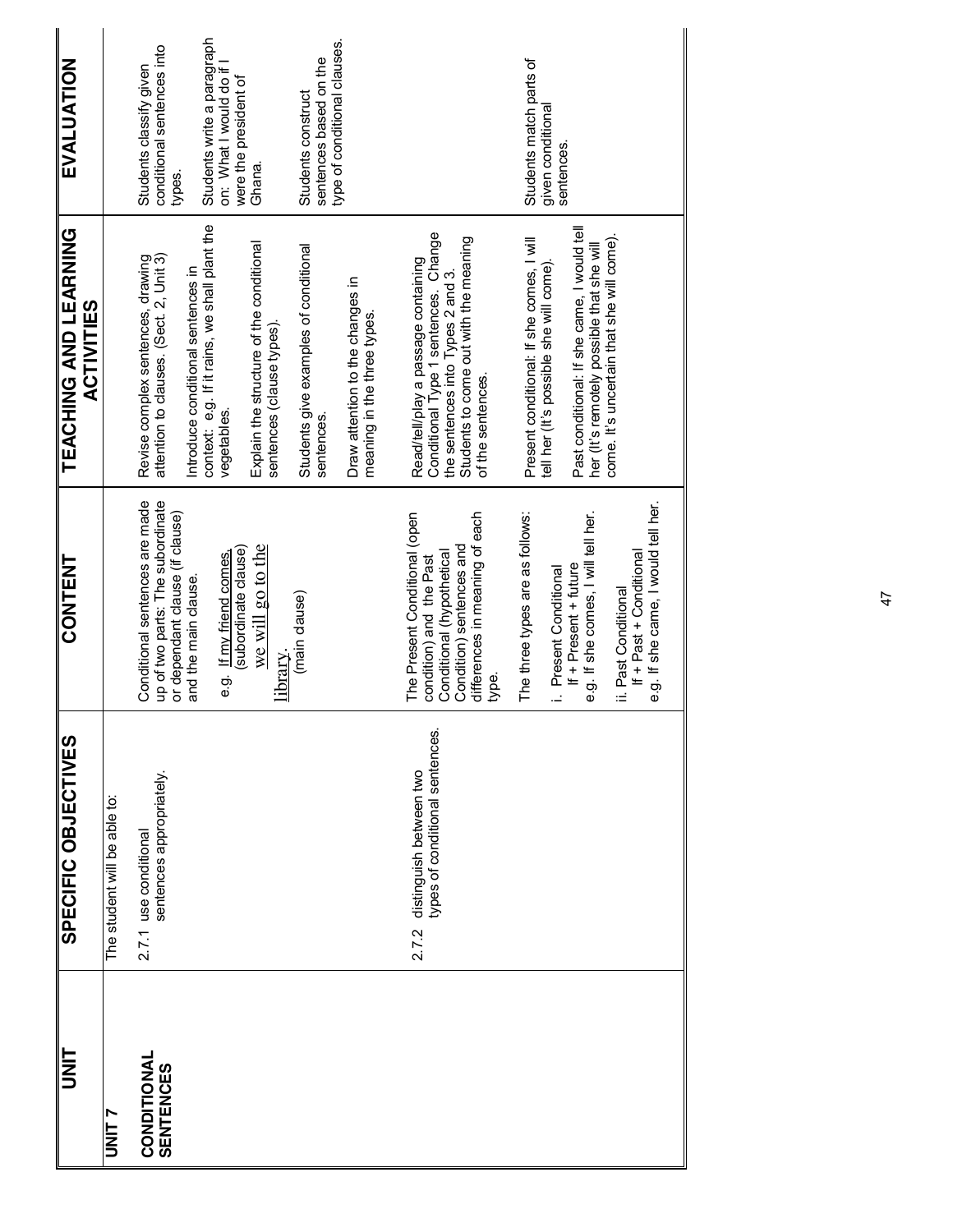| <b>EVALUATION</b>                                 |                              | Students write a paragraph<br>type of conditional clauses.<br>conditional sentences into<br>sentences based on the<br>on: What I would do if<br>Students classify given<br>were the president of<br>Students construct<br>Ghana.<br>types.                                                                                                                                           | Students match parts of<br>given conditional<br>sentences.                                                                                                                                                                                                                                                                                                                                                     |
|---------------------------------------------------|------------------------------|--------------------------------------------------------------------------------------------------------------------------------------------------------------------------------------------------------------------------------------------------------------------------------------------------------------------------------------------------------------------------------------|----------------------------------------------------------------------------------------------------------------------------------------------------------------------------------------------------------------------------------------------------------------------------------------------------------------------------------------------------------------------------------------------------------------|
| <b>TEACHING AND LEARNING</b><br><b>ACTIVITIES</b> |                              | context: e.g. If it rains, we shall plant the<br>Explain the structure of the conditional<br>Students give examples of conditional<br>attention to clauses. (Sect. 2, Unit 3)<br>Revise complex sentences, drawing<br>Introduce conditional sentences in<br>Draw attention to the changes in<br>meaning in the three types<br>sentences (clause types).<br>vegetables.<br>sentences. | Past conditional: If she came, I would tell<br>Conditional Type 1 sentences. Change<br>come. It's uncertain that she will come).<br>Students to come out with the meaning<br>Present conditional: If she comes, I will<br>her (It's remotely possible that she will<br>Read/tell/play a passage containing<br>tell her (It's possible she will come)<br>the sentences into Types 2 and 3.<br>of the sentences. |
| <b>CONTENT</b>                                    |                              | Conditional sentences are made<br>up of two parts: The subordinate<br>or dependant clause (if clause)<br>we will go to the<br>(subordinate clause)<br>e.g. If my friend comes,<br>and the main clause.<br>(main clause)<br>library                                                                                                                                                   | e.g. If she came, I would tell her.<br>e.g. If she comes, I will tell her.<br>The Present Conditional (open<br>The three types are as follows:<br>differences in meaning of each<br>Condition) sentences and<br>If + Past + Conditional<br>Conditional (hypothetical<br>condition) and the Past<br>If + Present + future<br>i. Present Conditional<br>ii. Past Conditional<br>type.                            |
| SPECIFIC OBJECTIVES                               | The student will be able to: | sentences appropriately.<br>2.7.1 use conditional                                                                                                                                                                                                                                                                                                                                    | types of conditional sentences.<br>distinguish between two<br>2.7.2                                                                                                                                                                                                                                                                                                                                            |
| <b>TINIT</b>                                      | <b>UNIT 7</b>                | CONDITIONAL<br><b>SENTENCES</b>                                                                                                                                                                                                                                                                                                                                                      |                                                                                                                                                                                                                                                                                                                                                                                                                |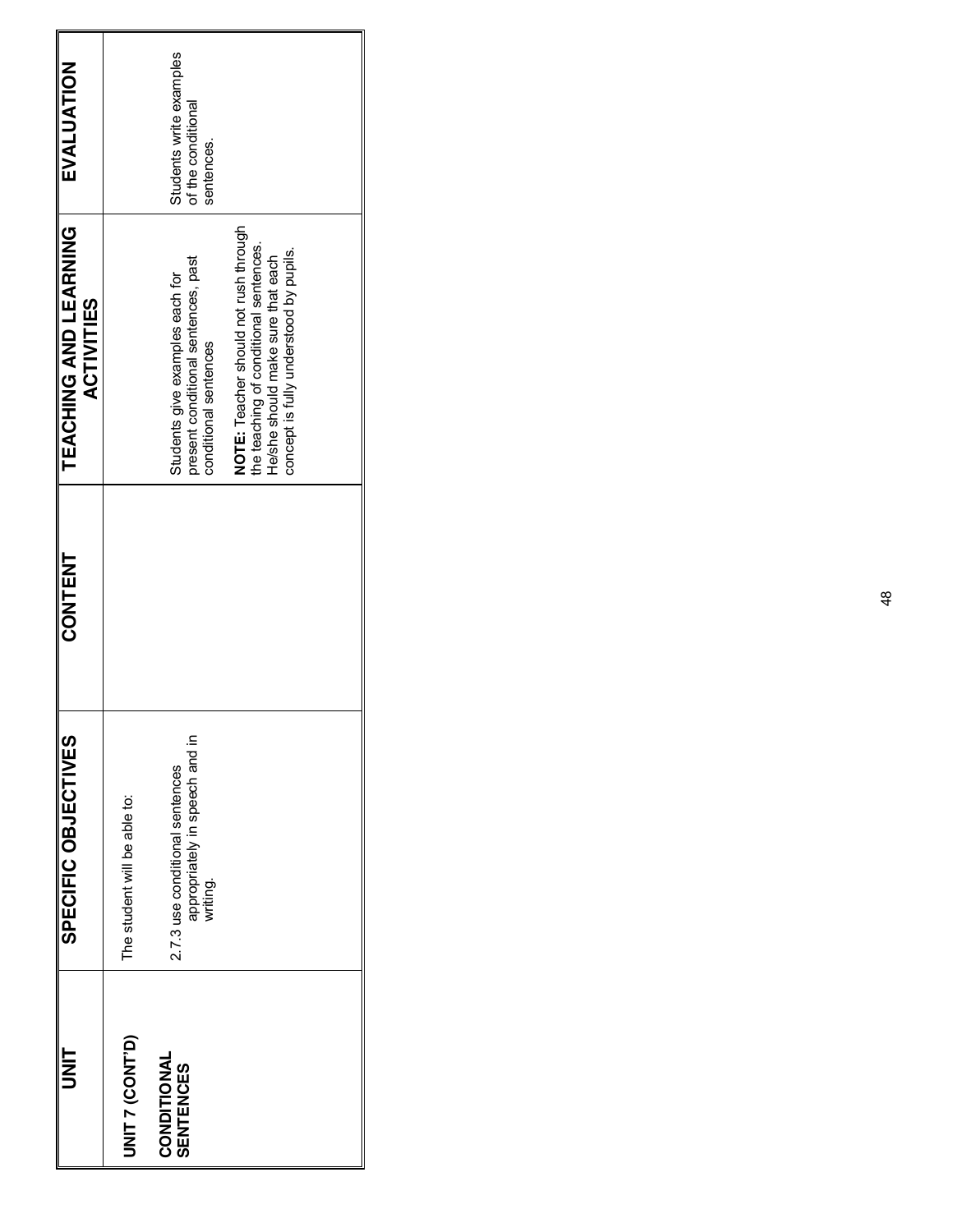| ヒ<br>N<br>コ                     | SPECIFIC<br>OBJECTIVES                                                        | <b>CONTENT</b> | TEACHING AND LEARNING<br><b>ACTIVITIES</b>                                                                                                                     | EVALUATION                                                  |
|---------------------------------|-------------------------------------------------------------------------------|----------------|----------------------------------------------------------------------------------------------------------------------------------------------------------------|-------------------------------------------------------------|
| <b>UNIT 7 (CONT'D)</b>          | The student will be able to:                                                  |                |                                                                                                                                                                |                                                             |
| CONDITIONAL<br><b>SENTENCES</b> | appropriately in speech and in<br>2.7.3 use conditional sentences<br>writing. |                | present conditional sentences, past<br>Students give examples each for<br>conditional sentences                                                                | Students write examples<br>of the conditional<br>sentences. |
|                                 |                                                                               |                | NOTE: Teacher should not rush through<br>the teaching of conditional sentences.<br>concept is fully understood by pupils.<br>He/she should make sure that each |                                                             |
|                                 |                                                                               |                |                                                                                                                                                                |                                                             |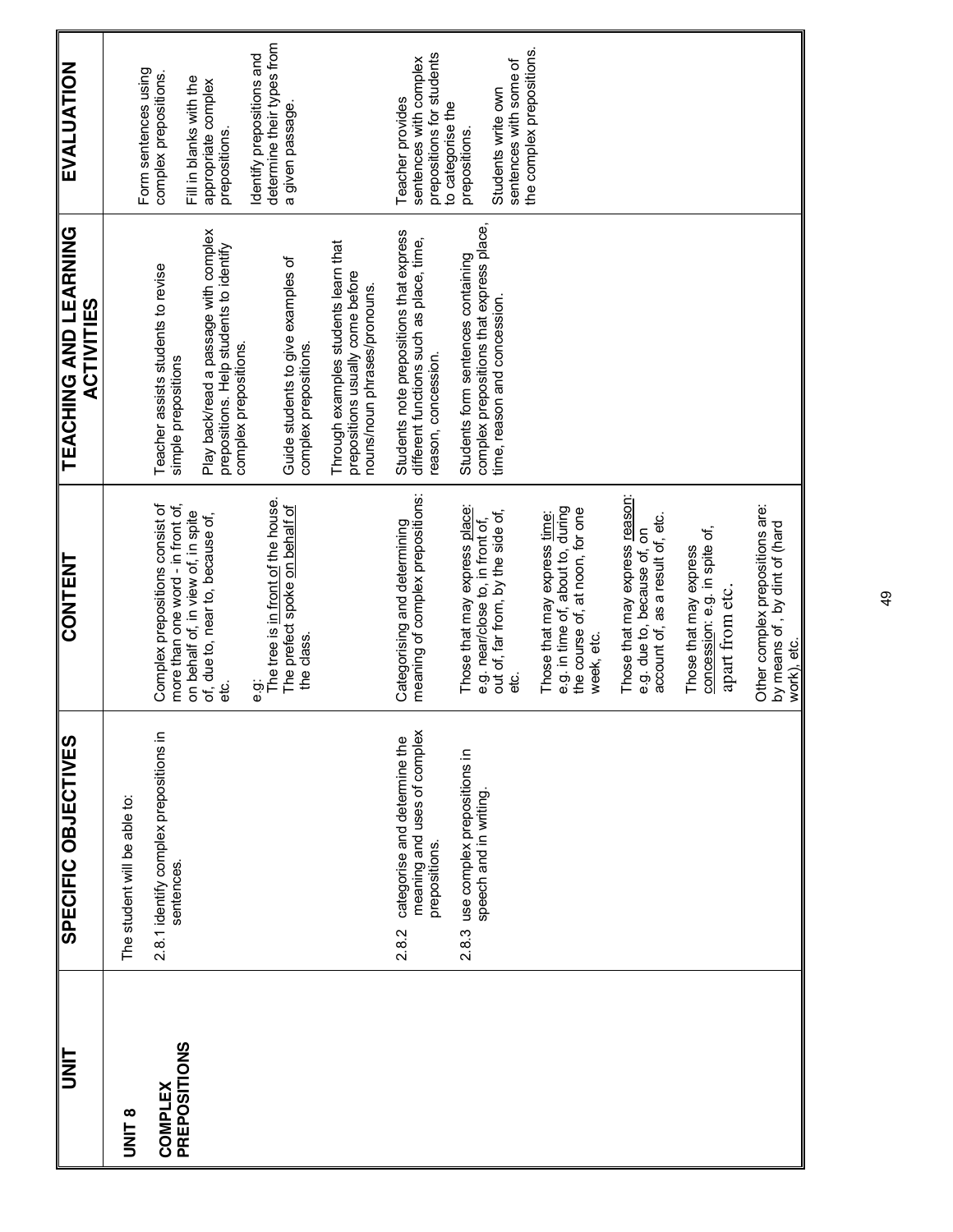| <b>TINU</b>                     | SPECIFIC OBJECTIVES                                                                   | <b>CONTENT</b>                                                                                                                                                                                        | <b>LEVCHING AND LEARINING</b><br><b>ACTIVITIES</b>                                                                                                                                                                                                                            | <b>EVALUATION</b>                                                                                                                                                                              |
|---------------------------------|---------------------------------------------------------------------------------------|-------------------------------------------------------------------------------------------------------------------------------------------------------------------------------------------------------|-------------------------------------------------------------------------------------------------------------------------------------------------------------------------------------------------------------------------------------------------------------------------------|------------------------------------------------------------------------------------------------------------------------------------------------------------------------------------------------|
| <b>B LINIL</b>                  | The student will be able to:                                                          |                                                                                                                                                                                                       |                                                                                                                                                                                                                                                                               |                                                                                                                                                                                                |
| <b>COMPLEX<br/>PREPOSITIONS</b> | 2.8.1 identify complex prepositions in<br>sentences.                                  | more than one word - in front of,<br>Complex prepositions consist of<br>The prefect spoke on behalf of<br>on behalf of, in view of, in spite<br>of, due to, near to, because of,<br>the class.<br>e.c | Play back/read a passage with complex<br>Through examples students learn that<br>prepositions. Help students to identify<br>Guide students to give examples of<br>Teacher assists students to revise<br>complex prepositions.<br>complex prepositions.<br>simple prepositions | determine their types from<br>Identify prepositions and<br>Form sentences using<br>complex prepositions.<br>Fill in blanks with the<br>appropriate complex<br>a given passage<br>prepositions. |
|                                 |                                                                                       |                                                                                                                                                                                                       | prepositions usually come before<br>nouns/noun phrases/pronouns.                                                                                                                                                                                                              |                                                                                                                                                                                                |
|                                 | meaning and uses of complex<br>categorise and determine the<br>prepositions.<br>2.8.2 | meaning of complex prepositions:<br>Categorising and determining                                                                                                                                      | Students note prepositions that express<br>different functions such as place, time,<br>reason, concession.                                                                                                                                                                    | prepositions for students<br>sentences with complex<br>Teacher provides<br>to categorise the                                                                                                   |
|                                 | use complex prepositions in<br>speech and in writing.<br>2.8.3                        | Those that may express place:<br>out of, far from, by the side of,<br>e.g. near/close to, in front of,<br>ن<br>ها                                                                                     | complex prepositions that express place,<br>Students form sentences containing<br>time, reason and concession.                                                                                                                                                                | the complex prepositions.<br>sentences with some of<br>Students write own<br>prepositions.                                                                                                     |
|                                 |                                                                                       | e.g. in time of, about to, during<br>the course of, at noon, for one<br>Those that may express time:<br>week, etc.                                                                                    |                                                                                                                                                                                                                                                                               |                                                                                                                                                                                                |
|                                 |                                                                                       | Those that may express reason:<br>e.g. due to, because of, on<br>account of, as a result of, etc.                                                                                                     |                                                                                                                                                                                                                                                                               |                                                                                                                                                                                                |
|                                 |                                                                                       | concession: e.g. in spite of,<br>Those that may express<br>apart from etc.                                                                                                                            |                                                                                                                                                                                                                                                                               |                                                                                                                                                                                                |
|                                 |                                                                                       | Other complex prepositions are:<br>by means of, by dint of (hard<br>work), etc.                                                                                                                       |                                                                                                                                                                                                                                                                               |                                                                                                                                                                                                |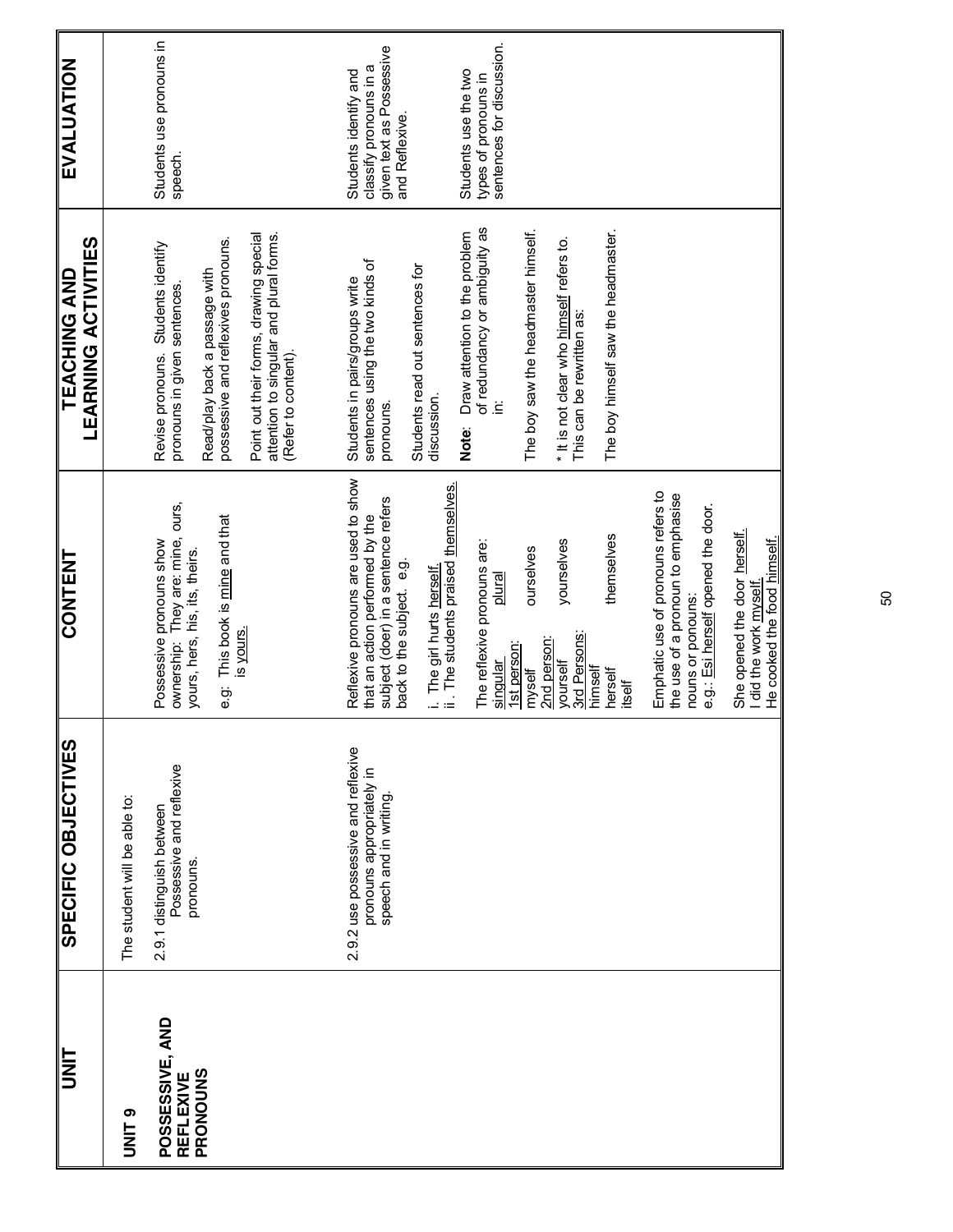| <b>UNIT</b>                              | <b>SPECIFIC OBJECTIVES</b>                                                                | <b>CONTENT</b>                                                                                                                                                                                                                  | <b>LEARNING ACTIVITIES</b><br><b>TEACHING AND</b>                                                                                                                                                                                                     | EVALUATION                                                                                    |
|------------------------------------------|-------------------------------------------------------------------------------------------|---------------------------------------------------------------------------------------------------------------------------------------------------------------------------------------------------------------------------------|-------------------------------------------------------------------------------------------------------------------------------------------------------------------------------------------------------------------------------------------------------|-----------------------------------------------------------------------------------------------|
| O<br>NNU                                 | The student will be able to:                                                              |                                                                                                                                                                                                                                 |                                                                                                                                                                                                                                                       |                                                                                               |
| POSSESSIVE, AND<br>PRONOUNS<br>REFLEXIVE | Possessive and reflexive<br>2.9.1 distinguish between<br>pronouns.                        | ownership: They are: mine, ours,<br>e.g: This book is mine and that<br>Possessive pronouns show<br>yours, hers, his, its, theirs,<br>is yours.                                                                                  | Point out their forms, drawing special<br>attention to singular and plural forms.<br>possessive and reflexives pronouns.<br>Revise pronouns. Students identify<br>Read/play back a passage with<br>pronouns in given sentences<br>(Refer to content). | Students use pronouns in<br>speech.                                                           |
|                                          | 2.9.2 use possessive and reflexive<br>pronouns appropriately in<br>speech and in writing. | Reflexive pronouns are used to show<br>i. The girl hurts <u>herself.</u><br>ii . The students praised <u>themselves.</u><br>subject (doer) in a sentence refers<br>that an action performed by the<br>back to the subject. e.g. | sentences using the two kinds of<br>Students read out sentences for<br>Students in pairs/groups write<br>discussion.<br>pronouns.                                                                                                                     | given text as Possessive<br>classify pronouns in a<br>Students identify and<br>and Reflexive. |
|                                          |                                                                                           | yourselves<br>The reflexive pronouns are:<br>ourselves<br>plural<br>3rd Persons:<br>2nd person:<br>1st person:<br>yourself<br>singular<br>myself                                                                                | of redundancy or ambiguity as<br>The boy saw the headmaster himself.<br>Draw attention to the problem<br>* It is not clear who himself refers to.<br>This can be rewritten as:<br>Ë<br>Note:                                                          | sentences for discussion.<br>Students use the two<br>types of pronouns in                     |
|                                          |                                                                                           | themselves<br>himself<br>herself<br>itself                                                                                                                                                                                      | The boy himself saw the headmaster.                                                                                                                                                                                                                   |                                                                                               |
|                                          |                                                                                           | Emphatic use of pronouns refers to<br>the use of a pronoun to emphasise<br>e.g.: Esi herself opened the door.<br>nouns or ponouns:                                                                                              |                                                                                                                                                                                                                                                       |                                                                                               |
|                                          |                                                                                           | She opened the door herself.<br>He cooked the food himself.<br>I did the work myself                                                                                                                                            |                                                                                                                                                                                                                                                       |                                                                                               |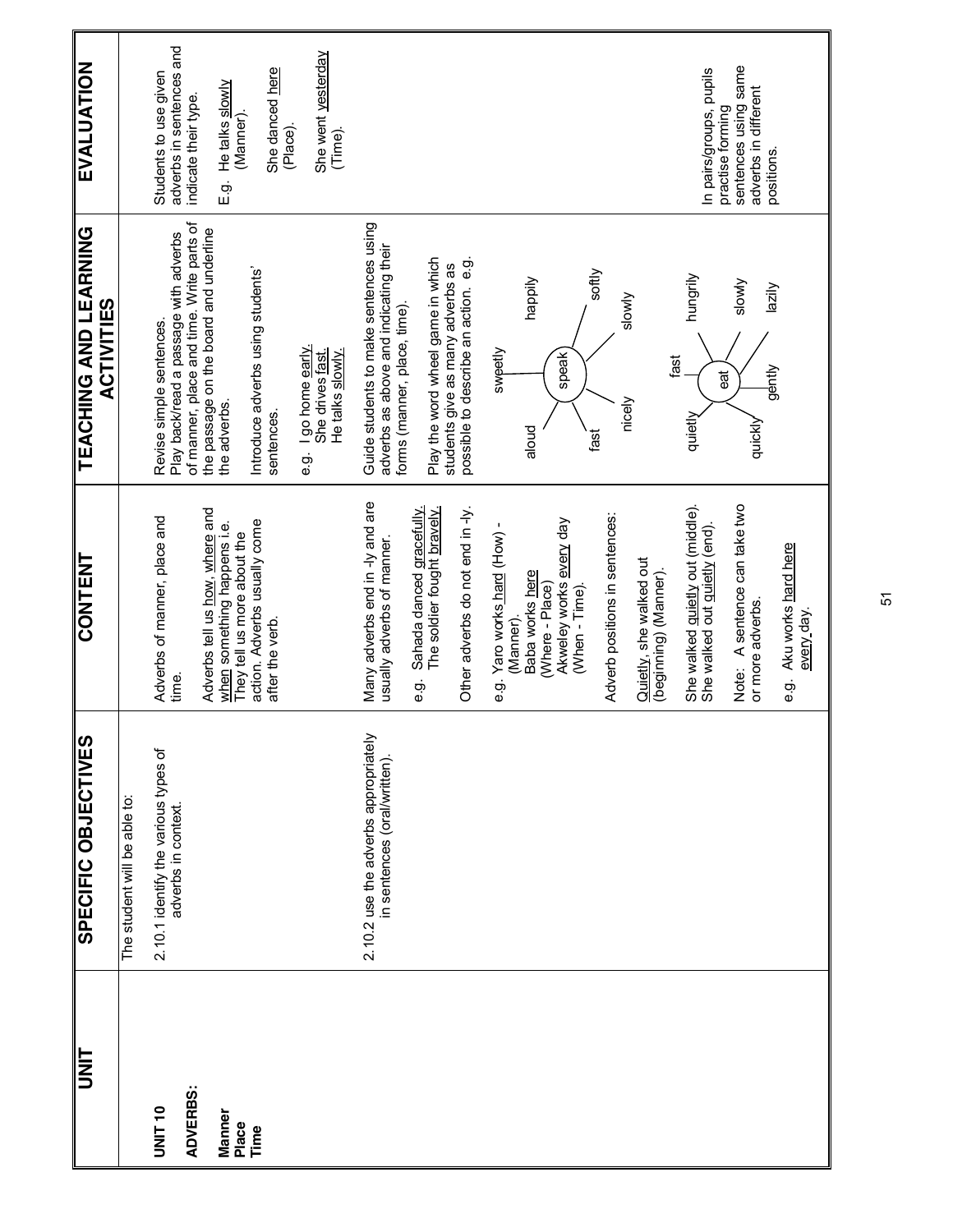| <b>S</b>                              | <b>SPECIFIC OBJECTIVES</b>                                           | <b>CONTENT</b>                                                    | <b>LEVCHING AND LEVBING</b><br><b>ACTIVITIES</b>                                                               | <b>EVALUATION</b>                                                              |
|---------------------------------------|----------------------------------------------------------------------|-------------------------------------------------------------------|----------------------------------------------------------------------------------------------------------------|--------------------------------------------------------------------------------|
|                                       | The student will be able to:                                         |                                                                   |                                                                                                                |                                                                                |
| <b>ADVERBS:</b><br>UNIT <sub>10</sub> | 2.10.1 identify the various types of<br>adverbs in context           | Adverbs of manner, place and<br>time.                             | of manner, place and time. Write parts of<br>Play back/read a passage with adverbs<br>Revise simple sentences. | adverbs in sentences and<br>Students to use given<br>indicate their type.      |
| Manner                                |                                                                      | Adverbs tell us how, where and<br>when something happens i.e.     | the passage on the board and underline<br>the adverbs.                                                         | He talks slowly<br>(Manner).<br>ć.<br>E                                        |
| Place<br>Time                         |                                                                      | action. Adverbs usually come<br>They tell us more about the       | Introduce adverbs using students'                                                                              |                                                                                |
|                                       |                                                                      | after the verb.                                                   | sentences.                                                                                                     | She danced here<br>(Place).                                                    |
|                                       |                                                                      |                                                                   | I go home early.<br>She drives fast.<br>He talks slowly.<br>တ်<br>စ                                            | She went yesterday<br>(Time).                                                  |
|                                       | 2.10.2 use the adverbs appropriately<br>in sentences (oral/written). | Many adverbs end in -ly and are<br>usually adverbs of manner.     | Guide students to make sentences using<br>adverbs as above and indicating their                                |                                                                                |
|                                       |                                                                      | e.g. Sahada danced gracefully.                                    | forms (manner, place, time)                                                                                    |                                                                                |
|                                       |                                                                      | The soldier fought bravely.                                       | Play the word wheel game in which<br>students give as many adverbs as                                          |                                                                                |
|                                       |                                                                      | Other adverbs do not end in -ly.                                  | possible to describe an action. e.g.                                                                           |                                                                                |
|                                       |                                                                      | e.g. Yaro works hard (How) -                                      | sweetly                                                                                                        |                                                                                |
|                                       |                                                                      | Baba works here<br>(Manner).                                      | happily<br>aloud                                                                                               |                                                                                |
|                                       |                                                                      | (Where - Place)                                                   |                                                                                                                |                                                                                |
|                                       |                                                                      | Akweley works every day<br>(When - Time)                          | speak)                                                                                                         |                                                                                |
|                                       |                                                                      | Adverb positions in sentences:                                    | softly<br>slowly<br>nicely<br>fast                                                                             |                                                                                |
|                                       |                                                                      | Quietly, she walked out<br>(beginning) (Manner).                  |                                                                                                                |                                                                                |
|                                       |                                                                      | She walked quietly out (middle).<br>She walked out quietly (end). | hungrily<br>ise<br>đ<br>quietly                                                                                | In pairs/groups, pupils                                                        |
|                                       |                                                                      | Note: A sentence can take two<br>or more adverbs.                 | slowly<br>lazily<br>gently<br>quickly                                                                          | sentences using same<br>adverbs in different<br>practise forming<br>positions. |
|                                       |                                                                      | e.g. Aku works hard here<br>every day.                            |                                                                                                                |                                                                                |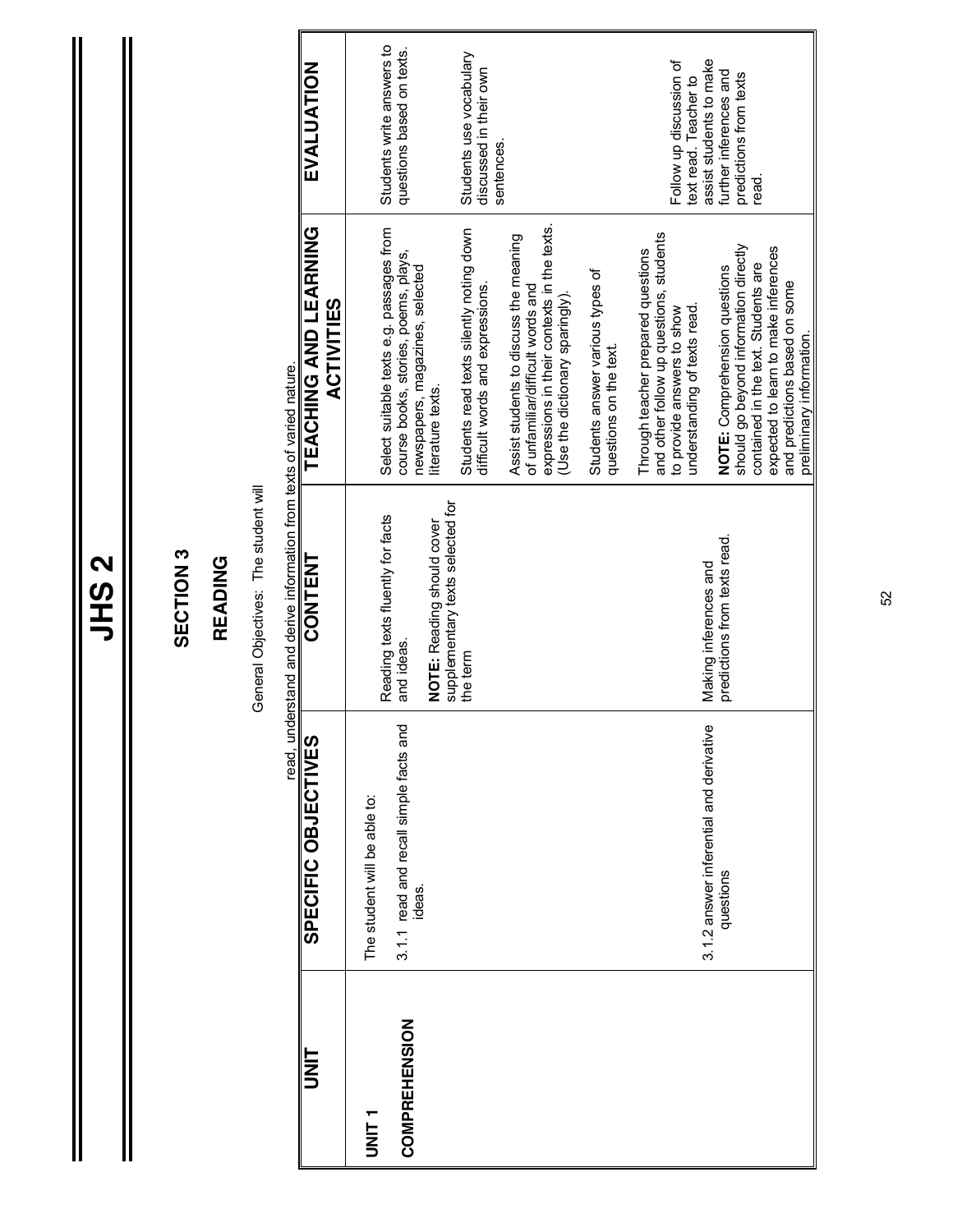|               |                                                  | SECTION <sub>3</sub>                                                       |                                                                                                                                                               |                                                                             |
|---------------|--------------------------------------------------|----------------------------------------------------------------------------|---------------------------------------------------------------------------------------------------------------------------------------------------------------|-----------------------------------------------------------------------------|
|               |                                                  | READING                                                                    |                                                                                                                                                               |                                                                             |
|               |                                                  | General Objectives: The student will                                       |                                                                                                                                                               |                                                                             |
|               |                                                  | read, understand and derive information from texts of varied nature.       |                                                                                                                                                               |                                                                             |
| ヒZコ           | SPECIFIC OBJECTIVES                              | <b>CONTENT</b>                                                             | TEACHING AND LEARNING<br><b>ACTIVITIES</b>                                                                                                                    | EVALUATION                                                                  |
| T<br>NIN<br>D | The student will be able to:                     | Reading texts fluently for facts                                           | Select suitable texts e.g. passages from                                                                                                                      | Students write answers to                                                   |
| COMPREHENSION | 3.1.1 read and recall simple facts and<br>ideas. | and ideas.                                                                 | course books, stories, poems, plays,<br>newspapers, magazines, selected                                                                                       | questions based on texts.                                                   |
|               |                                                  | supplementary texts selected for<br>NOTE: Reading should cover<br>the term | Students read texts silently noting down<br>literature texts.                                                                                                 | Students use vocabulary                                                     |
|               |                                                  |                                                                            | difficult words and expressions.                                                                                                                              | discussed in their own<br>sentences.                                        |
|               |                                                  |                                                                            | expressions in their contexts in the texts.<br>Assist students to discuss the meaning<br>of unfamiliar/difficult words and<br>(Use the dictionary sparingly). |                                                                             |
|               |                                                  |                                                                            | Students answer various types of<br>questions on the text.                                                                                                    |                                                                             |
|               |                                                  |                                                                            | and other follow up questions, students<br>Through teacher prepared questions                                                                                 |                                                                             |
|               | 3.1.2 answer inferential and derivative          | Making inferences and                                                      | understanding of texts read.<br>to provide answers to show                                                                                                    | assist students to make<br>Follow up discussion of<br>text read. Teacher to |
|               | questions                                        | predictions from texts read.                                               | NOTE: Comprehension questions                                                                                                                                 | further inferences and                                                      |
|               |                                                  |                                                                            | should go beyond information directly                                                                                                                         | predictions from texts                                                      |
|               |                                                  |                                                                            | expected to learn to make inferences<br>contained in the text. Students are                                                                                   | read.                                                                       |
|               |                                                  |                                                                            | and predictions based on some<br>preliminary information.                                                                                                     |                                                                             |

### **JHS 2**

 $\parallel$ 

 $\mathbf{\mathsf{I}}$ 

 $\mathbf{\Pi}$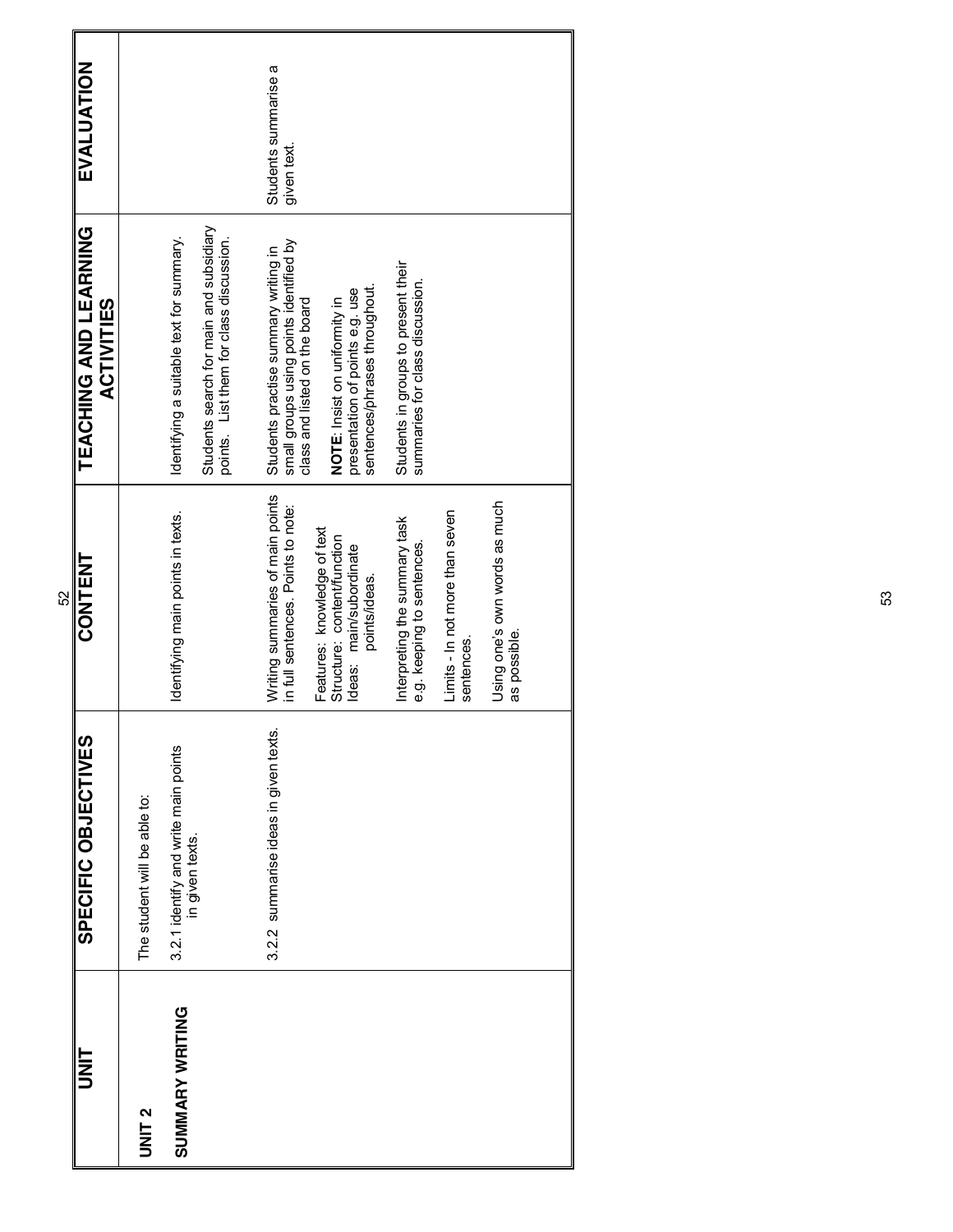|                 |                                                         | 52                                                                                                     |                                                                                                                                |                                    |
|-----------------|---------------------------------------------------------|--------------------------------------------------------------------------------------------------------|--------------------------------------------------------------------------------------------------------------------------------|------------------------------------|
| I<br>N<br>D     | SPECIFIC OBJECTIVES                                     | <b>CONTENT</b>                                                                                         | TEACHING AND LEARNING<br><b>ACTIVITIES</b>                                                                                     | EVALUATION                         |
| <b>UNIT 2</b>   | The student will be able to:                            |                                                                                                        |                                                                                                                                |                                    |
| SUMMARY WRITING | 3.2.1 identify and write main points<br>in given texts. | Identifying main points in texts.                                                                      | Students search for main and subsidiary<br>Identifying a suitable text for summary.<br>points. List them for class discussion. |                                    |
|                 | 3.2.2 summarise ideas in given texts.                   | Writing summaries of main points<br>in full sentences. Points to note:                                 | small groups using points identified by<br>Students practise summary writing in<br>class and listed on the board               | Students summarise a<br>given text |
|                 |                                                         | Features: knowledge of text<br>Structure: content/function<br>Ideas: main/subordinate<br>points/ideas. | sentences/phrases throughout.<br>presentation of points e.g. use<br>NOTE: Insist on uniformity in                              |                                    |
|                 |                                                         | Interpreting the summary task<br>e.g. keeping to sentences.                                            | Students in groups to present their<br>summaries for class discussion.                                                         |                                    |
|                 |                                                         | Limits - In not more than seven<br>sentences.                                                          |                                                                                                                                |                                    |
|                 |                                                         | Using one's own words as much<br>as possible.                                                          |                                                                                                                                |                                    |
|                 |                                                         |                                                                                                        |                                                                                                                                |                                    |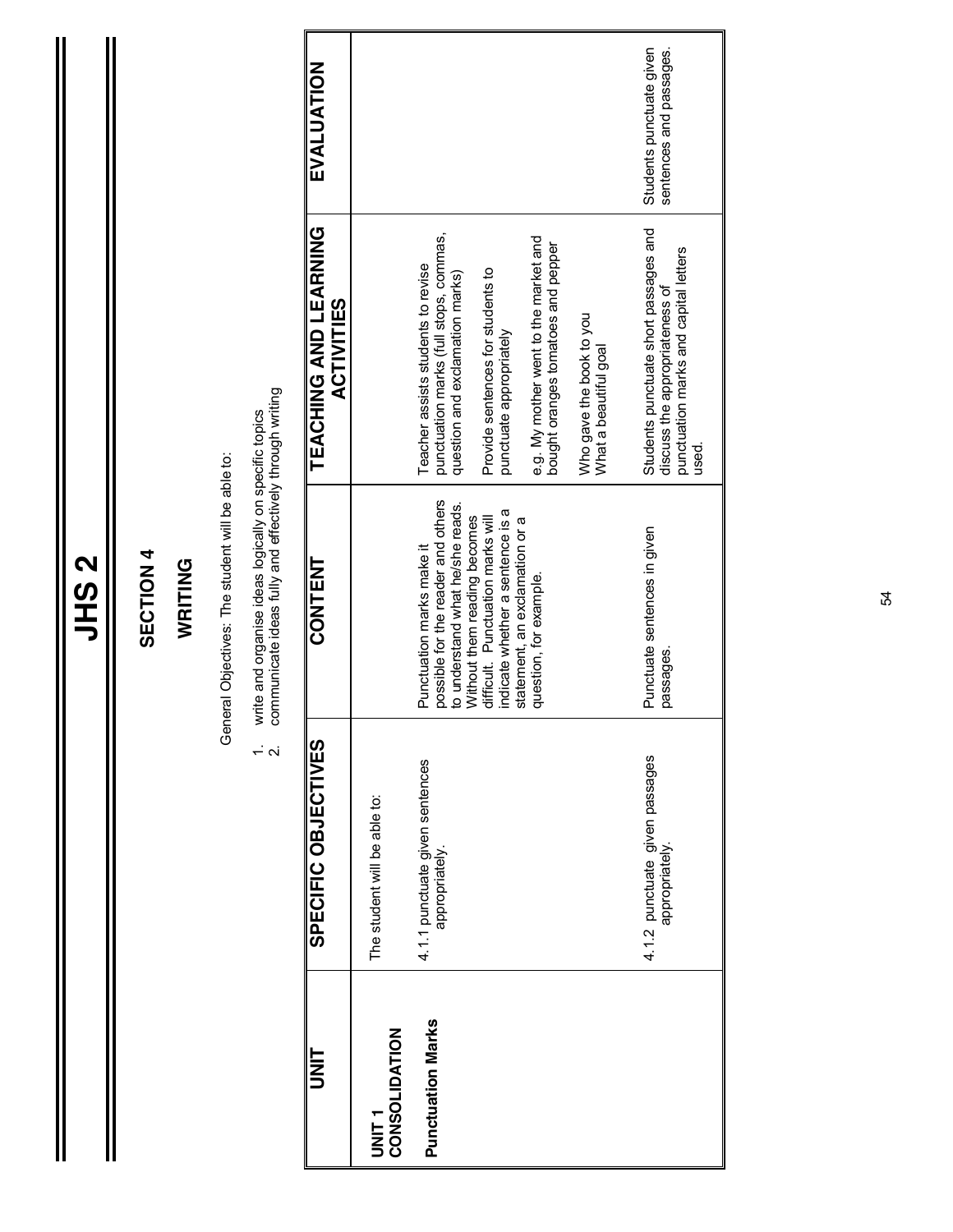| L      |
|--------|
| ŗ<br>r |
|        |
|        |
|        |

Ш

#### SECTION 4 **SECTION 4**

#### WRITING **WRITING**

General Objectives: The student will be able to: General Objectives: The student will be able to:

1. write and organise ideas logically on specific topics<br>2. communicate ideas fully and effectively through writing  $1.16$  ideas and  $1.8$   $\mu$  is a specific topic and  $1.8$  ideas in specific topics ideas in  $\mu$ 

2. communicate ideas fully and effectively through writing

| I<br>N<br>D                    | SPECIFIC<br>OBJECTIVES                            | <b>CONTENT</b>                                                                                        | TEACHING AND LEARNING<br><b>ACTIVITIES</b>                                                                                | EVALUATION                                          |
|--------------------------------|---------------------------------------------------|-------------------------------------------------------------------------------------------------------|---------------------------------------------------------------------------------------------------------------------------|-----------------------------------------------------|
| CONSOLIDATION<br>.<br>INS<br>D | The student will be able to:                      |                                                                                                       |                                                                                                                           |                                                     |
| <b>Punctuation Marks</b>       | 4.1.1 punctuate given sentences<br>appropriately. | possible for the reader and others<br>to understand what he/she reads.<br>Punctuation marks make it   | punctuation marks (full stops, commas,<br>Teacher assists students to revise<br>question and exclamation marks)           |                                                     |
|                                |                                                   | indicate whether a sentence is a<br>Without them reading becomes<br>difficult. Punctuation marks will | Provide sentences for students to<br>punctuate appropriately                                                              |                                                     |
|                                |                                                   | statement, an exclamation or a<br>question, for example.                                              | e.g. My mother went to the market and<br>bought oranges tomatoes and pepper                                               |                                                     |
|                                |                                                   |                                                                                                       | Who gave the book to you<br>What a beautiful goal                                                                         |                                                     |
|                                | 4.1.2 punctuate given passages<br>appropriately.  | Punctuate sentences in given<br>passages.                                                             | Students punctuate short passages and<br>punctuation marks and capital letters<br>discuss the appropriateness of<br>used. | Students punctuate given<br>sentences and passages. |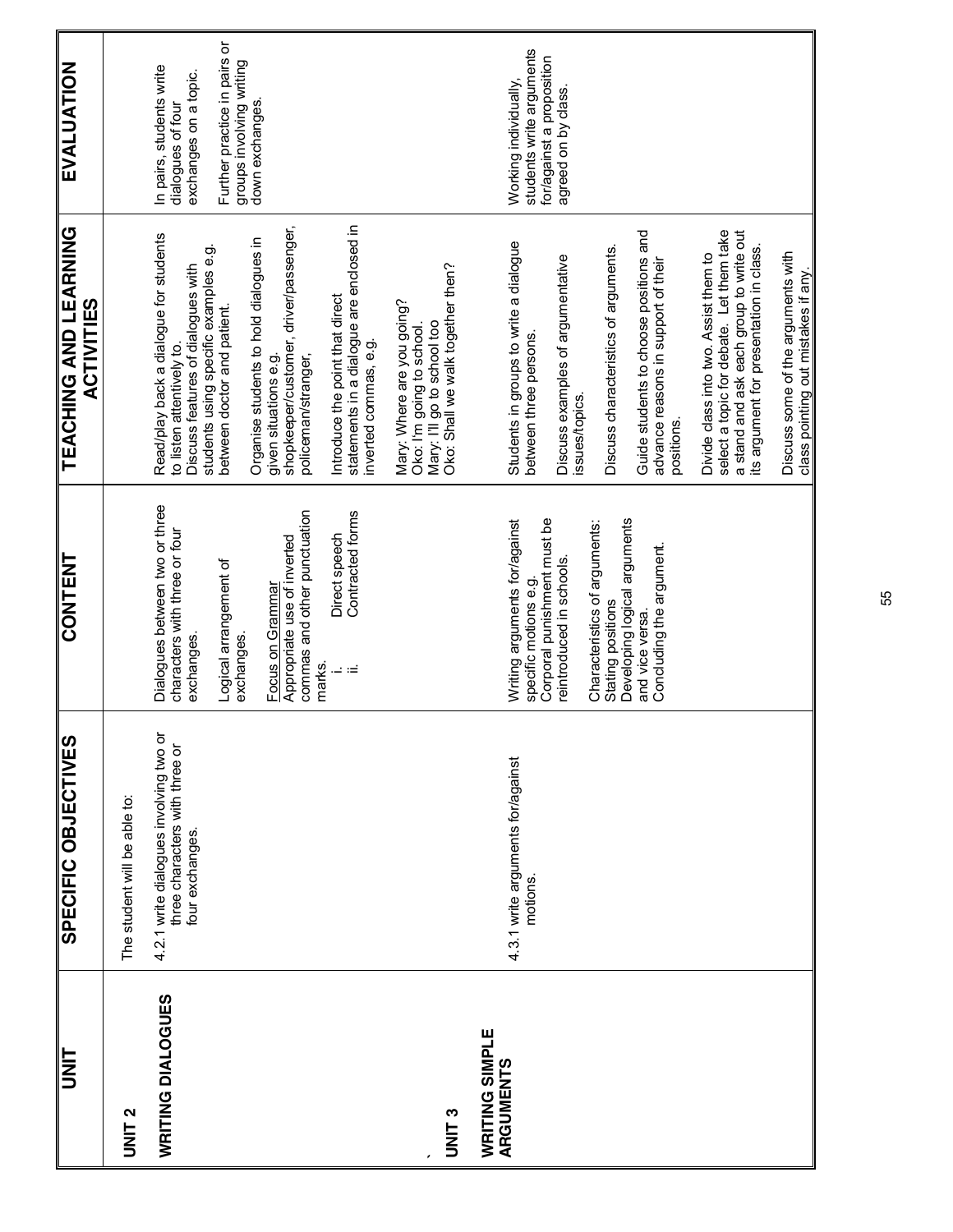| UNIT                               | SPECIFIC OBJECTIVES                                                                         | <b>CONTENT</b>                                                                                                                                                                                                                                                                      | <b>LEVCHING AND LEARING</b><br><b>ACTIVITIES</b>                                                                                                                                                                                                                                                                                                                                                                                                                                 | EVALUATION                                                                                                                                            |
|------------------------------------|---------------------------------------------------------------------------------------------|-------------------------------------------------------------------------------------------------------------------------------------------------------------------------------------------------------------------------------------------------------------------------------------|----------------------------------------------------------------------------------------------------------------------------------------------------------------------------------------------------------------------------------------------------------------------------------------------------------------------------------------------------------------------------------------------------------------------------------------------------------------------------------|-------------------------------------------------------------------------------------------------------------------------------------------------------|
| <b>DNIT 2</b>                      | The student will be able to:                                                                |                                                                                                                                                                                                                                                                                     |                                                                                                                                                                                                                                                                                                                                                                                                                                                                                  |                                                                                                                                                       |
| WRITING DIALOGUES                  | 4.2.1 write dialogues involving two or<br>three characters with three or<br>four exchanges. | Dialogues between two or three<br>commas and other punctuation<br>Contracted forms<br>characters with three or four<br>Direct speech<br>Appropriate use of inverted<br>Logical arrangement of<br>Focus on Grammar<br>exchanges<br>exchanges<br>marks.<br>$\overline{a}$<br>$\equiv$ | statements in a dialogue are enclosed in<br>inverted commas, e.g.<br>given situations e.g.<br>shopkeeper/customer, driver/passenger,<br>Read/play back a dialogue for students<br>Organise students to hold dialogues in<br>students using specific examples e.g.<br>between doctor and patient.<br>Discuss features of dialogues with<br>Introduce the point that direct<br>to listen attentively to.<br>policeman/stranger,                                                    | Further practice in pairs or<br>groups involving writing<br>In pairs, students write<br>exchanges on a topic.<br>down exchanges.<br>dialogues of four |
| UNIT <sub>3</sub>                  |                                                                                             |                                                                                                                                                                                                                                                                                     | Oko: Shail we walk together then?<br>Mary: Where are you going?<br>Mary: I'll go to school too<br>Oko: I'm going to school.                                                                                                                                                                                                                                                                                                                                                      |                                                                                                                                                       |
| <b>WRITING SIMPLE</b><br>ARGUMENTS | 4.3.1 write arguments for/against<br>motions.                                               | Corporal punishment must be<br>Writing arguments for/against<br>Developing logical arguments<br>Characteristics of arguments:<br>Concluding the argument<br>reintroduced in schools.<br>specific motions e.g.<br>Stating positions<br>and vice versa.                               | select a topic for debate. Let them take<br>Guide students to choose positions and<br>a stand and ask each group to write out<br>Students in groups to write a dialogue<br>its argument for presentation in class.<br>Discuss characteristics of arguments.<br>Discuss some of the arguments with<br>Discuss examples of argumentative<br>issues/topics.<br>Divide class into two. Assist them to<br>advance reasons in support of their<br>between three persons.<br>positions. | students write arguments<br>for/against a proposition<br>Working individually,<br>agreed on by class.                                                 |
|                                    |                                                                                             |                                                                                                                                                                                                                                                                                     | class pointing out mistakes if any.                                                                                                                                                                                                                                                                                                                                                                                                                                              |                                                                                                                                                       |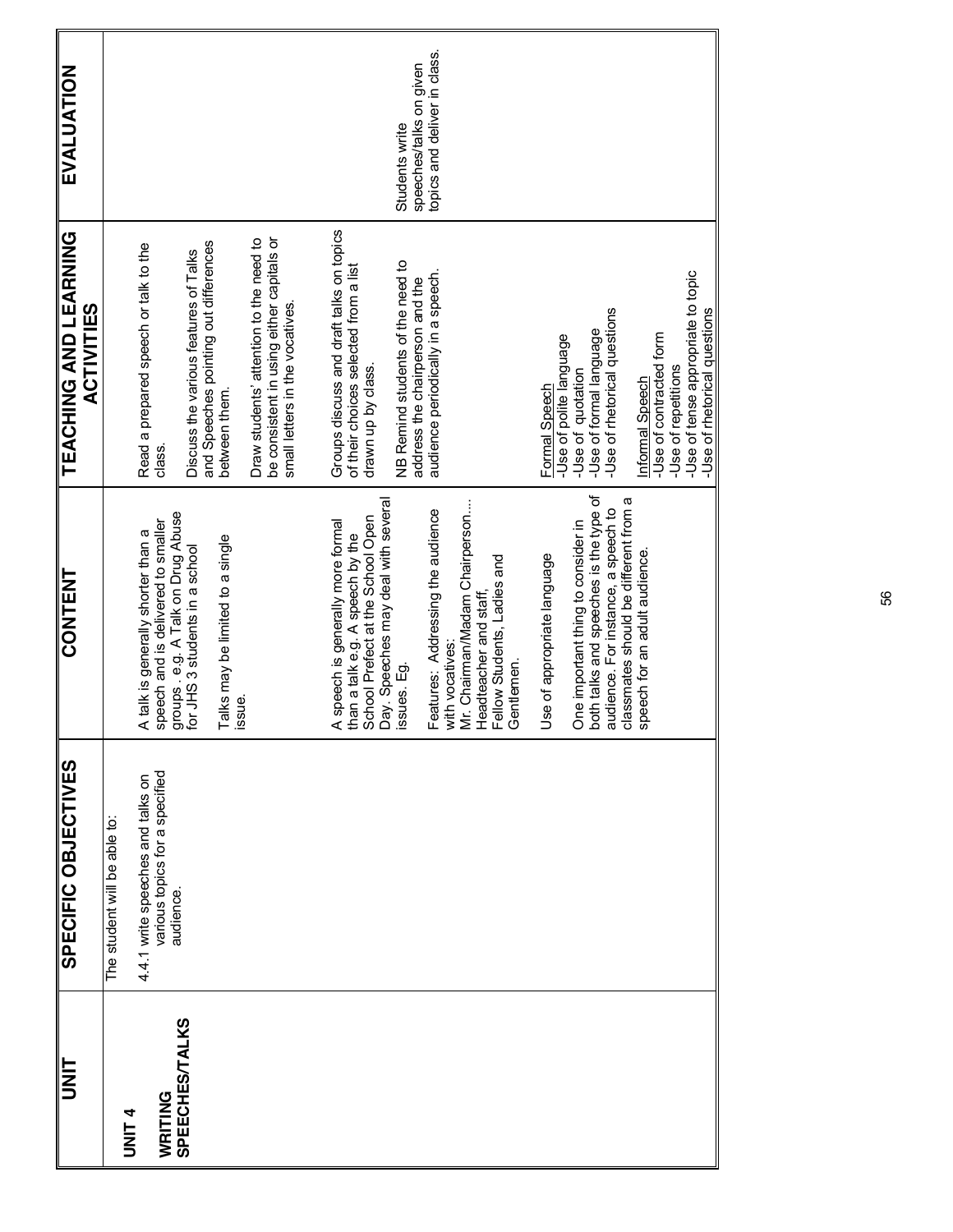| <b>SINT</b>           | SPECIFIC OBJECTIVES                                                             | <b>CONTENT</b>                                                                                                                                                                                | <b>TEACHING AND LEARNING</b><br><b>ACTIVITIES</b>                                                                      | <b>EVALUATION</b>                                       |
|-----------------------|---------------------------------------------------------------------------------|-----------------------------------------------------------------------------------------------------------------------------------------------------------------------------------------------|------------------------------------------------------------------------------------------------------------------------|---------------------------------------------------------|
| <b>UNIT 4</b>         | The student will be able to:                                                    |                                                                                                                                                                                               |                                                                                                                        |                                                         |
| WRITING               | various topics for a specified<br>4.4.1 write speeches and talks on<br>audience | A talk is generally shorter than a<br>speech and is delivered to smaller<br>groups . e.g. A Talk on Drug Abuse<br>for JHS 3 students in a school                                              | Read a prepared speech or talk to the<br>class.                                                                        |                                                         |
| <b>SPEECHES/TALKS</b> |                                                                                 |                                                                                                                                                                                               | and Speeches pointing out differences<br>Discuss the various features of Talks                                         |                                                         |
|                       |                                                                                 | Talks may be limited to a single<br>issue.                                                                                                                                                    | between them.                                                                                                          |                                                         |
|                       |                                                                                 |                                                                                                                                                                                               | be consistent in using either capitals or<br>Draw students' attention to the need to<br>small letters in the vocatives |                                                         |
|                       |                                                                                 |                                                                                                                                                                                               |                                                                                                                        |                                                         |
|                       |                                                                                 |                                                                                                                                                                                               | Groups discuss and draft talks on topics<br>of their choices selected from a list                                      |                                                         |
|                       |                                                                                 | A speech is generally more formal<br>than a talk e.g. A speech by the<br>School Prefect at the School Open<br>Day. Speeches may deal with several<br>ssues. Eg.                               | drawn up by class.                                                                                                     |                                                         |
|                       |                                                                                 |                                                                                                                                                                                               | NB Remind students of the need to                                                                                      | Students write                                          |
|                       |                                                                                 |                                                                                                                                                                                               | audience periodically in a speech.<br>address the chairperson and the                                                  | topics and deliver in class.<br>speeches/talks on given |
|                       |                                                                                 |                                                                                                                                                                                               |                                                                                                                        |                                                         |
|                       |                                                                                 | Features: Addressing the audience<br>with vocatives:<br>Mr. Chairman/Madam Chairperson<br>Headteacher and staff,<br>Fellow Students, Ladies and<br>Gentlemen.                                 |                                                                                                                        |                                                         |
|                       |                                                                                 |                                                                                                                                                                                               |                                                                                                                        |                                                         |
|                       |                                                                                 | Use of appropriate language                                                                                                                                                                   | -Use of polite language<br>Formal Speech                                                                               |                                                         |
|                       |                                                                                 |                                                                                                                                                                                               | -Use of formal language<br>-Use of quotation                                                                           |                                                         |
|                       |                                                                                 | One important thing to consider in<br>both talks and speeches is the type of<br>audience. For instance, a speech to<br>classmates should be different from a<br>speech for an adult audience. | -Use of metorical questions                                                                                            |                                                         |
|                       |                                                                                 |                                                                                                                                                                                               | Informal Speech                                                                                                        |                                                         |
|                       |                                                                                 |                                                                                                                                                                                               | -Use of contracted form                                                                                                |                                                         |
|                       |                                                                                 |                                                                                                                                                                                               | -Use of tense appropriate to topic<br>-Use of metorical questions<br>-Use of repetitions                               |                                                         |
|                       |                                                                                 |                                                                                                                                                                                               |                                                                                                                        |                                                         |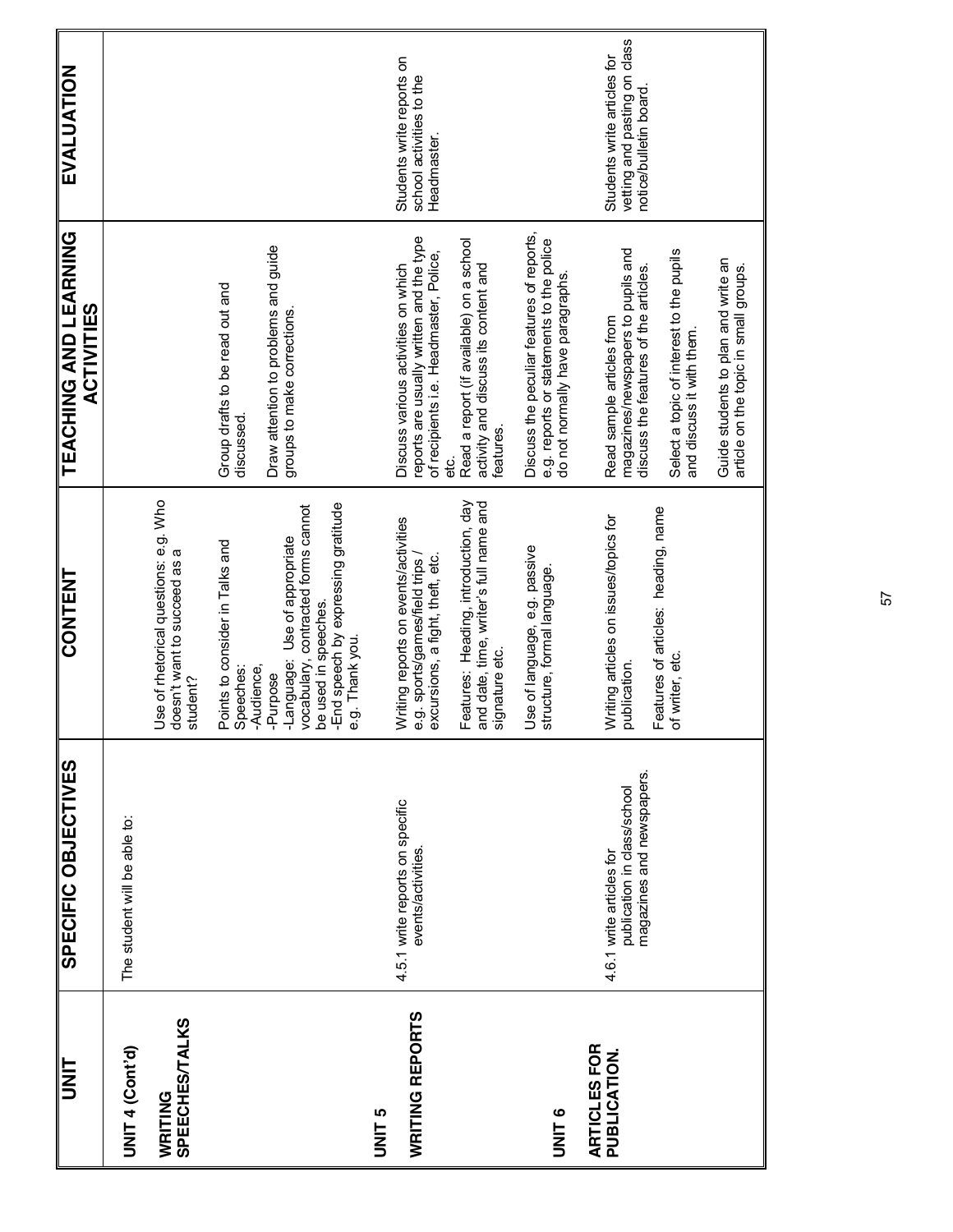| <b>TINU</b>                                 | SPECIFIC OBJECTIVES                                                                  | <b>CONTENT</b>                                                                                                                                                                                                                   | <b>TEACHING AND LEARNING</b><br><b>ACTIVITIES</b>                                                                                                                                                                                                                 | <b>EVALUATION</b>                                                                     |
|---------------------------------------------|--------------------------------------------------------------------------------------|----------------------------------------------------------------------------------------------------------------------------------------------------------------------------------------------------------------------------------|-------------------------------------------------------------------------------------------------------------------------------------------------------------------------------------------------------------------------------------------------------------------|---------------------------------------------------------------------------------------|
| UNIT 4 (Cont'd)                             | The student will be able to:                                                         |                                                                                                                                                                                                                                  |                                                                                                                                                                                                                                                                   |                                                                                       |
| <b>SPEECHES/TALKS</b><br>WRITING            |                                                                                      | Use of rhetorical questions: e.g. Who<br>doesn't want to succeed as a<br>student?                                                                                                                                                |                                                                                                                                                                                                                                                                   |                                                                                       |
|                                             |                                                                                      | be used in speeches.<br>-End speech by expressing gratitude<br>-Àudience,<br>-Purpose<br>-Language: Use of appropriate<br>vocabulary, contracted forms cannot<br>Points to consider in Talks and<br>Speeches:<br>e.g. Thank you. | Draw attention to problems and guide<br>Group drafts to be read out and<br>groups to make corrections.<br>discussed.                                                                                                                                              |                                                                                       |
| <b>WRITING REPORTS</b><br><b>JINIT</b><br>5 | 4.5.1 write reports on specific<br>events/activities                                 | Features: Heading, introduction, day<br>and date, time, writer's full name and<br>Writing reports on events/activities<br>e.g. sports/games/field trips /<br>excursions, a fight, theft, etc.<br>signature etc.                  | reports are usually written and the type<br>Read a report (if available) on a school<br>of recipients i.e. Headmaster, Police,<br>activity and discuss its content and<br>Discuss various activities on which<br>features.<br>မ္မ                                 | Students write reports on<br>school activities to the<br>Headmaster.                  |
| ARTICLES FOR<br><b>UNIT 6</b>               |                                                                                      | Use of language, e.g. passive<br>structure, formal language.                                                                                                                                                                     | Discuss the peculiar features of reports,<br>e.g. reports or statements to the police<br>do not normally have paragraphs                                                                                                                                          |                                                                                       |
| PUBLICATION.                                | magazines and newspapers.<br>publication in class/school<br>4.6.1 write articles for | Features of articles: heading, name<br>of writer, etc.<br>Writing articles on issues/topics for<br>writer, etc<br>blication.<br>$\overline{a}$                                                                                   | magazines/newspapers to pupils and<br>Select a topic of interest to the pupils<br>Guide students to plan and write an<br>article on the topic in small groups.<br>discuss the features of the articles.<br>Read sample articles from<br>and discuss it with them. | vetting and pasting on class<br>Students write articles for<br>notice/bulletin board. |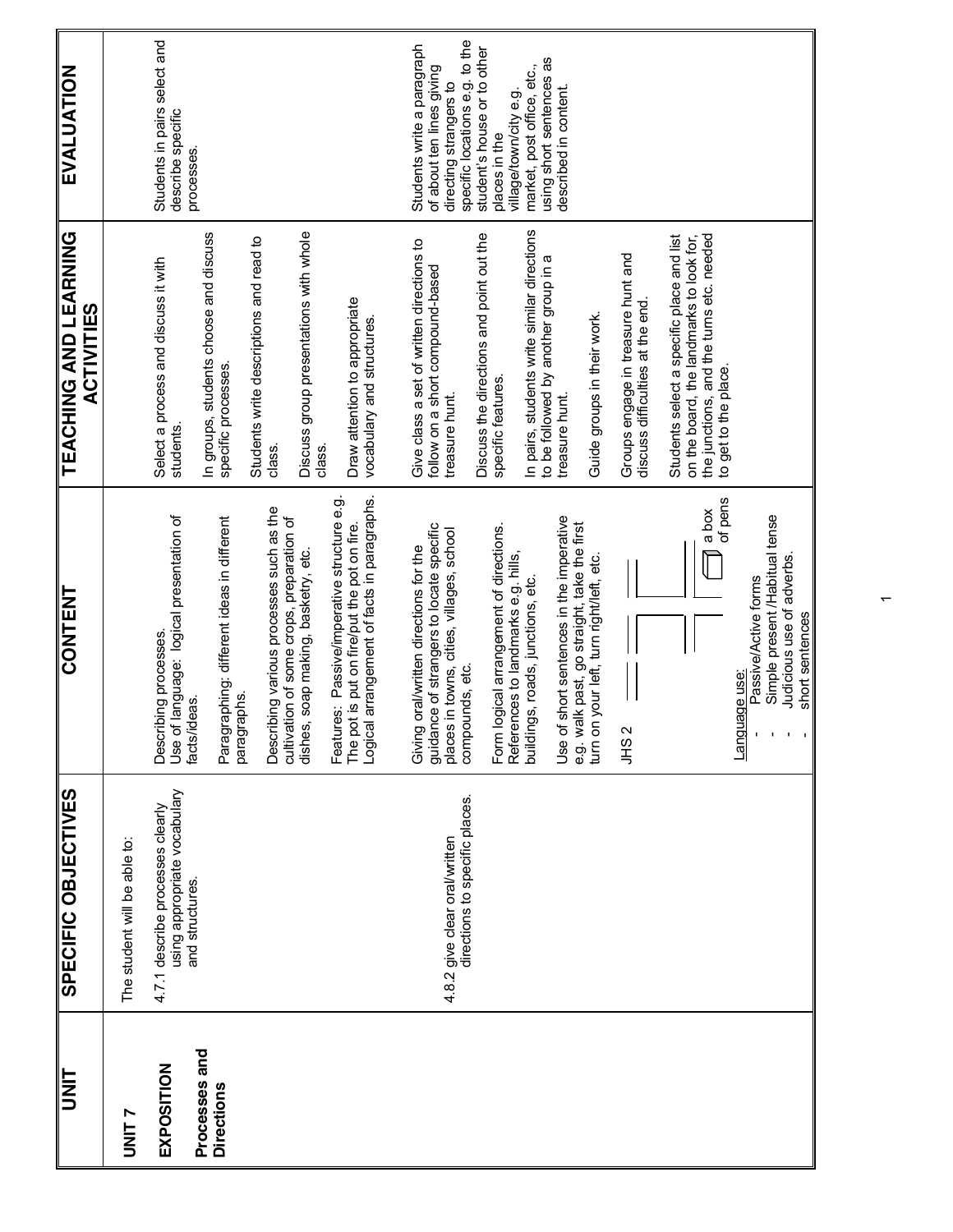| UNIT                               | SPECIFIC OBJECTIVES                                                                 | <b>CONTENT</b>                                                                                                                                                     | TEACHING AND LEARNING<br><b>ACTIVITIES</b>                                                                                                               | EVALUATION                                                                            |
|------------------------------------|-------------------------------------------------------------------------------------|--------------------------------------------------------------------------------------------------------------------------------------------------------------------|----------------------------------------------------------------------------------------------------------------------------------------------------------|---------------------------------------------------------------------------------------|
| UNIT <sub>7</sub>                  | The student will be able to:                                                        |                                                                                                                                                                    |                                                                                                                                                          |                                                                                       |
| EXPOSITION                         | using appropriate vocabulary<br>4.7.1 describe processes clearly<br>and structures. | Use of language: logical presentation of<br>Describing processes.<br>facts/ideas.                                                                                  | Select a process and discuss it with<br>students.                                                                                                        | Students in pairs select and<br>describe specific<br>processes.                       |
| Processes and<br><b>Directions</b> |                                                                                     | Paragraphing: different ideas in different<br>paragraphs.                                                                                                          | In groups, students choose and discuss<br>specific processes.                                                                                            |                                                                                       |
|                                    |                                                                                     | Describing various processes such as the                                                                                                                           | Students write descriptions and read to<br>class.                                                                                                        |                                                                                       |
|                                    |                                                                                     | cultivation of some crops, preparation of<br>dishes, soap making, basketry, etc.                                                                                   | Discuss group presentations with whole<br>class.                                                                                                         |                                                                                       |
|                                    |                                                                                     | Logical arrangement of facts in paragraphs.<br>Features: Passive/imperative structure e.g<br>The pot is put on fire/put the pot on fire.                           | Draw attention to appropriate<br>vocabulary and structures                                                                                               |                                                                                       |
|                                    |                                                                                     | oral/written directions for the<br>Giving                                                                                                                          | Give class a set of written directions to                                                                                                                | Students write a paragraph                                                            |
|                                    | directions to specific places.<br>4.8.2 give clear oral/written                     | guidance of strangers to locate specific<br>places in towns, cities, villages, school<br>compounds, etc.                                                           | follow on a short compound-based<br>treasure hunt.                                                                                                       | specific locations e.g. to the<br>of about ten lines giving<br>directing strangers to |
|                                    |                                                                                     |                                                                                                                                                                    | Discuss the directions and point out the                                                                                                                 | student's house or to other                                                           |
|                                    |                                                                                     | logical arrangement of directions.<br>References to landmarks e.g. hills,<br>Form $\vert$                                                                          | specific features.                                                                                                                                       | village/town/city e.g.<br>places in the                                               |
|                                    |                                                                                     | buildings, roads, junctions, etc.                                                                                                                                  | In pairs, students write similar directions<br>to be followed by another group in a                                                                      | using short sentences as<br>market, post office, etc.,                                |
|                                    |                                                                                     | Use of short sentences in the imperative                                                                                                                           | treasure hunt.                                                                                                                                           | described in content.                                                                 |
|                                    |                                                                                     | e.g. walk past, go straight, take the first<br>turn on your left, turn right/left, etc.                                                                            | Guide groups in their work.                                                                                                                              |                                                                                       |
|                                    |                                                                                     | JHS <sub>2</sub>                                                                                                                                                   | Groups engage in treasure hunt and<br>discuss difficulties at the end                                                                                    |                                                                                       |
|                                    |                                                                                     | of pens<br>a box                                                                                                                                                   | the junctions, and the turns etc. needed<br>Students select a specific place and list<br>on the board, the landmarks to look for,<br>to get to the place |                                                                                       |
|                                    |                                                                                     | Simple present /Habitual tense<br>Judicious use of adverbs.<br>Passive/Active forms<br>short sentences<br>Language use:<br>$\mathbf{I}=\mathbf{I}$<br>$\mathbf{I}$ |                                                                                                                                                          |                                                                                       |

 $\bar{}$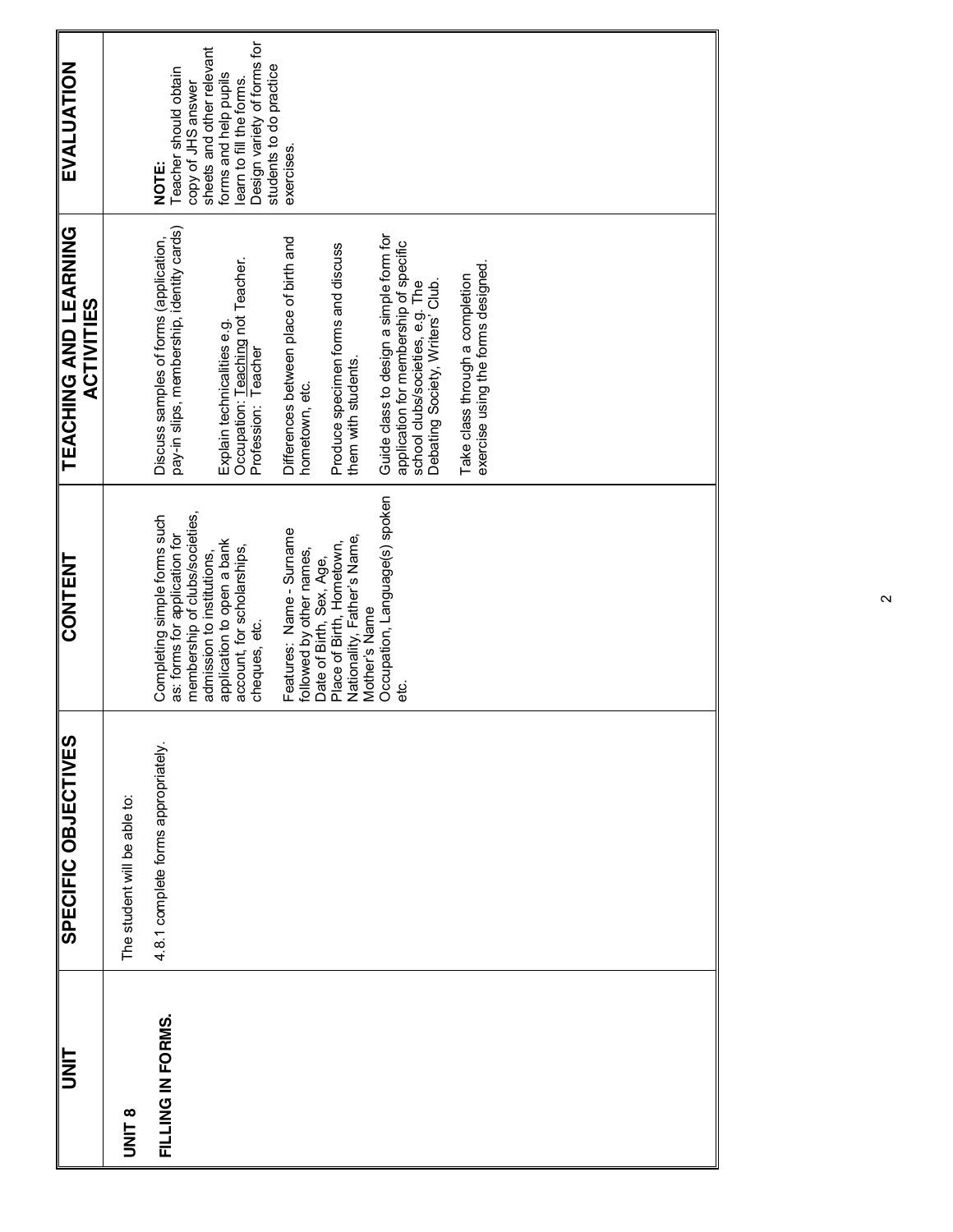| <b>SINT</b>       | SPECIFIC OBJECTIVES                 | CONTENT                                                                                                                       | <b>TEACHING AND LEARNING</b><br><b>ACTIVITIES</b>                                                                                                         | EVALUATION                                                                                                  |
|-------------------|-------------------------------------|-------------------------------------------------------------------------------------------------------------------------------|-----------------------------------------------------------------------------------------------------------------------------------------------------------|-------------------------------------------------------------------------------------------------------------|
| UNIT <sub>8</sub> | The student will be able to:        |                                                                                                                               |                                                                                                                                                           |                                                                                                             |
| FILLING IN FORMS. | 4.8.1 complete forms appropriately. | membership of clubs/societies,<br>Completing simple forms such<br>as: forms for application for<br>admission to institutions, | pay-in slips, membership, identity cards)<br>Discuss samples of forms (application,                                                                       | sheets and other relevant<br>Teacher should obtain<br>copy of JHS answer<br>NOTE:                           |
|                   |                                     | application to open a bank<br>account, for scholarships,<br>cheques, etc.                                                     | Occupation: Teaching not Teacher.<br>Explain technicalities e.g.<br>Profession: Teacher                                                                   | Design variety of forms for<br>students to do practice<br>forms and help pupils<br>learn to fill the forms. |
|                   |                                     | Features: Name - Surname<br>followed by other names,<br>Date of Birth, Sex, Age,                                              | Differences between place of birth and<br>hometown, etc.                                                                                                  | exercises.                                                                                                  |
|                   |                                     | Nationality, Father's Name,<br>Place of Birth, Hometown,<br>Mother's Name                                                     | Produce specimen forms and discuss<br>them with students.                                                                                                 |                                                                                                             |
|                   |                                     | Occupation, Language(s) spoken                                                                                                | Guide class to design a simple form for<br>application for membership of specific<br>Debating Society, Writers' Club.<br>school clubs/societies, e.g. The |                                                                                                             |
|                   |                                     |                                                                                                                               | exercise using the forms designed.<br>Take class through a completion                                                                                     |                                                                                                             |
|                   |                                     |                                                                                                                               |                                                                                                                                                           |                                                                                                             |
|                   |                                     |                                                                                                                               |                                                                                                                                                           |                                                                                                             |
|                   |                                     |                                                                                                                               |                                                                                                                                                           |                                                                                                             |
|                   |                                     |                                                                                                                               |                                                                                                                                                           |                                                                                                             |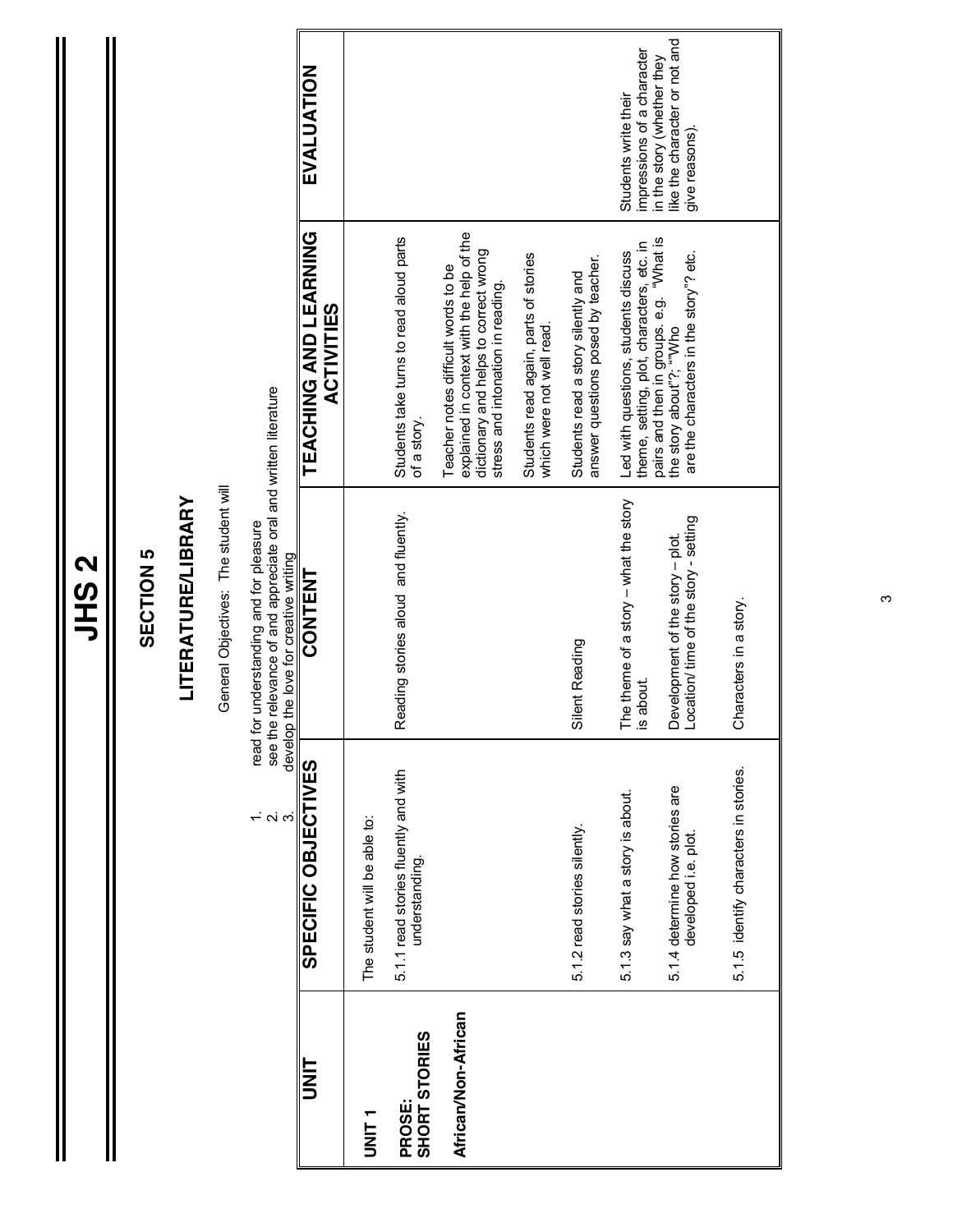|                         |                                                         | <b>SECTION 5</b>                                                                                                           |                                                                                                                                                                |                                                                               |
|-------------------------|---------------------------------------------------------|----------------------------------------------------------------------------------------------------------------------------|----------------------------------------------------------------------------------------------------------------------------------------------------------------|-------------------------------------------------------------------------------|
|                         |                                                         | <b>LITERATURE/LIBRARY</b>                                                                                                  |                                                                                                                                                                |                                                                               |
|                         |                                                         | General Objectives: The student will                                                                                       |                                                                                                                                                                |                                                                               |
|                         | read for<br>see the<br>develop f<br>റ് ന്               | relevance of and appreciate oral and written literature<br>understanding and for pleasure<br>the love for creative writing |                                                                                                                                                                |                                                                               |
| H<br>NH                 | SPECIFIC OBJECTIVES                                     | <b>CONTENT</b>                                                                                                             | TEACHING AND LEARNING<br><b>ACTIVITIES</b>                                                                                                                     | EVALUATION                                                                    |
| T<br>NNT<br>D           | The student will be able to:                            |                                                                                                                            |                                                                                                                                                                |                                                                               |
| SHORT STORIES<br>PROSE: | 5.1.1 read stories fluently and with<br>understanding.  | leading stories aloud and fluently.<br>œ                                                                                   | Students take turns to read aloud parts<br>of a story.                                                                                                         |                                                                               |
| African/Non-African     |                                                         |                                                                                                                            | explained in context with the help of the<br>dictionary and helps to correct wrong<br>Teacher notes difficult words to be<br>stress and intonation in reading. |                                                                               |
|                         |                                                         |                                                                                                                            | Students read again, parts of stories<br>which were not well read.                                                                                             |                                                                               |
|                         | 5.1.2 read stories silently.                            | Silent Reading                                                                                                             | answer questions posed by teacher.<br>Students read a story silently and                                                                                       |                                                                               |
|                         | 5.1.3 say what a story is about.                        | The theme of a story – what the story<br>is about.                                                                         | theme, setting, plot, characters, etc. in<br>Led with questions, students discuss                                                                              | impressions of a character<br>Students write their                            |
|                         | 5.1.4 determine how stories are<br>developed i.e. plot. | Development of the story - plot.<br>Location/ time of the story - setting                                                  | pairs and then in groups. e.g. "What is<br>the story about"?; ""Who<br>are the characters in the story"? etc.                                                  | like the character or not and<br>in the story (whether they<br>give reasons). |
|                         | 5.1.5 identify characters in stories.                   | Characters in a story.                                                                                                     |                                                                                                                                                                |                                                                               |

Ш

ო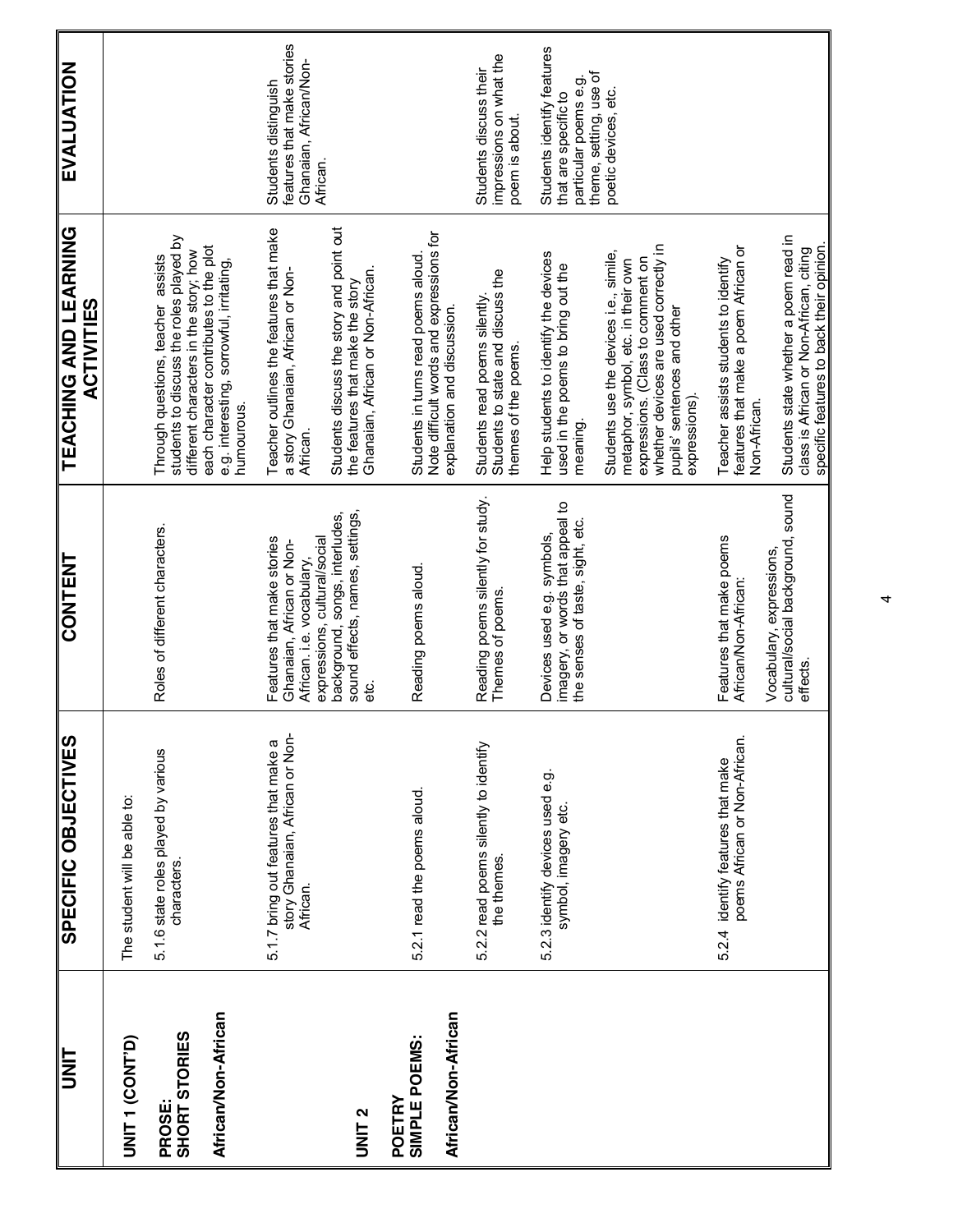| ヒミコ                             | SPECIFIC OBJECTIVES                                                                 | CONTENT                                                                                                              | TEACHING AND LEARNING<br><b>ACTIVITIES</b>                                                                                                                                                                  | EVALUATION                                                                               |
|---------------------------------|-------------------------------------------------------------------------------------|----------------------------------------------------------------------------------------------------------------------|-------------------------------------------------------------------------------------------------------------------------------------------------------------------------------------------------------------|------------------------------------------------------------------------------------------|
| UNIT 1 (CONT'D)                 | The student will be able to:                                                        |                                                                                                                      |                                                                                                                                                                                                             |                                                                                          |
| <b>PROSE:<br/>SHORT STORIES</b> | 5.1.6 state roles played by various<br>characters.                                  | Roles of different characters.                                                                                       | students to discuss the roles played by<br>each character contributes to the plot<br>different characters in the story; how<br>Through questions, teacher assists                                           |                                                                                          |
| African/Non-African             |                                                                                     |                                                                                                                      | e.g. interesting, sorrowful, irritating,<br>humourous.                                                                                                                                                      |                                                                                          |
|                                 | 5.1.7 bring out features that make a<br>story Ghanaian, African or Non-<br>African. | expressions, cultural/social<br>Features that make stories<br>Ghanaian, African or Non-<br>African. i.e. vocabulary, | Teacher outlines the features that make<br>a story Ghanaian, African or Non-<br>African.                                                                                                                    | features that make stories<br>Ghanaian, African/Non-<br>Students distinguish<br>African. |
| <b>DNIT 2</b>                   |                                                                                     | sound effects, names, settings,<br>background, songs, interludes,<br>မိ                                              | Students discuss the story and point out<br>Ghanaian, African or Non-African.<br>the features that make the story                                                                                           |                                                                                          |
| SIMPLE POEMS:<br>POETRY         | 5.2.1 read the poems aloud.                                                         | Reading poems aloud.                                                                                                 | Note difficult words and expressions for<br>Students in turns read poems aloud                                                                                                                              |                                                                                          |
| African/Non-African             |                                                                                     |                                                                                                                      | explanation and discussion.                                                                                                                                                                                 |                                                                                          |
|                                 | 5.2.2 read poems silently to identify<br>the themes.                                | Reading poems silently for study.<br>Themes of poems.                                                                | Students to state and discuss the<br>Students read poems silently<br>themes of the poems.                                                                                                                   | impressions on what the<br>Students discuss their<br>poem is about.                      |
|                                 | 5.2.3 identify devices used e.g.<br>symbol, imagery etc.                            | imagery, or words that appeal to<br>the senses of taste, sight, etc.<br>Devices used e.g. symbols,                   | Help students to identify the devices<br>used in the poems to bring out the<br>meaning.                                                                                                                     | Students identify features<br>particular poems e.g.<br>that are specific to              |
|                                 |                                                                                     |                                                                                                                      | whether devices are used correctly in<br>Students use the devices i.e., simile,<br>expressions. (Class to comment on<br>metaphor, symbol, etc. in their own<br>pupils' sentences and other<br>expressions). | theme, setting, use of<br>poetic devices, etc.                                           |
|                                 | poems African or Non-African.<br>5.2.4 identify features that make                  | Features that make poems<br>African/Non-African:                                                                     | features that make a poem African or<br>Teacher assists students to identify<br>Non-African.                                                                                                                |                                                                                          |
|                                 |                                                                                     | cultural/social background, sound<br>Vocabulary, expressions,<br>effects                                             | Students state whether a poem read in<br>specific features to back their opinion.<br>class is African or Non-African, citing                                                                                |                                                                                          |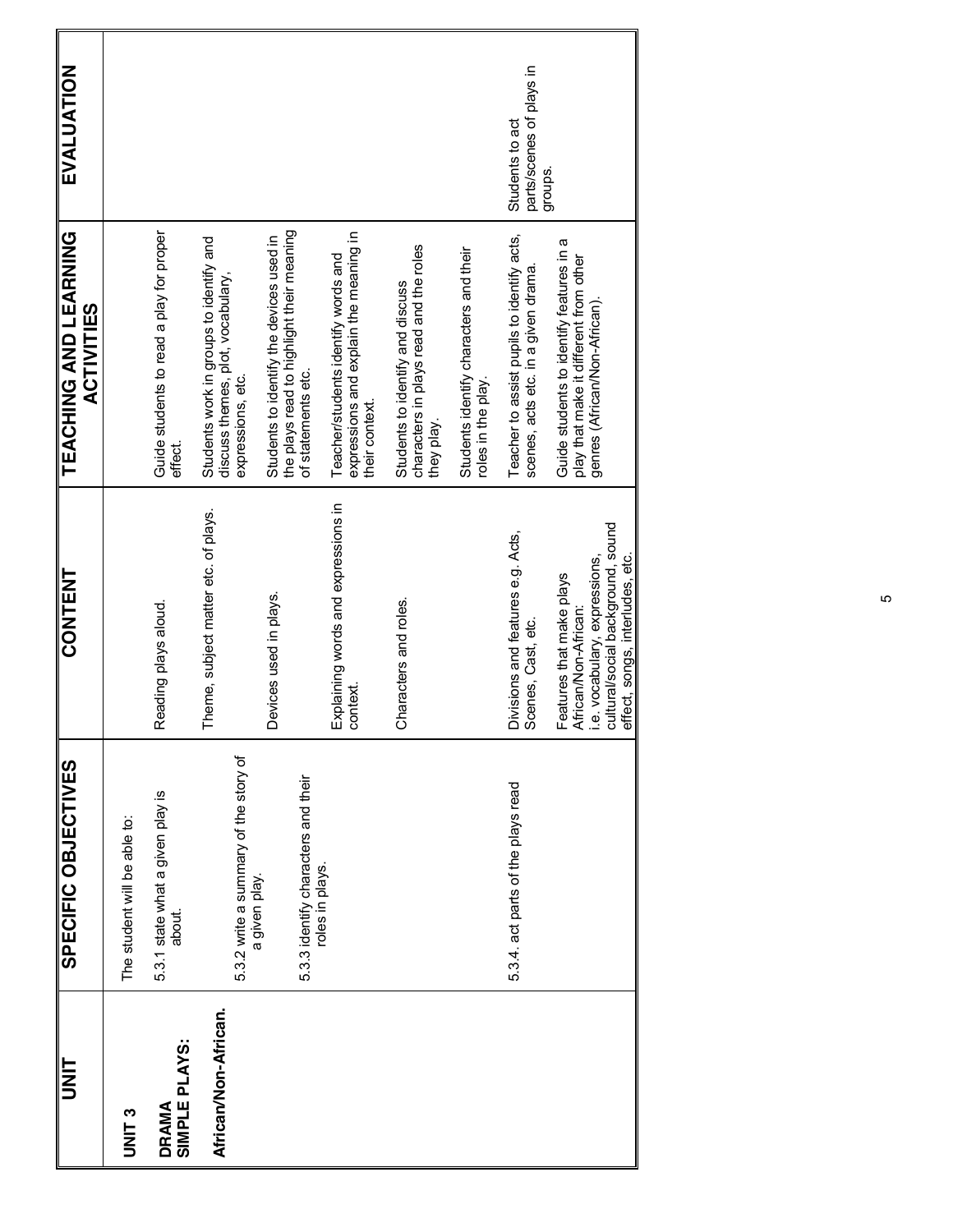| <b>UNIT</b>                   | SPECIFIC OBJECTIVES                                  | CONTENT                                                                                                                                                           | TEACHING AND LEARNING<br><b>ACTIVITIES</b>                                                                          | EVALUATION                                  |
|-------------------------------|------------------------------------------------------|-------------------------------------------------------------------------------------------------------------------------------------------------------------------|---------------------------------------------------------------------------------------------------------------------|---------------------------------------------|
| UNIT <sub>3</sub>             | The student will be able to:                         |                                                                                                                                                                   |                                                                                                                     |                                             |
| SIMPLE PLAYS:<br><b>DRAMA</b> | 5.3.1 state what a given play is<br>about.           | Reading plays aloud.                                                                                                                                              | Guide students to read a play for proper<br>effect.                                                                 |                                             |
| African/Non-African.          | 5.3.2 write a summary of the story of                | Theme, subject matter etc. of plays.                                                                                                                              | Students work in groups to identify and<br>discuss themes, plot, vocabulary,<br>expressions, etc.                   |                                             |
|                               | 5.3.3 identify characters and their<br>a given play. | Devices used in plays.                                                                                                                                            | the plays read to highlight their meaning<br>Students to identify the devices used in<br>of statements etc.         |                                             |
|                               | roles in plays.                                      | Explaining words and expressions in<br>context.                                                                                                                   | expressions and explain the meaning in<br>Teacher/students identify words and<br>their context.                     |                                             |
|                               |                                                      | Characters and roles.                                                                                                                                             | characters in plays read and the roles<br>Students to identify and discuss<br>they play.                            |                                             |
|                               |                                                      |                                                                                                                                                                   | Students identify characters and their<br>roles in the play.                                                        |                                             |
|                               | 5.3.4. act parts of the plays read                   | Divisions and features e.g. Acts,<br>Scenes, Cast, etc.                                                                                                           | Teacher to assist pupils to identify acts,<br>scenes, acts etc. in a given drama                                    | parts/scenes of plays in<br>Students to act |
|                               |                                                      | Features that make plays<br>  African/Non-African:<br>  i.e. vocabulary, expressions,<br>  cultural/social background, sound<br>  effect, songs, interludes, etc. | Guide students to identify features in a<br>play that make it different from other<br>genres (African/Non-African). | groups.                                     |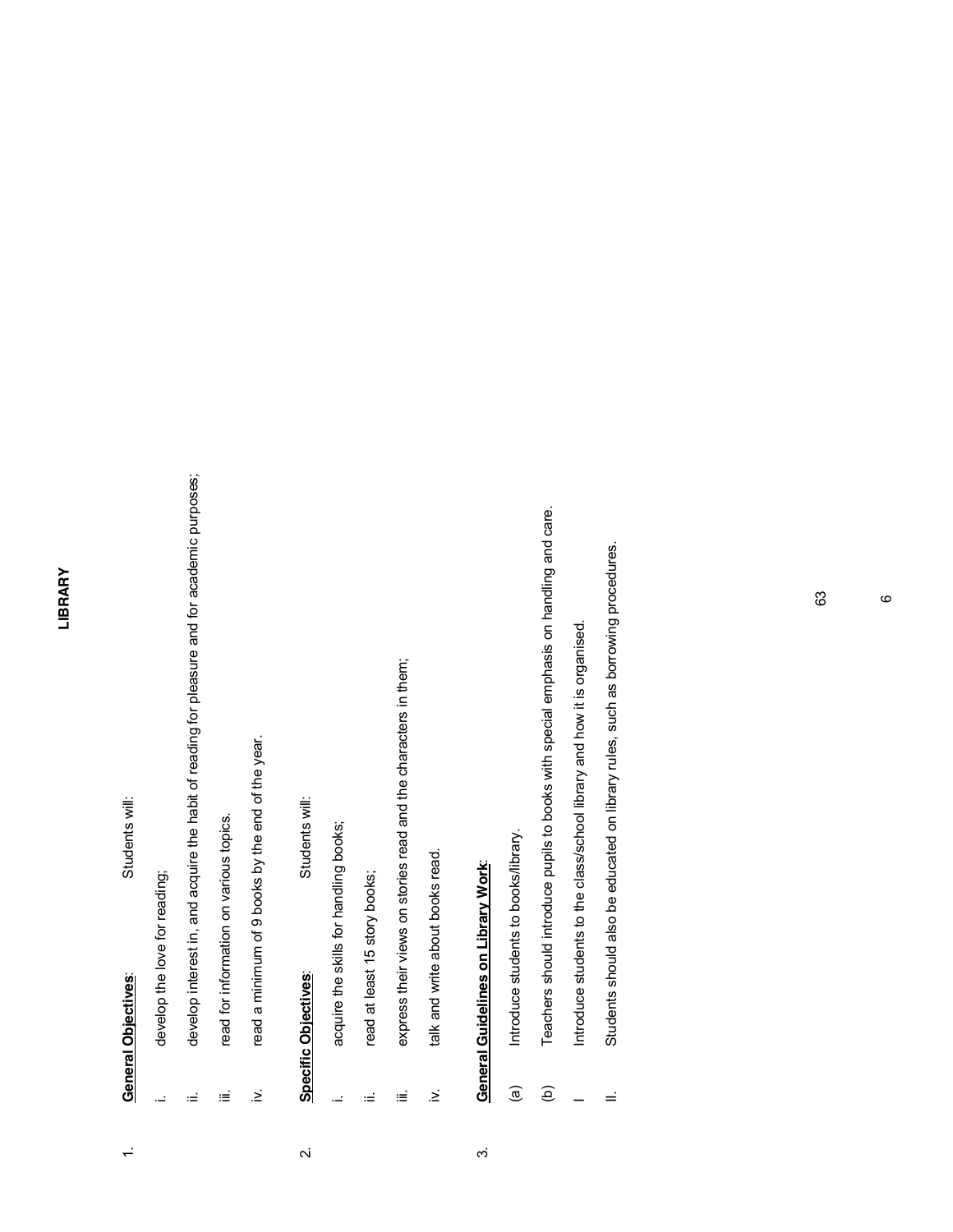#### LIBRARY **LIBRARY**

# 1. **General Objectives**: Students will: **General Objectives:**

 $\div$ 

Students will:

### develop the love for reading; i. develop the love for reading; Ц.

- develop interest in, and acquire the habit of reading for pleasure and for academic purposes; ii. develop interest in, and acquire the habit of reading for pleasure and for academic purposes;
- read for information on various topics. iii. read for information on various topics. iΞ

 $\equiv$ 

read a minimum of 9 books by the end of the year. iv. read a minimum of 9 books by the end of the year.  $\geq$ 

### Students will: 2. **Specific Objectives**: Students will: Specific Objectives:  $\overline{\mathbf{a}}$

- acquire the skills for handling books; i. acquire the skills for handling books;  $\overline{a}$
- read at least 15 story books; ii. read at least 15 story books; ίÉ
- express their views on stories read and the characters in them; iii. express their views on stories read and the characters in them; iΞ
- talk and write about books read. iv. talk and write about books read.  $\geq$

## **General Guidelines on Library Work:** 3. **General Guidelines on Library Work**:

 $\dot{\infty}$ 

- Introduce students to books/library. (a) Introduce students to books/library.  $\widehat{a}$
- Teachers should introduce pupils to books with special emphasis on handling and care. (b) Teachers should introduce pupils to books with special emphasis on handling and care.  $\widehat{e}$
- Introduce students to the class/school library and how it is organised. I Introduce students to the class/school library and how it is organised.  $\overline{\phantom{a}}$
- Students should also be educated on library rules, such as borrowing procedures. II. Students should also be educated on library rules, such as borrowing procedures.  $\equiv$

ဖ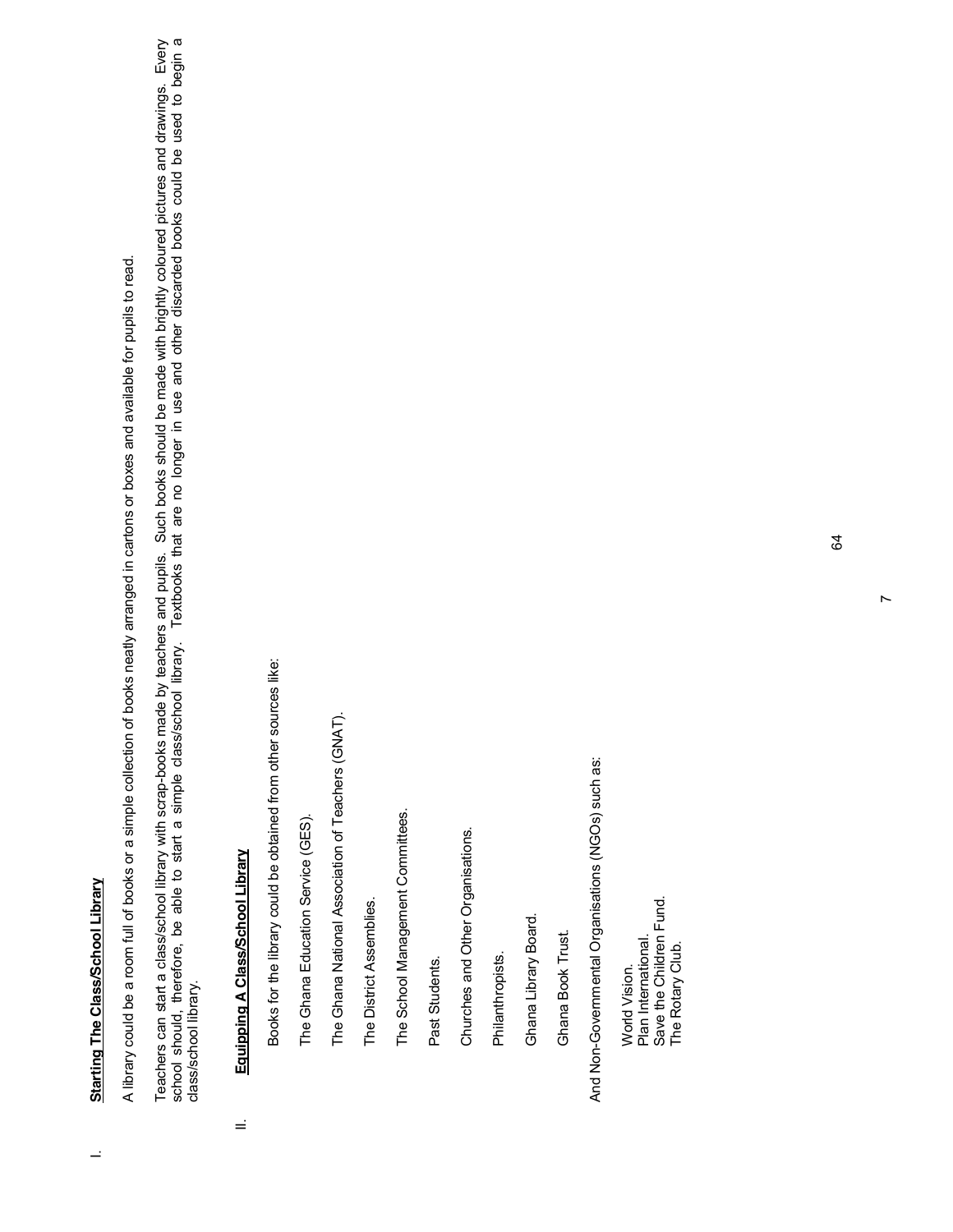## **Starting The Class/School Library** I. **Starting The Class/School Library**

 $\overline{a}$ 

A library could be a room full of books or a simple collection of books neatly arranged in cartons or boxes and available for pupils to read. A library could be a room full of books or a simple collection of books neatly arranged in cartons or boxes and available for pupils to read. Teachers can start a class/school library with scrap-books made by teachers and pupils. Such books should be made with brightly coloured pictures and drawings. Every<br>school should, therefore, be able to start a simple clas Teachers can start a class/school library with scrap-books made by teachers and pupils. Such books should be made with brightly coloured pictures and drawings. Every school should, therefore, be able to start a simple class/school library. Textbooks that are no longer in use and other discarded books could be used to begin a class/school library.

## Equipping A Class/School Library II. **Equipping A Class/School Library**

Ξ

Books for the library could be obtained from other sources like: Books for the library could be obtained from other sources like:

The Ghana Education Service (GES). The Ghana Education Service (GES). The Ghana National Association of Teachers (GNAT). The Ghana National Association of Teachers (GNAT).

The District Assemblies. The District Assemblies.

The School Management Committees. The School Management Committees.

Past Students. Past Students.

Churches and Other Organisations. Churches and Other Organisations.

Philanthropists. Philanthropists.

Ghana Library Board. Ghana Library Board.

Ghana Book Trust. Ghana Book Trust.

And Non-Governmental Organisations (NGOs) such as: And Non-Governmental Organisations (NGOs) such as:

Save the Children Fund.<br>The Rotary Club. Save the Children Fund. mana international. Plan International. The Rotary Club. World Vision. World Vision.

 $\overline{r}$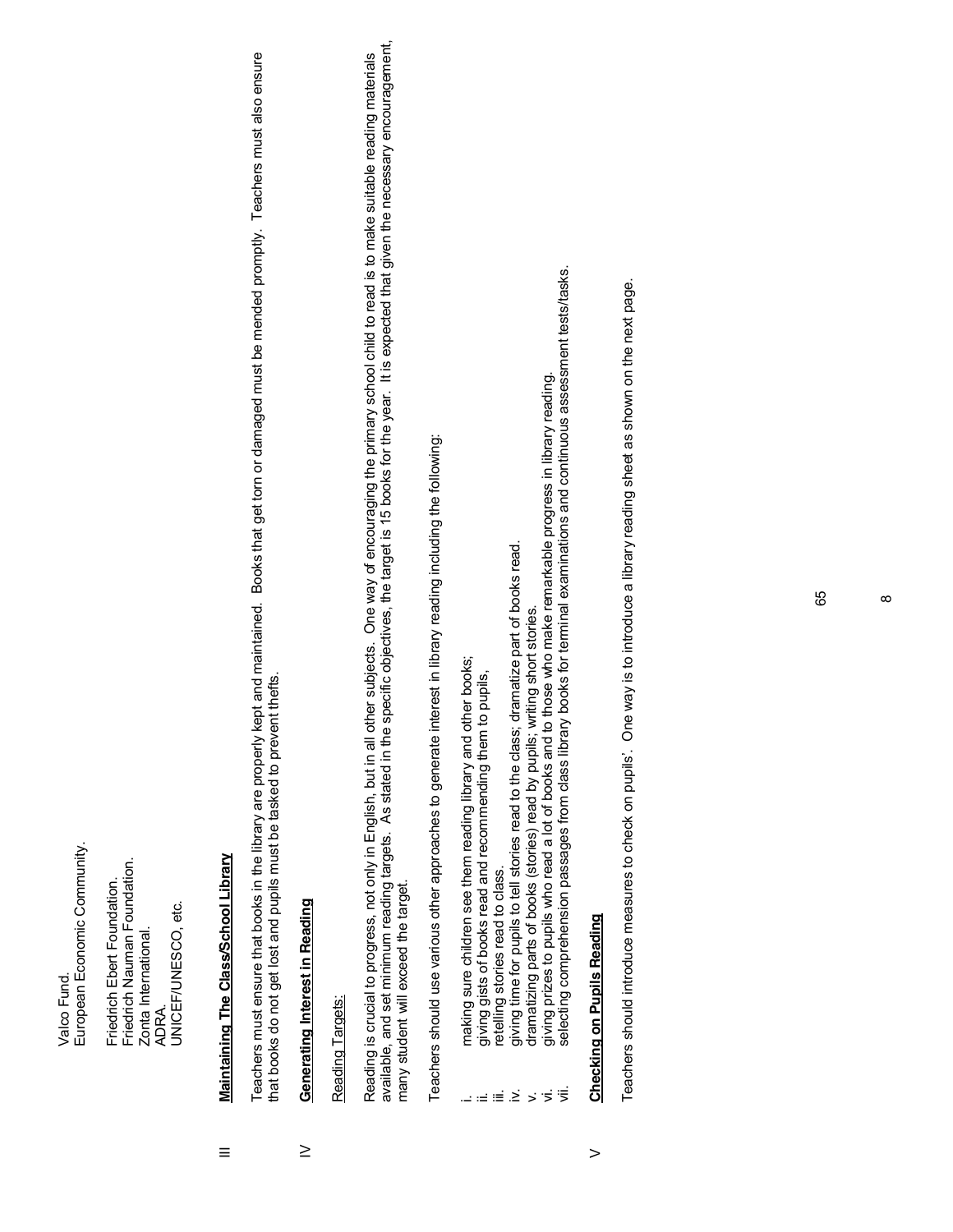European Economic Community. European Economic Community. Valco Fund. Valco Fund

Friedrich Nauman Foundation. Friedrich Nauman Foundation. Friedrich Ebert Foundation. Friedrich Ebert Foundation ADRA.<br>UNICEF/UNESCO, etc. UNICEF/UNESCO, etc. Zonta International. Zonta International.

### Maintaining The Class/School Library III **Maintaining The Class/School Library**  $\equiv$

Teachers must ensure that books in the library are properly kept and maintained. Books that get torn or damaged must be mended promptly. Teachers must also ensure Teachers must ensure that books in the library are properly kept and maintained. Books that get torn or damaged must be mended promptly. Teachers must also ensure that books do not get lost and pupils must be tasked to prevent thefts. that books do not get lost and pupils must be tasked to prevent thefts.

#### **Generating Interest in Reading** IV **Generating Interest in Reading**  $\geq$

#### Reading Targets: Reading Targets:

Reading is crucial to progress, not only in English, but in all other subjects. One way of encouraging the primary school child to read is to make suitable reading materials<br>available, and set minimum reading targets. As s available, and set minimum reading targets. As stated in the specific objectives, the target is 15 books for the year. It is expected that given the necessary encouragement, Reading is crucial to progress, not only in English, but in all other subjects. One way of encouraging the primary school child to read is to make suitable reading materials many student will exceed the target. many student will exceed the target.

Teachers should use various other approaches to generate interest in library reading including the following: Teachers should use various other approaches to generate interest in library reading including the following:

- making sure children see them reading library and other books; i. making sure children see them reading library and other books;
- giving gists of books read and recommending them to pupils, ii. giving gists of books read and recommending them to pupils,  $\omega \equiv \equiv \dot{\Sigma}$ 
	- retelling stories read to class. iii. retelling stories read to class.
- giving time for pupils to tell stories read to the class; dramatize part of books read. iv. giving time for pupils to tell stories read to the class; dramatize part of books read.
	- v. dramatizing parts of books (stories) read by pupils; writing short stories.
- dramatizing parts of books (stories) read by pupils; writing short stories.<br>giving prizes to pupils who read a lot of books and to those who make remarkable progress in library reading. vi. giving prizes to pupils who read a lot of books and to those who make remarkable progress in library reading.  $\vec{z}$
- selecting comprehension passages from class library books for terminal examinations and continuous assessment tests/tasks. vii. selecting comprehension passages from class library books for terminal examinations and continuous assessment tests/tasks.

#### **Checking on Pupils Reading Checking on Pupils Reading**  $\geq$

Teachers should introduce measures to check on pupils'. One way is to introduce a library reading sheet as shown on the next page. Teachers should introduce measures to check on pupils¶. One way is to introduce a library reading sheet as shown on the next page.

 $^{\circ}$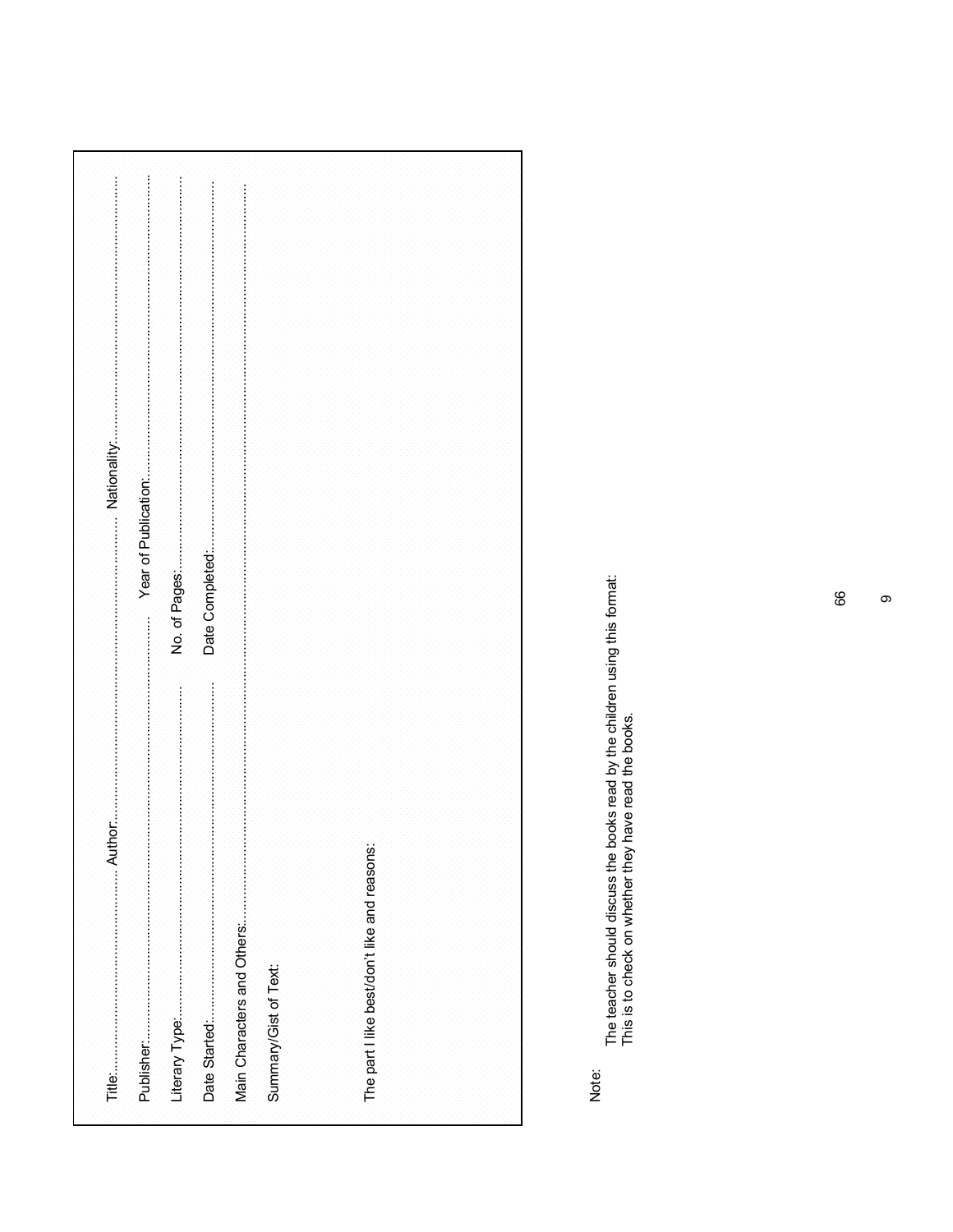| Summary/Gist of Text:                        |  |
|----------------------------------------------|--|
|                                              |  |
|                                              |  |
| The part I like best/don't like and reasons: |  |
|                                              |  |
|                                              |  |
|                                              |  |
|                                              |  |

Note:

The teacher should discuss the books read by the children using this format:<br>This is to check on whether they have read the books.

 $\circ$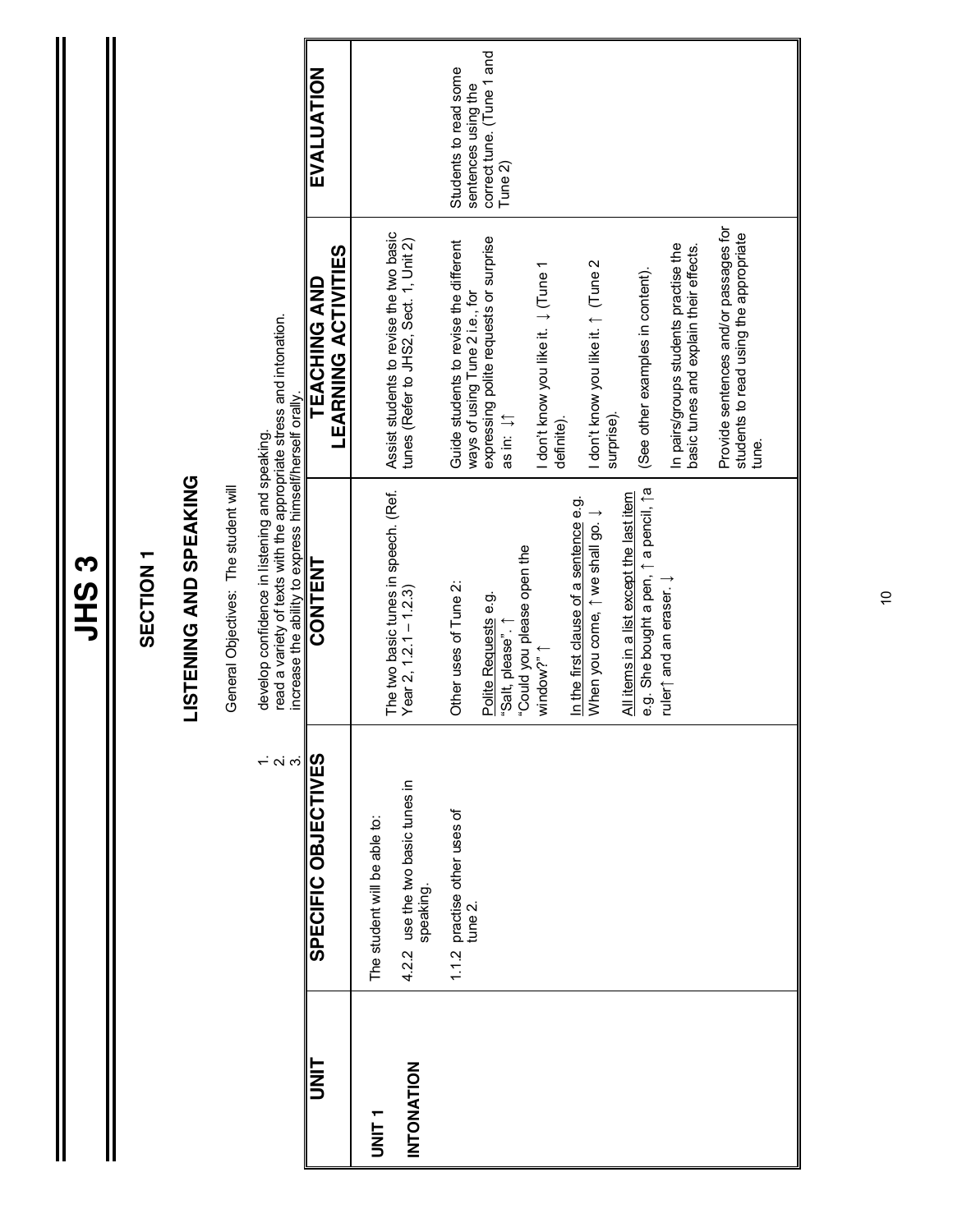|                   |                                                                       | SECTION <sub>1</sub>                                                                                                                                                            |                                                                                          |                                                  |
|-------------------|-----------------------------------------------------------------------|---------------------------------------------------------------------------------------------------------------------------------------------------------------------------------|------------------------------------------------------------------------------------------|--------------------------------------------------|
|                   |                                                                       | <b>LISTENING AND SPEAKING</b>                                                                                                                                                   |                                                                                          |                                                  |
|                   |                                                                       | General Objectives: The student will                                                                                                                                            |                                                                                          |                                                  |
|                   | $\begin{array}{c}\n1. \\ 2. \\ 3\n\end{array}$<br>SPECIFIC OBJECTIVES | read a variety of texts with the appropriate stress and intonation.<br>increase the ability to express himself/herself orally.<br>develop confidence in listening and speaking. |                                                                                          |                                                  |
| UNIT              |                                                                       | CONTENT                                                                                                                                                                         | <b>LEARNING ACTIVITIES</b><br>TEACHING AND                                               | EVALUATION                                       |
| UNIT <sub>1</sub> | The student will be able to:                                          |                                                                                                                                                                                 |                                                                                          |                                                  |
| <b>INTONATION</b> | 4.2.2 use the two basic tunes in<br>speaking.                         | The two basic tunes in speech. (Ref.<br>Year 2, $12.1 - 1.2.3$                                                                                                                  | Assist students to revise the two basic<br>tunes (Refer to JHS2, Sect. 1, Unit 2)        |                                                  |
|                   | 1.1.2 practise other uses of<br>tune 2.                               | Other uses of Tune 2:                                                                                                                                                           | Guide students to revise the different<br>ways of using Tune 2 i.e., for                 | Students to read some<br>sentences using the     |
|                   |                                                                       | "Could you please open the<br>Polite Requests e.g.<br>"Salt, please".                                                                                                           | expressing polite requests or surprise<br>as in: $\downarrow$ [1]                        | correct tune. (Tune 1 and<br>Tune <sub>2</sub> ) |
|                   |                                                                       | window?" 1                                                                                                                                                                      | I don't know you like it. ↓ (Tune 1<br>definite).                                        |                                                  |
|                   |                                                                       | In the first clause of a sentence e.g.<br>When you come, 1 we shall go. J                                                                                                       | I don't know you like it. ↑ (Tune 2<br>surprise).                                        |                                                  |
|                   |                                                                       | e.g. She bought a pen, 1 a pencil, 1 a<br>All items in a list except the last item                                                                                              | (See other examples in content).                                                         |                                                  |
|                   |                                                                       | ruler $\uparrow$ and an eraser. $\downarrow$                                                                                                                                    | In pairs/groups students practise the<br>basic tunes and explain their effects.          |                                                  |
|                   |                                                                       |                                                                                                                                                                                 | Provide sentences and/or passages for<br>students to read using the appropriate<br>tune. |                                                  |
|                   |                                                                       |                                                                                                                                                                                 |                                                                                          |                                                  |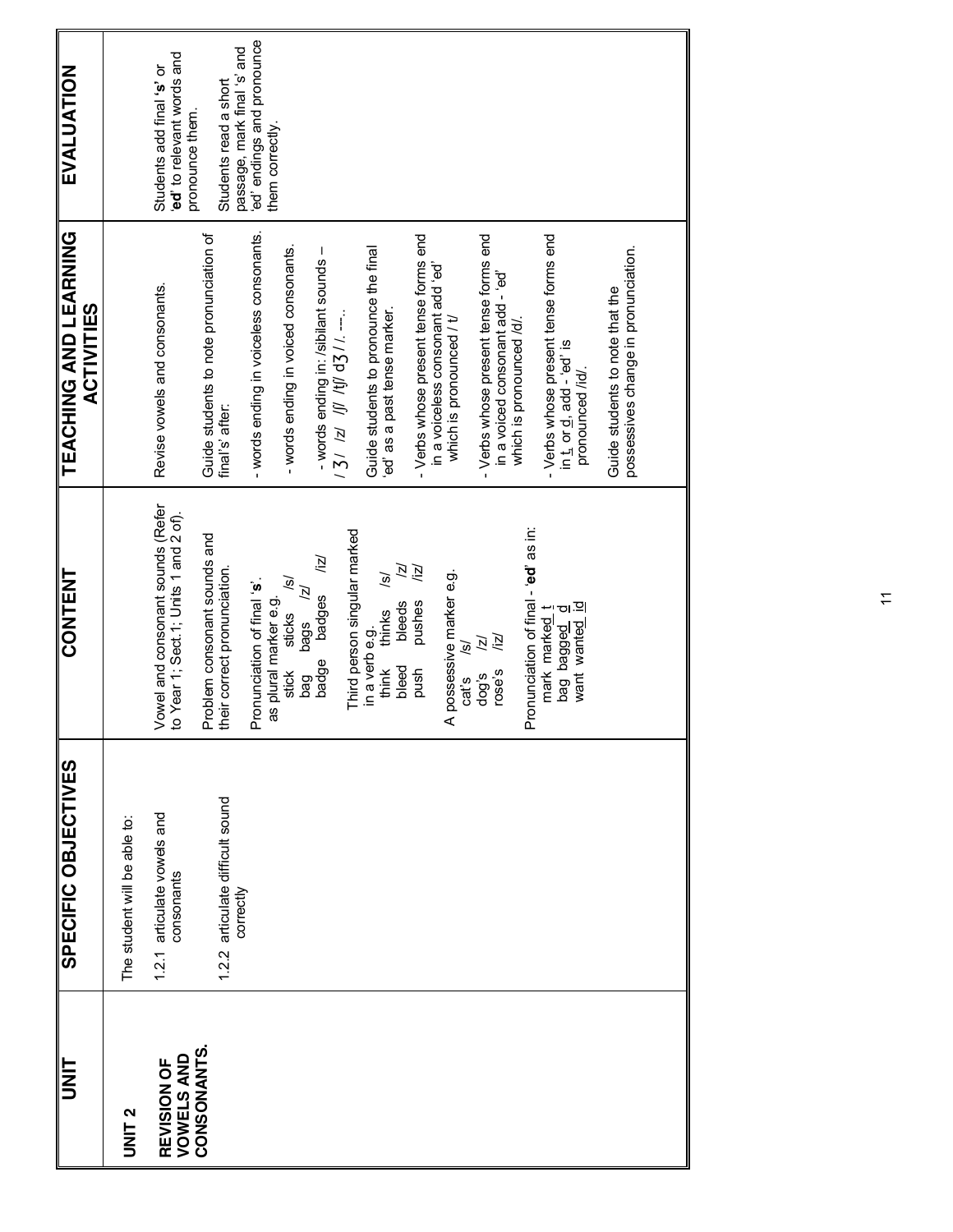|                                         | SPECIFIC OBJECTIVES                           | <b>CONTENT</b>                                                                           | <b>TEACHING AND LEARNING</b><br><b>ACTIVITIES</b>                         | <b>EVALUATION</b>                                                         |
|-----------------------------------------|-----------------------------------------------|------------------------------------------------------------------------------------------|---------------------------------------------------------------------------|---------------------------------------------------------------------------|
| UNIT <sub>2</sub>                       | The student will be able to:                  |                                                                                          |                                                                           |                                                                           |
| <b>VOWELS AND</b><br><b>REVISION OF</b> | 1.2.1 articulate vowels and<br>consonants     | Vowel and consonant sounds (Refer<br>to Year 1; Sect.1; Units 1 and 2 of).               | Revise vowels and consonants.                                             | ed' to relevant words and<br>Students add final 's' or<br>pronounce them. |
| CONSONANTS.                             | 1.2.2 articulate difficult sound<br>correctly | Problem consonant sounds and<br>their correct pronunciation.                             | Guide students to note pronunciation of<br>final's' after:                | passage, mark final 's' and<br>Students read a short                      |
|                                         |                                               | Pronunciation of final 's'.<br>as plural marker e.g.                                     | - words ending in voiceless consonants.                                   | ed' endings and pronounce<br>them correctly.                              |
|                                         |                                               | ত্<br>ĪZ)<br>sticks<br>bags<br>stick<br>bag                                              | - words ending in voiced consonants.                                      |                                                                           |
|                                         |                                               | /iz/<br>badges<br>badge                                                                  | - words ending in: /sibilant sounds -                                     |                                                                           |
|                                         |                                               | Third person singular marked                                                             | $131$ Iz If $15$ If $15$                                                  |                                                                           |
|                                         |                                               | ГZ)<br>$\widetilde{\mathcal{S}}$<br>thinks<br>bleeds<br>in a verb e.g.<br>think<br>bleed | Guide students to pronounce the final<br>ed' as a past tense marker.      |                                                                           |
|                                         |                                               | /iz/<br>pushes<br>push                                                                   | - Verbs whose present tense forms end                                     |                                                                           |
|                                         |                                               | possessive marker e.g.<br>$\widetilde{\mathcal{S}}$<br>cat's<br>⋖                        | in a voiceless consonant add 'ed'<br>which is pronounced / t/             |                                                                           |
|                                         |                                               | /iz/<br>区<br>rose's<br>dog's                                                             | - Verbs whose present tense forms end<br>in a voiced consonant add - 'ed' |                                                                           |
|                                         |                                               | Pronunciation of final - 'ed' as in:                                                     | which is pronounced /d/.                                                  |                                                                           |
|                                         |                                               |                                                                                          | - Verbs whose present tense forms end                                     |                                                                           |
|                                         |                                               | mark marked t<br>bag bagged d<br>want wante <u>d id</u>                                  | in t, or d, add - 'ed' is<br>pronounced /id/.                             |                                                                           |
|                                         |                                               |                                                                                          | possessives change in pronunciation.<br>Guide students to note that the   |                                                                           |
|                                         |                                               |                                                                                          |                                                                           |                                                                           |

 $\tilde{z}$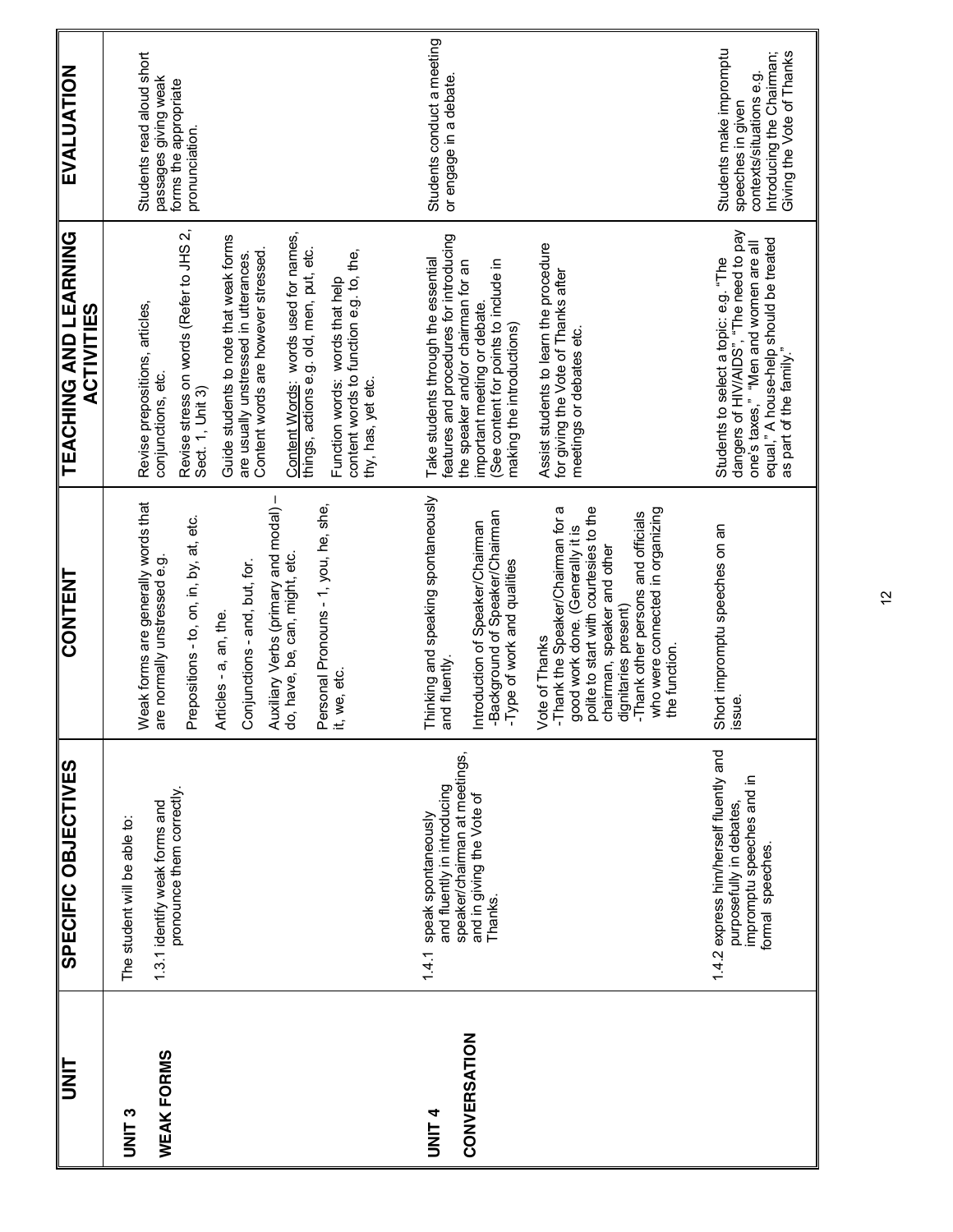| <b>IIN</b>                    | SPECIFIC OBJECTIVES                                                                                                               | <b>CONTENT</b>                                                                                                                                                                                                                                                                             | TEACHING AND LEARNING<br><b>ACTIVITIES</b>                                                                                                                                                                | EVALUATION                                                                                                                         |
|-------------------------------|-----------------------------------------------------------------------------------------------------------------------------------|--------------------------------------------------------------------------------------------------------------------------------------------------------------------------------------------------------------------------------------------------------------------------------------------|-----------------------------------------------------------------------------------------------------------------------------------------------------------------------------------------------------------|------------------------------------------------------------------------------------------------------------------------------------|
| <b>C<br/>NNLS</b>             | The student will be able to:                                                                                                      | Weak forms are generally words that                                                                                                                                                                                                                                                        | Revise prepositions, articles,                                                                                                                                                                            | Students read aloud short                                                                                                          |
| <b>WEAK FORMS</b>             | pronounce them correctly.<br>1.3.1 identify weak forms and                                                                        | Prepositions - to, on, in, by, at, etc.<br>are normally unstressed e.g.                                                                                                                                                                                                                    | Revise stress on words (Refer to JHS 2,<br>conjunctions, etc.<br>Sect. 1, Unit 3)                                                                                                                         | passages giving weak<br>forms the appropriate<br>pronunciation.                                                                    |
|                               |                                                                                                                                   | Auxiliary Verbs (primary and modal) –<br>do, have, be, can, might, etc.<br>Conjunctions - and, but, for.<br>Articles - a, an, the                                                                                                                                                          | Content Words: words used for names,<br>things, actions e.g. old, men, put, etc.<br>Guide students to note that weak forms<br>Content words are however stressed<br>are usually unstressed in utterances. |                                                                                                                                    |
|                               |                                                                                                                                   | Personal Pronouns - 1, you, he, she,<br>it, we, etc.                                                                                                                                                                                                                                       | content words to function e.g. to, the,<br>Function words: words that help<br>thy, has, yet etc.                                                                                                          |                                                                                                                                    |
| CONVERSATION<br><b>ALINIT</b> | speaker/chairman at meetings,<br>and fluently in introducing<br>and in giving the Vote of<br>1.4.1 speak spontaneously<br>Thanks. | Thinking and speaking spontaneously<br>-Background of Speaker/Chairman<br>ntroduction of Speaker/Chairman<br>-Type of work and qualities<br>and fluently.                                                                                                                                  | features and procedures for introducing<br>Take students through the essential<br>(See content for points to include in<br>the speaker and/or chairman for an<br>important meeting or debate              | Students conduct a meeting<br>or engage in a debate.                                                                               |
|                               |                                                                                                                                   | polite to start with courtesies to the<br>-Thank the Speaker/Chairman for a<br>good work done. (Generally it is<br>who were connected in organizing<br>-Thank other persons and officials<br>chairman, speaker and other<br>dignitaries present)<br><b>/ote of Thanks</b><br>the function. | Assist students to learn the procedure<br>for giving the Vote of Thanks after<br>making the introductions)<br>meetings or debates etc.                                                                    |                                                                                                                                    |
|                               | 1.4.2 express him/herself fluently and<br>impromptu speeches and in<br>purposefully in debates,<br>formal speeches.               | Short impromptu speeches on an<br>issue.                                                                                                                                                                                                                                                   | Students to select a topic: e.g. "The<br>dangers of HIV/AIDS", "The need to pay<br>equal," A house-help should be treated<br>as part of the family."<br>one's taxes," "Men and women are all              | Students make impromptu<br>Giving the Vote of Thanks<br>Introducing the Chairman;<br>contexts/situations e.g.<br>speeches in given |

 $\tilde{a}$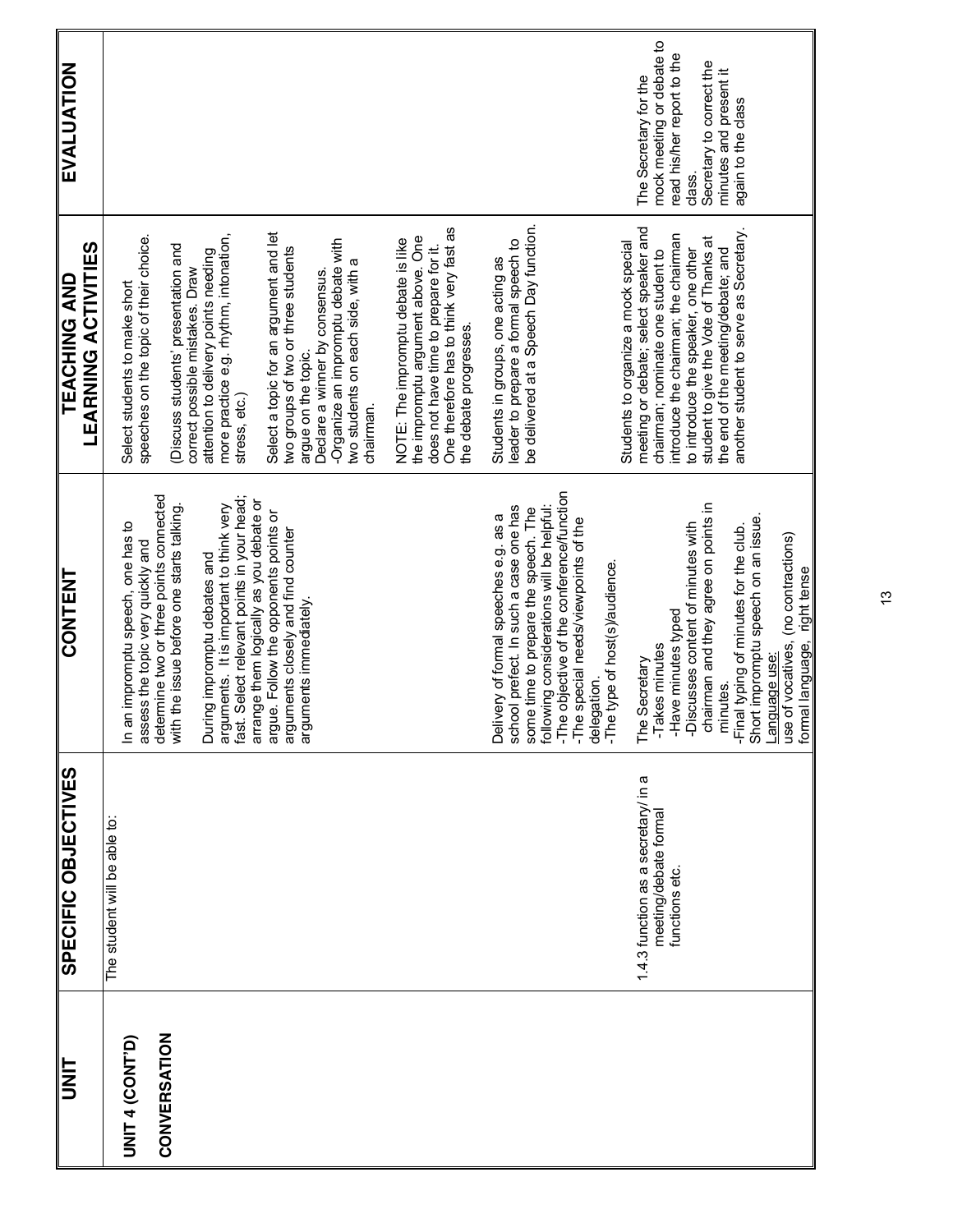| <b>h<br/>NH</b>                        | SPECIFIC<br>OBJECTIVES                                                        | CONTENT                                                                                                                                                                                                                                                                                                                                                                                                                                       | <b>LEARNING ACTIVITIES</b><br><b>TEACHING AND</b>                                                                                                                                                                                                                                                                                                                                                                                                                                      | EVALUATION                                                                                                                                                             |
|----------------------------------------|-------------------------------------------------------------------------------|-----------------------------------------------------------------------------------------------------------------------------------------------------------------------------------------------------------------------------------------------------------------------------------------------------------------------------------------------------------------------------------------------------------------------------------------------|----------------------------------------------------------------------------------------------------------------------------------------------------------------------------------------------------------------------------------------------------------------------------------------------------------------------------------------------------------------------------------------------------------------------------------------------------------------------------------------|------------------------------------------------------------------------------------------------------------------------------------------------------------------------|
| CONVERSATION<br><b>UNIT 4 (CONT'D)</b> | The student will be able to:                                                  | determine two or three points connected<br>fast. Select relevant points in your head;<br>arrange them logically as you debate or<br>arguments. It is important to think very<br>with the issue before one starts talking.<br>argue. Follow the opponents points or<br>In an impromptu speech, one has to<br>arguments closely and find counter<br>assess the topic very quickly and<br>During impromptu debates and<br>arguments immediately. | Select a topic for an argument and let<br>more practice e.g. rhythm, intonation,<br>speeches on the topic of their choice.<br>-Organize an impromptu debate with<br>(Discuss students' presentation and<br>two groups of two or three students<br>attention to delivery points needing<br>two students on each side, with a<br>correct possible mistakes. Draw<br>Declare a winner by consensus.<br>Select students to make short<br>argue on the topic.<br>stress, etc.)<br>chairman. |                                                                                                                                                                        |
|                                        |                                                                               |                                                                                                                                                                                                                                                                                                                                                                                                                                               | One therefore has to think very fast as<br>the impromptu argument above. One<br>NOTE: The impromptu debate is like<br>does not have time to prepare for it.<br>the debate progresses                                                                                                                                                                                                                                                                                                   |                                                                                                                                                                        |
|                                        |                                                                               | -The objective of the conference/function<br>following considerations will be helpful:<br>school prefect. In such a case one has<br>some time to prepare the speech. The<br>Delivery of formal speeches e.g. as a<br>-The special needs/viewpoints of the<br>delegation.<br>-The type of host(s)/audience.                                                                                                                                    | be delivered at a Speech Day function.<br>leader to prepare a formal speech to<br>Students in groups, one acting as                                                                                                                                                                                                                                                                                                                                                                    |                                                                                                                                                                        |
|                                        | 1.4.3 function as a secretary in a<br>meeting/debate formal<br>functions etc. | The Secretary<br>-Takes minutes<br>-Have minutes typed<br>-Discusses content of minutes with<br>chairman and they agree on points in<br>-Final typing of minutes for the club.<br>minutes.                                                                                                                                                                                                                                                    | meeting or debate; select speaker and<br>another student to serve as Secretary.<br>introduce the chairman; the chairman<br>student to give the Vote of Thanks at<br>Students to organize a mock special<br>to introduce the speaker, one other<br>the end of the meeting/debate; and<br>chairman; nominate one student to                                                                                                                                                              | mock meeting or debate to<br>read his/her report to the<br>Secretary to correct the<br>minutes and present it<br>The Secretary for the<br>again to the class<br>class. |
|                                        |                                                                               | Short impromptu speech on an issue.<br>use of vocatives, (no contractions)<br>formal language, right tense<br>Language use:                                                                                                                                                                                                                                                                                                                   |                                                                                                                                                                                                                                                                                                                                                                                                                                                                                        |                                                                                                                                                                        |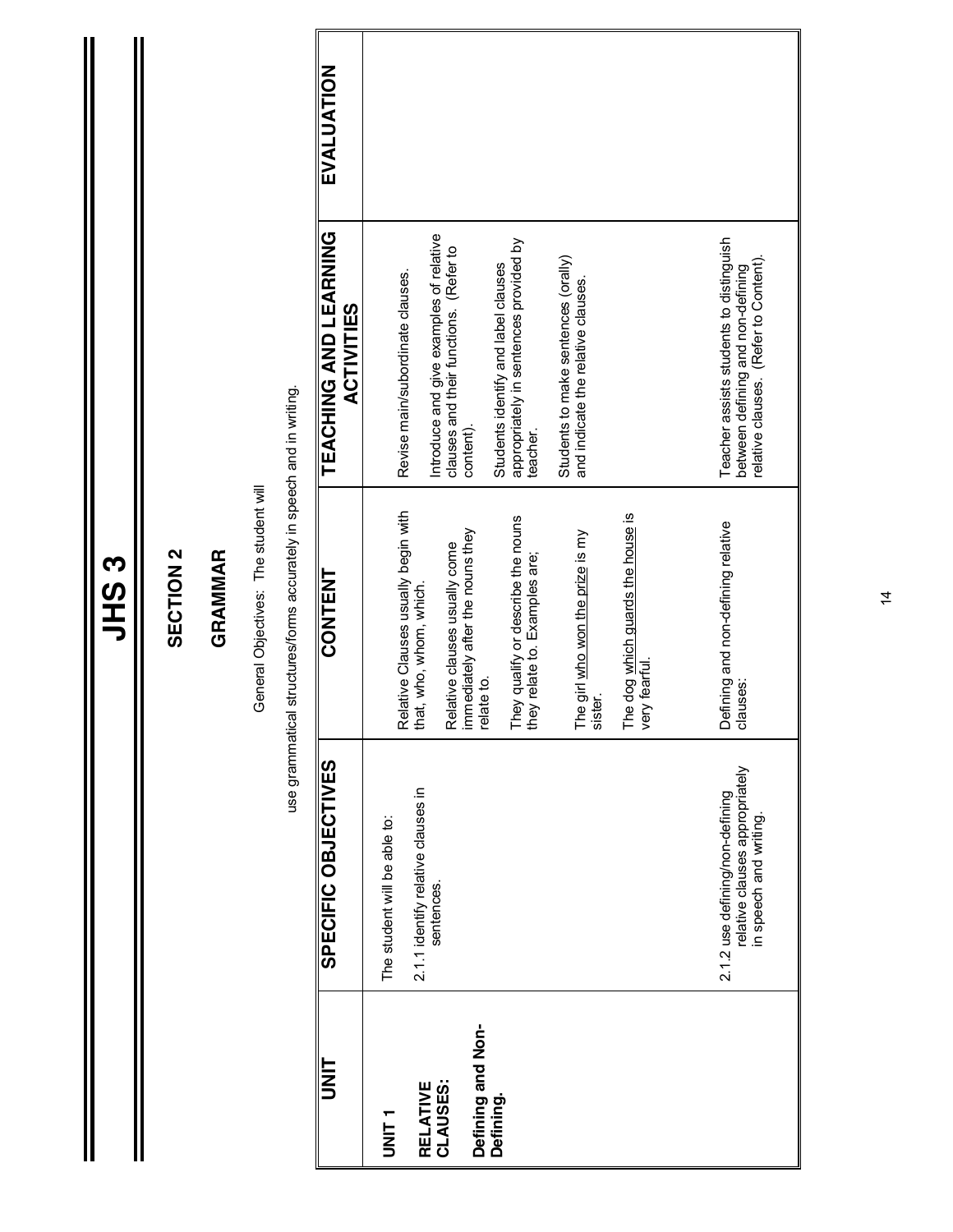|                                                                      |                                                                                                                     | =<br>5<br>2                                                                                                                                                                                                                                                                                                                  |                                                                                                                                                                                                                                                                                                                                                         |            |
|----------------------------------------------------------------------|---------------------------------------------------------------------------------------------------------------------|------------------------------------------------------------------------------------------------------------------------------------------------------------------------------------------------------------------------------------------------------------------------------------------------------------------------------|---------------------------------------------------------------------------------------------------------------------------------------------------------------------------------------------------------------------------------------------------------------------------------------------------------------------------------------------------------|------------|
|                                                                      |                                                                                                                     | <b>SECTION 2</b>                                                                                                                                                                                                                                                                                                             |                                                                                                                                                                                                                                                                                                                                                         |            |
|                                                                      |                                                                                                                     | GRAMMAR                                                                                                                                                                                                                                                                                                                      |                                                                                                                                                                                                                                                                                                                                                         |            |
|                                                                      |                                                                                                                     | General Objectives: The student will                                                                                                                                                                                                                                                                                         |                                                                                                                                                                                                                                                                                                                                                         |            |
|                                                                      |                                                                                                                     | use grammatical structures/forms accurately in speech and in writing.                                                                                                                                                                                                                                                        |                                                                                                                                                                                                                                                                                                                                                         |            |
| ヒミコ                                                                  | SPECIFIC OBJECTIVES                                                                                                 | <b>CONTENT</b>                                                                                                                                                                                                                                                                                                               | TEACHING AND LEARNING<br><b>ACTIVITIES</b>                                                                                                                                                                                                                                                                                                              | EVALUATION |
| Defining and Non-<br>CLAUSES:<br>RELATIVE<br>Defining.<br><b>UNL</b> | 2.1.1 identify relative clauses in<br>2.1.2 use defining/non-defining<br>The student will be able to:<br>sentences. | Relative Clauses usually begin with<br>The dog which guards the house is<br>They qualify or describe the nouns<br>immediately after the nouns they<br>The girl who won the prize is my<br>Relative clauses usually come<br>they relate to. Examples are;<br>that, who, whom, which.<br>very fearful<br>relate to.<br>sister. | Introduce and give examples of relative<br>Teacher assists students to distinguish<br>appropriately in sentences provided by<br>clauses and their functions. (Refer to<br>Students to make sentences (orally)<br>Students identify and label clauses<br>Revise main/subordinate clauses.<br>and indicate the relative clauses.<br>content).<br>teacher. |            |
|                                                                      | relative clauses appropriately<br>in speech and writing                                                             | Defining and non-defining relative<br>clauses:                                                                                                                                                                                                                                                                               | elative clauses. (Refer to Content).<br>between defining and non-defining                                                                                                                                                                                                                                                                               |            |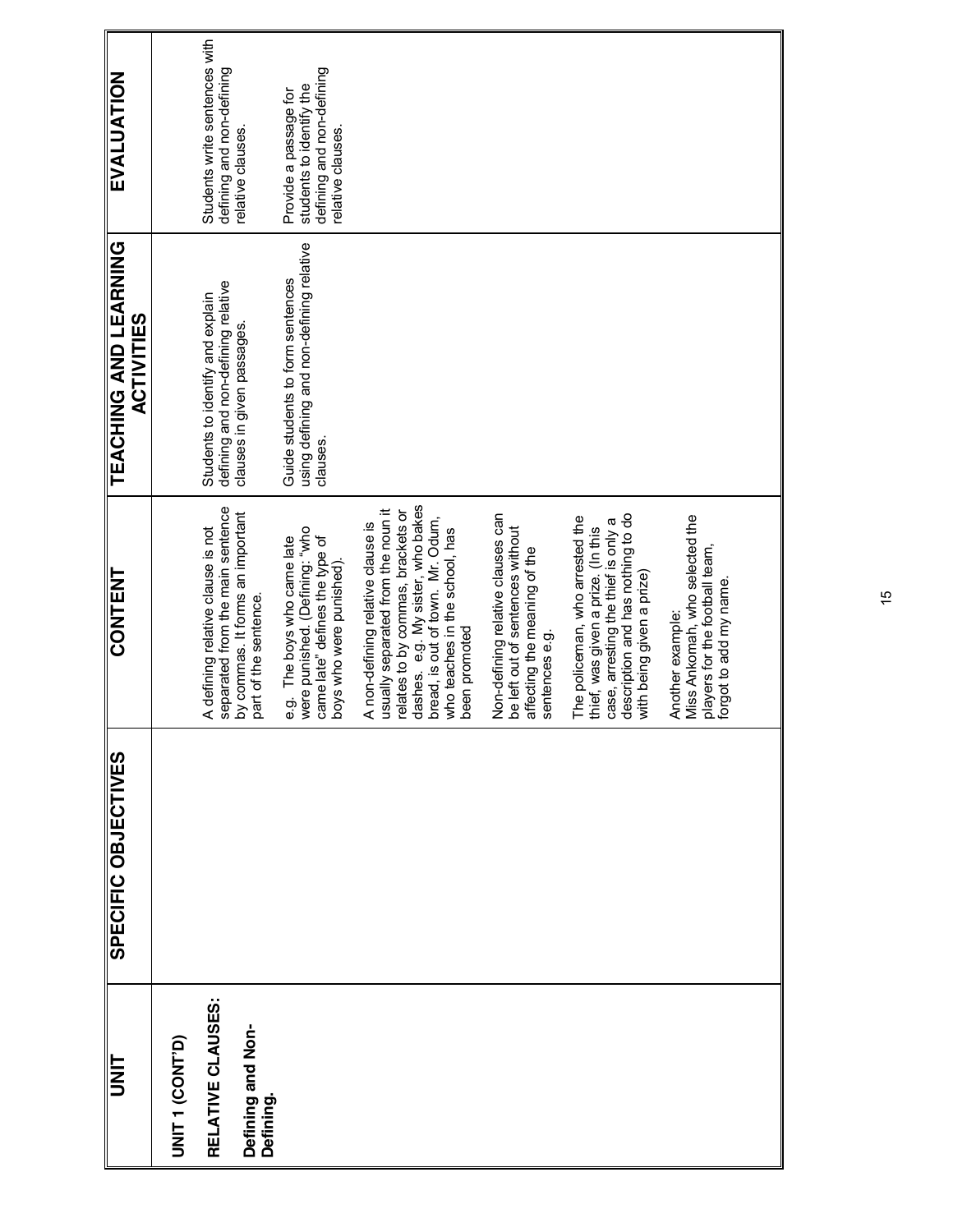| EVALUATION                                 |                 | Students write sentences with<br>defining and non-defining             | relative clauses.                                         | defining and non-defining<br>students to identify the<br>Provide a passage for<br>elative clauses.                         |                                                                                                                                                   |                                                                                     |                                                                                                                         |                                                                                                                                                                                |                                                                                                                |  |
|--------------------------------------------|-----------------|------------------------------------------------------------------------|-----------------------------------------------------------|----------------------------------------------------------------------------------------------------------------------------|---------------------------------------------------------------------------------------------------------------------------------------------------|-------------------------------------------------------------------------------------|-------------------------------------------------------------------------------------------------------------------------|--------------------------------------------------------------------------------------------------------------------------------------------------------------------------------|----------------------------------------------------------------------------------------------------------------|--|
| TEACHING AND LEARNING<br><b>ACTIVITIES</b> |                 | defining and non-defining relative<br>Students to identify and explain | clauses in given passages                                 | using defining and non-defining relative<br>Guide students to form sentences<br>clauses.                                   |                                                                                                                                                   |                                                                                     |                                                                                                                         |                                                                                                                                                                                |                                                                                                                |  |
| <b>CONTENT</b>                             |                 | separated from the main sentence<br>A defining relative clause is not  | by commas. It forms an important<br>part of the sentence. | were punished. (Defining: "who<br>e.g. The boys who came late<br>came late" defines the type of<br>boys who were punished) | dashes. e.g. My sister, who bakes<br>usually separated from the noun it<br>relates to by commas, brackets or<br>A non-defining relative clause is | bread, is out of town. Mr. Odum,<br>who teaches in the school, has<br>been promoted | Non-defining relative clauses can<br>be left out of sentences without<br>affecting the meaning of the<br>sentences e.g. | description and has nothing to do<br>The policeman, who arrested the<br>case, arresting the thief is only a<br>thief, was given a prize. (In this<br>with being given a prize) | Miss Ankomah, who selected the<br>players for the football team,<br>forgot to add my name.<br>Another example: |  |
| SPECIFIC OBJECTIVES                        |                 |                                                                        |                                                           |                                                                                                                            |                                                                                                                                                   |                                                                                     |                                                                                                                         |                                                                                                                                                                                |                                                                                                                |  |
| <b>UNL</b>                                 | UNIT 1 (CONT'D) | RELATIVE CLAUSES:                                                      | Defining and Non-<br>Defining.                            |                                                                                                                            |                                                                                                                                                   |                                                                                     |                                                                                                                         |                                                                                                                                                                                |                                                                                                                |  |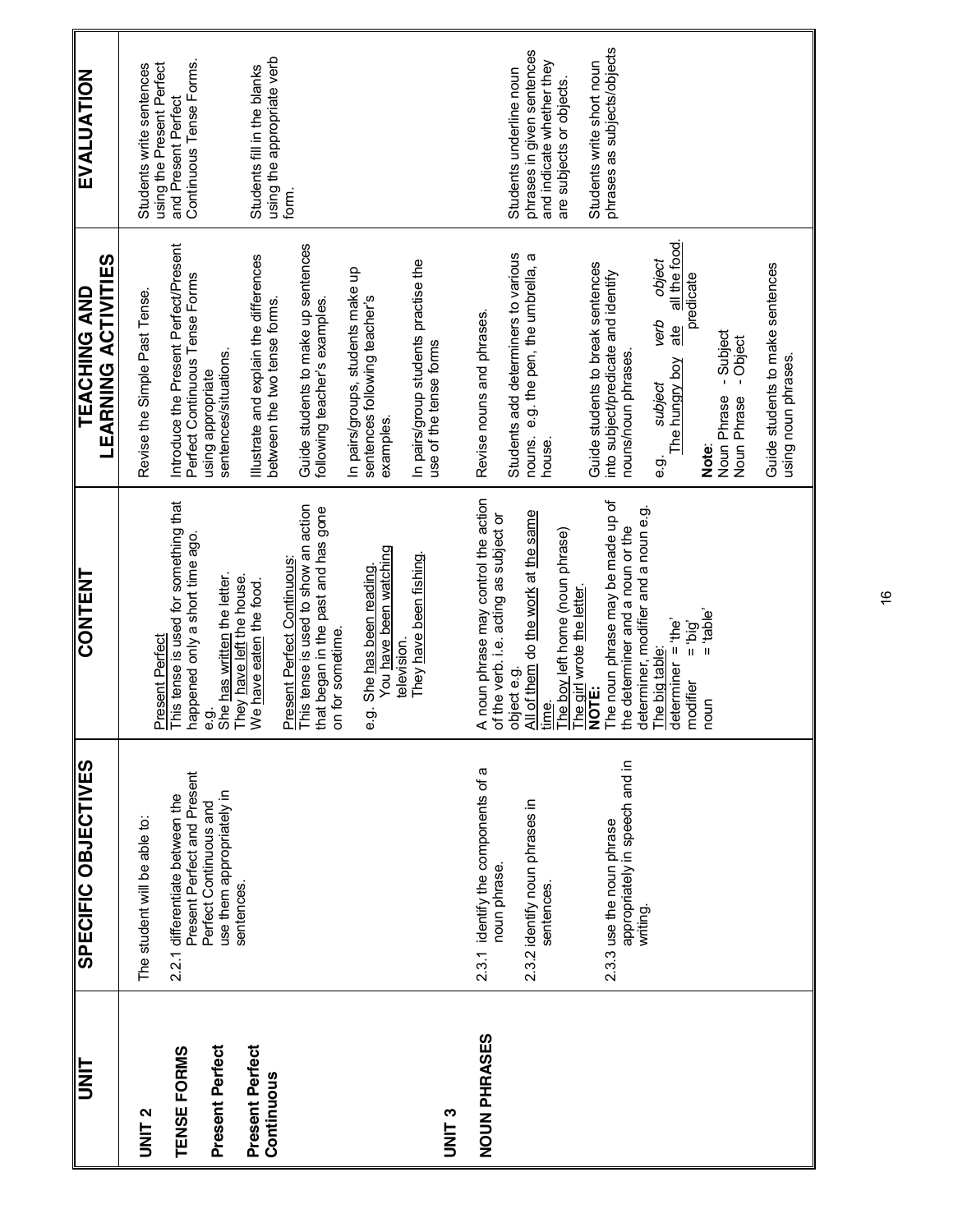| <b>UNIT</b>     | SPECIFIC OBJECTIVES                                            | CONTENT                                                                        | <b>LEARNING ACTIVITIES</b><br>TEACHING AND                              | EVALUATION                                     |
|-----------------|----------------------------------------------------------------|--------------------------------------------------------------------------------|-------------------------------------------------------------------------|------------------------------------------------|
| <b>UNIT 2</b>   | The student will be able to:                                   |                                                                                | Revise the Simple Past Tense.                                           | Students write sentences                       |
|                 |                                                                | Present Perfect                                                                |                                                                         | using the Present Perfect                      |
| TENSE FORMS     | Present Perfect and Present<br>2.2.1 differentiate between the | This tense is used for something that<br>rappened only a short time ago.       | Introduce the Present Perfect/Present<br>Perfect Continuous Tense Forms | Continuous Tense Forms.<br>and Present Perfect |
| Present Perfect | Perfect Continuous and                                         | ငှာ်<br>စ                                                                      | using appropriate                                                       |                                                |
|                 | use them appropriately in<br>sentences.                        | She has written the letter.<br>They have left the house.                       | sentences/situations.                                                   |                                                |
| Present Perfect |                                                                | We have eaten the food.                                                        | Illustrate and explain the differences                                  | Students fill in the blanks                    |
| Continuous      |                                                                |                                                                                | between the two tense forms                                             | using the appropriate verb                     |
|                 |                                                                | This tense is used to show an action<br><b>Present Perfect Continuous:</b>     | Guide students to make up sentences                                     | form.                                          |
|                 |                                                                | that began in the past and has gone<br>on for sometime.                        | following teacher's examples.                                           |                                                |
|                 |                                                                |                                                                                | In pairs/groups, students make up                                       |                                                |
|                 |                                                                | You have been watching<br>e.g. She has been reading                            | sentences following teacher's<br>examples.                              |                                                |
|                 |                                                                | television.                                                                    |                                                                         |                                                |
|                 |                                                                | They have been fishing.                                                        | In pairs/group students practise the<br>use of the tense forms          |                                                |
| <b>UNIT3</b>    |                                                                |                                                                                |                                                                         |                                                |
| NOUN PHRASES    | 2.3.1 identify the components of a<br>noun phrase.             | A noun phrase may control the action<br>of the verb. i.e. acting as subject or | Revise nouns and phrases.                                               |                                                |
|                 |                                                                | object e.g.                                                                    | Students add determiners to various                                     | Students underline noun                        |
|                 | 2.3.2 identify noun phrases in                                 | All of them do the work at the same                                            | nouns. e.g. the pen, the umbrella, a                                    | phrases in given sentences                     |
|                 | sentences.                                                     | ime)<br>El                                                                     | house.                                                                  | and indicate whether they                      |
|                 |                                                                | The boy left home (noun phrase)                                                |                                                                         | are subjects or objects.                       |
|                 |                                                                | <u>The girl</u> wrote <u>the letter</u><br>NOTE:                               | Guide students to break sentences                                       | Students write short noun                      |
|                 | 2.3.3 use the noun phrase                                      | The noun phrase may be made up of                                              | into subject/predicate and identify                                     | phrases as subjects/objects                    |
|                 | appropriately in speech and in<br>writing.                     | determiner, modifier and a noun e.g.<br>he determiner and a noun or the        | nouns/noun phrases.                                                     |                                                |
|                 |                                                                | The big table:                                                                 | object<br>verb                                                          |                                                |
|                 |                                                                | determiner = $the'$                                                            | all the food.<br>ate<br>e.g.<br>I The hungry boy                        |                                                |
|                 |                                                                | $Big =$<br>modifier                                                            | predicate                                                               |                                                |
|                 |                                                                | $e^{\frac{1}{2}}$ = "able"<br>noun                                             | Note:                                                                   |                                                |
|                 |                                                                |                                                                                | -Subject<br>- Object<br>Noun Phrase<br>Noun Phrase                      |                                                |
|                 |                                                                |                                                                                |                                                                         |                                                |
|                 |                                                                |                                                                                | Guide students to make sentences<br>using noun phrases.                 |                                                |
|                 |                                                                |                                                                                |                                                                         |                                                |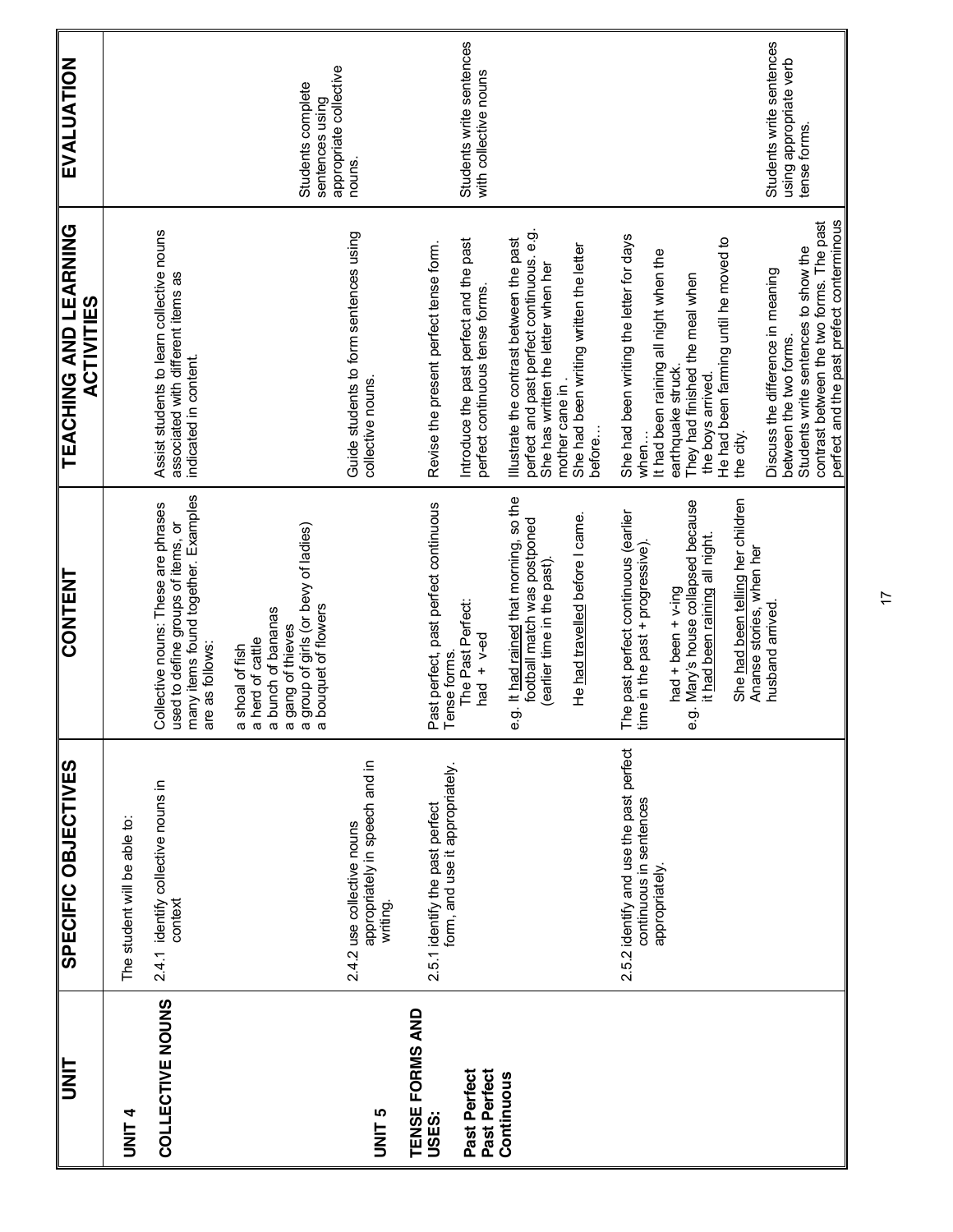| I<br>N<br>S                              | SPECIFIC OBJECTIVES                                                                  | CONTENT                                                                                                                                                                  | TEACHING AND LEARNING<br><b>ACTIVITIES</b>                                                                                                                                                                      | EVALUATION                                                         |
|------------------------------------------|--------------------------------------------------------------------------------------|--------------------------------------------------------------------------------------------------------------------------------------------------------------------------|-----------------------------------------------------------------------------------------------------------------------------------------------------------------------------------------------------------------|--------------------------------------------------------------------|
| <b>UNIT4</b>                             | The student will be able to:                                                         |                                                                                                                                                                          |                                                                                                                                                                                                                 |                                                                    |
| COLLECTIVE NOUNS                         | 2.4.1 identify collective nouns in<br>context                                        | many items found together. Examples<br>Collective nouns: These are phrases<br>used to define groups of items, or<br>are as follows:                                      | Assist students to learn collective nouns<br>associated with different items as<br>indicated in content.                                                                                                        |                                                                    |
|                                          |                                                                                      | group of girls (or bevy of ladies)<br>a bouquet of flowers<br>a bunch of bananas<br>a gang of thieves<br>a herd of cattle<br>a shoal of fish                             |                                                                                                                                                                                                                 | appropriate collective<br>Students complete<br>sentences using     |
| <b>UNIT<sub>5</sub></b>                  | appropriately in speech and in<br>2.4.2 use collective nouns<br>writing.             |                                                                                                                                                                          | Guide students to form sentences using<br>collective nouns.                                                                                                                                                     | nouns.                                                             |
| TENSE FORMS AND<br>Past Perfect<br>USES: | form, and use it appropriately.<br>2.5.1 identify the past perfect                   | Past perfect, past perfect continuous<br>The Past Perfect:<br>had $+$ v-ed<br>ense forms.                                                                                | Introduce the past perfect and the past<br>Revise the present perfect tense form.<br>perfect continuous tense forms.                                                                                            | Students write sentences<br>with collective nouns                  |
| Past Perfect<br>Continuous               |                                                                                      | e.g. It had rained that morning, so the<br>He had travelled before I came.<br>football match was postponed<br>(earlier time in the past)                                 | perfect and past perfect continuous. e.g.<br>Illustrate the contrast between the past<br>She had been writing written the letter<br>She has written the letter when her<br>mother cane in<br>before             |                                                                    |
|                                          | 2.5.2 identify and use the past perfect<br>continuous in sentences<br>appropriately. | e.g. Mary's house collapsed because<br>The past perfect continuous (earlier<br>it had been raining all night.<br>ime in the past + progressive).<br>$had + been + v-ing$ | She had been writing the letter for days<br>He had been farming until he moved to<br>It had been raining all night when the<br>They had finished the meal when<br>earthquake struck<br>the boys arrived<br>when |                                                                    |
|                                          |                                                                                      | She had been telling her children<br>Ananse stories, when her<br>husband arrived                                                                                         | perfect and the past prefect conterminous<br>contrast between the two forms. The past<br>Students write sentences to show the<br>Discuss the difference in meaning<br>between the two forms.<br>the city.       | Students write sentences<br>using appropriate verb<br>tense forms. |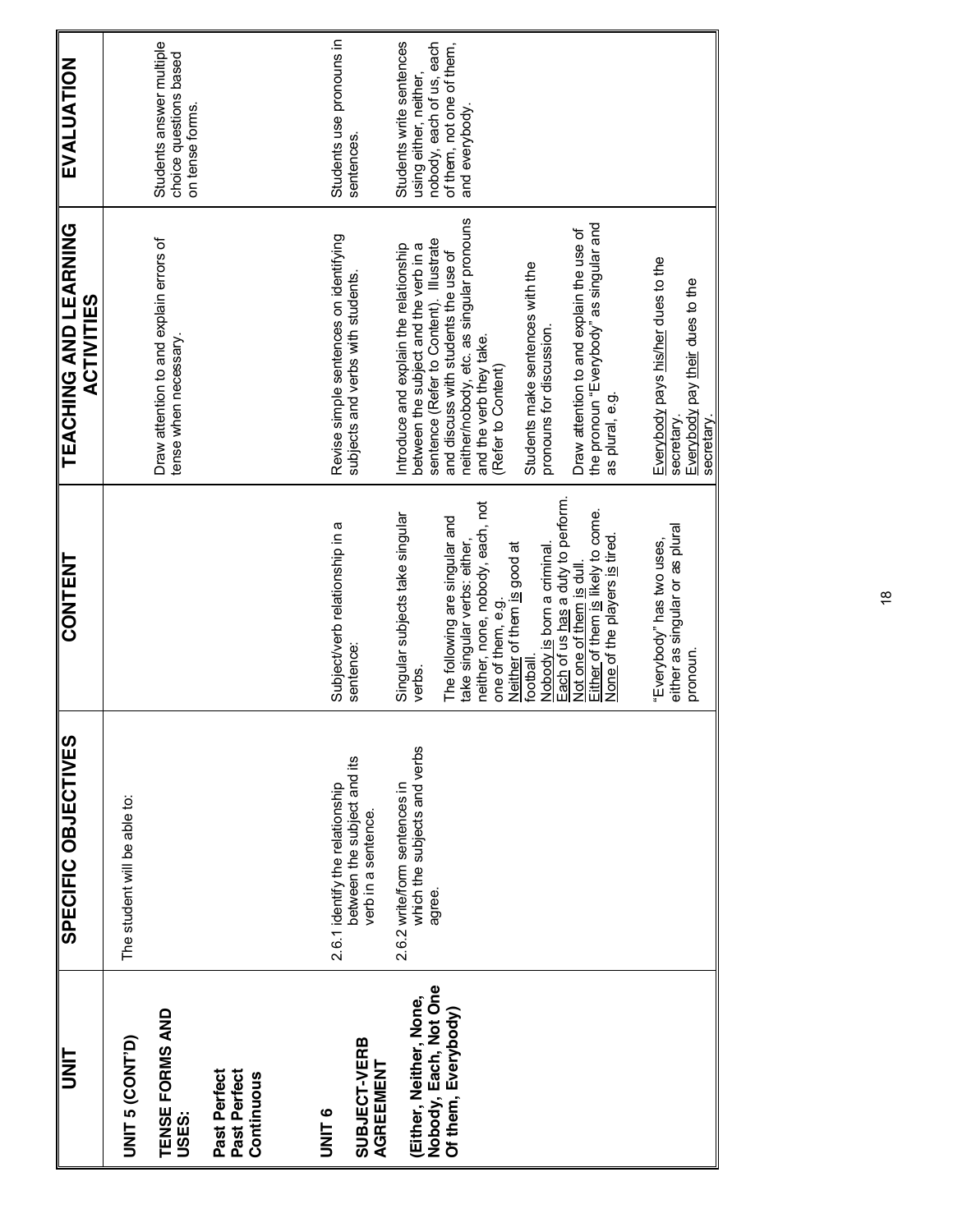| <b>TINL</b>                                | SPECIFIC OBJECTIVES                                                                   | <b>CONTENT</b>                                                                                   | <b>TEACHING AND LEARNING</b><br><b>ACTIVITIES</b>                                   | <b>EVALUATION</b>                                                     |
|--------------------------------------------|---------------------------------------------------------------------------------------|--------------------------------------------------------------------------------------------------|-------------------------------------------------------------------------------------|-----------------------------------------------------------------------|
| UNIT 5 (CONT'D)                            | The student will be able to:                                                          |                                                                                                  |                                                                                     |                                                                       |
| TENSE FORMS AND<br>USES:                   |                                                                                       |                                                                                                  | Draw attention to and explain errors of<br>tense when necessary                     | Students answer multiple<br>choice questions based<br>on tense forms. |
| Past Perfect<br>Past Perfect<br>Continuous |                                                                                       |                                                                                                  |                                                                                     |                                                                       |
| SUBJECT-VERB<br><b>ONITS</b>               | between the subject and its<br>2.6.1 identify the relationship<br>verb in a sentence. | Subject/verb relationship in a<br>sentence:                                                      | Revise simple sentences on identifying<br>subjects and verbs with students          | Students use pronouns in<br>sentences.                                |
| AGREEMENT                                  |                                                                                       |                                                                                                  |                                                                                     |                                                                       |
| (Either, Neither, None,                    | which the subjects and verbs<br>2.6.2 write/form sentences in                         | Singular subjects take singular<br>verbs                                                         | Introduce and explain the relationship<br>between the subject and the verb in a     | Students write sentences<br>using either, neither,                    |
| Nobody, Each, Not One                      | agree.                                                                                | The following are singular and                                                                   | sentence (Refer to Content). Illustrate<br>and discuss with students the use of     | nobody, each of us, each<br>of them, not one of them,                 |
| Of them, Everybody)                        |                                                                                       | take singular verbs: either,                                                                     | neither/nobody, etc. as singular pronouns                                           | and everybody.                                                        |
|                                            |                                                                                       | neither, none, nobody, each, not<br>one of them, e.g.                                            | and the verb they take.<br>(Refer to Content)                                       |                                                                       |
|                                            |                                                                                       | Neither of them is good at<br>football.                                                          | Students make sentences with the                                                    |                                                                       |
|                                            |                                                                                       | Nobody is born a criminal                                                                        | pronouns for discussion.                                                            |                                                                       |
|                                            |                                                                                       | Each of us has a duty to perform<br>Either of them is likely to come.<br>Not one of them is dull | the pronoun "Everybody" as singular and<br>Draw attention to and explain the use of |                                                                       |
|                                            |                                                                                       | None of the players is tired.                                                                    | as plural, e.g.                                                                     |                                                                       |
|                                            |                                                                                       |                                                                                                  |                                                                                     |                                                                       |
|                                            |                                                                                       | either as singular or as plural<br>"Everybody" has two uses,                                     | Everybody pays his/her dues to the<br>secretary                                     |                                                                       |
|                                            |                                                                                       | pronoun.                                                                                         | Everybody pay their dues to the<br>secretary                                        |                                                                       |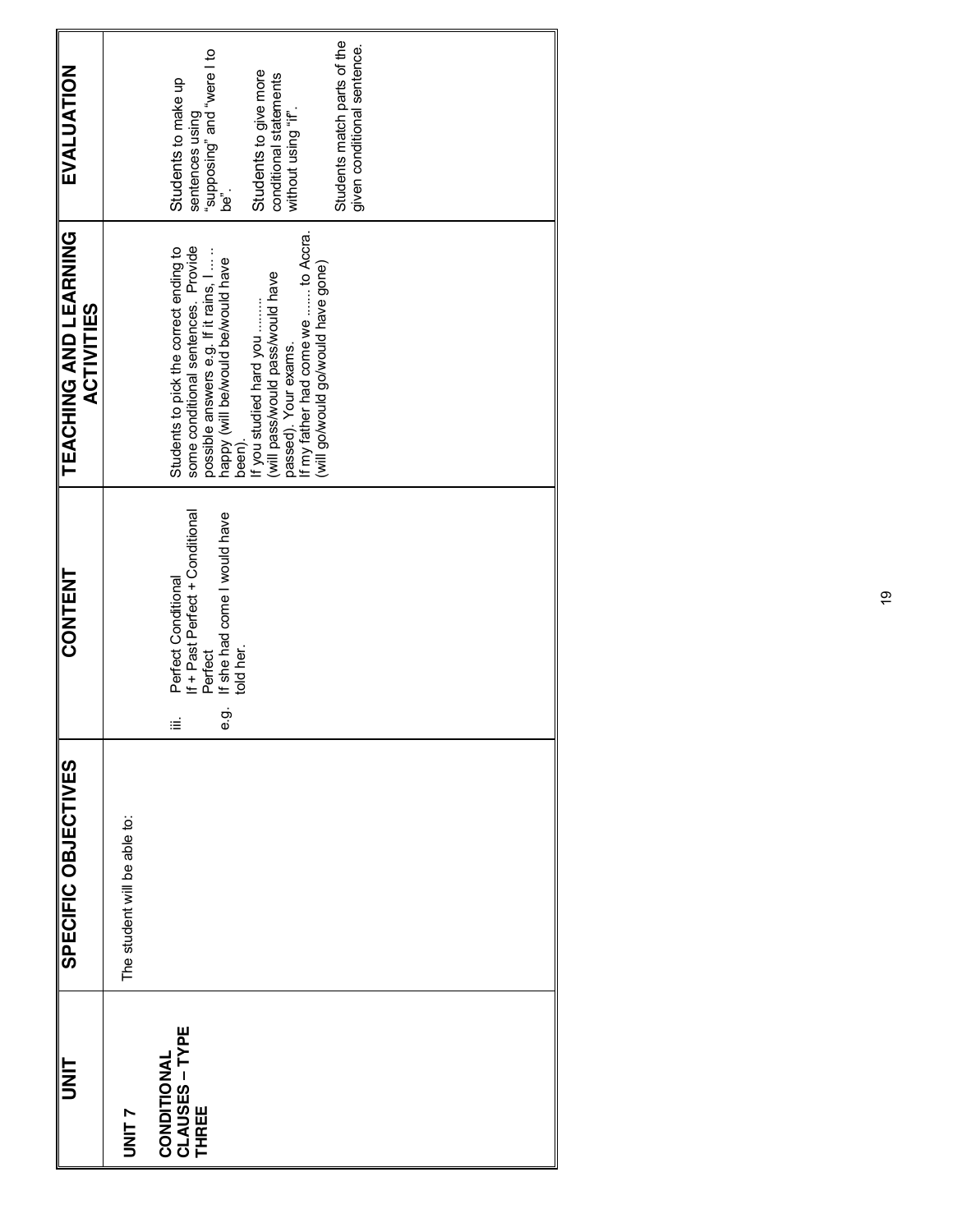| <b>UNIT</b>                                    | SPECIFIC OBJECTIVES          | CONTENT                                                                                                                     | TEACHING AND LEARNING<br><b>ACTIVITIES</b>                                                                                                                                                                                                                                                                                       | EVALUATION                                                                                                                                                                                     |
|------------------------------------------------|------------------------------|-----------------------------------------------------------------------------------------------------------------------------|----------------------------------------------------------------------------------------------------------------------------------------------------------------------------------------------------------------------------------------------------------------------------------------------------------------------------------|------------------------------------------------------------------------------------------------------------------------------------------------------------------------------------------------|
| UNIT 7                                         | The student will be able to: |                                                                                                                             |                                                                                                                                                                                                                                                                                                                                  |                                                                                                                                                                                                |
| <b>CLAUSES – TYPE<br/>THREE</b><br>CONDITIONAL |                              | If + Past Perfect + Conditional<br>If she had come I would have<br>Perfect Conditional<br>told her.<br>Perfect<br>ငှာ်<br>≝ | If my father had come we  to Accra.<br>some conditional sentences. Provide<br>Students to pick the correct ending to<br>possible answers e.g. If it rains, I<br>happy (will be/would be/would have<br>(will govwould have gone)<br>(will pass/would pass/would have<br>If you studied hard you<br>passed). Your exams.<br>been). | Students match parts of the<br>given conditional sentence.<br>be".<br>be".<br>Students to give more<br>conditional statements<br>Students to make up<br>without using "if".<br>sentences using |
|                                                |                              |                                                                                                                             |                                                                                                                                                                                                                                                                                                                                  |                                                                                                                                                                                                |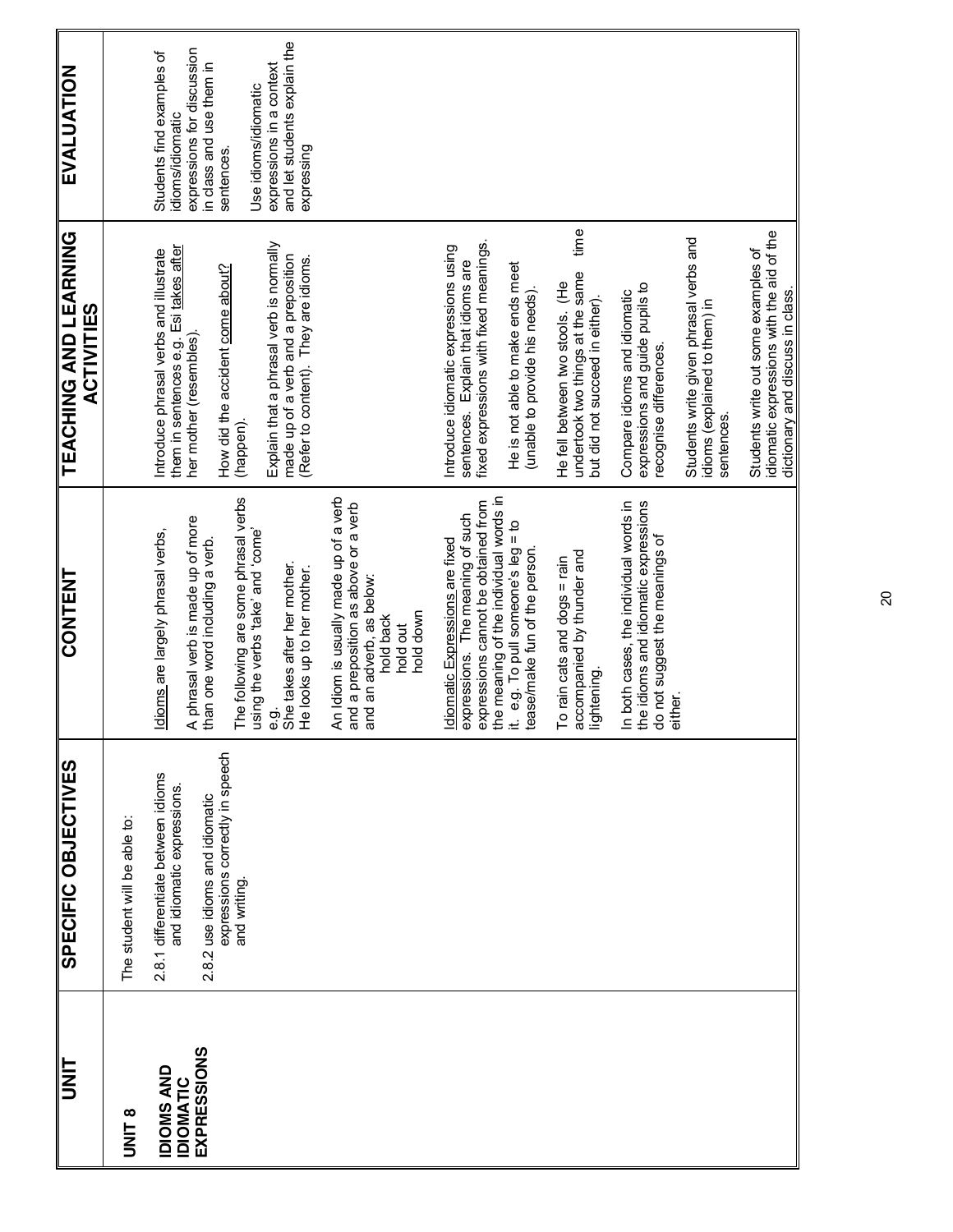| <b>UNIT</b>                                                 | SPECIFIC OBJECTIVES                                                                                                                                   | <b>CONTENT</b>                                                                                                                                                                                                                                           | <b>TEACHING AND LEARNING</b><br><b>ACTIVITIES</b>                                                                                                                                                                                                                                        | <b>EVALUATION</b>                                                                                                                                                                                                       |
|-------------------------------------------------------------|-------------------------------------------------------------------------------------------------------------------------------------------------------|----------------------------------------------------------------------------------------------------------------------------------------------------------------------------------------------------------------------------------------------------------|------------------------------------------------------------------------------------------------------------------------------------------------------------------------------------------------------------------------------------------------------------------------------------------|-------------------------------------------------------------------------------------------------------------------------------------------------------------------------------------------------------------------------|
| <b>B</b><br>DNIT                                            | The student will be able to:                                                                                                                          |                                                                                                                                                                                                                                                          |                                                                                                                                                                                                                                                                                          |                                                                                                                                                                                                                         |
| <b>EXPRESSIONS</b><br><b>IDIOMS AND</b><br><b>IDIOMATIC</b> | expressions correctly in speech<br>2.8.1 differentiate between idioms<br>and idiomatic expressions.<br>2.8.2 use idioms and idiomatic<br>and writing. | The following are some phrasal verbs<br>A phrasal verb is made up of more<br>dioms are largely phrasal verbs,<br>onoo, pue saka, squa aque puisu<br>than one word including a verb.<br>She takes after her mother.<br>He looks up to her mother.<br>ငှာ် | Explain that a phrasal verb is normally<br>Esi takes after<br>Introduce phrasal verbs and illustrate<br>made up of a verb and a preposition<br>(Refer to content). They are idioms.<br>How did the accident come about?<br>her mother (resembles)<br>them in sentences e.g.<br>(happen). | and let students explain the<br>expressions for discussion<br>Students find examples of<br>in class and use them in<br>expressions in a context<br>Use idioms/idiomatic<br>idioms/idiomatic<br>expressing<br>sentences. |
|                                                             |                                                                                                                                                       | An Idiom is usually made up of a verb<br>and a preposition as above or a verb<br>and an adverb, as below:<br>hold down<br>hold back<br>hold out                                                                                                          |                                                                                                                                                                                                                                                                                          |                                                                                                                                                                                                                         |
|                                                             |                                                                                                                                                       | the meaning of the individual words in<br>expressions cannot be obtained from<br>expressions. The meaning of such<br>t. e.g. To pull someone's $leg = to$<br>diomatic Expressions are fixed<br>tease/make fun of the person.                             | fixed expressions with fixed meanings.<br>Introduce idiomatic expressions using<br>sentences. Explain that idioms are<br>He is not able to make ends meet<br>(unable to provide his needs).                                                                                              |                                                                                                                                                                                                                         |
|                                                             |                                                                                                                                                       | accompanied by thunder and<br>To rain cats and dogs = rain<br>ightening.                                                                                                                                                                                 | time<br>undertook two things at the same<br>He fell between two stools. (He<br>but did not succeed in either).                                                                                                                                                                           |                                                                                                                                                                                                                         |
|                                                             |                                                                                                                                                       | In both cases, the individual words in<br>the idioms and idiomatic expressions<br>do not suggest the meanings of<br>either.                                                                                                                              | expressions and guide pupils to<br>Compare idioms and idiomatic<br>recognise differences.                                                                                                                                                                                                |                                                                                                                                                                                                                         |
|                                                             |                                                                                                                                                       |                                                                                                                                                                                                                                                          | Students write given phrasal verbs and<br>idioms (explained to them) in<br>sentences.                                                                                                                                                                                                    |                                                                                                                                                                                                                         |
|                                                             |                                                                                                                                                       |                                                                                                                                                                                                                                                          | idiomatic expressions with the aid of the<br>Students write out some examples of<br>dictionary and discuss in class.                                                                                                                                                                     |                                                                                                                                                                                                                         |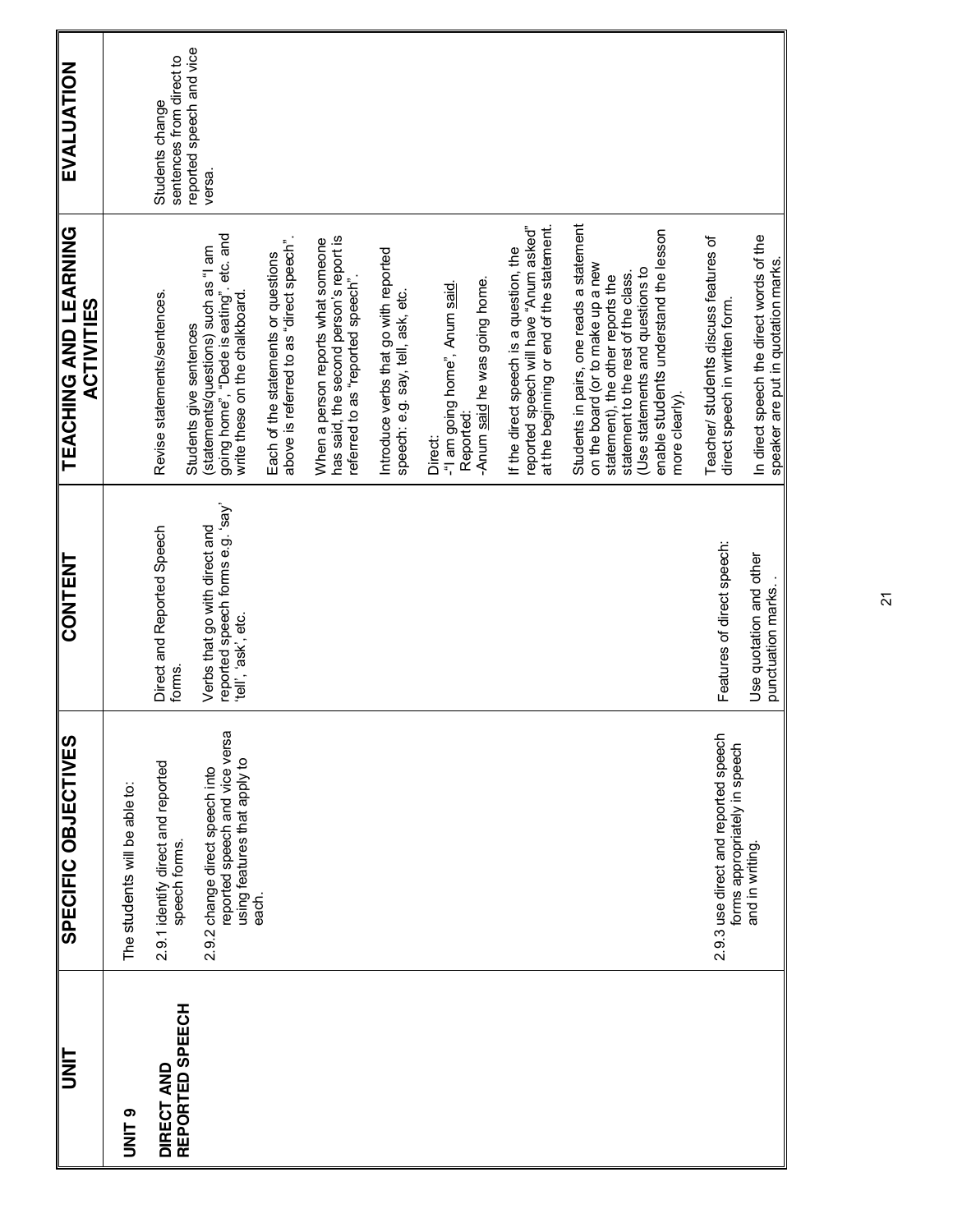| <b>UNIT</b>                   | <b>SPECIFIC OBJECTIVES</b>                                                                        | <b>CONTENT</b>                                                                           | <b>TEACHING AND LEARNING</b><br><b>ACTIVITIES</b>                                                                                                                                                                                                        | EVALUATION                                                              |
|-------------------------------|---------------------------------------------------------------------------------------------------|------------------------------------------------------------------------------------------|----------------------------------------------------------------------------------------------------------------------------------------------------------------------------------------------------------------------------------------------------------|-------------------------------------------------------------------------|
| <b>ONITO</b>                  | The students will be able to:                                                                     |                                                                                          |                                                                                                                                                                                                                                                          |                                                                         |
| REPORTED SPEECH<br>DIRECT AND | 2.9.1 identify direct and reported<br>speech forms.                                               | Direct and Reported Speech<br>forms.                                                     | Revise statements/sentences.<br>Students give sentences                                                                                                                                                                                                  | reported speech and vice<br>sentences from direct to<br>Students change |
|                               | reported speech and vice versa<br>using features that apply to<br>2.9.2 change direct speech into | reported speech forms e.g. 'say'<br>Verbs that go with direct and<br>'tell', 'ask', etc. | going home", "Dede is eating", etc. and<br>write these on the chalkboard.<br>(statements/questions) such as "I am                                                                                                                                        | versa                                                                   |
|                               | each.                                                                                             |                                                                                          | above is referred to as "direct speech".<br>Each of the statements or questions                                                                                                                                                                          |                                                                         |
|                               |                                                                                                   |                                                                                          | has said, the second person's report is<br>When a person reports what someone<br>referred to as "reported speech"                                                                                                                                        |                                                                         |
|                               |                                                                                                   |                                                                                          | Introduce verbs that go with reported<br>speech: e.g. say, tell, ask, etc.                                                                                                                                                                               |                                                                         |
|                               |                                                                                                   |                                                                                          | -Anum said he was going home.<br>-"I am going home", Anum said<br>Reported:<br><b>Direct:</b>                                                                                                                                                            |                                                                         |
|                               |                                                                                                   |                                                                                          | at the beginning or end of the statement.<br>reported speech will have "Anum asked"<br>If the direct speech is a question, the                                                                                                                           |                                                                         |
|                               |                                                                                                   |                                                                                          | Students in pairs, one reads a statement<br>enable students understand the lesson<br>on the board (or to make up a new<br>(Use statements and questions to<br>statement to the rest of the class.<br>statement), the other reports the<br>more clearly). |                                                                         |
|                               | 2.9.3 use direct and reported speech<br>forms appropriately in speech                             | Features of direct speech:                                                               | Teacher/ students discuss features of<br>direct speech in written form.                                                                                                                                                                                  |                                                                         |
|                               | and in writing                                                                                    | Use quotation and other<br>punctuation marks.                                            | In direct speech the direct words of the<br>speaker are put in quotation marks.                                                                                                                                                                          |                                                                         |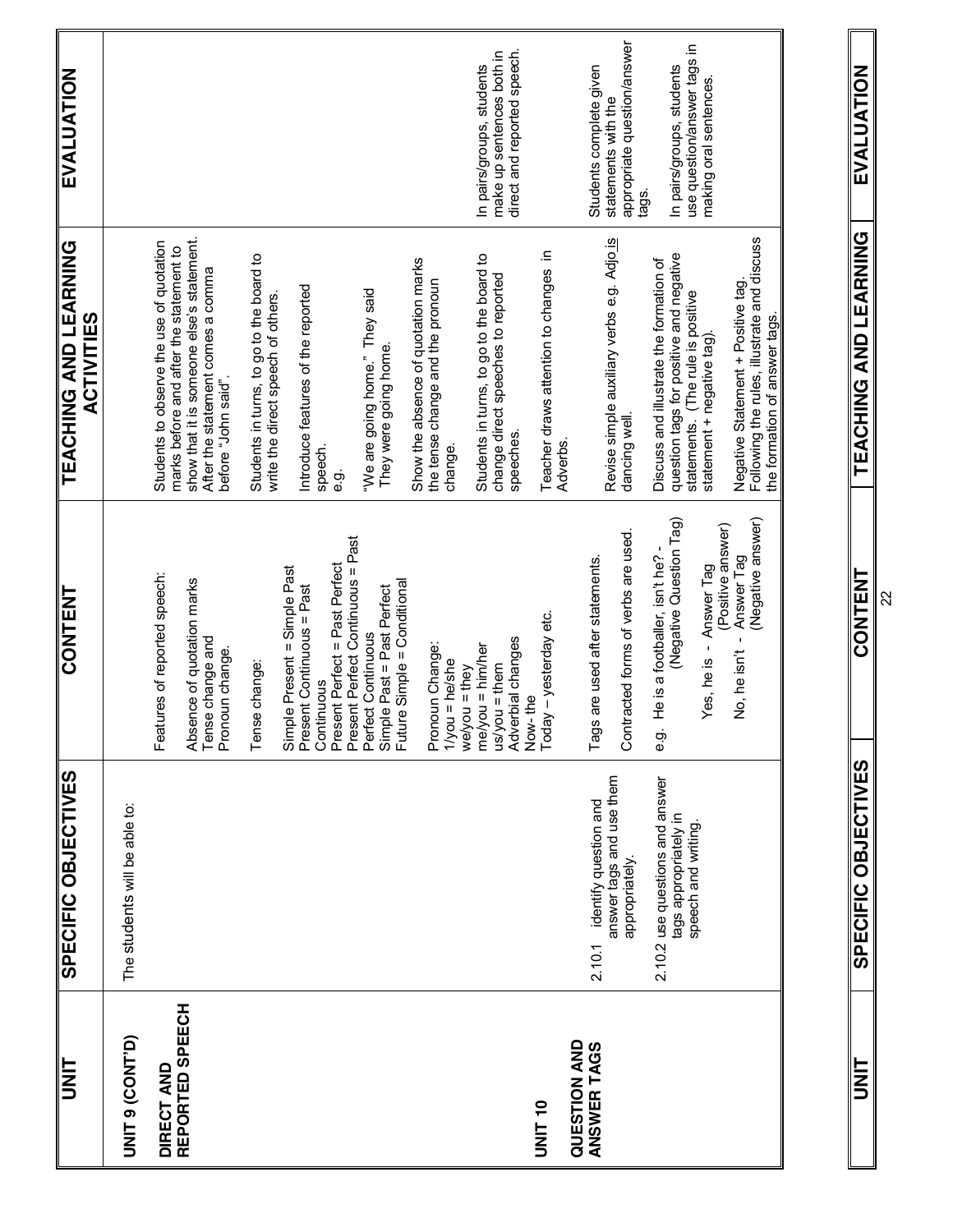| <b>hz<br/>N</b>                    | SPECIFIC OBJECTIVES                                                            | <b>CONTENT</b>                                                                                                                                                         | TEACHING AND LEARNING<br><b>ACTIVITIES</b>                                                                                                                                                                                                | EVALUATION                                                                             |
|------------------------------------|--------------------------------------------------------------------------------|------------------------------------------------------------------------------------------------------------------------------------------------------------------------|-------------------------------------------------------------------------------------------------------------------------------------------------------------------------------------------------------------------------------------------|----------------------------------------------------------------------------------------|
| UNIT 9 (CONT'D)                    | The students will be able to:                                                  |                                                                                                                                                                        |                                                                                                                                                                                                                                           |                                                                                        |
| REPORTED SPEECH<br>DIRECT AND      |                                                                                | Features of reported speech:<br>Absence of quotation marks<br>Tense change and<br>Pronoun change.                                                                      | show that it is someone else's statement.<br>Students to observe the use of quotation<br>marks before and after the statement to<br>After the statement comes a comma<br>before "John said".                                              |                                                                                        |
|                                    |                                                                                | Present Perfect = Past Perfect<br>Simple Present = Simple Past<br>Present Continuous = Past<br>Tense change:<br>Continuous                                             | Students in turns, to go to the board to<br>Introduce features of the reported<br>write the direct speech of others<br>speech.<br>တဲ့<br>စ                                                                                                |                                                                                        |
|                                    |                                                                                | Present Perfect Continuous = Past<br>Future Simple = Conditional<br>Simple Past = Past Perfect<br>Perfect Continuous<br>Pronoun Change:<br>$1/you = he/she$            | Show the absence of quotation marks<br>the tense change and the pronoun<br>"We are going home." They said<br>They were going home.<br>change.                                                                                             |                                                                                        |
| <b>UNIT 10</b>                     |                                                                                | Today - yesterday etc.<br>Adverbial changes<br>$me/you = him/her$<br>$us/you = them$<br>we/you = they<br>Now-the                                                       | Teacher draws attention to changes in<br>Students in turns, to go to the board to<br>change direct speeches to reported<br>speeches.<br>Adverbs                                                                                           | direct and reported speech.<br>make up sentences both in<br>In pairs/groups, students  |
| <b>QUESTION AND</b><br>ANSWER TAGS | answer tags and use them<br>identify question and<br>appropriately.<br>2.10.1  | Contracted forms of verbs are used.<br>Tags are used after statements.                                                                                                 | Revise simple auxiliary verbs e.g. Adjo is<br>dancing well.                                                                                                                                                                               | appropriate question/answer<br>Students complete given<br>statements with the<br>tags. |
|                                    | 2.10.2 use questions and answer<br>tags appropriately in<br>speech and writing | (Negative answer)<br>(Negative Question Tag)<br>(Positive answer)<br>He is a footballer, isn't he?<br>Answer Tag<br>Yes, he is - Answer Tag<br>No, he isn't<br>တ်<br>ၿ | Following the rules, illustrate and discuss<br>question tags for positive and negative<br>Discuss and illustrate the formation of<br>Negative Statement + Positive tag.<br>statements. (The rule is positive<br>statement + negative tag) | use question/answer tags in<br>In pairs/groups, students<br>making oral sentences      |
|                                    |                                                                                |                                                                                                                                                                        | the formation of answer tags.                                                                                                                                                                                                             |                                                                                        |

**UNIT SPECIFIC OBJECTIVES AND LEARNING AND LEARNING AND LEARNING AND LEAST AND LEAST AND LEARNING AND LEARNING A TEACHING AND LEARNING CONTENT** 

**EVALUATION** 

**SPECIFIC OBJECTIVES**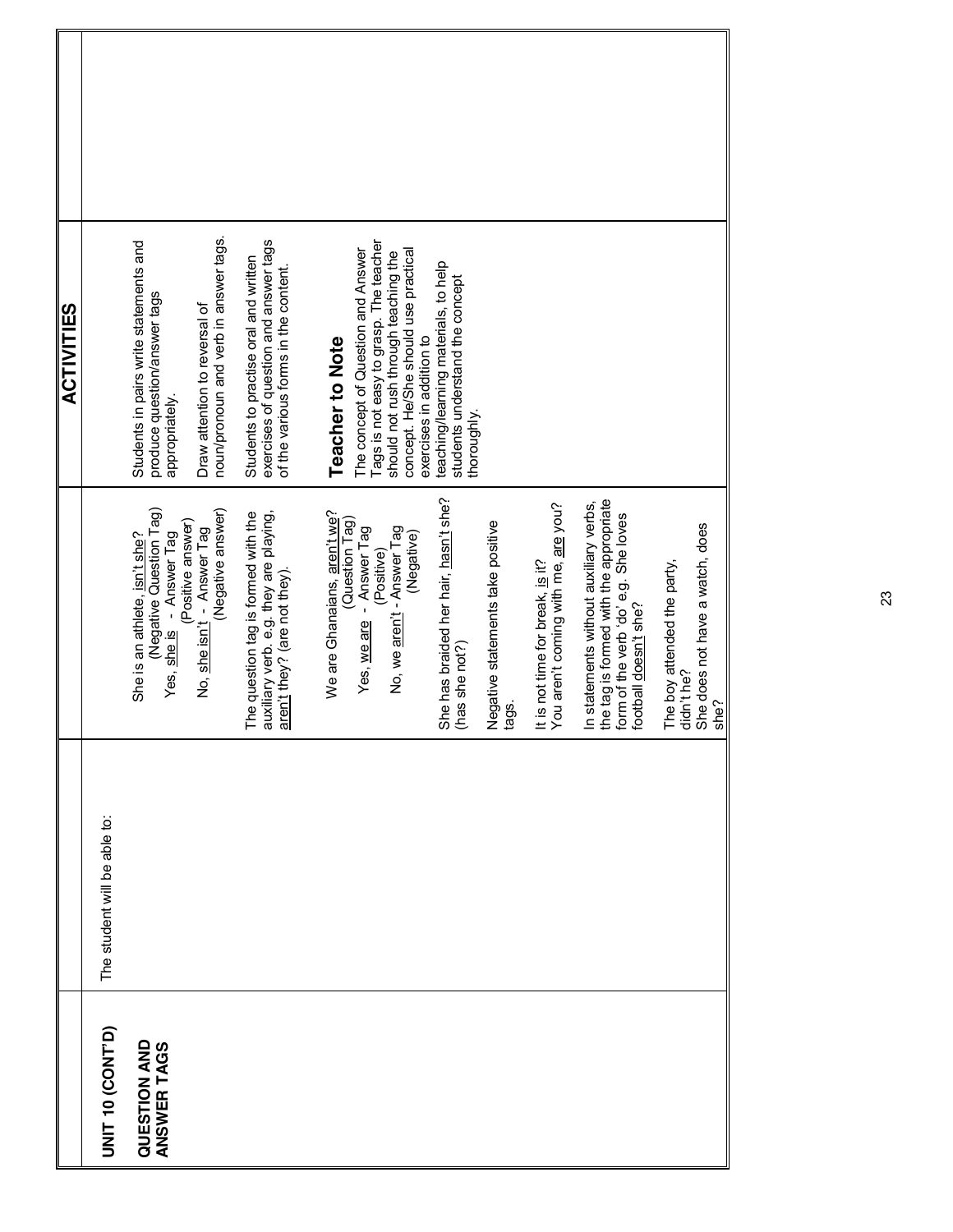|                                    |                              |                                                                                                                                                                        | <b>ACTIVITIES</b>                                                                                                                                                                                                  |  |
|------------------------------------|------------------------------|------------------------------------------------------------------------------------------------------------------------------------------------------------------------|--------------------------------------------------------------------------------------------------------------------------------------------------------------------------------------------------------------------|--|
| UNIT 10 (CONT'D)                   | The student will be able to: |                                                                                                                                                                        |                                                                                                                                                                                                                    |  |
| <b>QUESTION AND</b><br>ANSWER TAGS |                              | (Negative Question Tag)<br>(Negative answer)<br>Positive answer)<br>No, <u>she isn't</u> -  Answer Tag<br>- Answer Tag<br>She is an athlete, isn't she?<br>Yes, she is | noun/pronoun and verb in answer tags.<br>Students in pairs write statements and<br>produce question/answer tags<br>Draw attention to reversal of<br>appropriately.                                                 |  |
|                                    |                              | The question tag is formed with the<br>auxiliary verb. e.g. they are playing,<br>aren't they? (are not they).                                                          | exercises of question and answer tags<br>Students to practise oral and written<br>of the various forms in the content.                                                                                             |  |
|                                    |                              | We are Ghanaians, aren't we?<br>(Question Tag)<br>Answer Tag<br>No, we aren't - Answer Tag<br>(Negative)<br>(Positive)<br>Yes, we are                                  | Tags is not easy to grasp. The teacher<br>The concept of Question and Answer<br>concept. He/She should use practical<br>should not rush through teaching the<br>exercises in addition to<br><b>Teacher to Note</b> |  |
|                                    |                              | She has braided her hair, hasn't she?<br>Negative statements take positive<br>(has she not?)<br>tags.                                                                  | teaching/learning materials, to help<br>students understand the concept<br>thoroughly                                                                                                                              |  |
|                                    |                              | You aren't coming with me, are you?<br>t is not time for break, is it?                                                                                                 |                                                                                                                                                                                                                    |  |
|                                    |                              | the tag is formed with the appropriate<br>n statements without auxiliary verbs,<br>form of the verb 'do' e.g. She loves<br>ootball doesn't she?                        |                                                                                                                                                                                                                    |  |
|                                    |                              | She does not have a watch, does<br>The boy attended the party,<br>din't he?<br>she?                                                                                    |                                                                                                                                                                                                                    |  |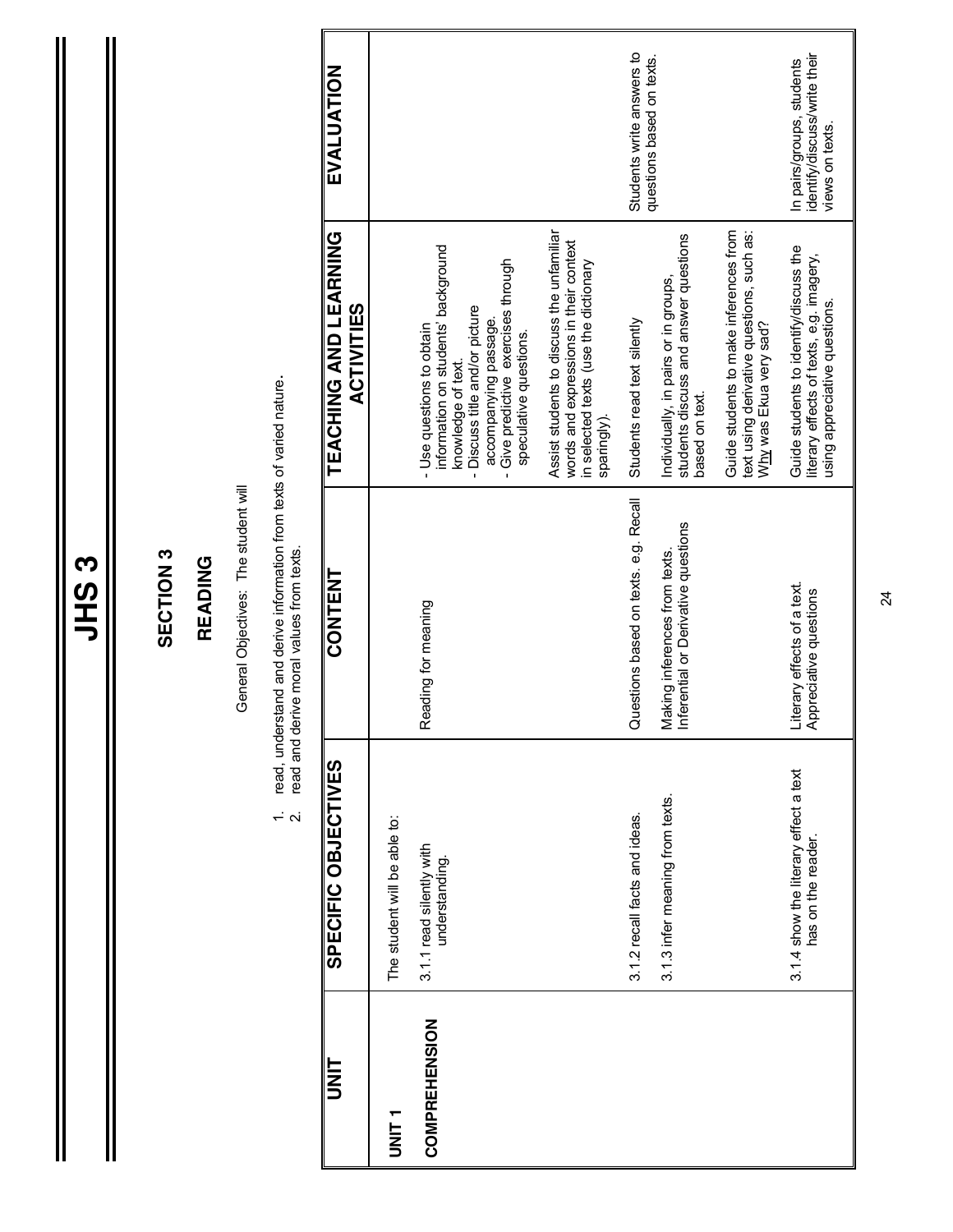Ш

#### SECTION<sub>3</sub> **SECTION 3**

#### **READING READING**

General Objectives: The student will General Objectives: The student will

- 1. read, understand and derive information from texts of varied nature.<br>2. read and derive moral values from texts. 1. read, understand and derive information from texts of varied nature.
	- 2. read and derive moral values from texts.

| E<br>NI               | SPECIFIC OBJECTIVES                                         | <b>CONTENT</b>                                                     | TEACHING AND LEARNING<br><b>ACTIVITIES</b>                                                                                                                                                                       | EVALUATION                                                                  |
|-----------------------|-------------------------------------------------------------|--------------------------------------------------------------------|------------------------------------------------------------------------------------------------------------------------------------------------------------------------------------------------------------------|-----------------------------------------------------------------------------|
| T<br>N<br>N<br>N<br>N | The student will be able to:                                |                                                                    |                                                                                                                                                                                                                  |                                                                             |
| COMPREHENSION         | 3.1.1 read silently with<br>understanding.                  | Reading for meaning                                                | information on students' background<br>Give predictive exercises through<br>- Discuss title and/or picture<br>accompanying passage.<br>- Use questions to obtain<br>speculative questions.<br>knowledge of text. |                                                                             |
|                       |                                                             |                                                                    | Assist students to discuss the unfamiliar<br>words and expressions in their context<br>in selected texts (use the dictionary<br>sparingly).                                                                      |                                                                             |
|                       | 3.1.2 recall facts and ideas.                               | Questions based on texts. e.g. Recall                              | Students read text silently                                                                                                                                                                                      | Students write answers to<br>questions based on texts.                      |
|                       | 3.1.3 infer meaning from texts.                             | Making inferences nonnewall<br>Inferential or Derivative questions | students discuss and answer questions<br>Individually, in pairs or in groups,<br>based on text.                                                                                                                  |                                                                             |
|                       |                                                             |                                                                    | Guide students to make inferences from<br>text using derivative questions, such as:<br>Why was Ekua very sad?                                                                                                    |                                                                             |
|                       | 3.1.4 show the literary effect a text<br>has on the reader. | Literary effects of a text.<br>Appreciative questions              | Guide students to identify/discuss the<br>literary effects of texts, e.g. imagery,<br>using appreciative questions.                                                                                              | identify/discuss/write their<br>In pairs/groups, students<br>views on texts |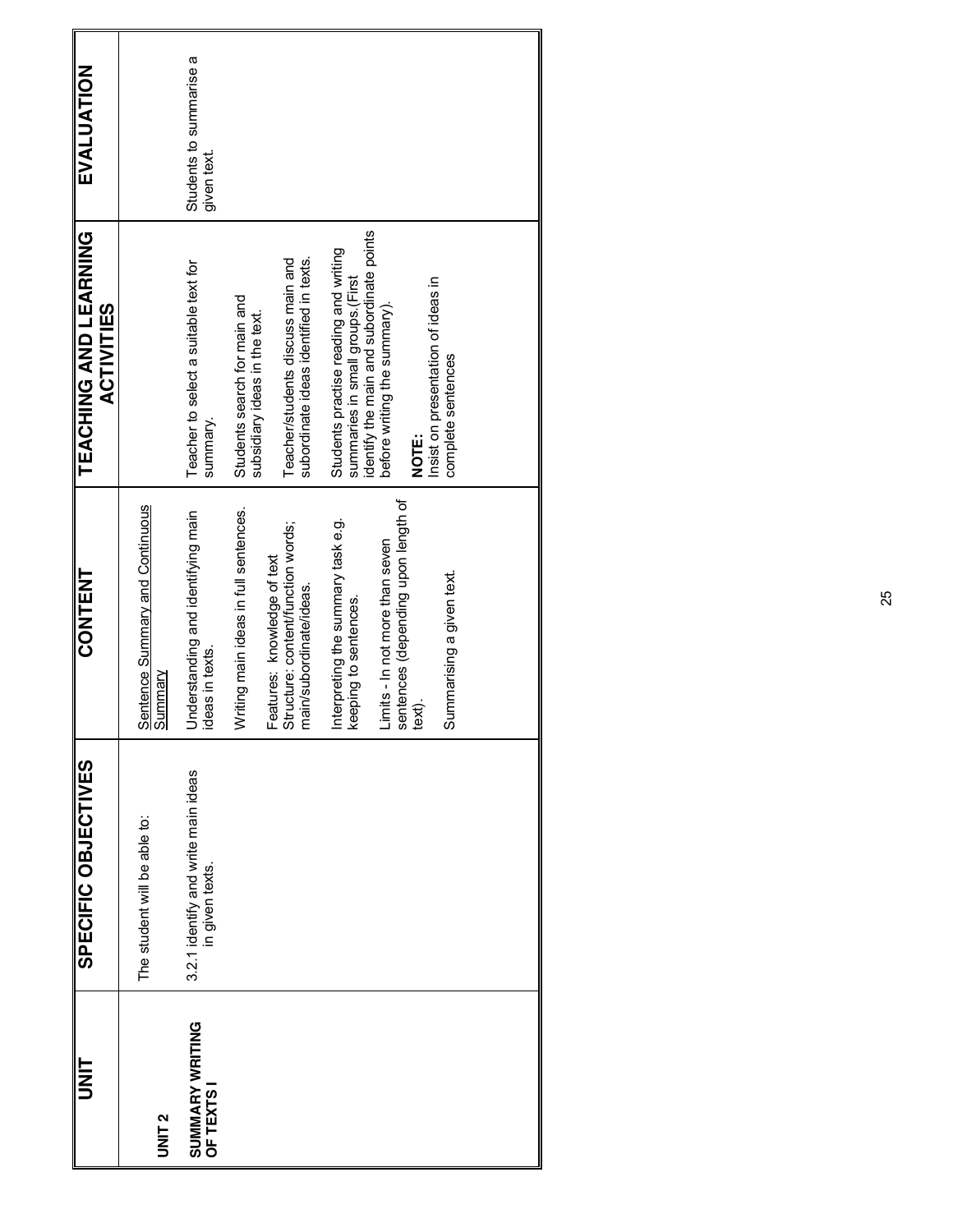| <b>TINIT</b>                  | SPECIFIC OBJECTIVES                                    | <b>CONTENT</b>                                                                               | TEACHING AND LEARNING<br><b>ACTIVITIES</b>                                                                            | EVALUATION                             |
|-------------------------------|--------------------------------------------------------|----------------------------------------------------------------------------------------------|-----------------------------------------------------------------------------------------------------------------------|----------------------------------------|
| UNIT <sub>2</sub>             | The student will be able to:                           | <b>Sentence Summary and Continuous</b><br>Summary                                            |                                                                                                                       |                                        |
| SUMMARY WRITING<br>OF TEXTS I | 3.2.1 identify and write main ideas<br>in given texts. | Understanding and identifying main<br>ideas in texts.                                        | Teacher to select a suitable text for<br>summary.                                                                     | Students to summarise a<br>given text. |
|                               |                                                        | Writing main ideas in full sentences.                                                        | Students search for main and<br>subsidiary ideas in the text.                                                         |                                        |
|                               |                                                        | Structure: content/function words;<br>Features: knowledge of text<br>nain/subordinate/ideas. | subordinate ideas identified in texts.<br>Teacher/students discuss main and                                           |                                        |
|                               |                                                        | Interpreting the summary task e.g.<br>keeping to sentences.                                  | identify the main and subordinate points<br>Students practise reading and writing<br>summaries in small groups.(First |                                        |
|                               |                                                        | sentences (depending upon length of<br>text).<br>Limits - In not more than seven             | before writing the summary).                                                                                          |                                        |
|                               |                                                        |                                                                                              | Insist on presentation of ideas in<br>NOTE:                                                                           |                                        |
|                               |                                                        | Summarising a given text.                                                                    | complete sentences                                                                                                    |                                        |
|                               |                                                        |                                                                                              |                                                                                                                       |                                        |
|                               |                                                        |                                                                                              |                                                                                                                       |                                        |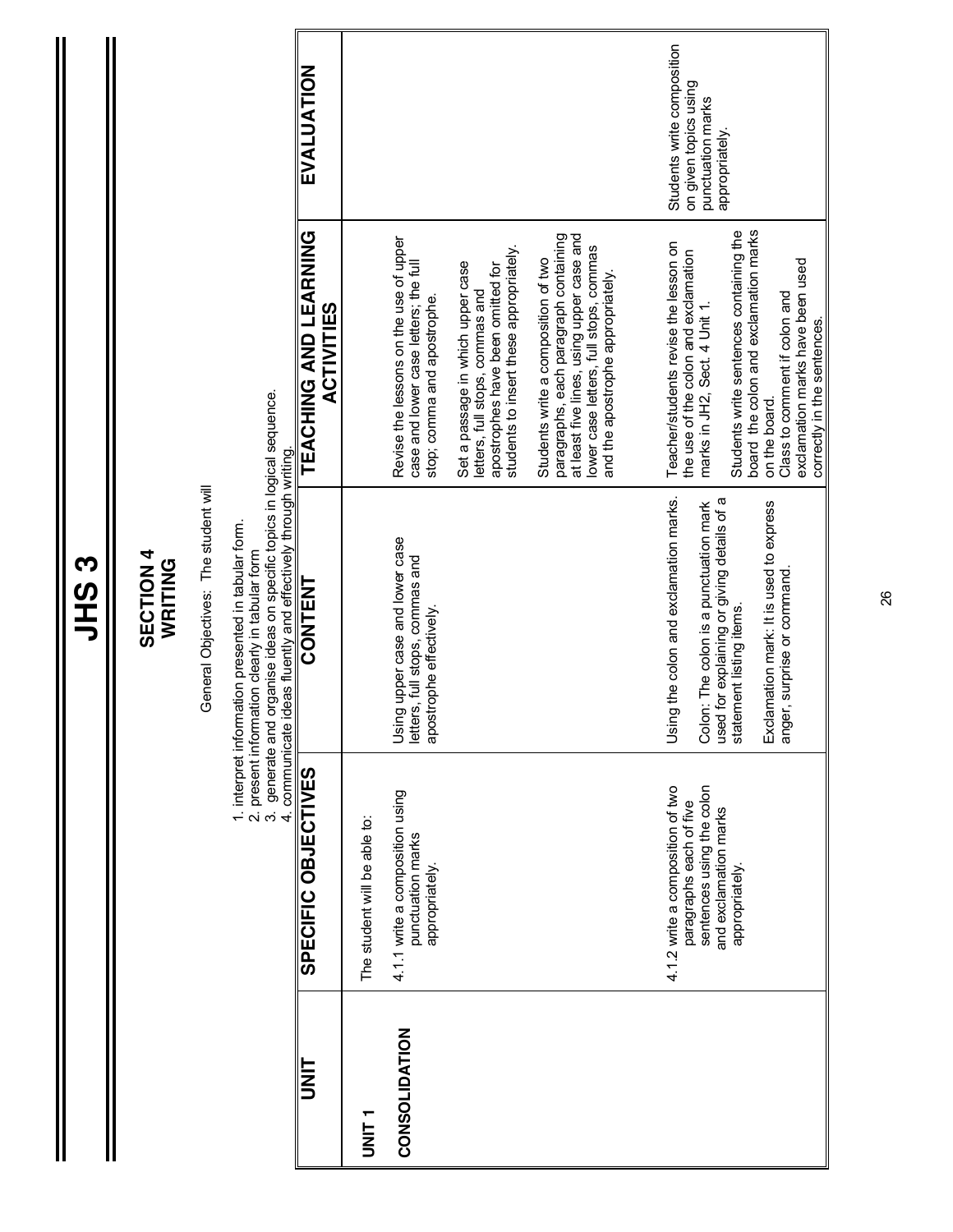|                      |                                                                                                                                     | JHS3                                                                                                                                                                                                                                             |                                                                                                                                                                                                          |                                                                                            |
|----------------------|-------------------------------------------------------------------------------------------------------------------------------------|--------------------------------------------------------------------------------------------------------------------------------------------------------------------------------------------------------------------------------------------------|----------------------------------------------------------------------------------------------------------------------------------------------------------------------------------------------------------|--------------------------------------------------------------------------------------------|
|                      |                                                                                                                                     | General Objectives: The student will<br><b>SECTION 4</b><br>WRITING                                                                                                                                                                              |                                                                                                                                                                                                          |                                                                                            |
|                      |                                                                                                                                     | 3. generate and organise ideas on specific topics in logical sequence.<br>4. communicate ideas fluently and effectively through writing<br>1. interpret information presented in tabular form.<br>2. present information clearly in tabular form |                                                                                                                                                                                                          |                                                                                            |
|                      | SPECIFIC OBJECTIVES                                                                                                                 | CONTENT                                                                                                                                                                                                                                          | TEACHING AND LEARNING<br><b>ACTIVITIES</b>                                                                                                                                                               | EVALUATION                                                                                 |
|                      | The student will be able to:                                                                                                        |                                                                                                                                                                                                                                                  |                                                                                                                                                                                                          |                                                                                            |
| <b>CONSOLIDATION</b> | 4.1.1 write a composition using<br>punctuation marks<br>appropriately.                                                              | Using upper case and lower case<br>letters, full stops, commas and<br>apostrophe effectively.                                                                                                                                                    | Revise the lessons on the use of upper<br>case and lower case letters; the full<br>stop; comma and apostrophe.                                                                                           |                                                                                            |
|                      |                                                                                                                                     |                                                                                                                                                                                                                                                  | students to insert these appropriately.<br>Set a passage in which upper case<br>apostrophes have been omitted for<br>letters, full stops, commas and                                                     |                                                                                            |
|                      |                                                                                                                                     |                                                                                                                                                                                                                                                  | paragraphs, each paragraph containing<br>at least five lines, using upper case and<br>lower case letters, full stops, commas<br>Students write a composition of two<br>and the apostrophe appropriately. |                                                                                            |
|                      | sentences using the colon<br>4.1.2 write a composition of two<br>paragraphs each of five<br>and exclamation marks<br>appropriately. | Using the colon and exclamation marks.<br>used for explaining or giving details of a<br>Colon: The colon is a punctuation mark<br>statement listing items.                                                                                       | Students write sentences containing the<br>Teacher/students revise the lesson on<br>the use of the colon and exclamation<br>marks in JH2, Sect. 4 Unit 1.                                                | Students write composition<br>on given topics using<br>punctuation marks<br>appropriately. |
|                      |                                                                                                                                     | Exclamation mark: It is used to express<br>anger, surprise or command                                                                                                                                                                            | board the colon and exclamation marks<br>exclamation marks have been used<br>Class to comment if colon and<br>correctly in the sentences.<br>on the board.                                               |                                                                                            |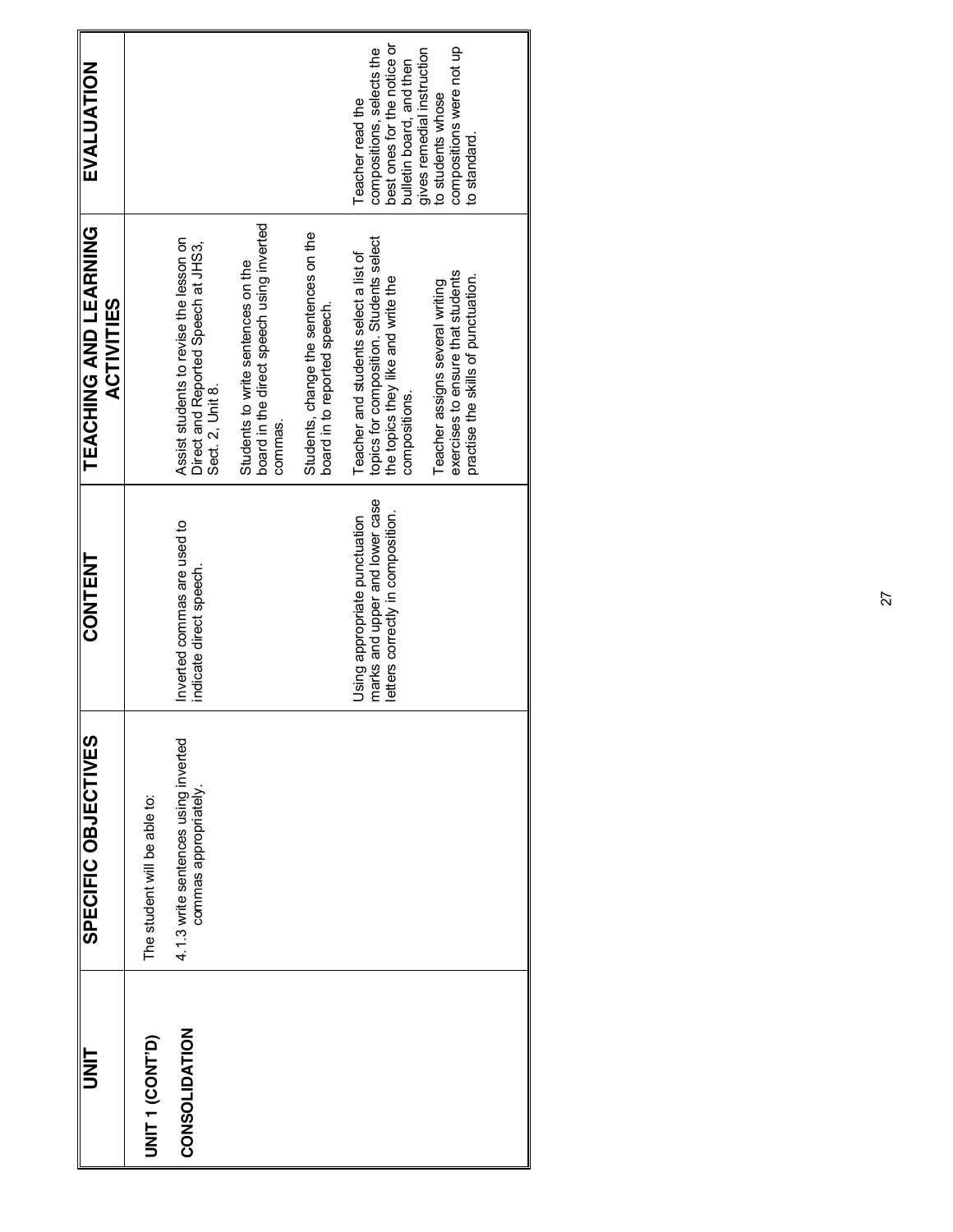| <b>UNLI</b>     | SPECIFIC OBJECTIVES                                           | <b>CONTENT</b>                                                                                       | TEACHING AND LEARNING<br><b>ACTIVITIES</b>                                                                                                                                                                      | EVALUATION                                                                                                                                                                              |
|-----------------|---------------------------------------------------------------|------------------------------------------------------------------------------------------------------|-----------------------------------------------------------------------------------------------------------------------------------------------------------------------------------------------------------------|-----------------------------------------------------------------------------------------------------------------------------------------------------------------------------------------|
| UNIT 1 (CONT'D) | The student will be able to:                                  |                                                                                                      |                                                                                                                                                                                                                 |                                                                                                                                                                                         |
| CONSOLIDATION   | 4.1.3 write sentences using inverted<br>commas appropriately. | Inverted commas are used to<br>indicate direct speech.                                               | Assist students to revise the lesson on<br>Direct and Reported Speech at JHS3,<br>Sect. 2, Unit 8.                                                                                                              |                                                                                                                                                                                         |
|                 |                                                               |                                                                                                      | board in the direct speech using inverted<br>Students to write sentences on the<br>commas.                                                                                                                      |                                                                                                                                                                                         |
|                 |                                                               |                                                                                                      | Students, change the sentences on the<br>board in to reported speech.                                                                                                                                           |                                                                                                                                                                                         |
|                 |                                                               | marks and upper and lower case<br>letters correctly in composition.<br>Using appropriate punctuation | topics for composition. Students select<br>Teacher and students select a list of<br>exercises to ensure that students<br>the topics they like and write the<br>Teacher assigns several writing<br>compositions. | best ones for the notice or<br>compositions were not up<br>compositions, selects the<br>gives remedial instruction<br>bulletin board, and then<br>to students whose<br>Teacher read the |
|                 |                                                               |                                                                                                      | practise the skills of punctuation.                                                                                                                                                                             | to standard.                                                                                                                                                                            |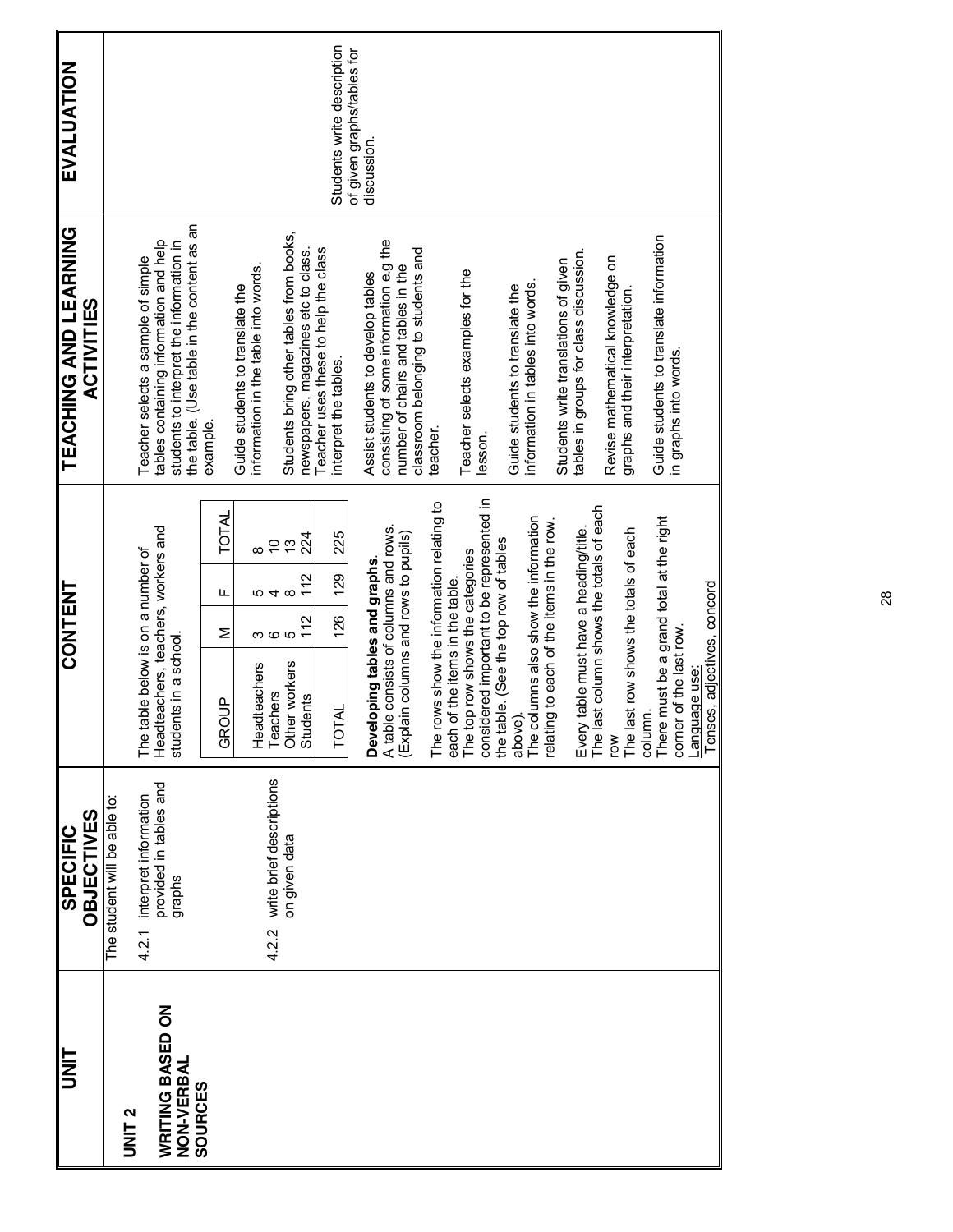| <b>EVALUATION</b>                                 |                              |                                                                                                                                                                        |                                 |                                                                         |                                    |                                                                                | Students write description                                    | of given graphs/tables for<br>discussion. |                                                                              |                                      |                                           |                                 |                                             |                                           |                                                |                                       |                                           |                                           |                                                        |                                       |        |                                                                     |             |                             |
|---------------------------------------------------|------------------------------|------------------------------------------------------------------------------------------------------------------------------------------------------------------------|---------------------------------|-------------------------------------------------------------------------|------------------------------------|--------------------------------------------------------------------------------|---------------------------------------------------------------|-------------------------------------------|------------------------------------------------------------------------------|--------------------------------------|-------------------------------------------|---------------------------------|---------------------------------------------|-------------------------------------------|------------------------------------------------|---------------------------------------|-------------------------------------------|-------------------------------------------|--------------------------------------------------------|---------------------------------------|--------|---------------------------------------------------------------------|-------------|-----------------------------|
| <b>TEACHING AND LEARNING</b><br><b>ACTIVITIES</b> |                              | the table. (Use table in the content as an<br>tables containing information and help<br>students to interpret the information in<br>Teacher selects a sample of simple | example.                        | information in the table into words.<br>Guide students to translate the |                                    | Students bring other tables from books,<br>newspapers, magazines etc to class. | Teacher uses these to help the class<br>interpret the tables. | Assist students to develop tables         | consisting of some information e.g the<br>number of chairs and tables in the | classroom belonging to students and  | teacher.                                  |                                 | Teacher selects examples for the<br>lesson. |                                           | Guide students to translate the                | information in tables into words.     | Students write translations of given      | tables in groups for class discussion.    | Revise mathematical knowledge on                       | graphs and their interpretation.      |        | Guide students to translate information<br>in graphs into words.    |             |                             |
| <b>CONTENT</b>                                    |                              | Headteachers, teachers, workers and<br>The table below is on a number of<br>students in a school.                                                                      | <b>TOTAL</b><br>Щ<br>Σ<br>GROUP | Headteachers                                                            | $\tilde{C}$<br>ro 4 co<br>Teachers | 224<br>$\frac{1}{2}$<br>112<br>112<br>Other workers<br><b>Students</b>         | 225<br>129<br>126<br><b>TOTAL</b>                             | Developing tables and graphs.             | A table consists of columns and rows.                                        | (Explain columns and rows to pupils) | The rows show the information relating to | each of the items in the table. | The top row shows the categories            | considered important to be represented in | the table. (See the top row of tables<br>above | The columns also show the information | relating to each of the items in the row. | table must have a heading/title.<br>Every | The last column shows the totals of each<br><b>NOJ</b> | The last row shows the totals of each | column | There must be a grand total at the right<br>corner of the last row. | anguage use | Tenses, adjectives, concord |
| <b>OBJECTIVES</b><br><b>SPECIFIC</b>              | The student will be able to: | provided in tables and<br>interpret information<br>graphs<br>4.2.1                                                                                                     |                                 |                                                                         | write brief descriptions<br>4.2.2  | on given data                                                                  |                                                               |                                           |                                                                              |                                      |                                           |                                 |                                             |                                           |                                                |                                       |                                           |                                           |                                                        |                                       |        |                                                                     |             |                             |
| <b>IIE</b>                                        | UNIT <sub>2</sub>            | WRITING BASED ON<br>NON-VERBAL<br>SOURCES                                                                                                                              |                                 |                                                                         |                                    |                                                                                |                                                               |                                           |                                                                              |                                      |                                           |                                 |                                             |                                           |                                                |                                       |                                           |                                           |                                                        |                                       |        |                                                                     |             |                             |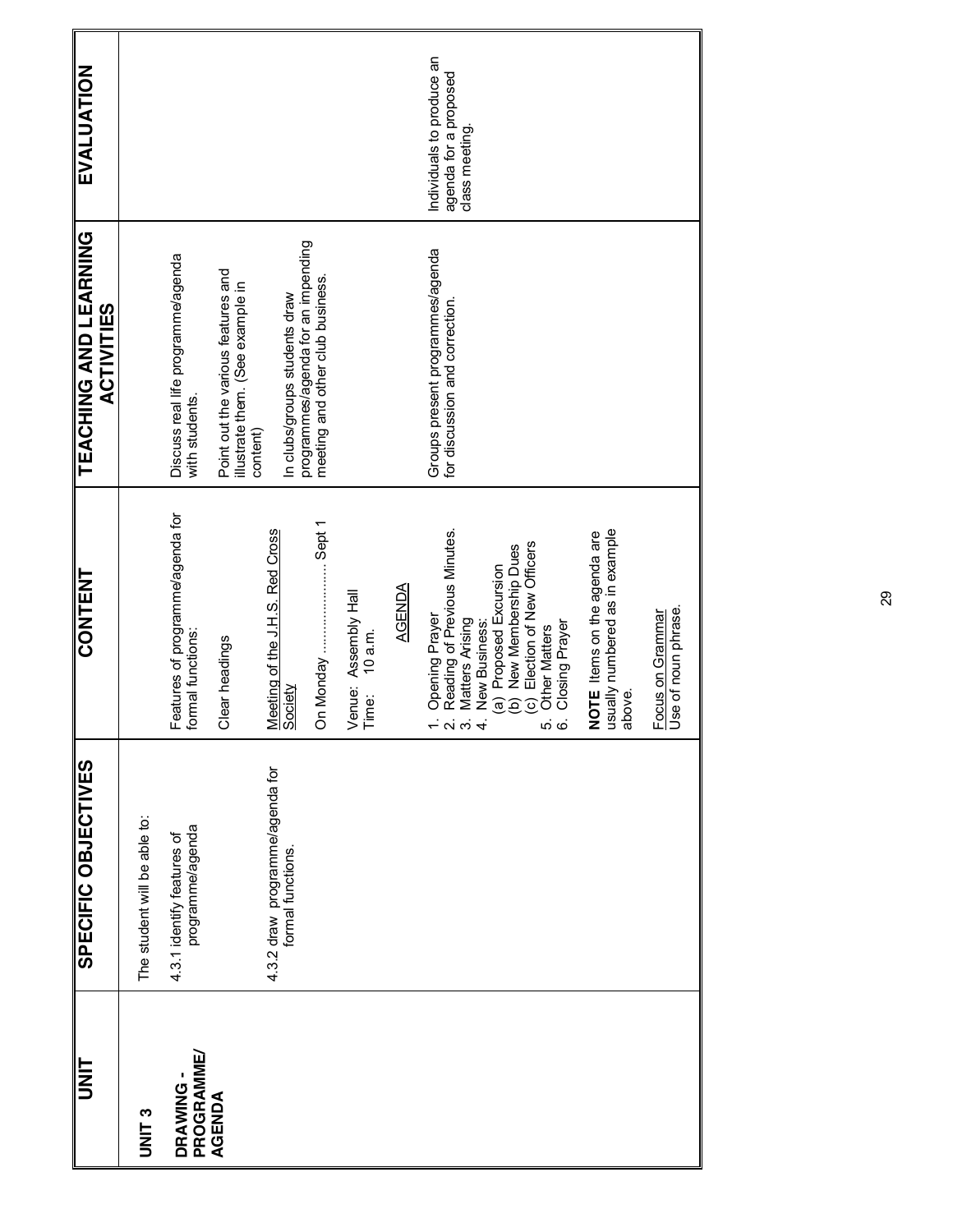| <b>UNIT</b>           | SPECIFIC OBJECTIVES                                  | <b>CONTENT</b>                                                                                                                                                                                                                                          | <b>TEACHING AND LEARNING</b><br><b>ACTIVITIES</b>                                  | EVALUATION                                                          |
|-----------------------|------------------------------------------------------|---------------------------------------------------------------------------------------------------------------------------------------------------------------------------------------------------------------------------------------------------------|------------------------------------------------------------------------------------|---------------------------------------------------------------------|
| <b>UNIT3</b>          | The student will be able to:                         |                                                                                                                                                                                                                                                         |                                                                                    |                                                                     |
| PROGRAMME<br>DRAWING- | programme/agenda<br>4.3.1 identify features of       | Features of programme/agenda for<br>formal functions:                                                                                                                                                                                                   | Discuss real life programme/agenda<br>with students.                               |                                                                     |
| AGENDA                |                                                      | Clear headings                                                                                                                                                                                                                                          | Point out the various features and<br>illustrate them. (See example in<br>content) |                                                                     |
|                       | 4.3.2 draw programme/agenda for<br>formal functions. | Meeting of the J.H.S. Red Cross<br>Society                                                                                                                                                                                                              | In clubs/groups students draw                                                      |                                                                     |
|                       |                                                      | On Monday  Sept 1                                                                                                                                                                                                                                       | programmes/agenda for an impending<br>meeting and other club business              |                                                                     |
|                       |                                                      | Assembly Hall<br>$10$ a.m.<br>Venue:<br>Time:                                                                                                                                                                                                           |                                                                                    |                                                                     |
|                       |                                                      | <b>AGENDA</b>                                                                                                                                                                                                                                           |                                                                                    |                                                                     |
|                       |                                                      | Reading of Previous Minutes.<br>(c) Election of New Officers<br>New Membership Dues<br>(a) Proposed Excursion<br>Opening Prayer<br><b>Matters Arising</b><br>New Business:<br>Closing Prayer<br><b>Other Matters</b><br>ê<br>$ \sim$ $\sim$ $4$<br>မာ ထ | Groups present programmes/agenda<br>for discussion and correction                  | Individuals to produce an<br>agenda for a proposed<br>class meeting |
|                       |                                                      | usually numbered as in example<br>above.<br>NOTE Items on the agenda are                                                                                                                                                                                |                                                                                    |                                                                     |
|                       |                                                      | Focus on Grammar<br>Use of noun phrase                                                                                                                                                                                                                  |                                                                                    |                                                                     |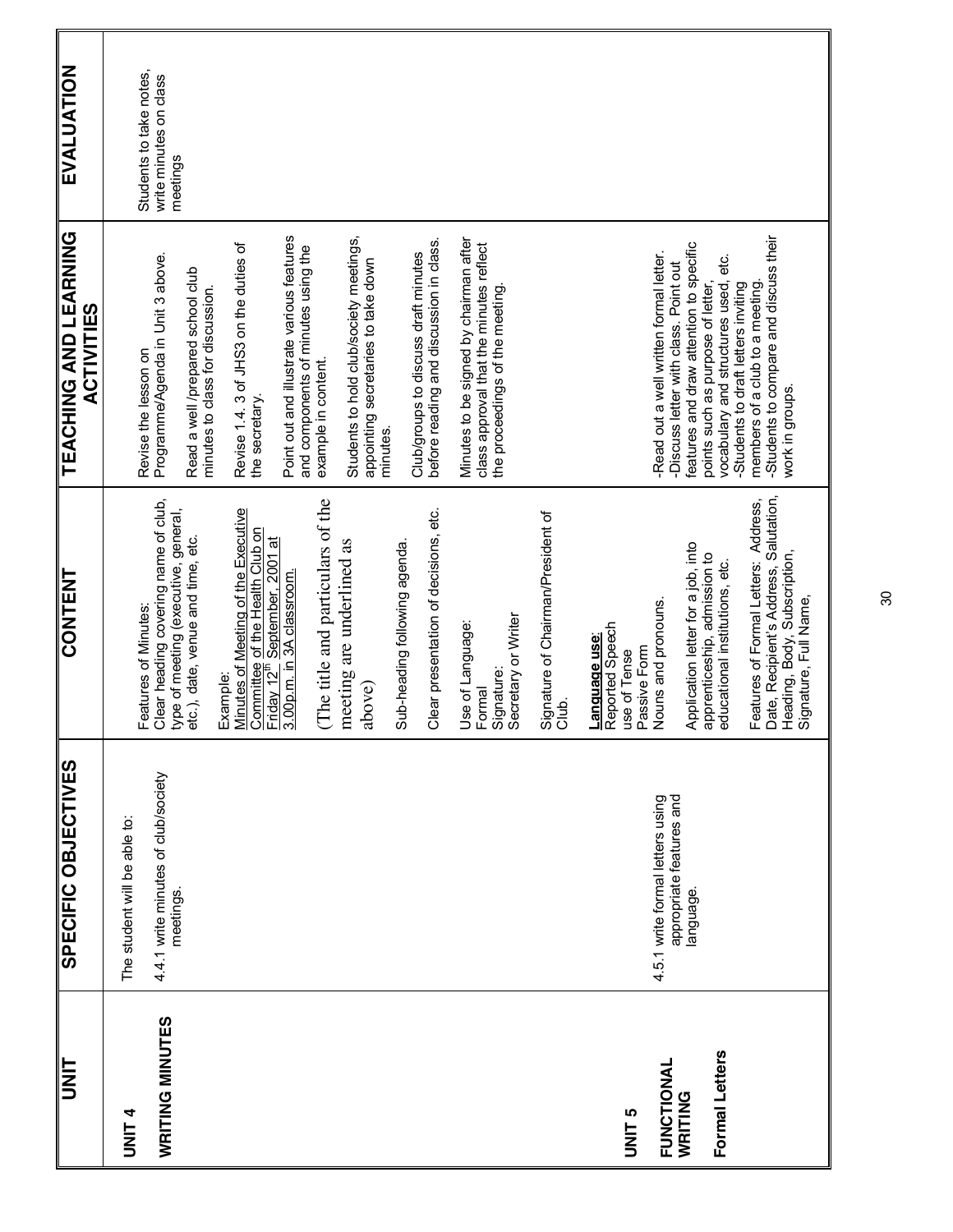| <b>INIT</b>               | SPECIFIC OBJECTIVES                              | CONTENT                                                                                                                                 | TEACHING AND LEARNING<br><b>ACTIVITIES</b>                                                                                                                    | EVALUATION                                                    |
|---------------------------|--------------------------------------------------|-----------------------------------------------------------------------------------------------------------------------------------------|---------------------------------------------------------------------------------------------------------------------------------------------------------------|---------------------------------------------------------------|
| <b>UNIT4</b>              | The student will be able to:                     |                                                                                                                                         |                                                                                                                                                               |                                                               |
| <b>WRITING MINUTES</b>    | 4.4.1 write minutes of club/society<br>meetings. | Clear heading covering name of club,<br>type of meeting (executive, general,<br>Features of Minutes:                                    | Programme/Agenda in Unit 3 above.<br>Revise the lesson on                                                                                                     | Students to take notes,<br>write minutes on class<br>meetings |
|                           |                                                  | etc.), date, venue and time, etc.                                                                                                       | Read a well /prepared school club<br>minutes to class for discussion.                                                                                         |                                                               |
|                           |                                                  | Minutes of Meeting of the Executive<br>Example:                                                                                         | Revise 1.4.3 of JHS3 on the duties of                                                                                                                         |                                                               |
|                           |                                                  | Committee of the Health Club on<br>Friday 12 <sup>th</sup> September, 2001 at                                                           | the secretary.                                                                                                                                                |                                                               |
|                           |                                                  | 3.00p.m. in 3A classroom                                                                                                                | Point out and illustrate various features<br>and components of minutes using the                                                                              |                                                               |
|                           |                                                  | (The title and particulars of the                                                                                                       | example in content.                                                                                                                                           |                                                               |
|                           |                                                  | meeting are underlined as                                                                                                               | Students to hold club/society meetings,                                                                                                                       |                                                               |
|                           |                                                  | above)                                                                                                                                  | appointing secretaries to take down<br>minutes.                                                                                                               |                                                               |
|                           |                                                  | Sub-heading following agenda.                                                                                                           |                                                                                                                                                               |                                                               |
|                           |                                                  | Clear presentation of decisions, etc.                                                                                                   | before reading and discussion in class.<br>Club/groups to discuss draft minutes                                                                               |                                                               |
|                           |                                                  | Use of Language:<br>Formal                                                                                                              | Minutes to be signed by chairman after<br>class approval that the minutes reflect                                                                             |                                                               |
|                           |                                                  | Secretary or Writer<br>Signature:                                                                                                       | the proceedings of the meeting                                                                                                                                |                                                               |
|                           |                                                  | Signature of Chairman/President of<br>Club.                                                                                             |                                                                                                                                                               |                                                               |
| UNIT <sub>5</sub>         |                                                  | Language use:<br>Reported Speech<br>use of Tense                                                                                        |                                                                                                                                                               |                                                               |
| FUNCTIONAL                | 4.5.1 write formal letters using                 | Nouns and pronouns.<br>Passive Form                                                                                                     | -Read out a well written formal letter.                                                                                                                       |                                                               |
| Formal Letters<br>WRITING | appropriate features and<br>language.            | Application letter for a job, into<br>apprenticeship, admission to<br>educational institutions, etc.                                    | features and draw attention to specific<br>vocabulary and structures used, etc.<br>-Discuss letter with class. Point out<br>points such as purpose of letter, |                                                               |
|                           |                                                  | Date, Recipient's Address, Salutation,<br>Features of Formal Letters: Address,<br>Heading, Body, Subscription,<br>Signature, Full Name, | -Students to compare and discuss their<br>members of a club to a meeting.<br>Students to draft letters inviting<br>work in groups.                            |                                                               |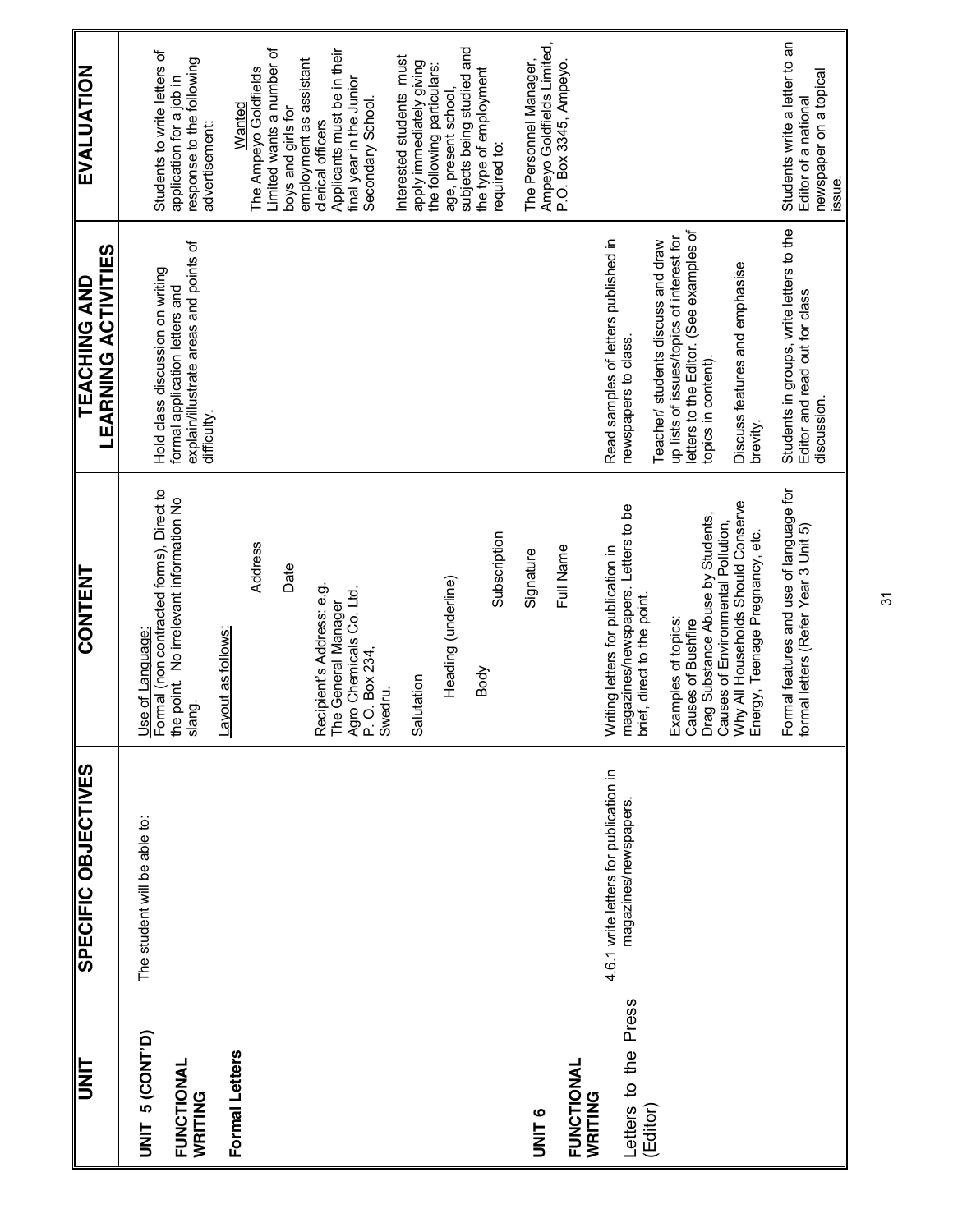| UNIT                                     | SPECIFIC OBJECTIVES                                            | <b>CONTENT</b>                                                                                                       | EARNING ACTIVITIES<br><b>TEACHING AND</b>                                                                                                         | EVALUATION                                                                                                    |
|------------------------------------------|----------------------------------------------------------------|----------------------------------------------------------------------------------------------------------------------|---------------------------------------------------------------------------------------------------------------------------------------------------|---------------------------------------------------------------------------------------------------------------|
| UNIT 5 (CONT'D)<br>FUNCTIONAL<br>WRITING | The student will be able to:                                   | Use of Language:<br>Formal (non contracted forms), Direct to<br>the point. No irrelevant information No<br>slang.    | explain/illustrate areas and points of<br>Hold class discussion on writing<br>formal application letters and<br>difficulty.                       | Students to write letters of<br>response to the following<br>application for a job in<br>advertisement:       |
| Formal Letters                           |                                                                | Address<br>Date<br>Layout as follows:                                                                                |                                                                                                                                                   | Limited wants a number of<br>employment as assistant<br>The Ampeyo Goldfields<br>Wanted<br>boys and girls for |
|                                          |                                                                | Recipient's Address: e.g.<br>The General Manager<br>Agro Chemicals Co. Ltd.<br>P. O. Box 234,<br>Swedru.             |                                                                                                                                                   | Applicants must be in their<br>final year in the Junior<br>Secondary School.<br>clerical officers             |
|                                          |                                                                | Salutation                                                                                                           |                                                                                                                                                   | Interested students must<br>apply immediately giving<br>the following particulars:                            |
|                                          |                                                                | Subscription<br>Heading (underline)<br>Body                                                                          |                                                                                                                                                   | subjects being studied and<br>the type of employment<br>age, present school,<br>required to:                  |
| UNIT <sub>6</sub>                        |                                                                | Full Name<br>Signature                                                                                               |                                                                                                                                                   | Ampeyo Goldfields Limited,<br>P.O. Box 3345, Ampeyo.<br>The Personnel Manager,                                |
| FUNCTIONAL<br>WRITING                    |                                                                |                                                                                                                      |                                                                                                                                                   |                                                                                                               |
| Letters to the Press<br>(Editor)         | 4.6.1 write letters for publication in<br>magazines/newspapers | magazines/newspapers. Letters to be<br>Writing letters for publication in<br>brief, direct to the point.             | Read samples of letters published in<br>newspapers to class.                                                                                      |                                                                                                               |
|                                          |                                                                | Drag Substance Abuse by Students,<br>Causes of Environmental Pollution,<br>Examples of topics:<br>Causes of Bushfire | letters to the Editor. (See examples of<br>up lists of issues/topics of interest for<br>Teacher/ students discuss and draw<br>topics in content). |                                                                                                               |
|                                          |                                                                | Why All Households Should Conserve<br>Energy, Teenage Pregnancy, etc.                                                | Discuss features and emphasise<br>brevity.                                                                                                        |                                                                                                               |
|                                          |                                                                | Formal features and use of language for<br>formal letters (Refer Year 3 Unit 5)                                      | Students in groups, write letters to the<br>Editor and read out for class<br>discussion.                                                          | Students write a letter to an<br>newspaper on a topical<br>Editor of a national<br>issue.                     |

 $\frac{1}{2}$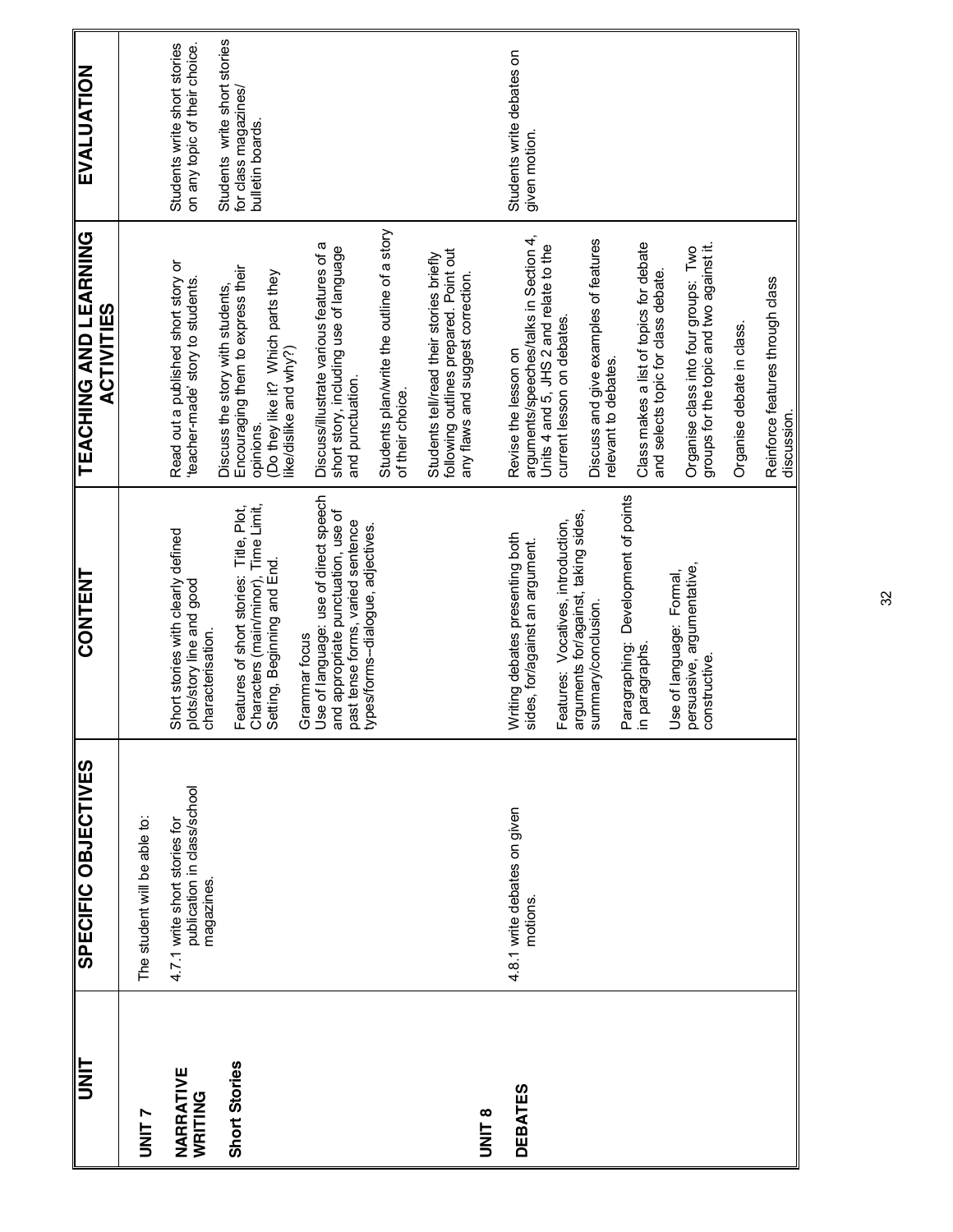|                      | SPECIFIC OBJECTIVES                                                        | <b>CONTENT</b>                                                                                                                                                           | <b>TEACHING AND LEARNING</b><br><b>ACTIVITIES</b>                                                                                                 | EVALUATION                                                               |
|----------------------|----------------------------------------------------------------------------|--------------------------------------------------------------------------------------------------------------------------------------------------------------------------|---------------------------------------------------------------------------------------------------------------------------------------------------|--------------------------------------------------------------------------|
| <b>UNIT7</b>         | The student will be able to:                                               |                                                                                                                                                                          |                                                                                                                                                   |                                                                          |
| NARRATIVE<br>WRITING | 4.7.1 write short stories for<br>publication in class/school<br>magazines. | Short stories with clearly defined<br>plots/story line and good<br>characterisation.                                                                                     | Read out a published short story or<br>'teacher-made' story to students.                                                                          | Students write short stories<br>on any topic of their choice.            |
| Short Stories        |                                                                            | Features of short stories: Title, Plot,<br>Characters (main/minor), Time Limit,<br>Setting, Beginning and End.                                                           | Encouraging them to express their<br>(Do they like it? Which parts they<br>Discuss the story with students,<br>ike/dislike and why?)<br>opinions. | Students write short stories<br>for class magazines/<br>bulletin boards. |
|                      |                                                                            | Grammar focus<br>Use of language: use of direct speech<br>and appropriate punctuation, use of<br>past tense forms, varied sentence<br>types/forms--dialogue, adjectives. | Discuss/illustrate various features of a<br>short story, including use of language<br>and punctuation.                                            |                                                                          |
|                      |                                                                            |                                                                                                                                                                          | Students plan/write the outline of a story<br>of their choice.                                                                                    |                                                                          |
|                      |                                                                            |                                                                                                                                                                          | following outlines prepared. Point out<br>any flaws and suggest correction.<br>Students tell/read their stories briefly                           |                                                                          |
| UNIT 8               |                                                                            |                                                                                                                                                                          |                                                                                                                                                   |                                                                          |
| <b>DEBATES</b>       | 4.8.1 write debates on given<br>motions.                                   | Writing debates presenting both<br>sides, for/against an argument.                                                                                                       | arguments/speeches/talks in Section 4,<br>Units 4 and 5, JHS 2 and relate to the<br>Revise the lesson on                                          | Students write debates on<br>given motion.                               |
|                      |                                                                            | Features: Vocatives, introduction,<br>arguments for/against, taking sides,<br>summary/conclusion.                                                                        | current lesson on debates.                                                                                                                        |                                                                          |
|                      |                                                                            |                                                                                                                                                                          | Discuss and give examples of features<br>relevant to debates.                                                                                     |                                                                          |
|                      |                                                                            | Development of points<br>Paragraphing: I<br>in paragraphs.                                                                                                               | Class makes a list of topics for debate<br>and selects topic for class debate.                                                                    |                                                                          |
|                      |                                                                            | Use of language: Formal,<br>persuasive, argumentative,<br>constructive.                                                                                                  | groups for the topic and two against it.<br>Organise class into four groups: Two                                                                  |                                                                          |
|                      |                                                                            |                                                                                                                                                                          | Organise debate in class.                                                                                                                         |                                                                          |
|                      |                                                                            |                                                                                                                                                                          | Reinforce features through class<br>discussion.                                                                                                   |                                                                          |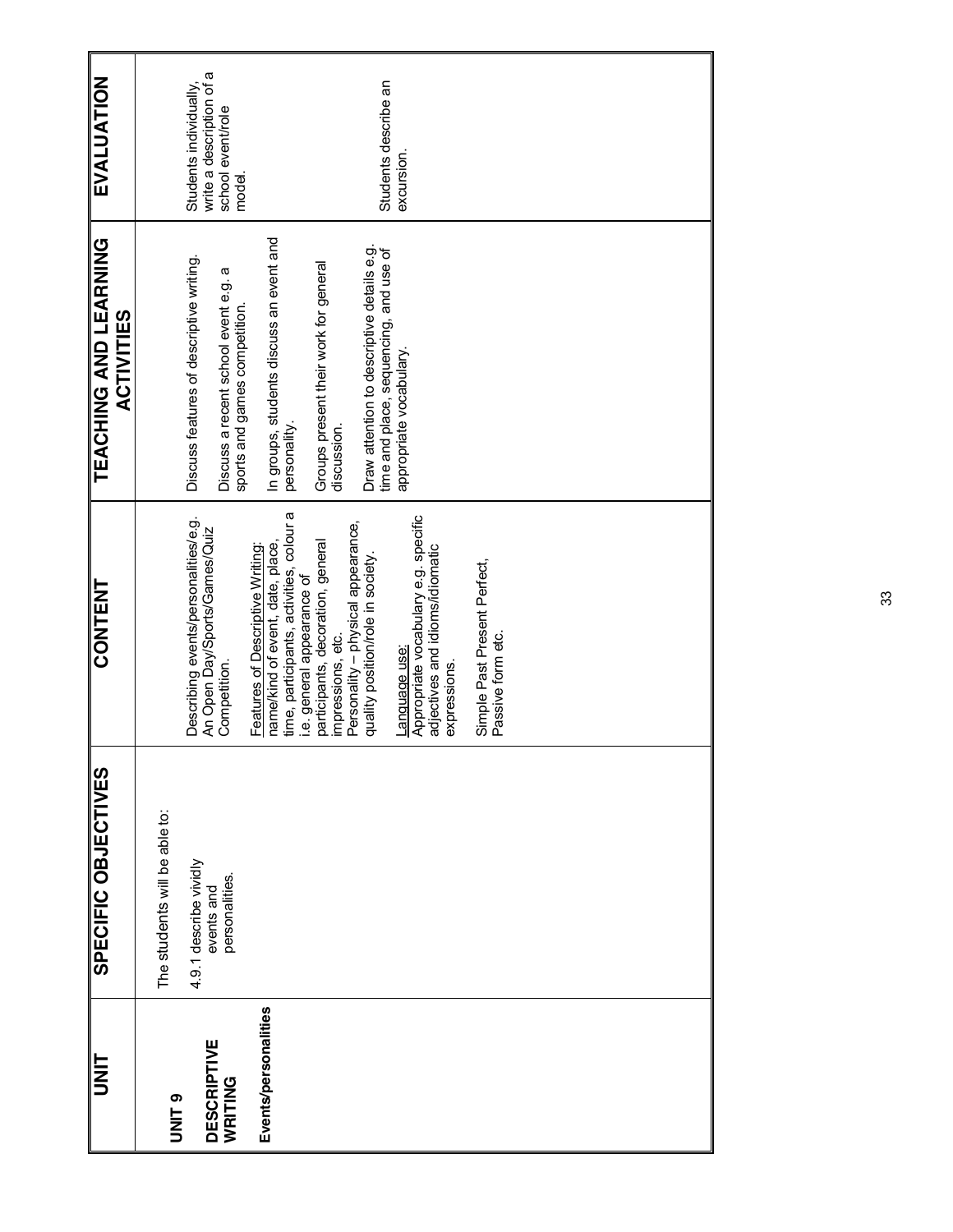| <b>EVALUATION</b>                                |                               | write a description of a<br>Students individually,                    | school event/role<br>model.                                           |                                                                      |                                                                        |                                                        |                                    | Students describe an                                                                 | excursion.                                            |                                                 |                                                   |  |  |  |  |
|--------------------------------------------------|-------------------------------|-----------------------------------------------------------------------|-----------------------------------------------------------------------|----------------------------------------------------------------------|------------------------------------------------------------------------|--------------------------------------------------------|------------------------------------|--------------------------------------------------------------------------------------|-------------------------------------------------------|-------------------------------------------------|---------------------------------------------------|--|--|--|--|
| <b>LEVCHING AND LEARING</b><br><b>ACTIVITIES</b> |                               | Discuss features of descriptive writing.                              | Discuss a recent school event e.g. a<br>sports and games competition. | In groups, students discuss an event and                             | personality.                                                           | Groups present their work for general<br>discussion.   |                                    | Draw attention to descriptive details e.g.<br>time and place, sequencing, and use of | appropriate vocabulary.                               |                                                 |                                                   |  |  |  |  |
| <b>CONTENT</b>                                   |                               | Describing events/personalities/e.g.<br>An Open Day/Sports/Games/Quiz | Competition.                                                          | name/kind of event, date, place,<br>Features of Descriptive Writing: | time, participants, activities, colour a<br>i.e. general appearance of | participants, decoration, general<br>impressions, etc. | Personality - physical appearance, | quality position/role in society.                                                    | Appropriate vocabulary e.g. specific<br>Language use: | adjectives and idioms/idiomatic<br>expressions. | Simple Past Present Perfect,<br>Passive form etc. |  |  |  |  |
| <b>SPECIFIC OBJECTIVES</b>                       | The students will be able to: | 4.9.1 describe vividly<br>events and                                  | personalities.                                                        |                                                                      |                                                                        |                                                        |                                    |                                                                                      |                                                       |                                                 |                                                   |  |  |  |  |
| <b>UNIT</b>                                      | UNIT <sub>9</sub>             | <b>DESCRIPTIVE</b>                                                    | WRITING                                                               | Events/personalities                                                 |                                                                        |                                                        |                                    |                                                                                      |                                                       |                                                 |                                                   |  |  |  |  |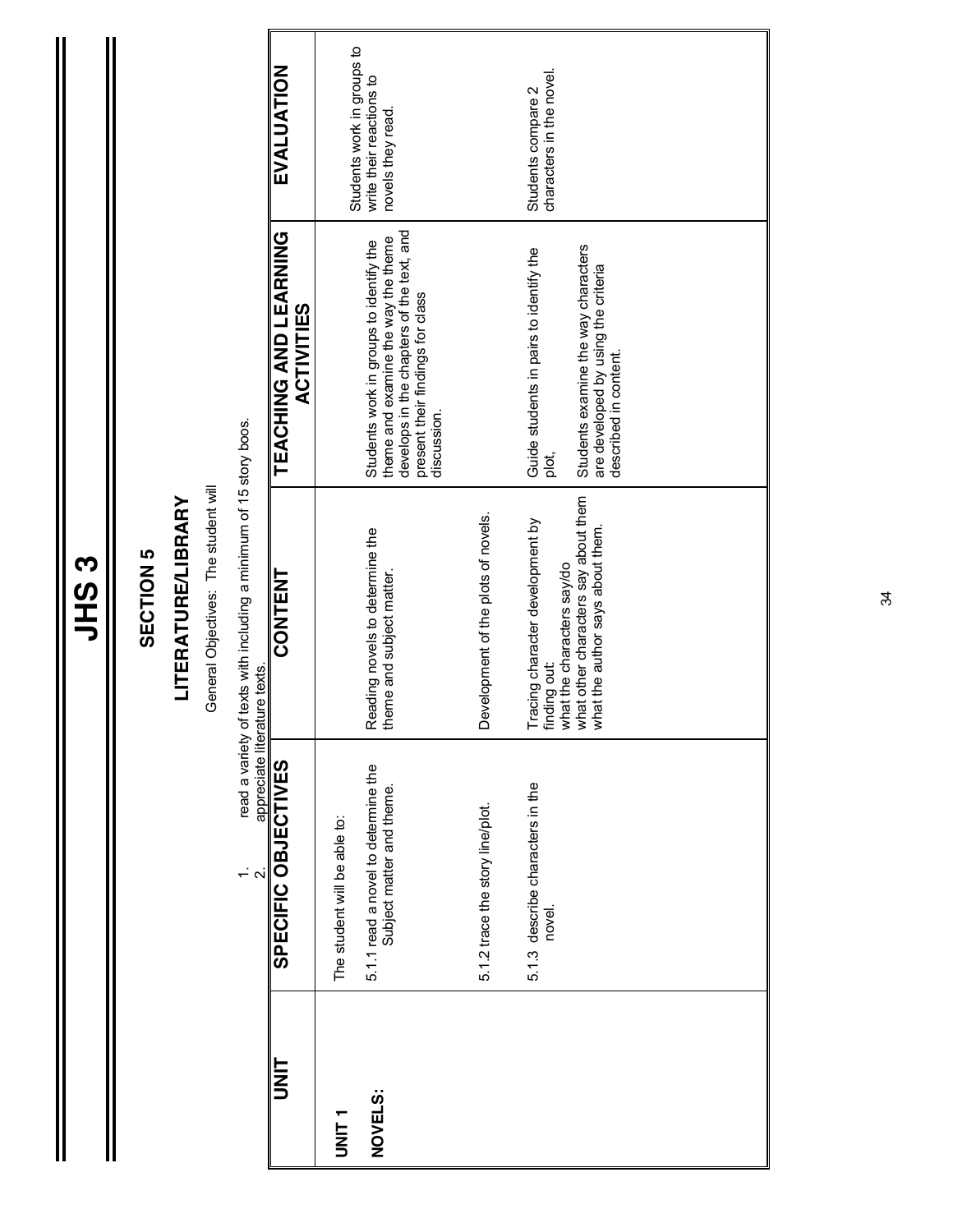$\mathbf{\mathbf{\mathsf{I}}}\mathbf{\mathsf{I}}$ 

#### SECTION 5 **SECTION 5**

## **LITERATURE/LIBRARY LITERATURE/LIBRARY**

General Objectives: The student will General Objectives: The student will

read a variety of texts with including a minimum of 15 story boos. 1. read a variety of texts with including a minimum of 15 story boos.

|   | read a variety of texts with including a minimum of 1. |
|---|--------------------------------------------------------|
| j | appreciate literature texts.                           |

| <b>UNIT</b>     | appi eciale illei alui e lexis<br>SPECIFIC OBJECTIVES            | CONTENT                                                                                                                                                    | TEACHING AND LEARNING<br><b>ACTIVITIES</b>                                                                                                                                     | EVALUATION                                     |
|-----------------|------------------------------------------------------------------|------------------------------------------------------------------------------------------------------------------------------------------------------------|--------------------------------------------------------------------------------------------------------------------------------------------------------------------------------|------------------------------------------------|
| T<br>TINIT<br>1 | The student will be able to:                                     |                                                                                                                                                            |                                                                                                                                                                                | Students work in groups to                     |
| NOVELS:         | 5.1.1 read a novel to determine the<br>Subject matter and theme. | Reading novels to determine the<br>theme and subject matter.                                                                                               | develops in the chapters of the text, and<br>theme and examine the way the theme<br>Students work in groups to identify the<br>present their findings for class<br>discussion. | write their reactions to<br>novels they read.  |
|                 | 5.1.2 trace the story line/plot.                                 | Development of the plots of novels.                                                                                                                        |                                                                                                                                                                                |                                                |
|                 | 5.1.3 describe characters in the<br>novel.                       | Tracing character development by<br>finding out:<br>what the characters say/do<br>what other characters say about them<br>what the author says about them. | Students examine the way characters<br>Guide students in pairs to identify the<br>are developed by using the criteria<br>described in content.<br>plot,                        | characters in the novel.<br>Students compare 2 |
|                 |                                                                  |                                                                                                                                                            |                                                                                                                                                                                |                                                |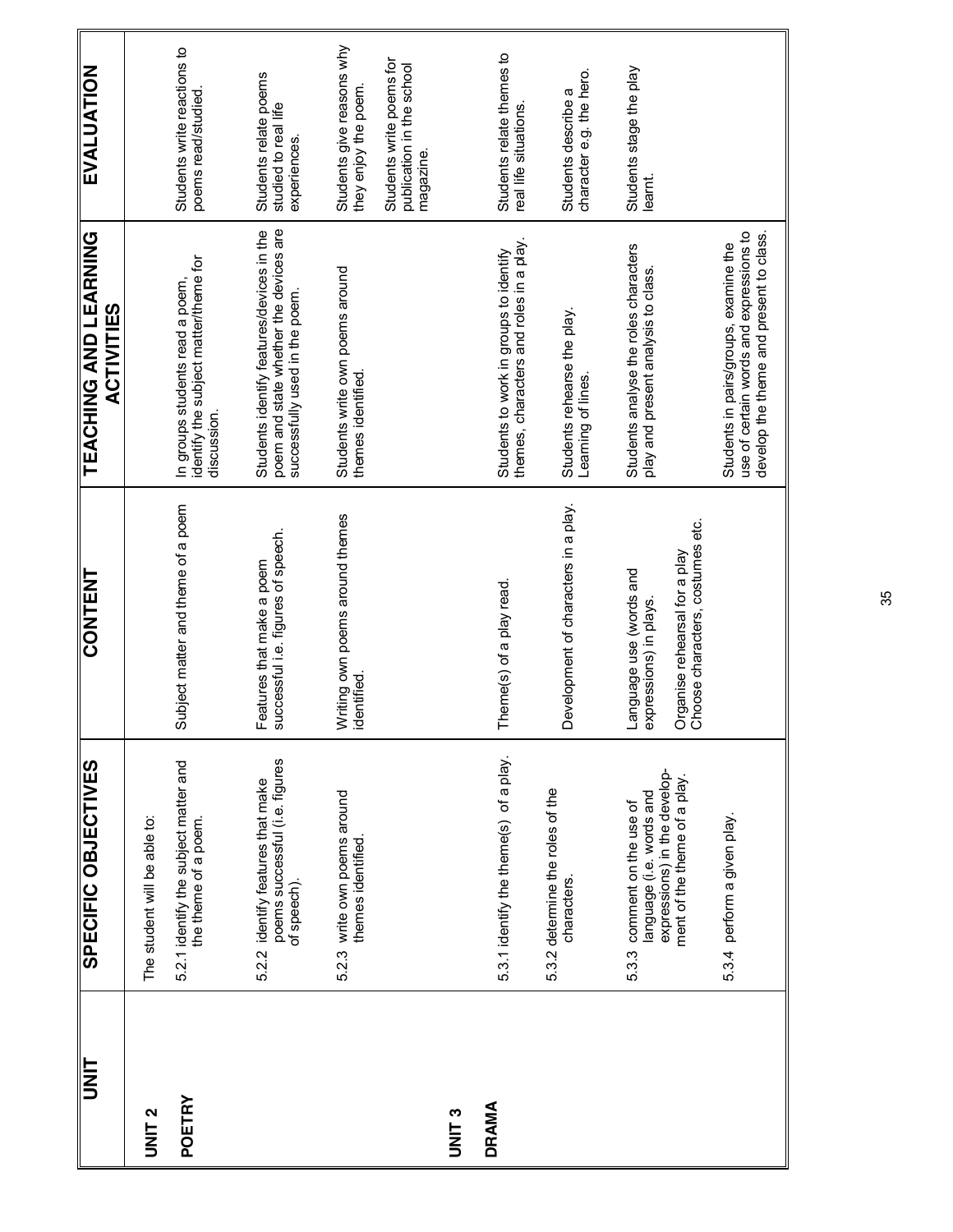| UNIT          | SPECIFIC OBJECTIVES                                                                                                     | CONTENT                                                                                                                | TEACHING AND LEARNING<br><b>ACTIVITIES</b>                                                                                  | EVALUATION                                                         |
|---------------|-------------------------------------------------------------------------------------------------------------------------|------------------------------------------------------------------------------------------------------------------------|-----------------------------------------------------------------------------------------------------------------------------|--------------------------------------------------------------------|
| <b>UNIT 2</b> | The student will be able to:                                                                                            |                                                                                                                        |                                                                                                                             |                                                                    |
| POETRY        | 5.2.1 identify the subject matter and<br>the theme of a poem.                                                           | Subject matter and theme of a poem                                                                                     | identify the subject matter/theme for<br>In groups students read a poem,<br>discussion.                                     | Students write reactions to<br>poems read/studied.                 |
|               | poems successful (i.e. figures<br>5.2.2 identify features that make<br>of speech).                                      | Features that make a poem<br>successful i.e. figures of speech.                                                        | poem and state whether the devices are<br>Students identify features/devices in the<br>successfully used in the poem.       | Students relate poems<br>studied to real life<br>experiences.      |
|               | 5.2.3 write own poems around<br>themes identified.                                                                      | Writing own poems around themes<br>identified.                                                                         | Students write own poems around<br>themes identified.                                                                       | Students give reasons why<br>they enjoy the poem.                  |
|               |                                                                                                                         |                                                                                                                        |                                                                                                                             | Students write poems for<br>publication in the school<br>magazine. |
| <b>UNIT3</b>  |                                                                                                                         |                                                                                                                        |                                                                                                                             |                                                                    |
| <b>DRAMA</b>  | 5.3.1 identify the theme(s) of a play.                                                                                  | Theme(s) of a play read.                                                                                               | themes, characters and roles in a play.<br>Students to work in groups to identify                                           | Students relate themes to<br>real life situations.                 |
|               | 5.3.2 determine the roles of the<br>characters.                                                                         | evelopment of characters in a play.<br>≏                                                                               | Students rehearse the play.<br>Learning of lines.                                                                           | character e.g. the hero.<br>Students describe a                    |
|               | expressions) in the develop-<br>ment of the theme of a play.<br>language (i.e. words and<br>5.3.3 comment on the use of | Organise rehearsal for a play<br>Choose characters, costumes etc.<br>Language use (words and<br>expressions) in plays. | Students analyse the roles characters<br>play and present analysis to class.                                                | Students stage the play<br>learnt.                                 |
|               | 5.3.4 perform a given play.                                                                                             |                                                                                                                        | develop the theme and present to class.<br>use of certain words and expressions to<br>Students in pairs/groups, examine the |                                                                    |

35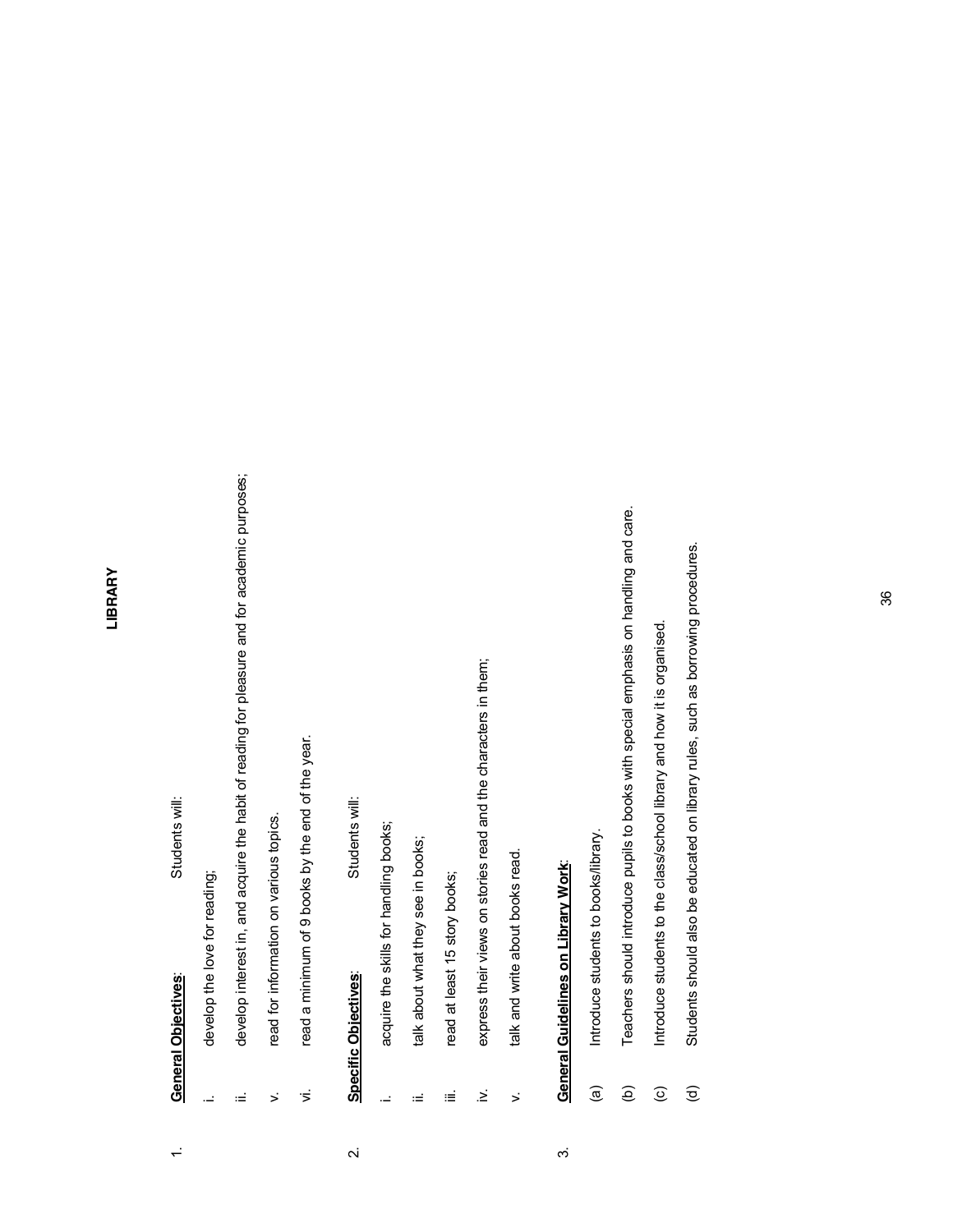#### LIBRARY **LIBRARY**

# 1. **General Objectives**: Students will: **General Objectives:**  $\div$

Students will:

- develop the love for reading; i. develop the love for reading; L,
- develop interest in, and acquire the habit of reading for pleasure and for academic purposes; ii. develop interest in, and acquire the habit of reading for pleasure and for academic purposes; Ξ
- read for information on various topics. v. read for information on various topics.  $\ddot{\phantom{1}}$
- read a minimum of 9 books by the end of the year. vi. read a minimum of 9 books by the end of the year.  $\overline{z}$

#### Students will: 2. **Specific Objectives**: Students will: **Specific Objectives:**  $\overline{\mathbf{v}}$

- acquire the skills for handling books; i. acquire the skills for handling books; <u>.</u>
- talk about what they see in books; ii. talk about what they see in books; Ξ
- read at least 15 story books; iii. read at least 15 story books; Ξ
- express their views on stories read and the characters in them; iv. express their views on stories read and the characters in them;  $\geq$
- talk and write about books read. v. talk and write about books read.  $\ddot{\phantom{1}}$

#### **General Guidelines on Library Work:** 3. **General Guidelines on Library Work**:  $\dot{\infty}$

- Introduce students to books/library. (a) Introduce students to books/library.  $\widehat{\mathbf{e}}$
- Teachers should introduce pupils to books with special emphasis on handling and care. (b) Teachers should introduce pupils to books with special emphasis on handling and care.  $\widehat{e}$
- Introduce students to the class/school library and how it is organised. (c) Introduce students to the class/school library and how it is organised.  $\widehat{c}$
- Students should also be educated on library rules, such as borrowing procedures. (d) Students should also be educated on library rules. Such as borrowing provided uses.  $\widehat{\sigma}$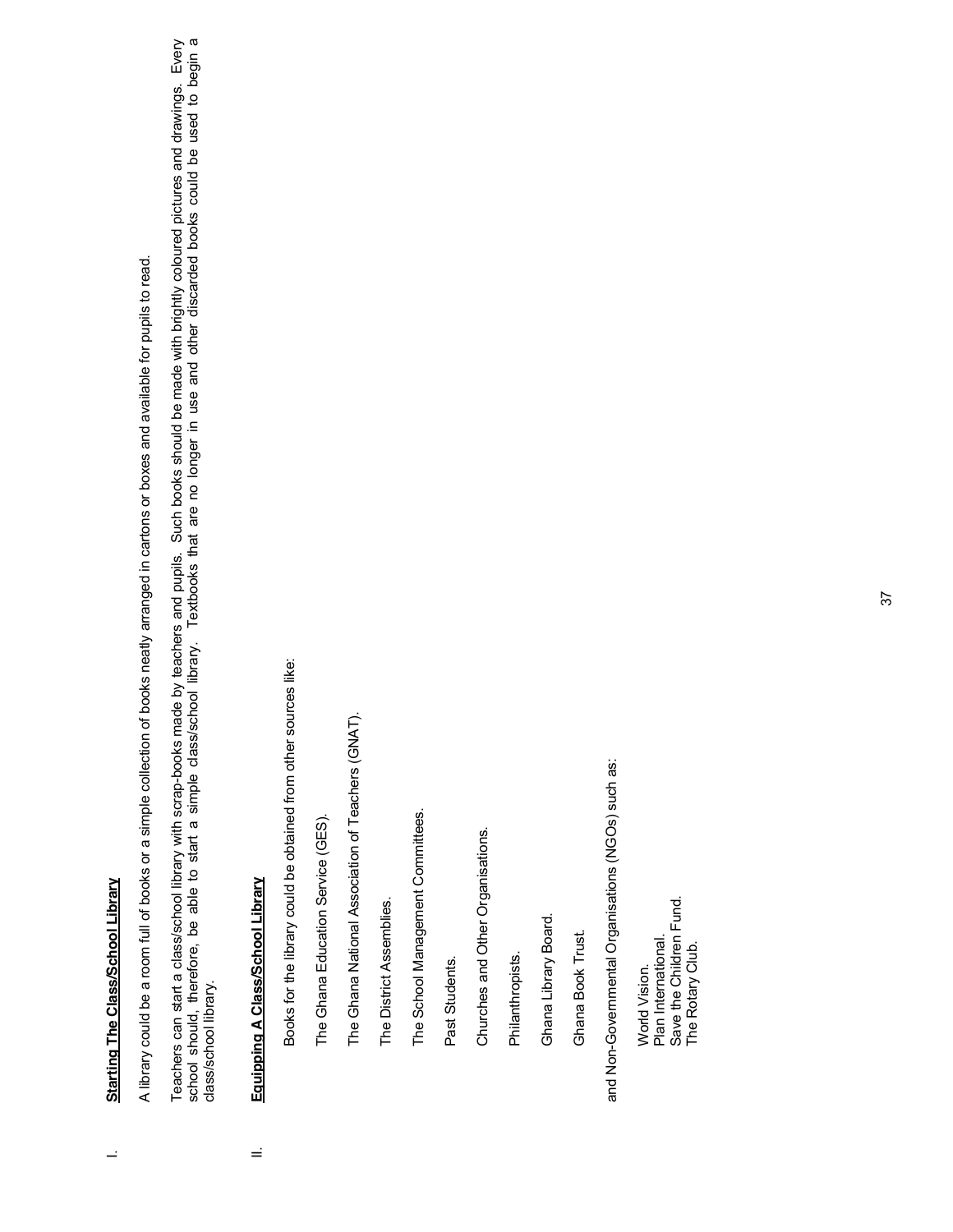# **Starting The Class/School Library** I. **Starting The Class/School Library**

 $\mathbf{r}$ 

A library could be a room full of books or a simple collection of books neatly arranged in cartons or boxes and available for pupils to read. A library could be a room full of books or a simple collection of books neatly arranged in cartons or boxes and available for pupils to read.

Teachers can start a class/school library with scrap-books made by teachers and pupils. Such books should be made with brightly coloured pictures and drawings. Every<br>school should, therefore, be able to start a simple clas Teachers can start a class/school library with scrap-books made by teachers and pupils. Such books should be made with brightly coloured pictures and drawings. Every school should, therefore, be able to start a simple class/school library. Textbooks that are no longer in use and other discarded books could be used to begin a class/school library. class/school library.

#### Equipping A Class/School Library II. **Equipping A Class/School Library** Ξ

Books for the library could be obtained from other sources like: Books for the library could be obtained from other sources like:

The Ghana Education Service (GES). The Ghana Education Service (GES). The Ghana National Association of Teachers (GNAT). The Ghana National Association of Teachers (GNAT).

The District Assemblies. The District Assemblies.

The School Management Committees. The School Management Committees.

Past Students. Past Students.

Churches and Other Organisations. Churches and Other Organisations.

Philanthropists. Philanthropists.

Ghana Library Board. Ghana Library Board.

Ghana Book Trust. Ghana Book Trust.

and Non-Governmental Organisations (NGOs) such as: and Non-Governmental Organisations (NGOs) such as:

Save the Children Fund. Save the Children Fund. Plan International. Plan International. The Rotary Club. The Rotary Club.World Vision. World Vision.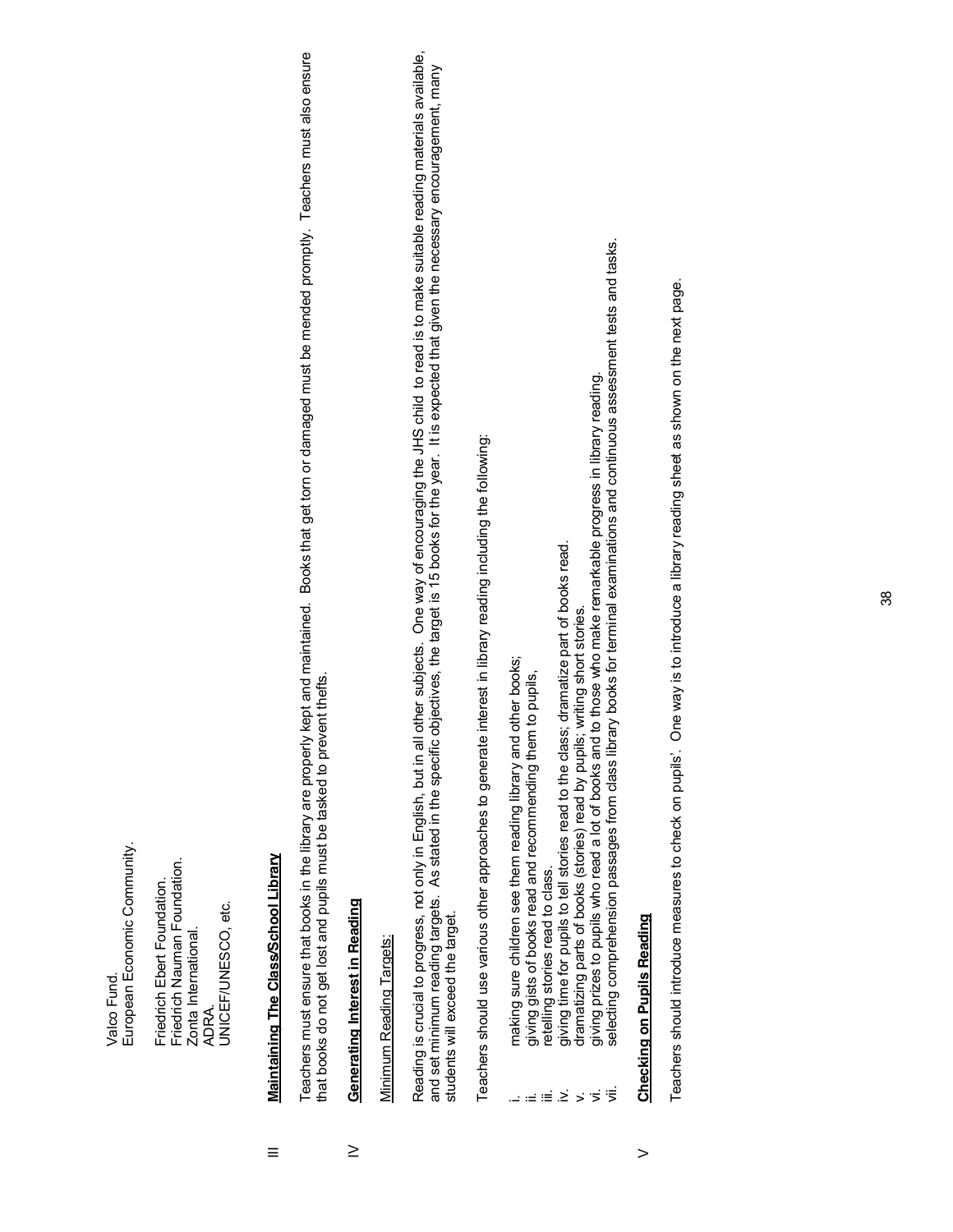European Economic Community. European Economic Community. Valco Fund. Valco Fund.

Friedrich Nauman Foundation. Friedrich Nauman Foundation. Friedrich Ebert Foundation. Friedrich Ebert Foundation. JNICEF/UNESCO, etc. UNICEF/UNESCO, etc. Zonta International. Zonta International. ADRA.

### Maintaining The Class/School Library III **Maintaining The Class/School Library**  $\equiv$

Teachers must ensure that books in the library are properly kept and maintained. Books that get torn or damaged must be mended promptly. Teachers must also ensure Teachers must ensure that books in the library are properly kept and maintained. Books that get torn or damaged must be mended promptly. Teachers must also ensure hat books do not get lost and pupils must be tasked to prevent thefts. that books do not get lost and pupils must be tasked to prevent thefts.

#### Generating Interest in Reading IV **Generating Interest in Reading**  $\geq$

## Minimum Reading Targets: Minimum Reading Targets:

Reading is crucial to progress, not only in English, but in all other subjects. One way of encouraging the JHS child to read is to make suitable reading materials available,<br>and set minimum reading targets. As stated in th Reading is crucial to progress, not only in English, but in all other subjects. One way of encouraging the JHS child to read is to make suitable reading materials available, and set minimum reading targets. As stated in the specific objectives, the target is 15 books for the year. It is expected that given the necessary encouragement, many students will exceed the target. students will exceed the target.

Teachers should use various other approaches to generate interest in library reading including the following: Teachers should use various other approaches to generate interest in library reading including the following:

- making sure children see them reading library and other books; i. making sure children see them reading library and other books;
	- giving gists of books read and recommending them to pupils, ii. giving gists of books read and recommending them to pupils,
		- retelling stories read to class. iii. retelling stories read to class.
- giving time for pupils to tell stories read to the class; dramatize part of books read. iv. giving time for pupils to tell stories read to the class; dramatize part of books read.  $\omega \equiv \equiv \tilde{\Xi}$ 
	- dramatizing parts of books (stories) read by pupils; writing short stories. v. dramatizing parts of books (stories) read by pupils; writing short stories.
- vi. giving prizes to pupils who read a lot of books and to those who make remarkable progress in library reading.  $>5\frac{1}{2}$
- giving prizes to pupils who read a lot of books and to those who make remarkable progress in library reading.<br>selecting comprehension passages from class library books for terminal examinations and continuous assessment te vii. selecting comprehension passages from class library books for terminal examinations and continuous assessment tests and tasks.

# **Checking on Pupils Reading Checking on Pupils Reading**

 $\geq$ 

Teachers should introduce measures to check on pupils'. One way is to introduce a library reading sheet as shown on the next page. Teachers should introduce measures to check on pupils¶. One way is to introduce a library reading sheet as shown on the next page.